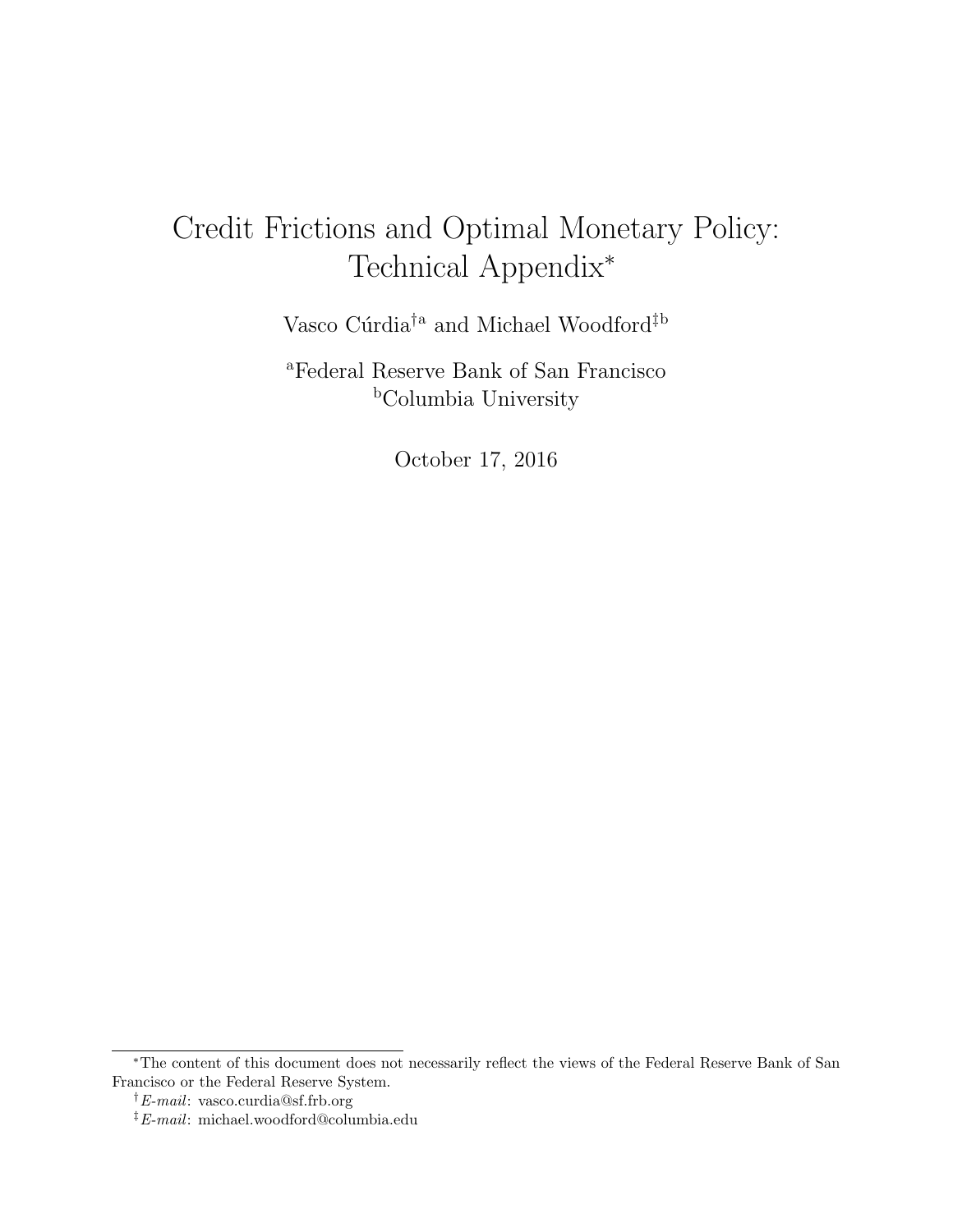# <span id="page-0-0"></span>Credit Frictions and Optimal Monetary Policy: Technical Appendix\*

Vasco Cúrdia $^\dagger{}^{\rm a}$  and Michael Woodford $^\ddagger{}^{\rm b}$ 

<sup>a</sup>Federal Reserve Bank of San Francisco <sup>b</sup>Columbia University

October 17, 2016

<sup>\*</sup>The content of this document does not necessarily reflect the views of the Federal Reserve Bank of San Francisco or the Federal Reserve System.

 $\dagger$ E-mail: vasco.curdia@sf.frb.org

<sup>‡</sup>E-mail: michael.woodford@columbia.edu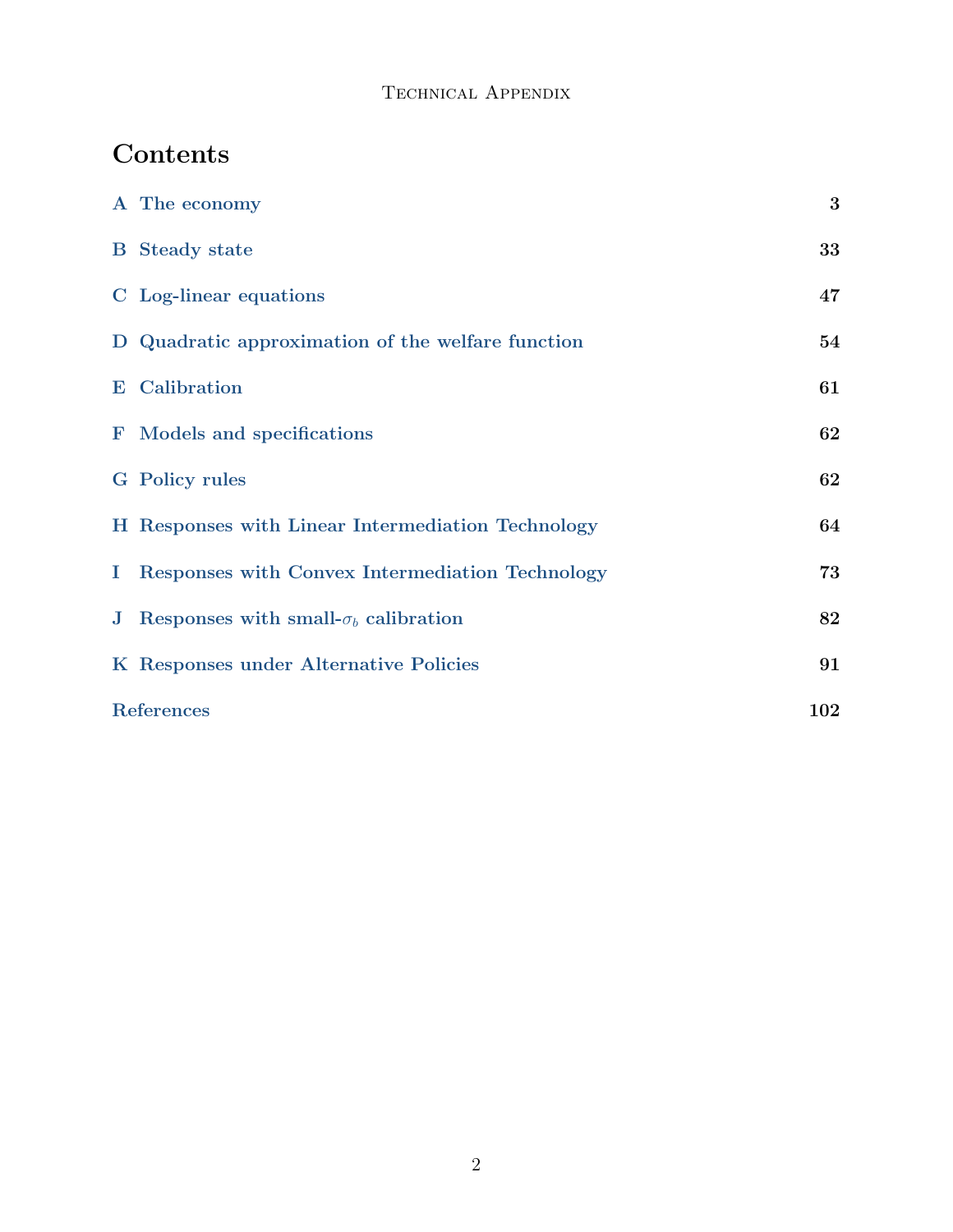## Contents

|            | A The economy                                         | 3   |
|------------|-------------------------------------------------------|-----|
|            | <b>B</b> Steady state                                 | 33  |
|            | C Log-linear equations                                | 47  |
|            | D Quadratic approximation of the welfare function     | 54  |
|            | <b>E</b> Calibration                                  | 61  |
|            | <b>F</b> Models and specifications                    | 62  |
|            | <b>G</b> Policy rules                                 | 62  |
|            | H Responses with Linear Intermediation Technology     | 64  |
|            | I Responses with Convex Intermediation Technology     | 73  |
|            | <b>J</b> Responses with small- $\sigma_b$ calibration | 82  |
|            | K Responses under Alternative Policies                | 91  |
| References |                                                       | 102 |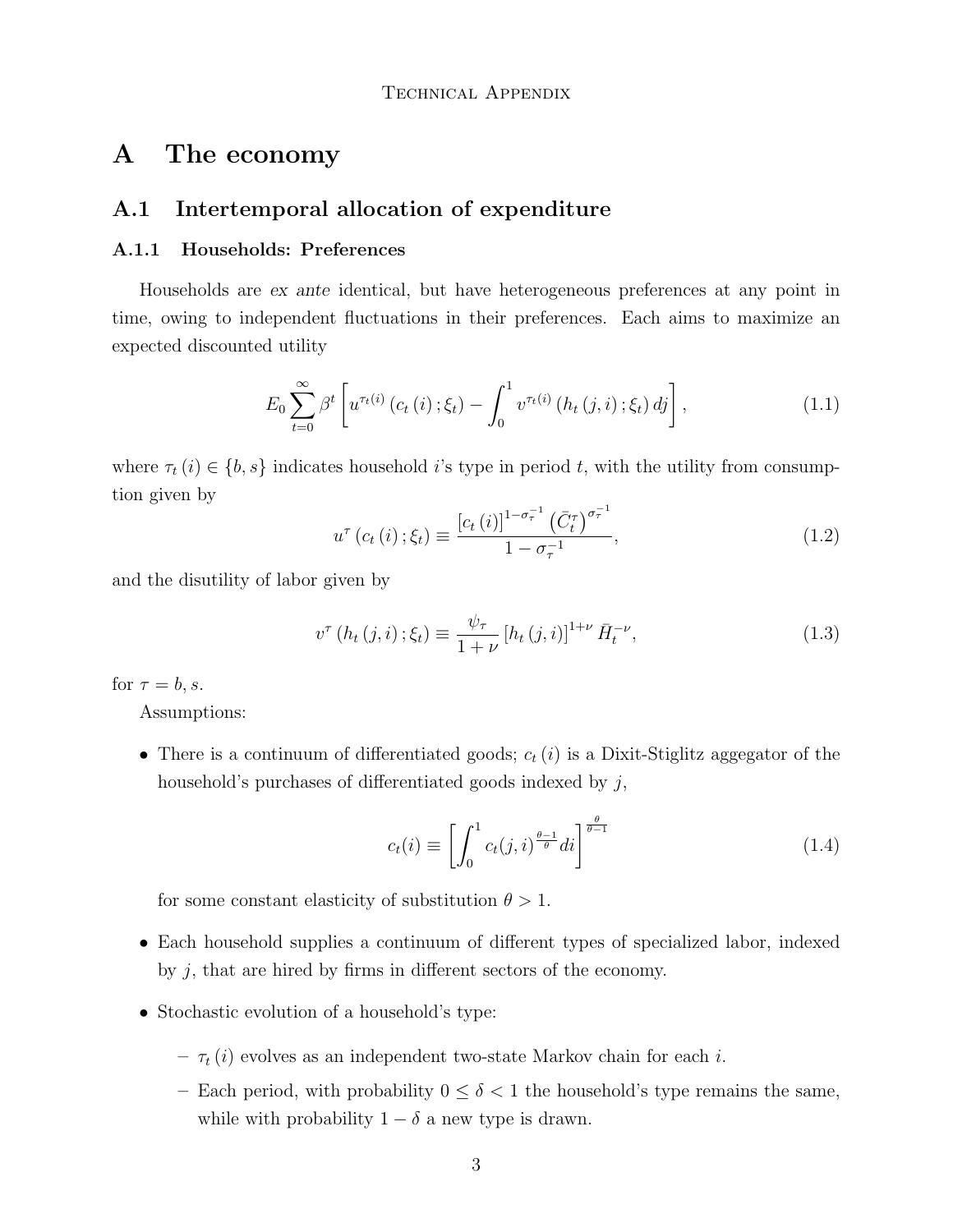## <span id="page-2-0"></span>A The economy

#### A.1 Intertemporal allocation of expenditure

#### A.1.1 Households: Preferences

Households are ex ante identical, but have heterogeneous preferences at any point in time, owing to independent fluctuations in their preferences. Each aims to maximize an expected discounted utility

<span id="page-2-1"></span>
$$
E_0 \sum_{t=0}^{\infty} \beta^t \left[ u^{\tau_t(i)} \left( c_t \left( i \right) ; \xi_t \right) - \int_0^1 v^{\tau_t(i)} \left( h_t \left( j, i \right) ; \xi_t \right) dj \right], \tag{1.1}
$$

where  $\tau_t(i) \in \{b, s\}$  indicates household *i*'s type in period *t*, with the utility from consumption given by

$$
u^{\tau}\left(c_{t}\left(i\right);\xi_{t}\right) \equiv \frac{\left[c_{t}\left(i\right)\right]^{1-\sigma_{\tau}^{-1}}\left(\bar{C}_{t}^{\tau}\right)^{\sigma_{\tau}^{-1}}}{1-\sigma_{\tau}^{-1}},\tag{1.2}
$$

and the disutility of labor given by

$$
v^{\tau} (h_t (j, i) ; \xi_t) \equiv \frac{\psi_{\tau}}{1 + \nu} [h_t (j, i)]^{1 + \nu} \bar{H}_t^{-\nu}, \qquad (1.3)
$$

for  $\tau = b, s$ .

Assumptions:

• There is a continuum of differentiated goods;  $c_t(i)$  is a Dixit-Stiglitz aggegator of the household's purchases of differentiated goods indexed by  $j$ ,

<span id="page-2-2"></span>
$$
c_t(i) \equiv \left[ \int_0^1 c_t(j,i)^{\frac{\theta-1}{\theta}} di \right]^{\frac{\theta}{\theta-1}}
$$
\n(1.4)

for some constant elasticity of substitution  $\theta > 1$ .

- ∙ Each household supplies a continuum of different types of specialized labor, indexed by  $j$ , that are hired by firms in different sectors of the economy.
- ∙ Stochastic evolution of a household's type:
	- $-\tau_t(i)$  evolves as an independent two-state Markov chain for each *i*.
	- Each period, with probability  $0 \le \delta < 1$  the household's type remains the same, while with probability  $1 - \delta$  a new type is drawn.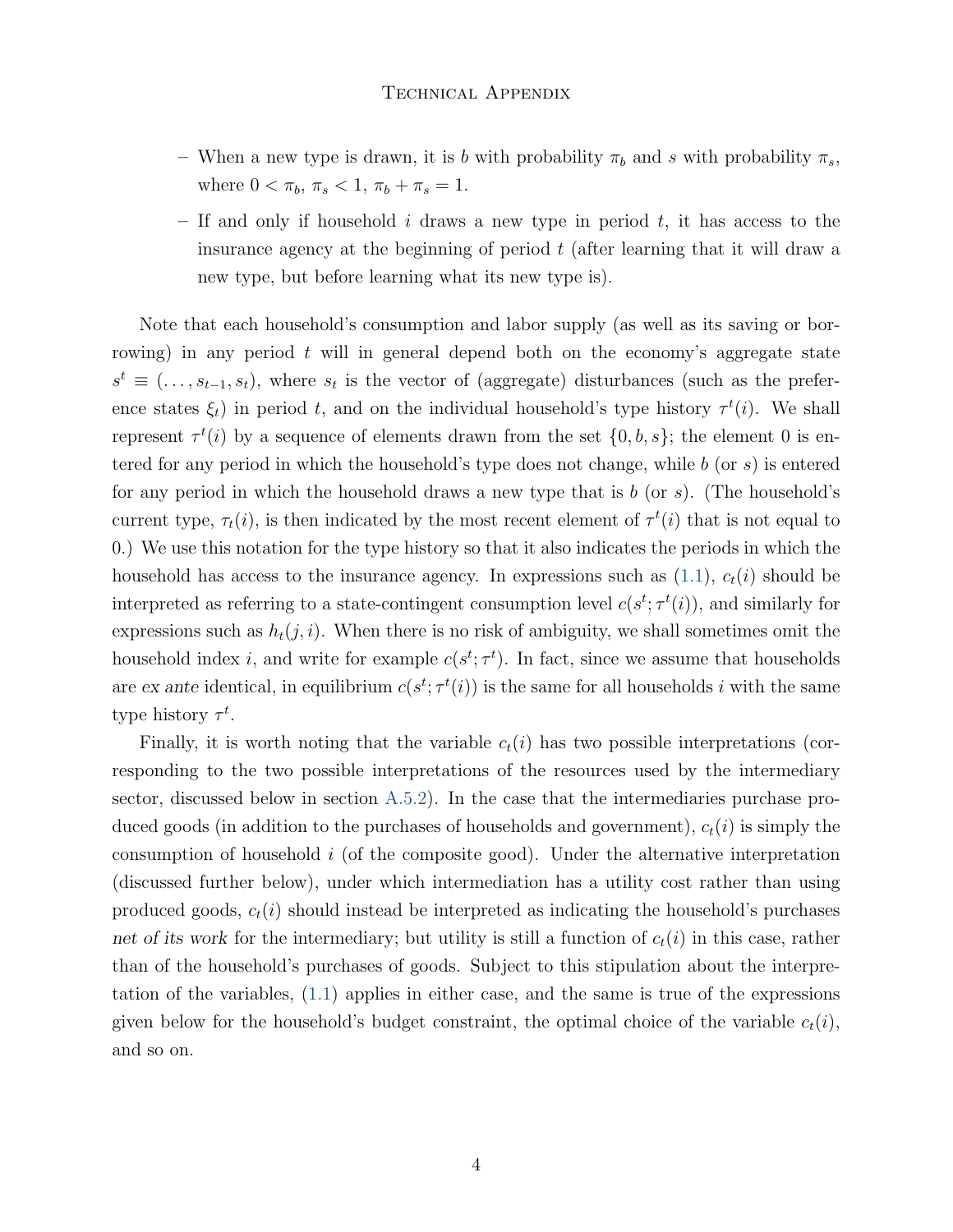- When a new type is drawn, it is b with probability  $\pi_b$  and s with probability  $\pi_s$ , where  $0 < \pi_b, \pi_s < 1, \pi_b + \pi_s = 1.$
- If and only if household  $i$  draws a new type in period  $t$ , it has access to the insurance agency at the beginning of period  $t$  (after learning that it will draw a new type, but before learning what its new type is).

Note that each household's consumption and labor supply (as well as its saving or borrowing) in any period  $t$  will in general depend both on the economy's aggregate state  $s^t \equiv (\ldots, s_{t-1}, s_t)$ , where  $s_t$  is the vector of (aggregate) disturbances (such as the preference states  $\xi_t$ ) in period t, and on the individual household's type history  $\tau^t(i)$ . We shall represent  $\tau^t(i)$  by a sequence of elements drawn from the set  $\{0, b, s\}$ ; the element 0 is entered for any period in which the household's type does not change, while  $b$  (or  $s$ ) is entered for any period in which the household draws a new type that is  $b$  (or  $s$ ). (The household's current type,  $\tau_t(i)$ , is then indicated by the most recent element of  $\tau^t(i)$  that is not equal to 0.) We use this notation for the type history so that it also indicates the periods in which the household has access to the insurance agency. In expressions such as  $(1.1)$ ,  $c_t(i)$  should be interpreted as referring to a state-contingent consumption level  $c(s^t; \tau^t(i))$ , and similarly for expressions such as  $h_t(j, i)$ . When there is no risk of ambiguity, we shall sometimes omit the household index *i*, and write for example  $c(s^t; \tau^t)$ . In fact, since we assume that households are ex ante identical, in equilibrium  $c(s^t; \tau^t(i))$  is the same for all households i with the same type history  $\tau^t$ .

Finally, it is worth noting that the variable  $c_t(i)$  has two possible interpretations (corresponding to the two possible interpretations of the resources used by the intermediary sector, discussed below in section [A.5.2\)](#page-28-0). In the case that the intermediaries purchase produced goods (in addition to the purchases of households and government),  $c_t(i)$  is simply the consumption of household  $i$  (of the composite good). Under the alternative interpretation (discussed further below), under which intermediation has a utility cost rather than using produced goods,  $c_t(i)$  should instead be interpreted as indicating the household's purchases net of its work for the intermediary; but utility is still a function of  $c_t(i)$  in this case, rather than of the household's purchases of goods. Subject to this stipulation about the interpretation of the variables, [\(1.1\)](#page-2-1) applies in either case, and the same is true of the expressions given below for the household's budget constraint, the optimal choice of the variable  $c_t(i)$ , and so on.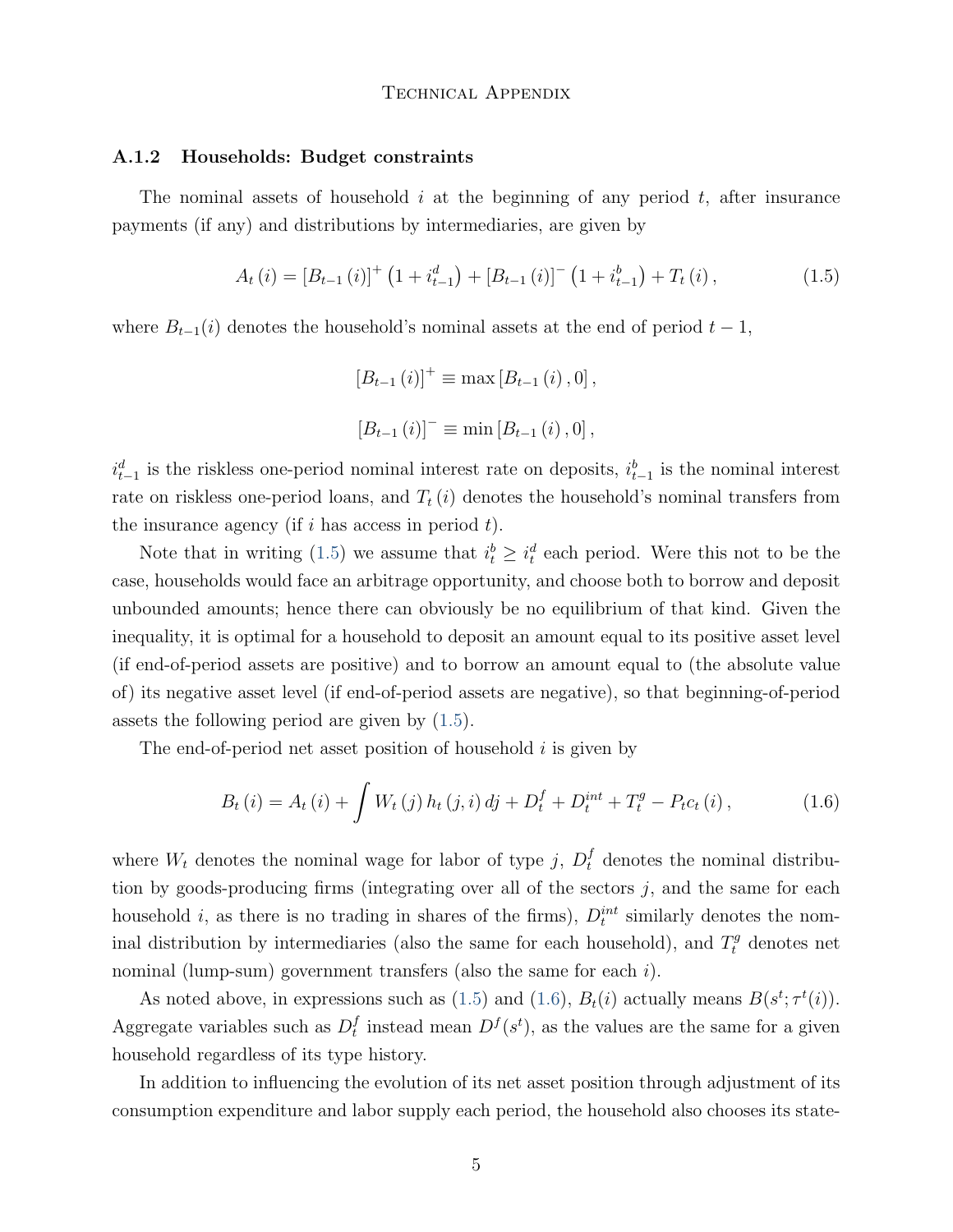#### A.1.2 Households: Budget constraints

The nominal assets of household  $i$  at the beginning of any period  $t$ , after insurance payments (if any) and distributions by intermediaries, are given by

<span id="page-4-0"></span>
$$
A_{t}(i) = [B_{t-1}(i)]^{+} \left(1 + i_{t-1}^{d}\right) + [B_{t-1}(i)]^{-} \left(1 + i_{t-1}^{b}\right) + T_{t}(i), \qquad (1.5)
$$

where  $B_{t-1}(i)$  denotes the household's nominal assets at the end of period  $t-1$ ,

 $[B_{t-1} (i)]^+ \equiv \max [B_{t-1} (i), 0],$  $[B_{t-1} (i)]^{-} \equiv \min [B_{t-1} (i), 0].$ 

 $i_{t-1}^d$  is the riskless one-period nominal interest rate on deposits,  $i_{t-1}^b$  is the nominal interest rate on riskless one-period loans, and  $T_t(i)$  denotes the household's nominal transfers from the insurance agency (if  $i$  has access in period  $t$ ).

Note that in writing [\(1.5\)](#page-4-0) we assume that  $i_t^b \geq i_t^d$  each period. Were this not to be the case, households would face an arbitrage opportunity, and choose both to borrow and deposit unbounded amounts; hence there can obviously be no equilibrium of that kind. Given the inequality, it is optimal for a household to deposit an amount equal to its positive asset level (if end-of-period assets are positive) and to borrow an amount equal to (the absolute value of) its negative asset level (if end-of-period assets are negative), so that beginning-of-period assets the following period are given by [\(1.5\)](#page-4-0).

The end-of-period net asset position of household  $i$  is given by

<span id="page-4-1"></span>
$$
B_{t}(i) = A_{t}(i) + \int W_{t}(j) h_{t}(j, i) dj + D_{t}^{f} + D_{t}^{int} + T_{t}^{g} - P_{t}c_{t}(i), \qquad (1.6)
$$

where  $W_t$  denotes the nominal wage for labor of type j,  $D_t^f$  denotes the nominal distribution by goods-producing firms (integrating over all of the sectors  $j$ , and the same for each household *i*, as there is no trading in shares of the firms),  $D_t^{int}$  similarly denotes the nominal distribution by intermediaries (also the same for each household), and  $T_t^g$  denotes net nominal (lump-sum) government transfers (also the same for each  $i$ ).

As noted above, in expressions such as [\(1.5\)](#page-4-0) and [\(1.6\)](#page-4-1),  $B_t(i)$  actually means  $B(s^t; \tau^t(i))$ . Aggregate variables such as  $D_t^f$  $i_t$  instead mean  $D^f(s^t)$ , as the values are the same for a given household regardless of its type history.

In addition to influencing the evolution of its net asset position through adjustment of its consumption expenditure and labor supply each period, the household also chooses its state-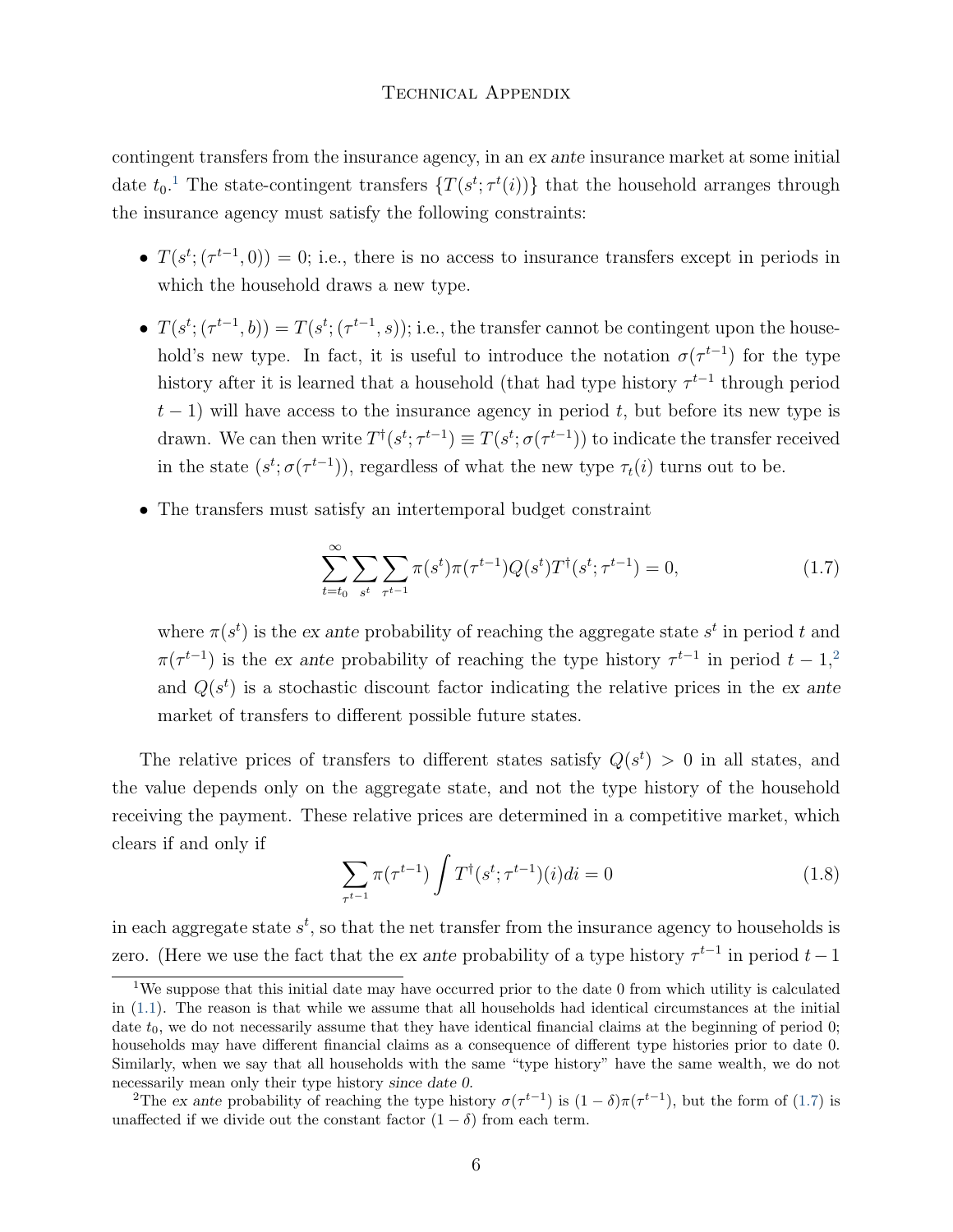contingent transfers from the insurance agency, in an ex ante insurance market at some initial date  $t_0$ .<sup>[1](#page-0-0)</sup> The state-contingent transfers  $\{T(s^t; \tau^t(i))\}$  that the household arranges through the insurance agency must satisfy the following constraints:

- $T(s^t; (\tau^{t-1}, 0)) = 0$ ; i.e., there is no access to insurance transfers except in periods in which the household draws a new type.
- $T(s^t; (\tau^{t-1}, b)) = T(s^t; (\tau^{t-1}, s))$ ; i.e., the transfer cannot be contingent upon the household's new type. In fact, it is useful to introduce the notation  $\sigma(\tau^{t-1})$  for the type history after it is learned that a household (that had type history  $\tau^{t-1}$  through period  $t-1$ ) will have access to the insurance agency in period t, but before its new type is drawn. We can then write  $T^{\dagger}(s^t; \tau^{t-1}) \equiv T(s^t; \sigma(\tau^{t-1}))$  to indicate the transfer received in the state  $(s^t; \sigma(\tau^{t-1}))$ , regardless of what the new type  $\tau_t(i)$  turns out to be.
- ∙ The transfers must satisfy an intertemporal budget constraint

<span id="page-5-0"></span>
$$
\sum_{t=t_0}^{\infty} \sum_{s^t} \sum_{\tau^{t-1}} \pi(s^t) \pi(\tau^{t-1}) Q(s^t) T^{\dagger}(s^t; \tau^{t-1}) = 0,
$$
\n(1.7)

where  $\pi(s^t)$  is the ex ante probability of reaching the aggregate state  $s^t$  in period t and  $\pi(\tau^{t-1})$  is the ex ante probability of reaching the type history  $\tau^{t-1}$  in period  $t-1$ ,<sup>[2](#page-0-0)</sup> and  $Q(s^t)$  is a stochastic discount factor indicating the relative prices in the ex ante market of transfers to different possible future states.

The relative prices of transfers to different states satisfy  $Q(s^t) > 0$  in all states, and the value depends only on the aggregate state, and not the type history of the household receiving the payment. These relative prices are determined in a competitive market, which clears if and only if

<span id="page-5-1"></span>
$$
\sum_{\tau^{t-1}} \pi(\tau^{t-1}) \int T^{\dagger}(s^t; \tau^{t-1})(i)di = 0 \tag{1.8}
$$

in each aggregate state  $s^t$ , so that the net transfer from the insurance agency to households is zero. (Here we use the fact that the ex ante probability of a type history  $\tau^{t-1}$  in period  $t-1$ 

<sup>&</sup>lt;sup>1</sup>We suppose that this initial date may have occurred prior to the date 0 from which utility is calculated in [\(1.1\)](#page-2-1). The reason is that while we assume that all households had identical circumstances at the initial date  $t_0$ , we do not necessarily assume that they have identical financial claims at the beginning of period 0; households may have different financial claims as a consequence of different type histories prior to date 0. Similarly, when we say that all households with the same "type history" have the same wealth, we do not necessarily mean only their type history since date 0.

<sup>&</sup>lt;sup>2</sup>The ex ante probability of reaching the type history  $\sigma(\tau^{t-1})$  is  $(1-\delta)\pi(\tau^{t-1})$ , but the form of [\(1.7\)](#page-5-0) is unaffected if we divide out the constant factor  $(1 - \delta)$  from each term.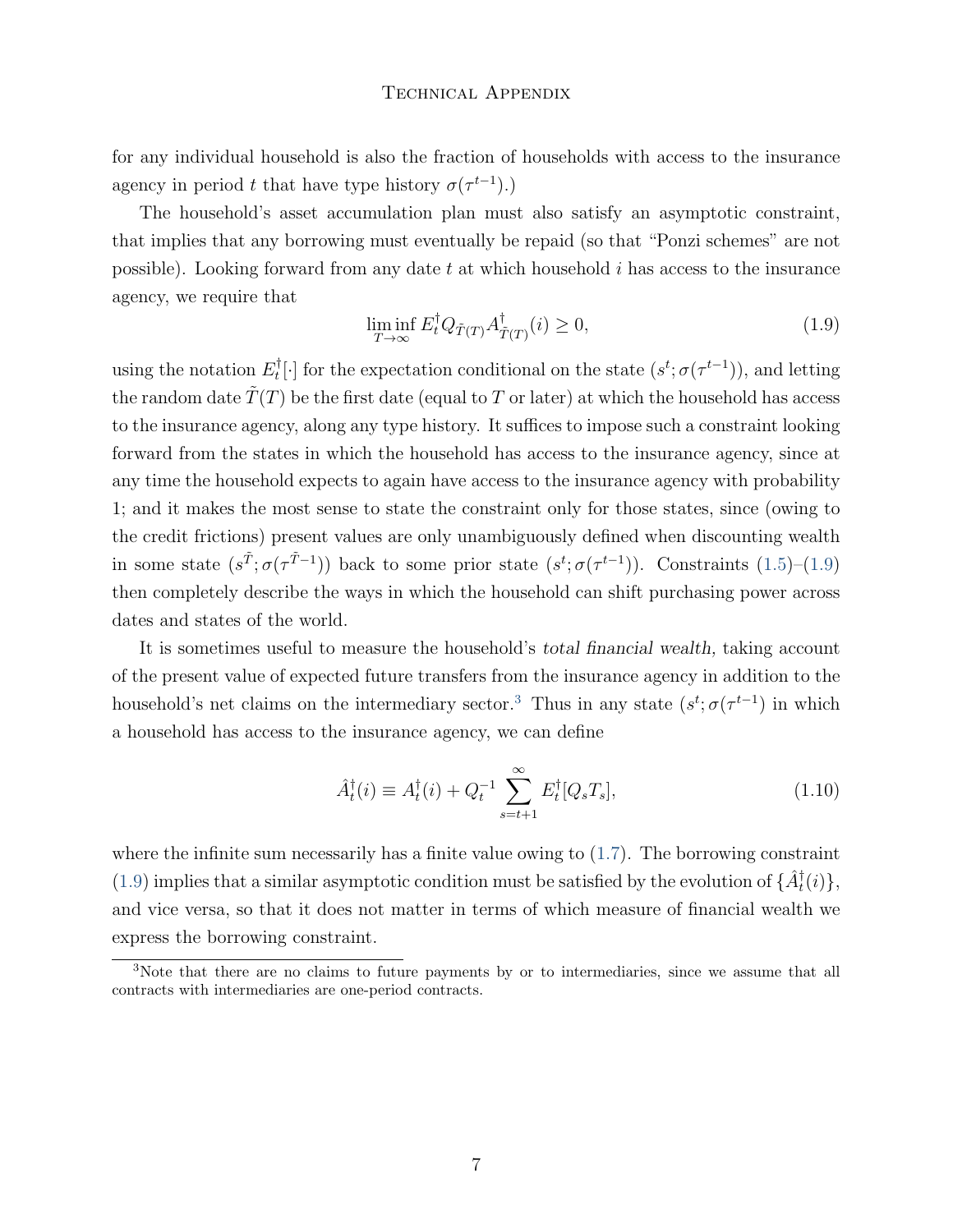for any individual household is also the fraction of households with access to the insurance agency in period t that have type history  $\sigma(\tau^{t-1})$ .

The household's asset accumulation plan must also satisfy an asymptotic constraint, that implies that any borrowing must eventually be repaid (so that "Ponzi schemes" are not possible). Looking forward from any date  $t$  at which household  $i$  has access to the insurance agency, we require that

<span id="page-6-0"></span>
$$
\liminf_{T \to \infty} E_t^{\dagger} Q_{\tilde{T}(T)} A_{\tilde{T}(T)}^{\dagger}(i) \ge 0,
$$
\n(1.9)

using the notation  $E_t^{\dagger}$  $\mathcal{F}_t^{\dagger}[\cdot]$  for the expectation conditional on the state  $(s^t; \sigma(\tau^{t-1}))$ , and letting the random date  $\hat{T}(T)$  be the first date (equal to T or later) at which the household has access to the insurance agency, along any type history. It suffices to impose such a constraint looking forward from the states in which the household has access to the insurance agency, since at any time the household expects to again have access to the insurance agency with probability 1; and it makes the most sense to state the constraint only for those states, since (owing to the credit frictions) present values are only unambiguously defined when discounting wealth in some state  $(s^{\tilde{T}}; \sigma(\tau^{\tilde{T}-1}))$  back to some prior state  $(s^t; \sigma(\tau^{t-1}))$ . Constraints  $(1.5)-(1.9)$  $(1.5)-(1.9)$  $(1.5)-(1.9)$ then completely describe the ways in which the household can shift purchasing power across dates and states of the world.

It is sometimes useful to measure the household's *total financial wealth*, taking account of the present value of expected future transfers from the insurance agency in addition to the household's net claims on the intermediary sector.<sup>[3](#page-0-0)</sup> Thus in any state  $(s^t; \sigma(\tau^{t-1})$  in which a household has access to the insurance agency, we can define

<span id="page-6-1"></span>
$$
\hat{A}_t^{\dagger}(i) \equiv A_t^{\dagger}(i) + Q_t^{-1} \sum_{s=t+1}^{\infty} E_t^{\dagger}[Q_s T_s], \tag{1.10}
$$

where the infinite sum necessarily has a finite value owing to  $(1.7)$ . The borrowing constraint [\(1.9\)](#page-6-0) implies that a similar asymptotic condition must be satisfied by the evolution of  $\{\hat{A}^{\dagger}_t(i)\},$ and vice versa, so that it does not matter in terms of which measure of financial wealth we express the borrowing constraint.

<sup>&</sup>lt;sup>3</sup>Note that there are no claims to future payments by or to intermediaries, since we assume that all contracts with intermediaries are one-period contracts.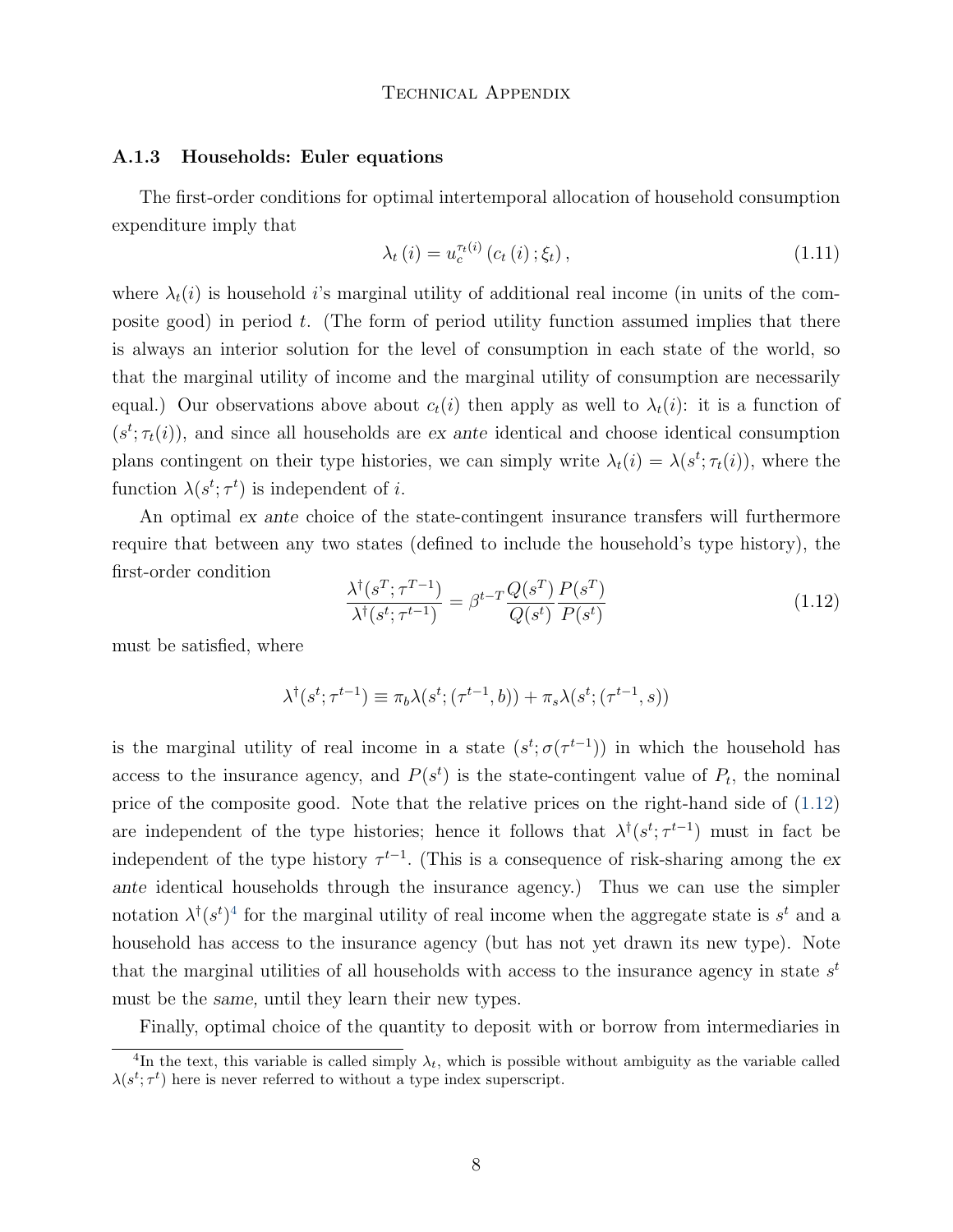#### A.1.3 Households: Euler equations

The first-order conditions for optimal intertemporal allocation of household consumption expenditure imply that

<span id="page-7-1"></span>
$$
\lambda_{t}(i) = u_{c}^{\tau_{t}(i)}(c_{t}(i); \xi_{t}), \qquad (1.11)
$$

where  $\lambda_i(i)$  is household is marginal utility of additional real income (in units of the composite good) in period  $t$ . (The form of period utility function assumed implies that there is always an interior solution for the level of consumption in each state of the world, so that the marginal utility of income and the marginal utility of consumption are necessarily equal.) Our observations above about  $c_t(i)$  then apply as well to  $\lambda_t(i)$ : it is a function of  $(s^t; \tau_t(i))$ , and since all households are ex ante identical and choose identical consumption plans contingent on their type histories, we can simply write  $\lambda_t(i) = \lambda(s^t; \tau_t(i))$ , where the function  $\lambda(s^t; \tau^t)$  is independent of *i*.

An optimal ex ante choice of the state-contingent insurance transfers will furthermore require that between any two states (defined to include the household's type history), the first-order condition

<span id="page-7-0"></span>
$$
\frac{\lambda^{\dagger}(s^T;\tau^{T-1})}{\lambda^{\dagger}(s^t;\tau^{t-1})} = \beta^{t-T} \frac{Q(s^T)}{Q(s^t)} \frac{P(s^T)}{P(s^t)}
$$
\n(1.12)

must be satisfied, where

$$
\lambda^{\dagger}(s^t; \tau^{t-1}) \equiv \pi_b \lambda(s^t; (\tau^{t-1}, b)) + \pi_s \lambda(s^t; (\tau^{t-1}, s))
$$

is the marginal utility of real income in a state  $(s^t; \sigma(\tau^{t-1}))$  in which the household has access to the insurance agency, and  $P(s^t)$  is the state-contingent value of  $P_t$ , the nominal price of the composite good. Note that the relative prices on the right-hand side of [\(1.12\)](#page-7-0) are independent of the type histories; hence it follows that  $\lambda^{\dagger}(s^t; \tau^{t-1})$  must in fact be independent of the type history  $\tau^{t-1}$ . (This is a consequence of risk-sharing among the exante identical households through the insurance agency.) Thus we can use the simpler notation  $\lambda^{\dagger}(s^t)^4$  $\lambda^{\dagger}(s^t)^4$  for the marginal utility of real income when the aggregate state is  $s^t$  and a household has access to the insurance agency (but has not yet drawn its new type). Note that the marginal utilities of all households with access to the insurance agency in state  $s<sup>t</sup>$ must be the same, until they learn their new types.

Finally, optimal choice of the quantity to deposit with or borrow from intermediaries in

<sup>&</sup>lt;sup>4</sup>In the text, this variable is called simply  $\lambda_t$ , which is possible without ambiguity as the variable called  $\lambda(s^t; \tau^t)$  here is never referred to without a type index superscript.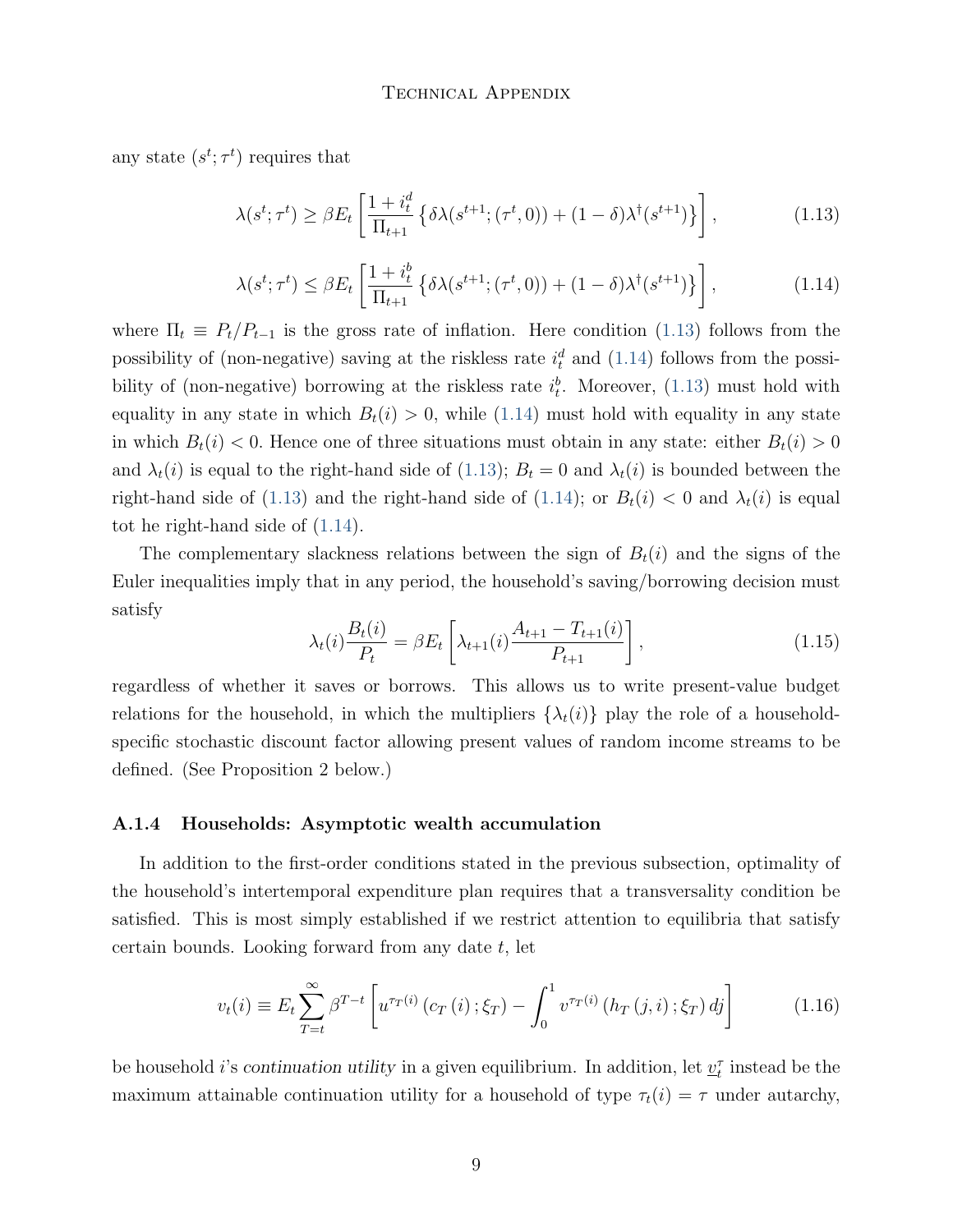any state  $(s^t; \tau^t)$  requires that

<span id="page-8-0"></span>
$$
\lambda(s^t; \tau^t) \ge \beta E_t \left[ \frac{1 + i_t^d}{\Pi_{t+1}} \left\{ \delta \lambda(s^{t+1}; (\tau^t, 0)) + (1 - \delta) \lambda^{\dagger}(s^{t+1}) \right\} \right],\tag{1.13}
$$

<span id="page-8-1"></span>
$$
\lambda(s^t; \tau^t) \le \beta E_t \left[ \frac{1 + i_t^b}{\Pi_{t+1}} \left\{ \delta \lambda(s^{t+1}; (\tau^t, 0)) + (1 - \delta) \lambda^{\dagger}(s^{t+1}) \right\} \right],\tag{1.14}
$$

where  $\Pi_t \equiv P_t/P_{t-1}$  is the gross rate of inflation. Here condition [\(1.13\)](#page-8-0) follows from the possibility of (non-negative) saving at the riskless rate  $i_t^d$  and [\(1.14\)](#page-8-1) follows from the possibility of (non-negative) borrowing at the riskless rate  $i_t^b$ . Moreover, [\(1.13\)](#page-8-0) must hold with equality in any state in which  $B_t(i) > 0$ , while [\(1.14\)](#page-8-1) must hold with equality in any state in which  $B_t(i) < 0$ . Hence one of three situations must obtain in any state: either  $B_t(i) > 0$ and  $\lambda_t(i)$  is equal to the right-hand side of [\(1.13\)](#page-8-0);  $B_t = 0$  and  $\lambda_t(i)$  is bounded between the right-hand side of [\(1.13\)](#page-8-0) and the right-hand side of [\(1.14\)](#page-8-1); or  $B_t(i) < 0$  and  $\lambda_t(i)$  is equal tot he right-hand side of [\(1.14\)](#page-8-1).

The complementary slackness relations between the sign of  $B_t(i)$  and the signs of the Euler inequalities imply that in any period, the household's saving/borrowing decision must satisfy

<span id="page-8-2"></span>
$$
\lambda_t(i) \frac{B_t(i)}{P_t} = \beta E_t \left[ \lambda_{t+1}(i) \frac{A_{t+1} - T_{t+1}(i)}{P_{t+1}} \right],
$$
\n(1.15)

regardless of whether it saves or borrows. This allows us to write present-value budget relations for the household, in which the multipliers  $\{\lambda_t(i)\}\$  play the role of a householdspecific stochastic discount factor allowing present values of random income streams to be defined. (See Proposition 2 below.)

#### A.1.4 Households: Asymptotic wealth accumulation

In addition to the first-order conditions stated in the previous subsection, optimality of the household's intertemporal expenditure plan requires that a transversality condition be satisfied. This is most simply established if we restrict attention to equilibria that satisfy certain bounds. Looking forward from any date  $t$ , let

$$
v_t(i) \equiv E_t \sum_{T=t}^{\infty} \beta^{T-t} \left[ u^{\tau_T(i)} \left( c_T \left( i \right); \xi_T \right) - \int_0^1 v^{\tau_T(i)} \left( h_T \left( j, i \right); \xi_T \right) d_j \right] \tag{1.16}
$$

be household *i*'s continuation utility in a given equilibrium. In addition, let  $\underline{v}_t^{\tau}$  instead be the maximum attainable continuation utility for a household of type  $\tau_t(i) = \tau$  under autarchy,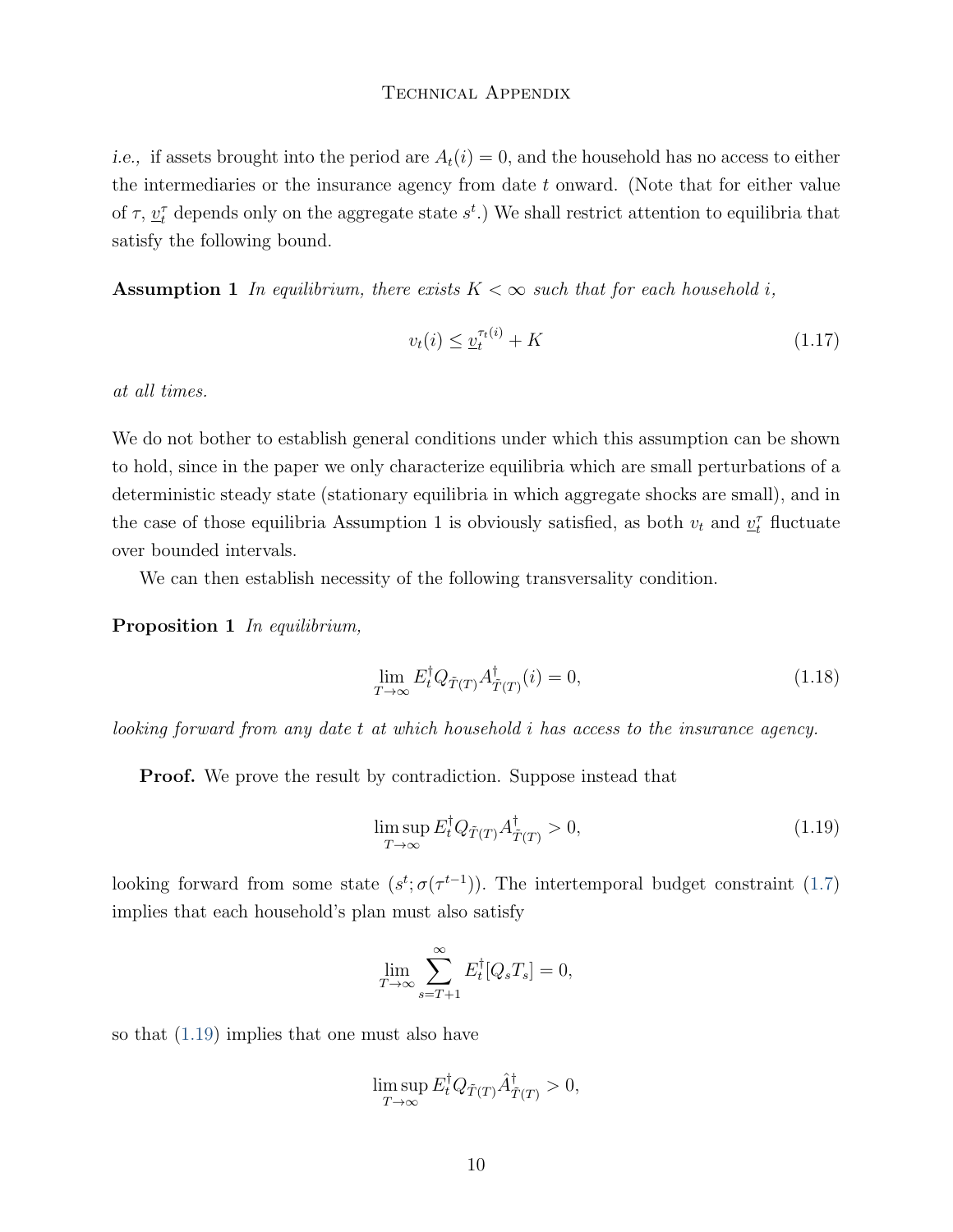*i.e.*, if assets brought into the period are  $A_t(i) = 0$ , and the household has no access to either the intermediaries or the insurance agency from date  $t$  onward. (Note that for either value of  $\tau$ ,  $\underline{v}_t^{\tau}$  depends only on the aggregate state  $s^t$ .) We shall restrict attention to equilibria that satisfy the following bound.

**Assumption 1** In equilibrium, there exists  $K < \infty$  such that for each household i,

<span id="page-9-1"></span>
$$
v_t(i) \le \underline{v}_t^{\tau_t(i)} + K \tag{1.17}
$$

at all times.

We do not bother to establish general conditions under which this assumption can be shown to hold, since in the paper we only characterize equilibria which are small perturbations of a deterministic steady state (stationary equilibria in which aggregate shocks are small), and in the case of those equilibria Assumption 1 is obviously satisfied, as both  $v_t$  and  $\underline{v}_t^{\tau}$  fluctuate over bounded intervals.

We can then establish necessity of the following transversality condition.

Proposition 1 In equilibrium,

<span id="page-9-2"></span>
$$
\lim_{T \to \infty} E_t^{\dagger} Q_{\tilde{T}(T)} A_{\tilde{T}(T)}^{\dagger}(i) = 0, \tag{1.18}
$$

looking forward from any date t at which household i has access to the insurance agency.

**Proof.** We prove the result by contradiction. Suppose instead that

<span id="page-9-0"></span>
$$
\limsup_{T \to \infty} E_t^{\dagger} Q_{\tilde{T}(T)} A_{\tilde{T}(T)}^{\dagger} > 0,
$$
\n(1.19)

looking forward from some state  $(s^t; \sigma(\tau^{t-1}))$ . The intertemporal budget constraint [\(1.7\)](#page-5-0) implies that each household's plan must also satisfy

$$
\lim_{T \to \infty} \sum_{s=T+1}^{\infty} E_t^{\dagger} [Q_s T_s] = 0,
$$

so that [\(1.19\)](#page-9-0) implies that one must also have

$$
\limsup_{T \to \infty} E_t^{\dagger} Q_{\tilde{T}(T)} \hat{A}_{\tilde{T}(T)}^{\dagger} > 0,
$$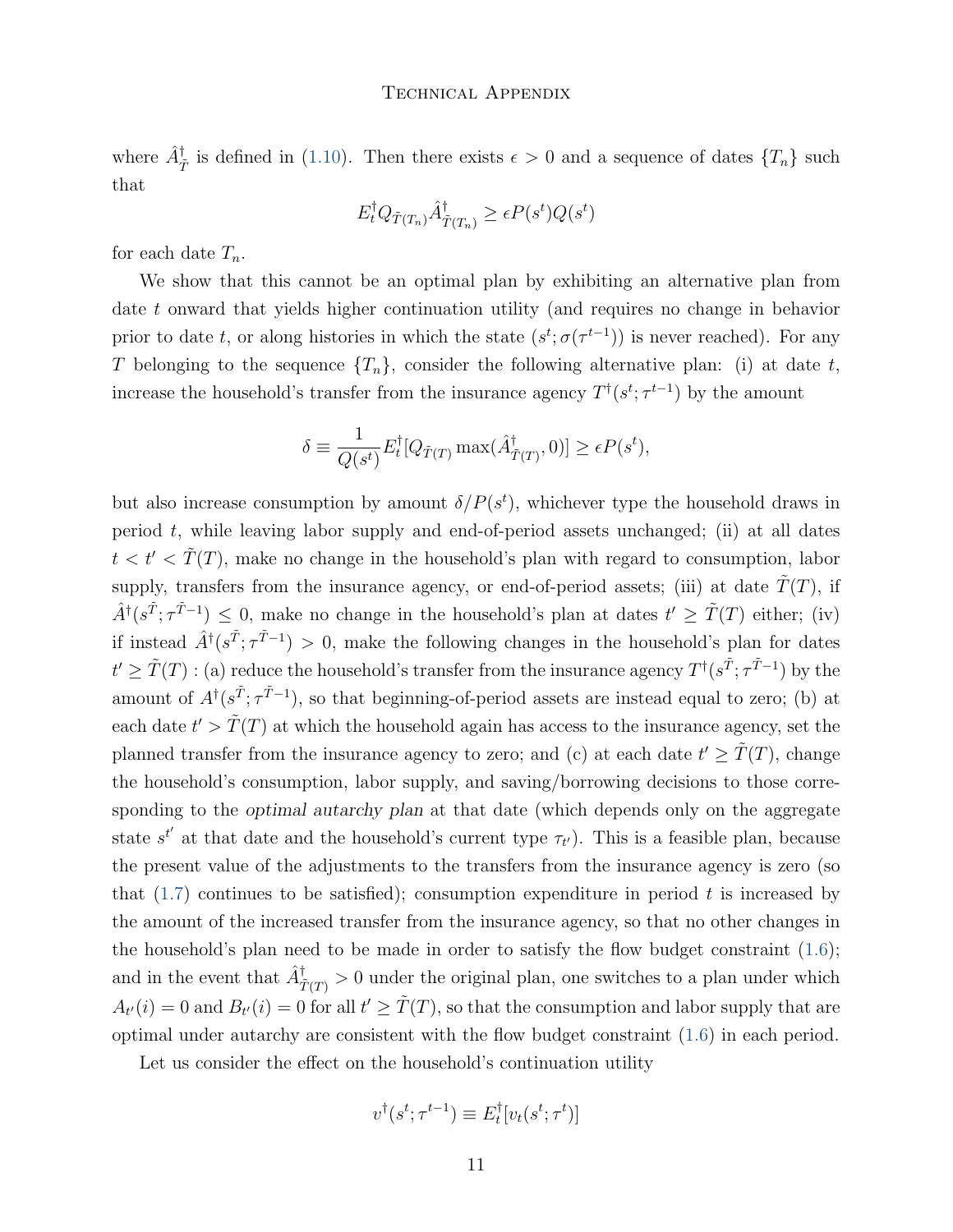where  $\hat{A}^{\dagger}_{\tilde{T}}$  is defined in [\(1.10\)](#page-6-1). Then there exists  $\epsilon > 0$  and a sequence of dates  $\{T_n\}$  such that

$$
E_t^{\dagger} Q_{\tilde{T}(T_n)} \hat{A}_{\tilde{T}(T_n)}^{\dagger} \ge \epsilon P(s^t) Q(s^t)
$$

for each date  $T_n$ .

We show that this cannot be an optimal plan by exhibiting an alternative plan from date  $t$  onward that yields higher continuation utility (and requires no change in behavior prior to date t, or along histories in which the state  $(s^t; \sigma(\tau^{t-1}))$  is never reached). For any T belonging to the sequence  $\{T_n\}$ , consider the following alternative plan: (i) at date t, increase the household's transfer from the insurance agency  $T^{\dagger}(s^t; \tau^{t-1})$  by the amount

$$
\delta \equiv \frac{1}{Q(s^t)} E_t^{\dagger} [Q_{\tilde{T}(T)} \max(\hat{A}_{\tilde{T}(T)}^{\dagger}, 0)] \ge \epsilon P(s^t),
$$

but also increase consumption by amount  $\delta/P(s^t)$ , whichever type the household draws in period  $t$ , while leaving labor supply and end-of-period assets unchanged; (ii) at all dates  $t < t' < \tilde{T}(T)$ , make no change in the household's plan with regard to consumption, labor supply, transfers from the insurance agency, or end-of-period assets; (iii) at date  $\tilde{T}(T)$ , if  $\hat{A}^{\dagger}(s^{\tilde{T}};\tau^{\tilde{T}-1}) \leq 0$ , make no change in the household's plan at dates  $t' \geq \tilde{T}(T)$  either; (iv) if instead  $\hat{A}^{\dagger}(s^{\tilde{T}}; \tau^{\tilde{T}-1}) > 0$ , make the following changes in the household's plan for dates  $t' \geq \tilde{T}(T)$ : (a) reduce the household's transfer from the insurance agency  $T^{\dagger}(s^{\tilde{T}}; \tau^{\tilde{T}-1})$  by the amount of  $A^{\dagger}(s^{\tilde{T}}; \tau^{\tilde{T}-1})$ , so that beginning-of-period assets are instead equal to zero; (b) at each date  $t' > \tilde{T}(T)$  at which the household again has access to the insurance agency, set the planned transfer from the insurance agency to zero; and (c) at each date  $t' \geq \tilde{T}(T)$ , change the household's consumption, labor supply, and saving/borrowing decisions to those corresponding to the *optimal autarchy plan* at that date (which depends only on the aggregate state  $s^{t'}$  at that date and the household's current type  $\tau_{t'}$ ). This is a feasible plan, because the present value of the adjustments to the transfers from the insurance agency is zero (so that  $(1.7)$  continues to be satisfied); consumption expenditure in period t is increased by the amount of the increased transfer from the insurance agency, so that no other changes in the household's plan need to be made in order to satisfy the flow budget constraint  $(1.6)$ ; and in the event that  $\hat{A}^{\dagger}_{\tilde{T}(T)}>0$  under the original plan, one switches to a plan under which  $A_{t'}(i) = 0$  and  $B_{t'}(i) = 0$  for all  $t' \geq \tilde{T}(T)$ , so that the consumption and labor supply that are optimal under autarchy are consistent with the flow budget constraint [\(1.6\)](#page-4-1) in each period.

Let us consider the effect on the household's continuation utility

$$
v^{\dagger}(s^t; \tau^{t-1}) \equiv E_t^{\dagger} [v_t(s^t; \tau^t)]
$$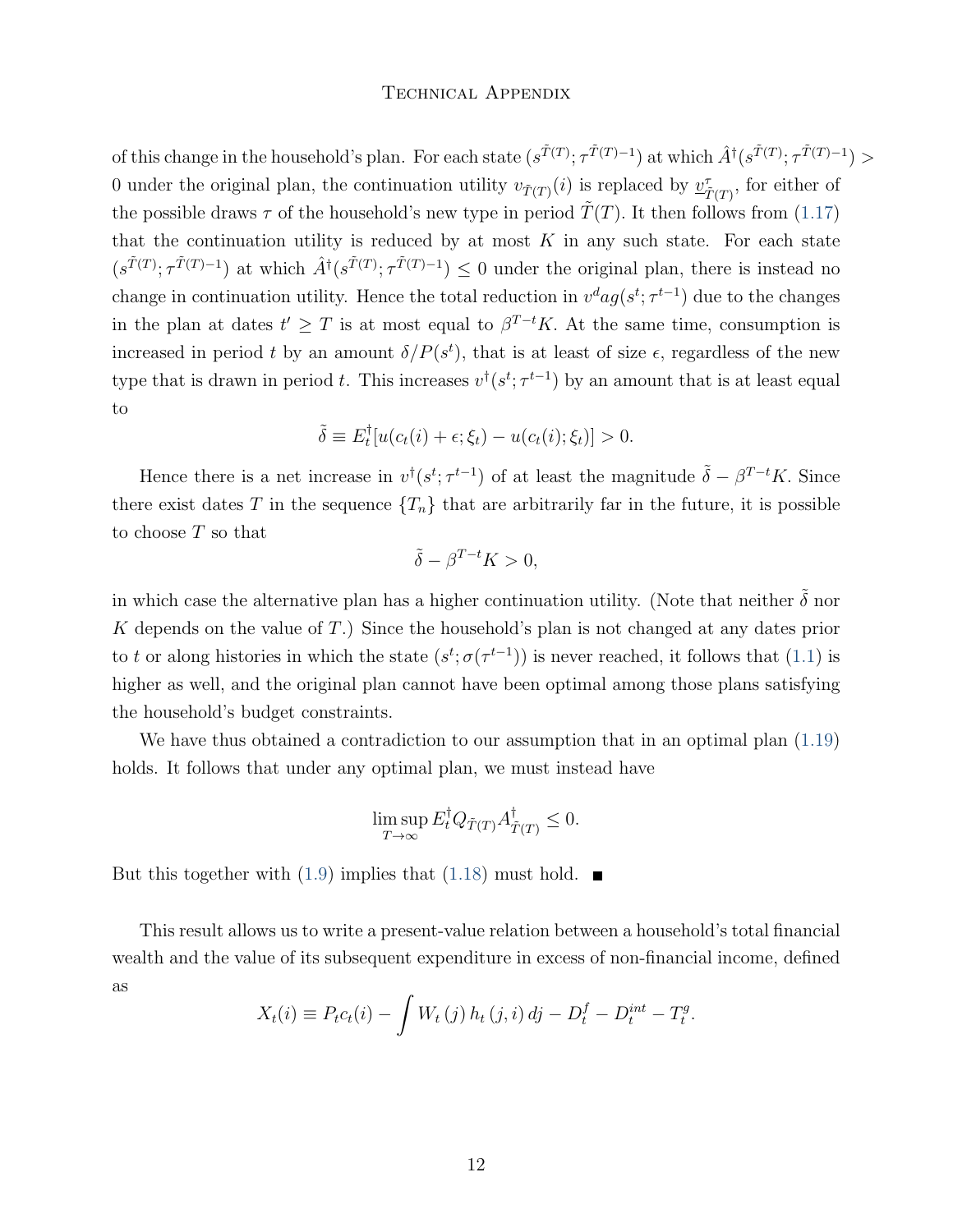of this change in the household's plan. For each state  $(s^{\tilde{T}(T)}; \tau^{\tilde{T}(T)-1})$  at which  $\hat{A}^{\dagger}(s^{\tilde{T}(T)}; \tau^{\tilde{T}(T)-1})$ 0 under the original plan, the continuation utility  $v_{\tilde{T}(T)}(i)$  is replaced by  $\underline{v}_{\tilde{T}(T)}^{\tau}$ , for either of the possible draws  $\tau$  of the household's new type in period  $T(T)$ . It then follows from [\(1.17\)](#page-9-1) that the continuation utility is reduced by at most  $K$  in any such state. For each state  $(s^{\tilde{T}(T)}; \tau^{\tilde{T}(T)-1})$  at which  $\hat{A}^{\dagger}(s^{\tilde{T}(T)}; \tau^{\tilde{T}(T)-1}) \leq 0$  under the original plan, there is instead no change in continuation utility. Hence the total reduction in  $v^d a g(s^t; \tau^{t-1})$  due to the changes in the plan at dates  $t' \geq T$  is at most equal to  $\beta^{T-t}K$ . At the same time, consumption is increased in period t by an amount  $\delta/P(s^t)$ , that is at least of size  $\epsilon$ , regardless of the new type that is drawn in period t. This increases  $v^{\dagger}(s^t; \tau^{t-1})$  by an amount that is at least equal to

$$
\tilde{\delta} \equiv E_t^{\dagger} [u(c_t(i) + \epsilon; \xi_t) - u(c_t(i); \xi_t)] > 0.
$$

Hence there is a net increase in  $v^{\dagger}(s^t; \tau^{t-1})$  of at least the magnitude  $\tilde{\delta} - \beta^{T-t}K$ . Since there exist dates T in the sequence  ${T_n}$  that are arbitrarily far in the future, it is possible to choose  $T$  so that

$$
\tilde{\delta} - \beta^{T-t} K > 0,
$$

in which case the alternative plan has a higher continuation utility. (Note that neither  $\tilde{\delta}$  nor K depends on the value of  $T$ .) Since the household's plan is not changed at any dates prior to t or along histories in which the state  $(s^t; \sigma(\tau^{t-1}))$  is never reached, it follows that [\(1.1\)](#page-2-1) is higher as well, and the original plan cannot have been optimal among those plans satisfying the household's budget constraints.

We have thus obtained a contradiction to our assumption that in an optimal plan  $(1.19)$ holds. It follows that under any optimal plan, we must instead have

$$
\limsup_{T \to \infty} E_t^{\dagger} Q_{\tilde{T}(T)} A_{\tilde{T}(T)}^{\dagger} \le 0.
$$

But this together with [\(1.9\)](#page-6-0) implies that [\(1.18\)](#page-9-2) must hold.  $\blacksquare$ 

This result allows us to write a present-value relation between a household's total financial wealth and the value of its subsequent expenditure in excess of non-financial income, defined as

$$
X_t(i) \equiv P_t c_t(i) - \int W_t(j) h_t(j,i) \, dj - D_t^f - D_t^{int} - T_t^g.
$$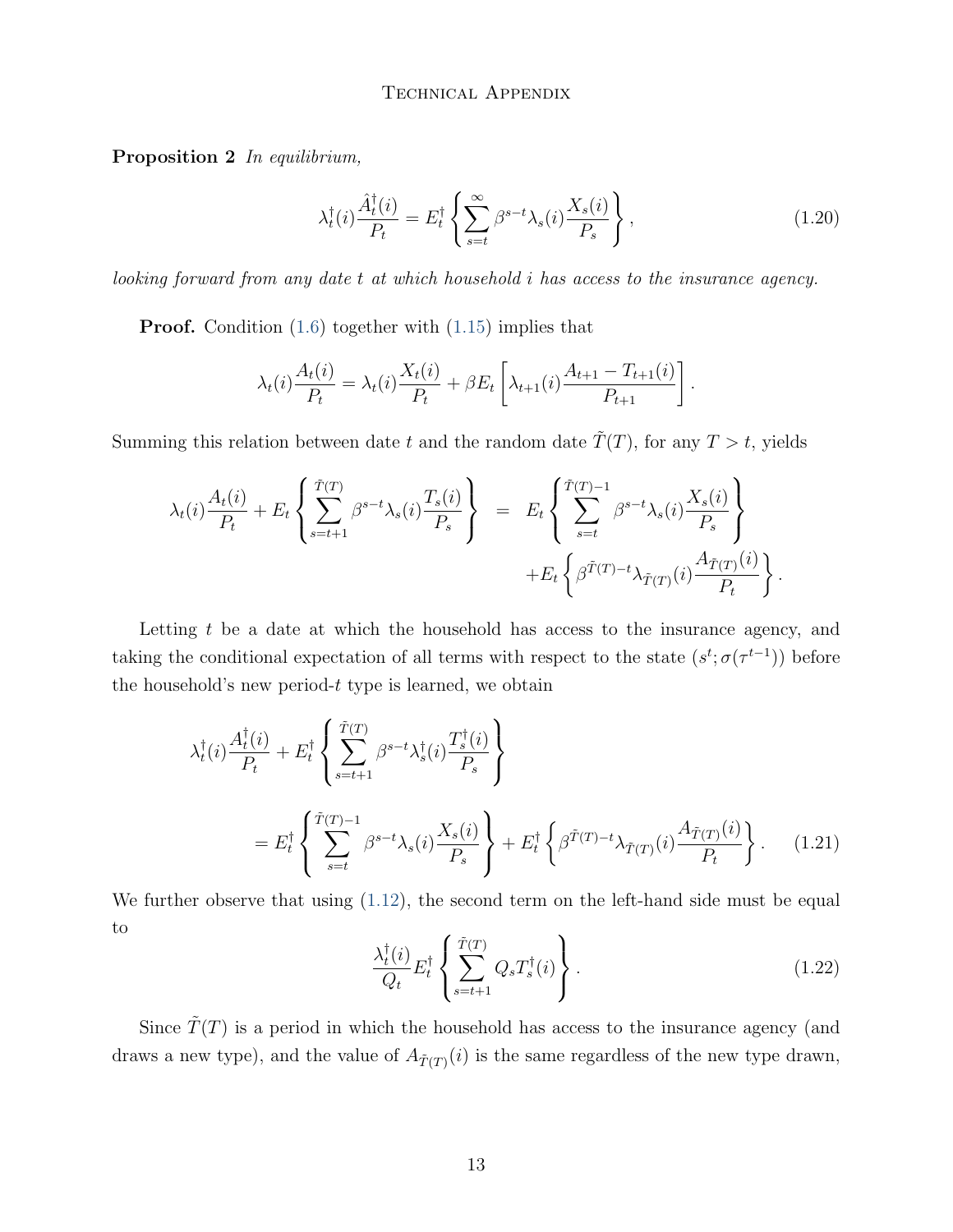Proposition 2 In equilibrium,

<span id="page-12-2"></span>
$$
\lambda_t^{\dagger}(i) \frac{\hat{A}_t^{\dagger}(i)}{P_t} = E_t^{\dagger} \left\{ \sum_{s=t}^{\infty} \beta^{s-t} \lambda_s(i) \frac{X_s(i)}{P_s} \right\},\tag{1.20}
$$

 $looking$  forward from any date  $t$  at which household  $i$  has access to the insurance agency.

Proof. Condition [\(1.6\)](#page-4-1) together with [\(1.15\)](#page-8-2) implies that

$$
\lambda_t(i) \frac{A_t(i)}{P_t} = \lambda_t(i) \frac{X_t(i)}{P_t} + \beta E_t \left[ \lambda_{t+1}(i) \frac{A_{t+1} - T_{t+1}(i)}{P_{t+1}} \right].
$$

Summing this relation between date t and the random date  $\tilde{T}(T)$ , for any  $T > t$ , yields

$$
\lambda_t(i) \frac{A_t(i)}{P_t} + E_t \left\{ \sum_{s=t+1}^{\tilde{T}(T)} \beta^{s-t} \lambda_s(i) \frac{T_s(i)}{P_s} \right\} = E_t \left\{ \sum_{s=t}^{\tilde{T}(T)-1} \beta^{s-t} \lambda_s(i) \frac{X_s(i)}{P_s} \right\} + E_t \left\{ \beta^{\tilde{T}(T)-t} \lambda_{\tilde{T}(T)}(i) \frac{A_{\tilde{T}(T)}(i)}{P_t} \right\}.
$$

Letting  $t$  be a date at which the household has access to the insurance agency, and taking the conditional expectation of all terms with respect to the state  $(s^t; \sigma(\tau^{t-1}))$  before the household's new period- $t$  type is learned, we obtain

$$
\lambda_t^{\dagger}(i) \frac{A_t^{\dagger}(i)}{P_t} + E_t^{\dagger} \left\{ \sum_{s=t+1}^{\tilde{T}(T)} \beta^{s-t} \lambda_s^{\dagger}(i) \frac{T_s^{\dagger}(i)}{P_s} \right\}
$$
\n
$$
= E_t^{\dagger} \left\{ \sum_{s=t}^{\tilde{T}(T)-1} \beta^{s-t} \lambda_s(i) \frac{X_s(i)}{P_s} \right\} + E_t^{\dagger} \left\{ \beta^{\tilde{T}(T)-t} \lambda_{\tilde{T}(T)}(i) \frac{A_{\tilde{T}(T)}(i)}{P_t} \right\}.
$$
\n(1.21)

<span id="page-12-0"></span>We further observe that using  $(1.12)$ , the second term on the left-hand side must be equal to

<span id="page-12-1"></span>
$$
\frac{\lambda_t^{\dagger}(i)}{Q_t} E_t^{\dagger} \left\{ \sum_{s=t+1}^{\tilde{T}(T)} Q_s T_s^{\dagger}(i) \right\}.
$$
\n(1.22)

Since  $\tilde{T}(T)$  is a period in which the household has access to the insurance agency (and draws a new type), and the value of  $A_{\tilde{T}(T)}(i)$  is the same regardless of the new type drawn,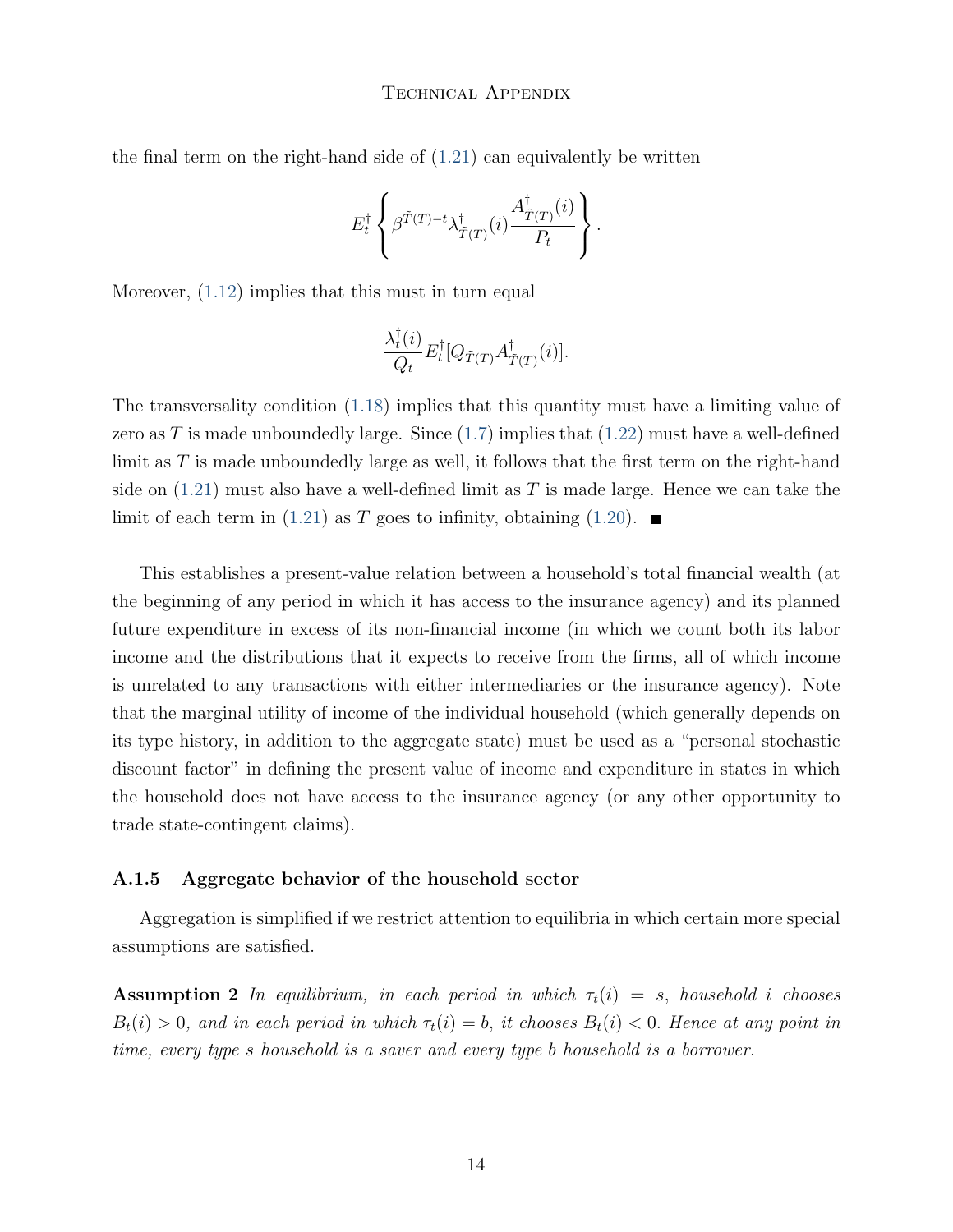the final term on the right-hand side of  $(1.21)$  can equivalently be written

$$
E_t^{\dagger} \left\{ \beta^{\tilde{T}(T)-t} \lambda_{\tilde{T}(T)}^{\dagger}(i) \frac{A_{\tilde{T}(T)}^{\dagger}(i)}{P_t} \right\}.
$$

Moreover, [\(1.12\)](#page-7-0) implies that this must in turn equal

$$
\frac{\lambda_t^{\dagger}(i)}{Q_t} E_t^{\dagger} [Q_{\tilde{T}(T)} A_{\tilde{T}(T)}^{\dagger}(i)].
$$

The transversality condition [\(1.18\)](#page-9-2) implies that this quantity must have a limiting value of zero as T is made unboundedly large. Since  $(1.7)$  implies that  $(1.22)$  must have a well-defined limit as  $T$  is made unboundedly large as well, it follows that the first term on the right-hand side on  $(1.21)$  must also have a well-defined limit as T is made large. Hence we can take the limit of each term in [\(1.21\)](#page-12-0) as T goes to infinity, obtaining [\(1.20\)](#page-12-2).  $\blacksquare$ 

This establishes a present-value relation between a household's total financial wealth (at the beginning of any period in which it has access to the insurance agency) and its planned future expenditure in excess of its non-financial income (in which we count both its labor income and the distributions that it expects to receive from the firms, all of which income is unrelated to any transactions with either intermediaries or the insurance agency). Note that the marginal utility of income of the individual household (which generally depends on its type history, in addition to the aggregate state) must be used as a "personal stochastic discount factor" in defining the present value of income and expenditure in states in which the household does not have access to the insurance agency (or any other opportunity to trade state-contingent claims).

#### A.1.5 Aggregate behavior of the household sector

Aggregation is simplified if we restrict attention to equilibria in which certain more special assumptions are satisfied.

**Assumption 2** In equilibrium, in each period in which  $\tau_t(i) = s$ , household *i* chooses  $B_t(i) > 0$ , and in each period in which  $\tau_t(i) = b$ , it chooses  $B_t(i) < 0$ . Hence at any point in time, every type s household is a saver and every type b household is a borrower.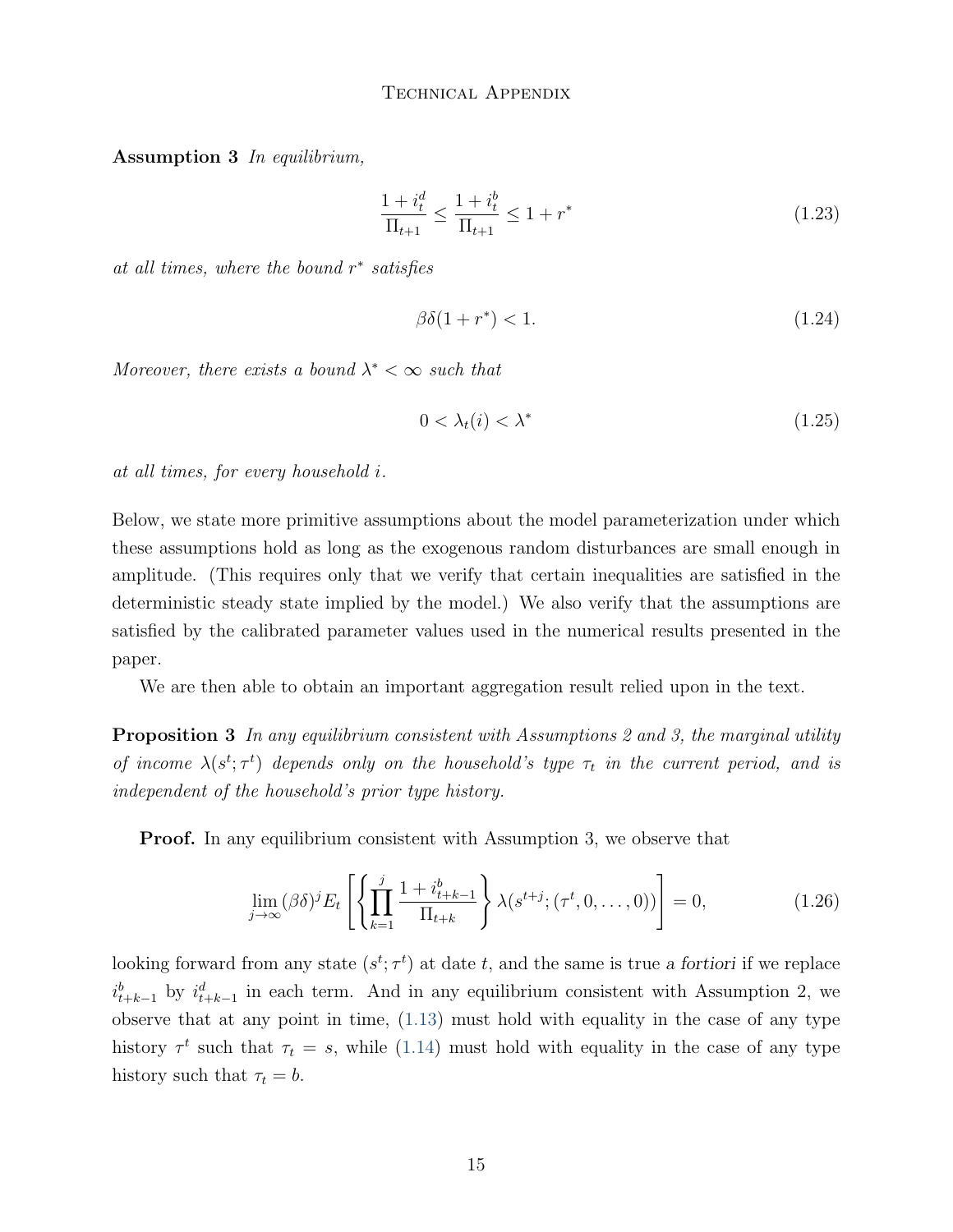Assumption 3 In equilibrium,

$$
\frac{1+i_t^d}{\Pi_{t+1}} \le \frac{1+i_t^b}{\Pi_{t+1}} \le 1+r^* \tag{1.23}
$$

at all times, where the bound  $r^*$  satisfies

$$
\beta \delta (1 + r^*) < 1. \tag{1.24}
$$

Moreover, there exists a bound  $\lambda^* < \infty$  such that

$$
0 < \lambda_t(i) < \lambda^* \tag{1.25}
$$

at all times, for every household i.

Below, we state more primitive assumptions about the model parameterization under which these assumptions hold as long as the exogenous random disturbances are small enough in amplitude. (This requires only that we verify that certain inequalities are satisfied in the deterministic steady state implied by the model.) We also verify that the assumptions are satisfied by the calibrated parameter values used in the numerical results presented in the paper.

We are then able to obtain an important aggregation result relied upon in the text.

**Proposition 3** In any equilibrium consistent with Assumptions 2 and 3, the marginal utility of income  $\lambda(s^t; \tau^t)$  depends only on the household's type  $\tau_t$  in the current period, and is independent of the household's prior type history.

**Proof.** In any equilibrium consistent with Assumption 3, we observe that

<span id="page-14-0"></span>
$$
\lim_{j \to \infty} (\beta \delta)^j E_t \left[ \left\{ \prod_{k=1}^j \frac{1 + i_{t+k-1}^b}{\Pi_{t+k}} \right\} \lambda(s^{t+j}; (\tau^t, 0, \dots, 0)) \right] = 0, \tag{1.26}
$$

looking forward from any state  $(s^t; \tau^t)$  at date t, and the same is true a fortiori if we replace  $i_{t+k-1}^b$  by  $i_{t+k-1}^d$  in each term. And in any equilibrium consistent with Assumption 2, we observe that at any point in time, [\(1.13\)](#page-8-0) must hold with equality in the case of any type history  $\tau^t$  such that  $\tau_t = s$ , while [\(1.14\)](#page-8-1) must hold with equality in the case of any type history such that  $\tau_t = b$ .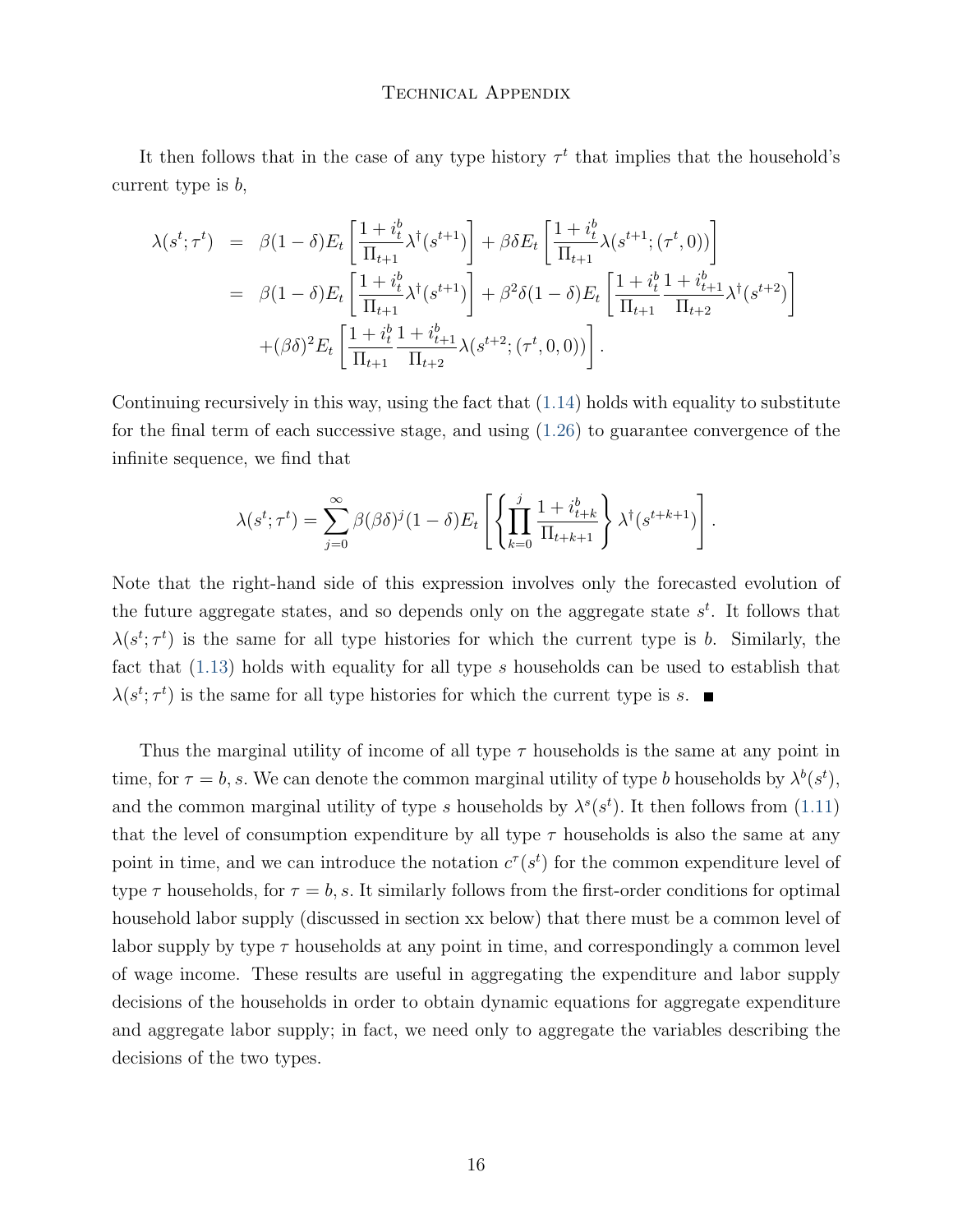It then follows that in the case of any type history  $\tau^t$  that implies that the household's current type is  $b$ ,

$$
\lambda(s^t; \tau^t) = \beta(1-\delta)E_t \left[ \frac{1+i_t^b}{\Pi_{t+1}} \lambda^{\dagger}(s^{t+1}) \right] + \beta \delta E_t \left[ \frac{1+i_t^b}{\Pi_{t+1}} \lambda(s^{t+1}; (\tau^t, 0)) \right]
$$
  
\n
$$
= \beta(1-\delta)E_t \left[ \frac{1+i_t^b}{\Pi_{t+1}} \lambda^{\dagger}(s^{t+1}) \right] + \beta^2 \delta(1-\delta)E_t \left[ \frac{1+i_t^b}{\Pi_{t+1}} \frac{1+i_{t+1}^b}{\Pi_{t+2}} \lambda^{\dagger}(s^{t+2}) \right]
$$
  
\n
$$
+ (\beta \delta)^2 E_t \left[ \frac{1+i_t^b}{\Pi_{t+1}} \frac{1+i_{t+1}^b}{\Pi_{t+2}} \lambda(s^{t+2}; (\tau^t, 0, 0)) \right].
$$

Continuing recursively in this way, using the fact that [\(1.14\)](#page-8-1) holds with equality to substitute for the final term of each successive stage, and using [\(1.26\)](#page-14-0) to guarantee convergence of the infinite sequence, we find that

$$
\lambda(s^t; \tau^t) = \sum_{j=0}^{\infty} \beta(\beta \delta)^j (1-\delta) E_t \left[ \left\{ \prod_{k=0}^j \frac{1+i_{t+k}^b}{\Pi_{t+k+1}} \right\} \lambda^{\dagger}(s^{t+k+1}) \right].
$$

Note that the right-hand side of this expression involves only the forecasted evolution of the future aggregate states, and so depends only on the aggregate state  $s<sup>t</sup>$ . It follows that  $\lambda(s^t; \tau^t)$  is the same for all type histories for which the current type is b. Similarly, the fact that  $(1.13)$  holds with equality for all type s households can be used to establish that  $\lambda(s^t; \tau^t)$  is the same for all type histories for which the current type is s.

Thus the marginal utility of income of all type  $\tau$  households is the same at any point in time, for  $\tau = b$ , s. We can denote the common marginal utility of type b households by  $\lambda^b(s^t)$ , and the common marginal utility of type s households by  $\lambda^s(s^t)$ . It then follows from [\(1.11\)](#page-7-1) that the level of consumption expenditure by all type  $\tau$  households is also the same at any point in time, and we can introduce the notation  $c^{\tau}(s^t)$  for the common expenditure level of type  $\tau$  households, for  $\tau = b$ , s. It similarly follows from the first-order conditions for optimal household labor supply (discussed in section xx below) that there must be a common level of labor supply by type  $\tau$  households at any point in time, and correspondingly a common level of wage income. These results are useful in aggregating the expenditure and labor supply decisions of the households in order to obtain dynamic equations for aggregate expenditure and aggregate labor supply; in fact, we need only to aggregate the variables describing the decisions of the two types.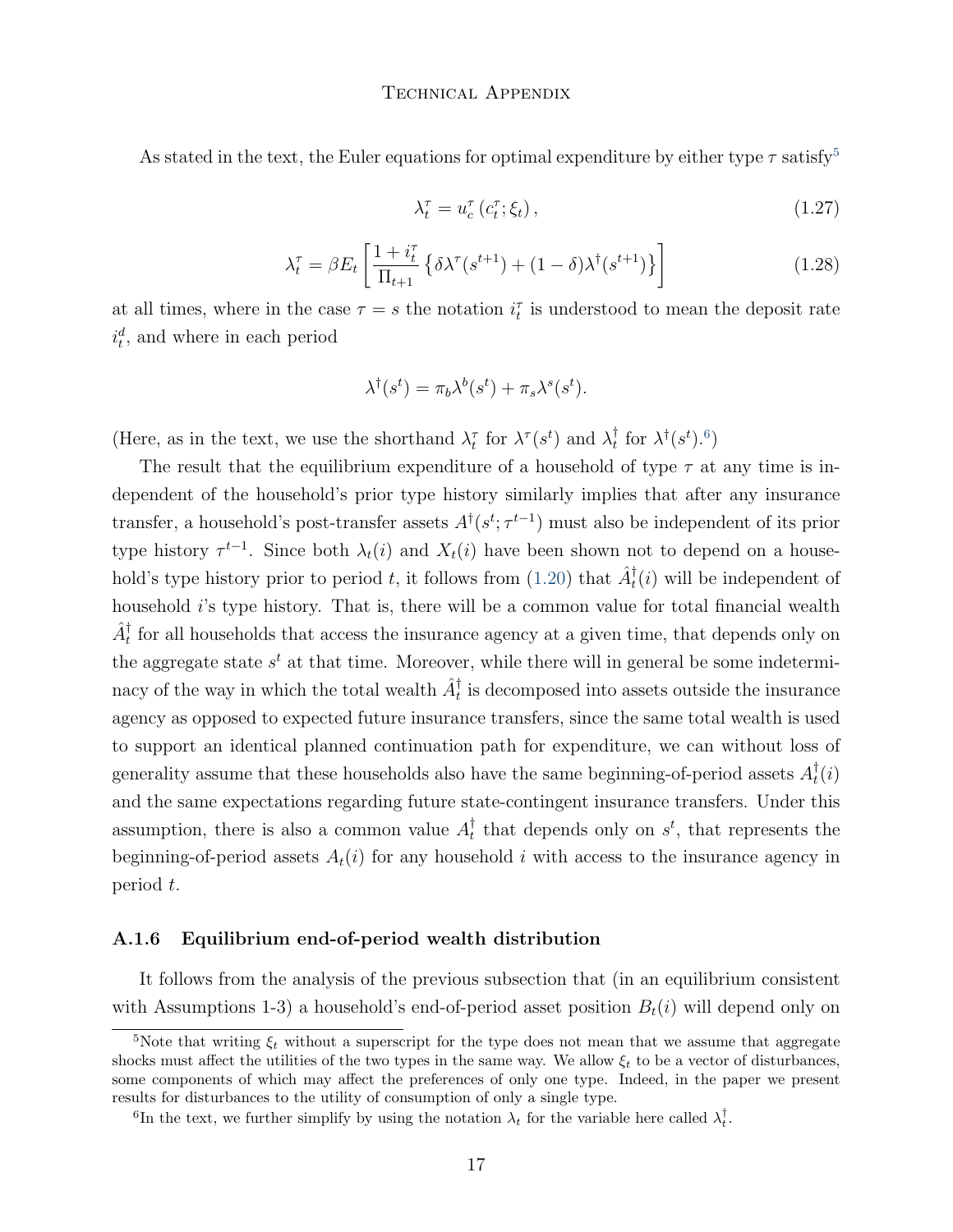As stated in the text, the Euler equations for optimal expenditure by either type  $\tau$  satisfy<sup>[5](#page-0-0)</sup>

<span id="page-16-0"></span>
$$
\lambda_t^{\tau} = u_c^{\tau} \left( c_t^{\tau}; \xi_t \right), \tag{1.27}
$$

<span id="page-16-1"></span>
$$
\lambda_t^{\tau} = \beta E_t \left[ \frac{1 + i_t^{\tau}}{\Pi_{t+1}} \left\{ \delta \lambda^{\tau} (s^{t+1}) + (1 - \delta) \lambda^{\dagger} (s^{t+1}) \right\} \right]
$$
(1.28)

at all times, where in the case  $\tau = s$  the notation  $i_t^{\tau}$  is understood to mean the deposit rate  $i_t^d$ , and where in each period

$$
\lambda^{\dagger}(s^t) = \pi_b \lambda^b(s^t) + \pi_s \lambda^s(s^t).
$$

(Here, as in the text, we use the shorthand  $\lambda_t^{\tau}$  for  $\lambda^{\tau}(s^t)$  and  $\lambda_t^{\dagger}$ <sup>†</sup>, for  $\lambda^{\dagger}(s^t)$ .<sup>[6](#page-0-0)</sup>)

The result that the equilibrium expenditure of a household of type  $\tau$  at any time is independent of the household's prior type history similarly implies that after any insurance transfer, a household's post-transfer assets  $A^{\dagger}(s^t; \tau^{t-1})$  must also be independent of its prior type history  $\tau^{t-1}$ . Since both  $\lambda_t(i)$  and  $X_t(i)$  have been shown not to depend on a household's type history prior to period t, it follows from  $(1.20)$  that  $\hat{A}_t^{\dagger}(i)$  will be independent of household  $i$ 's type history. That is, there will be a common value for total financial wealth  $\hat{A}^{\dagger}_t$  for all households that access the insurance agency at a given time, that depends only on the aggregate state  $s<sup>t</sup>$  at that time. Moreover, while there will in general be some indeterminacy of the way in which the total wealth  $\hat{A}^{\dagger}_t$  is decomposed into assets outside the insurance agency as opposed to expected future insurance transfers, since the same total wealth is used to support an identical planned continuation path for expenditure, we can without loss of generality assume that these households also have the same beginning-of-period assets  $A_t^{\dagger}$  $_{t}^{\intercal}(i)$ and the same expectations regarding future state-contingent insurance transfers. Under this assumption, there is also a common value  $A_t^{\dagger}$  $_t^{\dagger}$  that depends only on  $s^t$ , that represents the beginning-of-period assets  $A_t(i)$  for any household i with access to the insurance agency in period t.

#### A.1.6 Equilibrium end-of-period wealth distribution

It follows from the analysis of the previous subsection that (in an equilibrium consistent with Assumptions 1-3) a household's end-of-period asset position  $B_t(i)$  will depend only on

<sup>&</sup>lt;sup>5</sup>Note that writing  $\xi_t$  without a superscript for the type does not mean that we assume that aggregate shocks must affect the utilities of the two types in the same way. We allow  $\xi_t$  to be a vector of disturbances, some components of which may affect the preferences of only one type. Indeed, in the paper we present results for disturbances to the utility of consumption of only a single type.

<sup>&</sup>lt;sup>6</sup>In the text, we further simplify by using the notation  $\lambda_t$  for the variable here called  $\lambda_t^{\dagger}$ .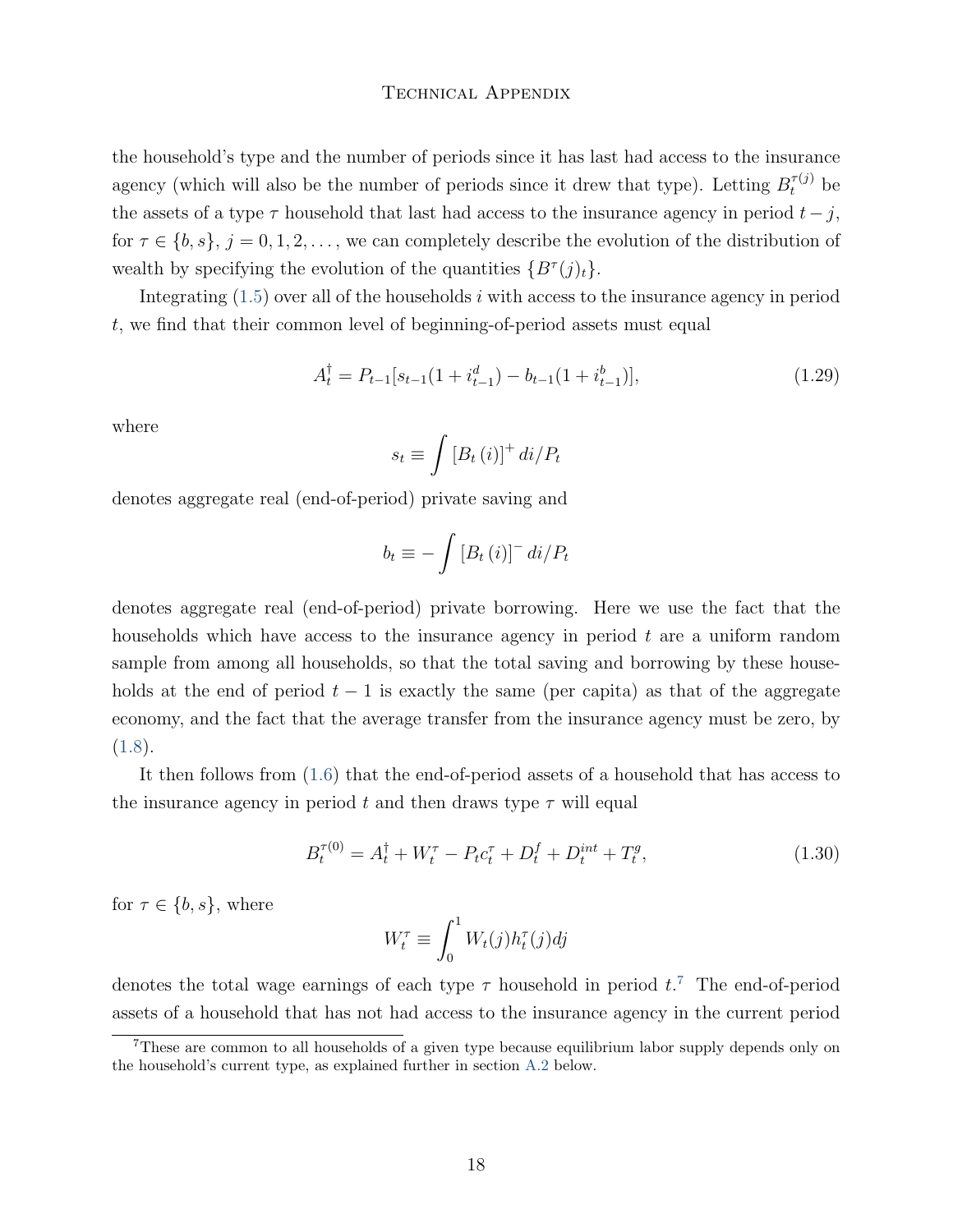the household's type and the number of periods since it has last had access to the insurance agency (which will also be the number of periods since it drew that type). Letting  $B_t^{\tau(j)}$  be the assets of a type  $\tau$  household that last had access to the insurance agency in period  $t - j$ , for  $\tau \in \{b, s\}, j = 0, 1, 2, \ldots$ , we can completely describe the evolution of the distribution of wealth by specifying the evolution of the quantities  $\{B^{\tau}(j)_t\}.$ 

Integrating  $(1.5)$  over all of the households *i* with access to the insurance agency in period , we find that their common level of beginning-of-period assets must equal

<span id="page-17-1"></span>
$$
A_t^{\dagger} = P_{t-1}[s_{t-1}(1 + i_{t-1}^d) - b_{t-1}(1 + i_{t-1}^b)],
$$
\n(1.29)

where

$$
s_t \equiv \int \left[ B_t \left( i \right) \right]^+ d i / P_t
$$

denotes aggregate real (end-of-period) private saving and

$$
b_t \equiv -\int \left[B_t\left(i\right)\right]^{-} di/P_t
$$

denotes aggregate real (end-of-period) private borrowing. Here we use the fact that the households which have access to the insurance agency in period  $t$  are a uniform random sample from among all households, so that the total saving and borrowing by these households at the end of period  $t-1$  is exactly the same (per capita) as that of the aggregate economy, and the fact that the average transfer from the insurance agency must be zero, by  $(1.8).$  $(1.8).$ 

It then follows from [\(1.6\)](#page-4-1) that the end-of-period assets of a household that has access to the insurance agency in period  $t$  and then draws type  $\tau$  will equal

<span id="page-17-0"></span>
$$
B_t^{\tau(0)} = A_t^{\dagger} + W_t^{\tau} - P_t c_t^{\tau} + D_t^f + D_t^{int} + T_t^g, \qquad (1.30)
$$

for  $\tau \in \{b, s\}$ , where

$$
W_t^{\tau} \equiv \int_0^1 W_t(j) h_t^{\tau}(j) dj
$$

denotes the total wage earnings of each type  $\tau$  household in period  $t$ .<sup>[7](#page-0-0)</sup> The end-of-period assets of a household that has not had access to the insurance agency in the current period

<sup>7</sup>These are common to all households of a given type because equilibrium labor supply depends only on the household's current type, as explained further in section [A.2](#page-23-0) below.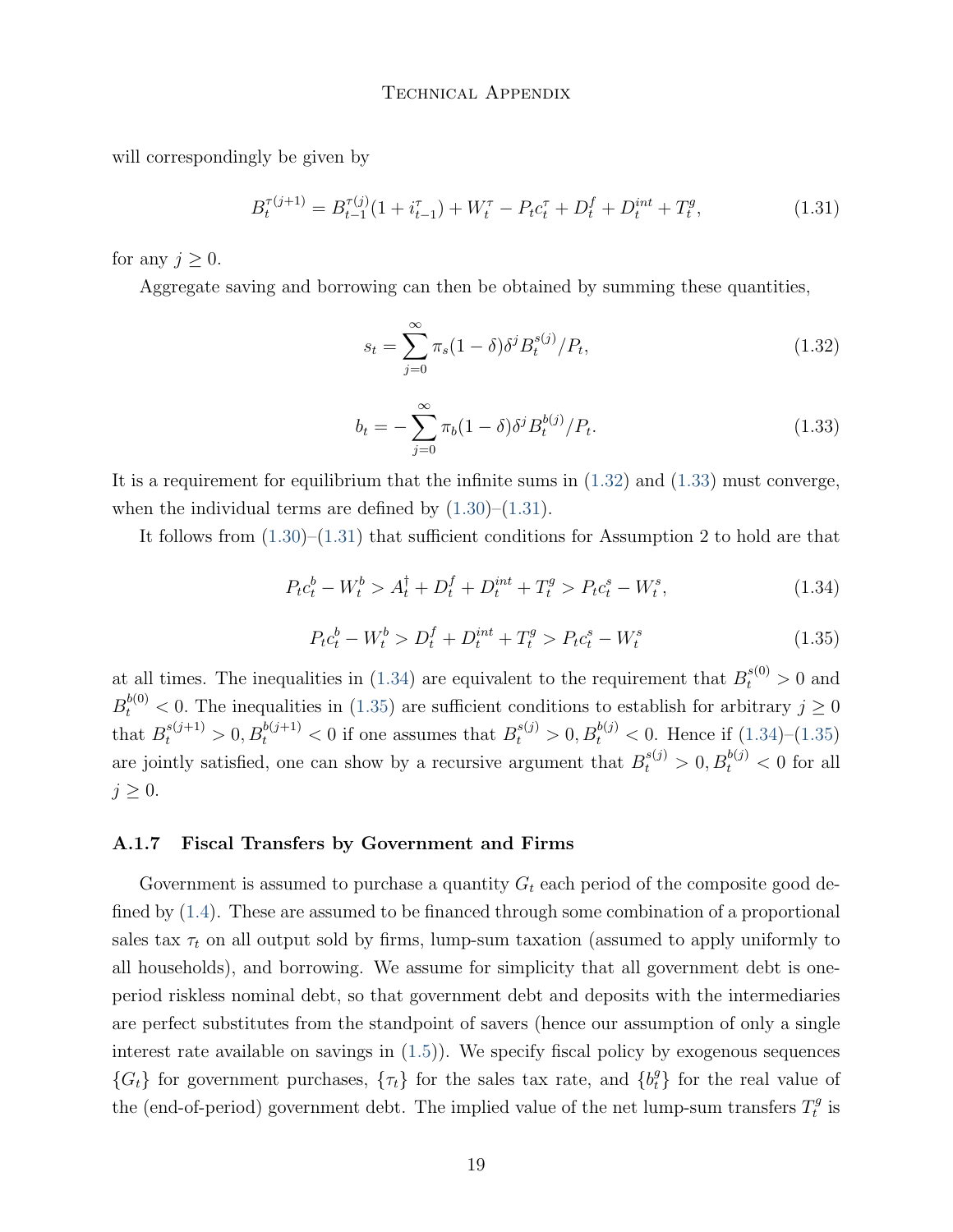will correspondingly be given by

<span id="page-18-2"></span>
$$
B_t^{\tau(j+1)} = B_{t-1}^{\tau(j)}(1 + i_{t-1}^{\tau}) + W_t^{\tau} - P_t c_t^{\tau} + D_t^f + D_t^{int} + T_t^g,
$$
\n(1.31)

for any  $j \geq 0$ .

Aggregate saving and borrowing can then be obtained by summing these quantities,

<span id="page-18-0"></span>
$$
s_t = \sum_{j=0}^{\infty} \pi_s (1 - \delta) \delta^j B_t^{s(j)} / P_t,
$$
\n(1.32)

<span id="page-18-1"></span>
$$
b_t = -\sum_{j=0}^{\infty} \pi_b (1 - \delta) \delta^j B_t^{b(j)} / P_t.
$$
 (1.33)

It is a requirement for equilibrium that the infinite sums in  $(1.32)$  and  $(1.33)$  must converge, when the individual terms are defined by  $(1.30)$ – $(1.31)$ .

It follows from  $(1.30)$ – $(1.31)$  that sufficient conditions for Assumption 2 to hold are that

<span id="page-18-3"></span>
$$
P_t c_t^b - W_t^b > A_t^{\dagger} + D_t^f + D_t^{int} + T_t^g > P_t c_t^s - W_t^s,
$$
\n(1.34)

<span id="page-18-4"></span>
$$
P_t c_t^b - W_t^b > D_t^f + D_t^{int} + T_t^g > P_t c_t^s - W_t^s \tag{1.35}
$$

at all times. The inequalities in [\(1.34\)](#page-18-3) are equivalent to the requirement that  $B_t^{s(0)} > 0$  and  $B_t^{b(0)} < 0$ . The inequalities in [\(1.35\)](#page-18-4) are sufficient conditions to establish for arbitrary  $j \geq 0$ that  $B_t^{s(j+1)} > 0, B_t^{b(j+1)} < 0$  if one assumes that  $B_t^{s(j)} > 0, B_t^{b(j)} < 0$ . Hence if  $(1.34)$ – $(1.35)$ are jointly satisfied, one can show by a recursive argument that  $B_t^{s(j)} > 0, B_t^{b(j)} < 0$  for all  $j \geq 0$ .

#### A.1.7 Fiscal Transfers by Government and Firms

Government is assumed to purchase a quantity  $G_t$  each period of the composite good defined by [\(1.4\)](#page-2-2). These are assumed to be financed through some combination of a proportional sales tax  $\tau_t$  on all output sold by firms, lump-sum taxation (assumed to apply uniformly to all households), and borrowing. We assume for simplicity that all government debt is oneperiod riskless nominal debt, so that government debt and deposits with the intermediaries are perfect substitutes from the standpoint of savers (hence our assumption of only a single interest rate available on savings in [\(1.5\)](#page-4-0)). We specify fiscal policy by exogenous sequences  ${G<sub>t</sub>}$  for government purchases,  ${\tau<sub>t</sub>}$  for the sales tax rate, and  ${b<sub>t</sub><sup>g</sup>}$  for the real value of the (end-of-period) government debt. The implied value of the net lump-sum transfers  $T_t^g$  $t^{g}$  is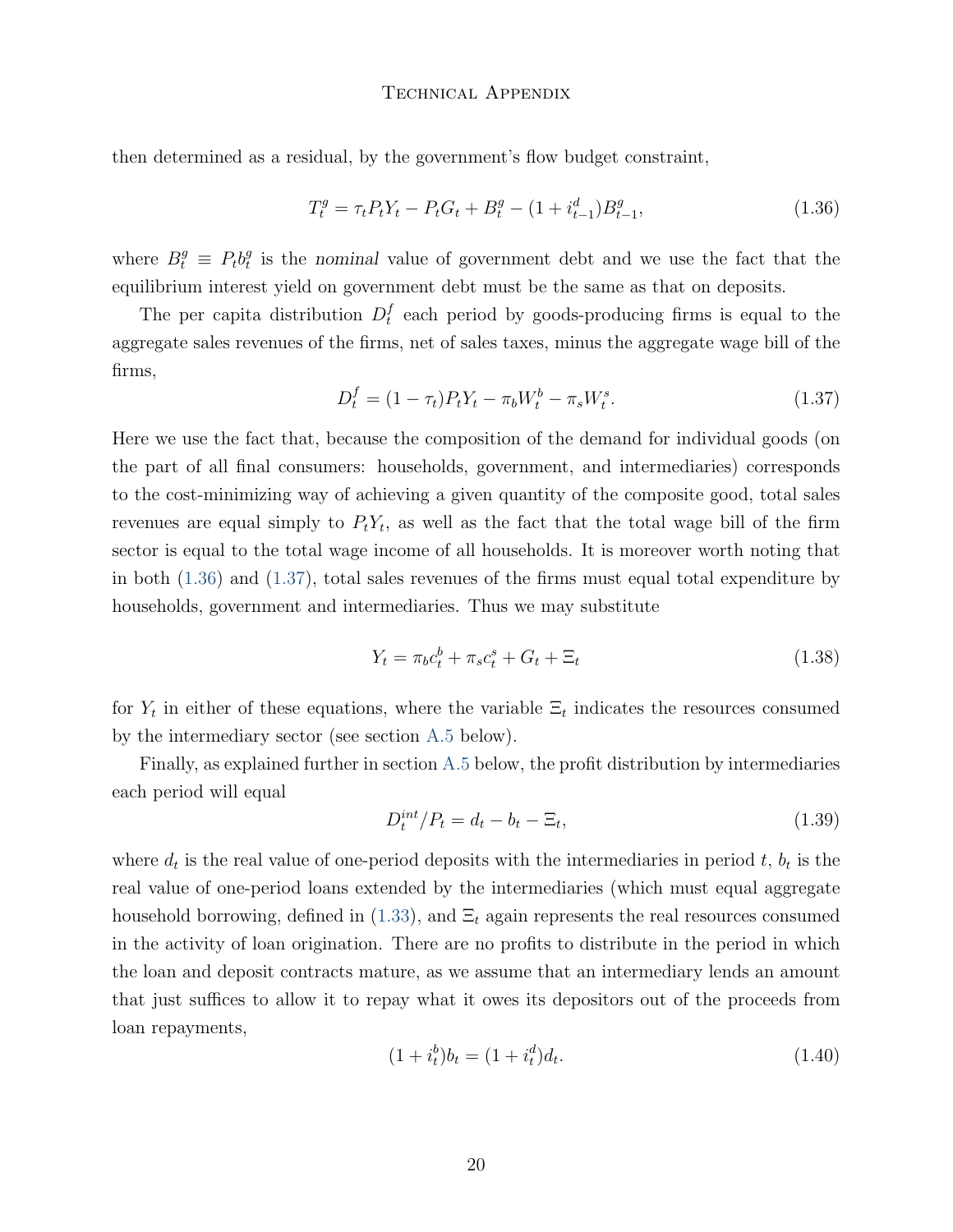then determined as a residual, by the government's flow budget constraint,

<span id="page-19-0"></span>
$$
T_t^g = \tau_t P_t Y_t - P_t G_t + B_t^g - (1 + i_{t-1}^d) B_{t-1}^g,
$$
\n(1.36)

where  $B_t^g \equiv P_t b_t^g$  $\frac{g}{t}$  is the nominal value of government debt and we use the fact that the equilibrium interest yield on government debt must be the same as that on deposits.

The per capita distribution  $D_t^f$  $_t^I$  each period by goods-producing firms is equal to the aggregate sales revenues of the firms, net of sales taxes, minus the aggregate wage bill of the firms,

<span id="page-19-1"></span>
$$
D_t^f = (1 - \tau_t) P_t Y_t - \pi_b W_t^b - \pi_s W_t^s. \tag{1.37}
$$

Here we use the fact that, because the composition of the demand for individual goods (on the part of all final consumers: households, government, and intermediaries) corresponds to the cost-minimizing way of achieving a given quantity of the composite good, total sales revenues are equal simply to  $P_t Y_t$ , as well as the fact that the total wage bill of the firm sector is equal to the total wage income of all households. It is moreover worth noting that in both [\(1.36\)](#page-19-0) and [\(1.37\)](#page-19-1), total sales revenues of the firms must equal total expenditure by households, government and intermediaries. Thus we may substitute

<span id="page-19-4"></span>
$$
Y_t = \pi_b c_t^b + \pi_s c_t^s + G_t + \Xi_t \tag{1.38}
$$

for  $Y_t$  in either of these equations, where the variable  $\Xi_t$  indicates the resources consumed by the intermediary sector (see section [A.5](#page-27-0) below).

Finally, as explained further in section [A.5](#page-27-0) below, the profit distribution by intermediaries each period will equal

<span id="page-19-2"></span>
$$
D_t^{int}/P_t = d_t - b_t - \Xi_t,
$$
\n(1.39)

where  $d_t$  is the real value of one-period deposits with the intermediaries in period  $t, b_t$  is the real value of one-period loans extended by the intermediaries (which must equal aggregate household borrowing, defined in [\(1.33\)](#page-18-1), and  $\Xi_t$  again represents the real resources consumed in the activity of loan origination. There are no profits to distribute in the period in which the loan and deposit contracts mature, as we assume that an intermediary lends an amount that just suffices to allow it to repay what it owes its depositors out of the proceeds from loan repayments,

<span id="page-19-3"></span>
$$
(1 + itb)bt = (1 + itd)dt.
$$
\n(1.40)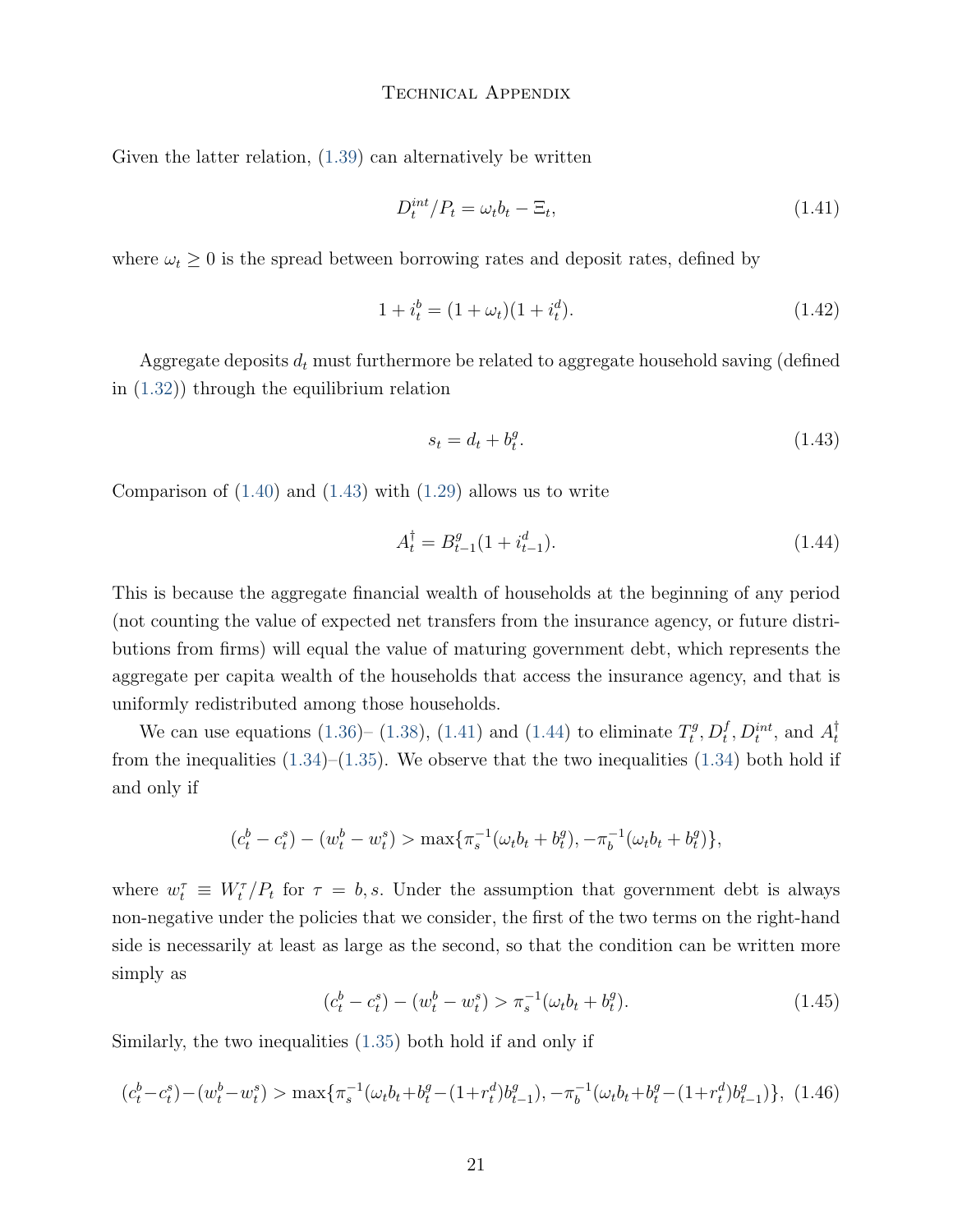Given the latter relation, [\(1.39\)](#page-19-2) can alternatively be written

<span id="page-20-1"></span>
$$
D_t^{int}/P_t = \omega_t b_t - \Xi_t,\tag{1.41}
$$

where  $\omega_t \geq 0$  is the spread between borrowing rates and deposit rates, defined by

<span id="page-20-5"></span>
$$
1 + i_t^b = (1 + \omega_t)(1 + i_t^d). \tag{1.42}
$$

Aggregate deposits  $d_t$  must furthermore be related to aggregate household saving (defined in [\(1.32\)](#page-18-0)) through the equilibrium relation

<span id="page-20-0"></span>
$$
s_t = d_t + b_t^g. \tag{1.43}
$$

Comparison of  $(1.40)$  and  $(1.43)$  with  $(1.29)$  allows us to write

<span id="page-20-2"></span>
$$
A_t^{\dagger} = B_{t-1}^g (1 + i_{t-1}^d). \tag{1.44}
$$

This is because the aggregate financial wealth of households at the beginning of any period (not counting the value of expected net transfers from the insurance agency, or future distributions from firms) will equal the value of maturing government debt, which represents the aggregate per capita wealth of the households that access the insurance agency, and that is uniformly redistributed among those households.

We can use equations [\(1.36\)](#page-19-0)– [\(1.38\)](#page-19-4), [\(1.41\)](#page-20-1) and [\(1.44\)](#page-20-2) to eliminate  $T_t^g$  $D_t^f, D_t^{int}$ , and  $A_t^{\dagger}$  $\boldsymbol{t}$ from the inequalities  $(1.34)$ – $(1.35)$ . We observe that the two inequalities  $(1.34)$  both hold if and only if

$$
(c_t^b - c_t^s) - (w_t^b - w_t^s) > \max{\pi_s^{-1}(\omega_t b_t + b_t^g), -\pi_b^{-1}(\omega_t b_t + b_t^g)}.
$$

where  $w_t^{\tau} \equiv W_t^{\tau}/P_t$  for  $\tau = b, s$ . Under the assumption that government debt is always non-negative under the policies that we consider, the first of the two terms on the right-hand side is necessarily at least as large as the second, so that the condition can be written more simply as

<span id="page-20-3"></span>
$$
(c_t^b - c_t^s) - (w_t^b - w_t^s) > \pi_s^{-1}(\omega_t b_t + b_t^g). \tag{1.45}
$$

Similarly, the two inequalities [\(1.35\)](#page-18-4) both hold if and only if

<span id="page-20-4"></span>
$$
(c_t^b - c_t^s) - (w_t^b - w_t^s) > \max\{\pi_s^{-1}(\omega_t b_t + b_t^g - (1 + r_t^d)b_{t-1}^g), -\pi_b^{-1}(\omega_t b_t + b_t^g - (1 + r_t^d)b_{t-1}^g)\},
$$
 (1.46)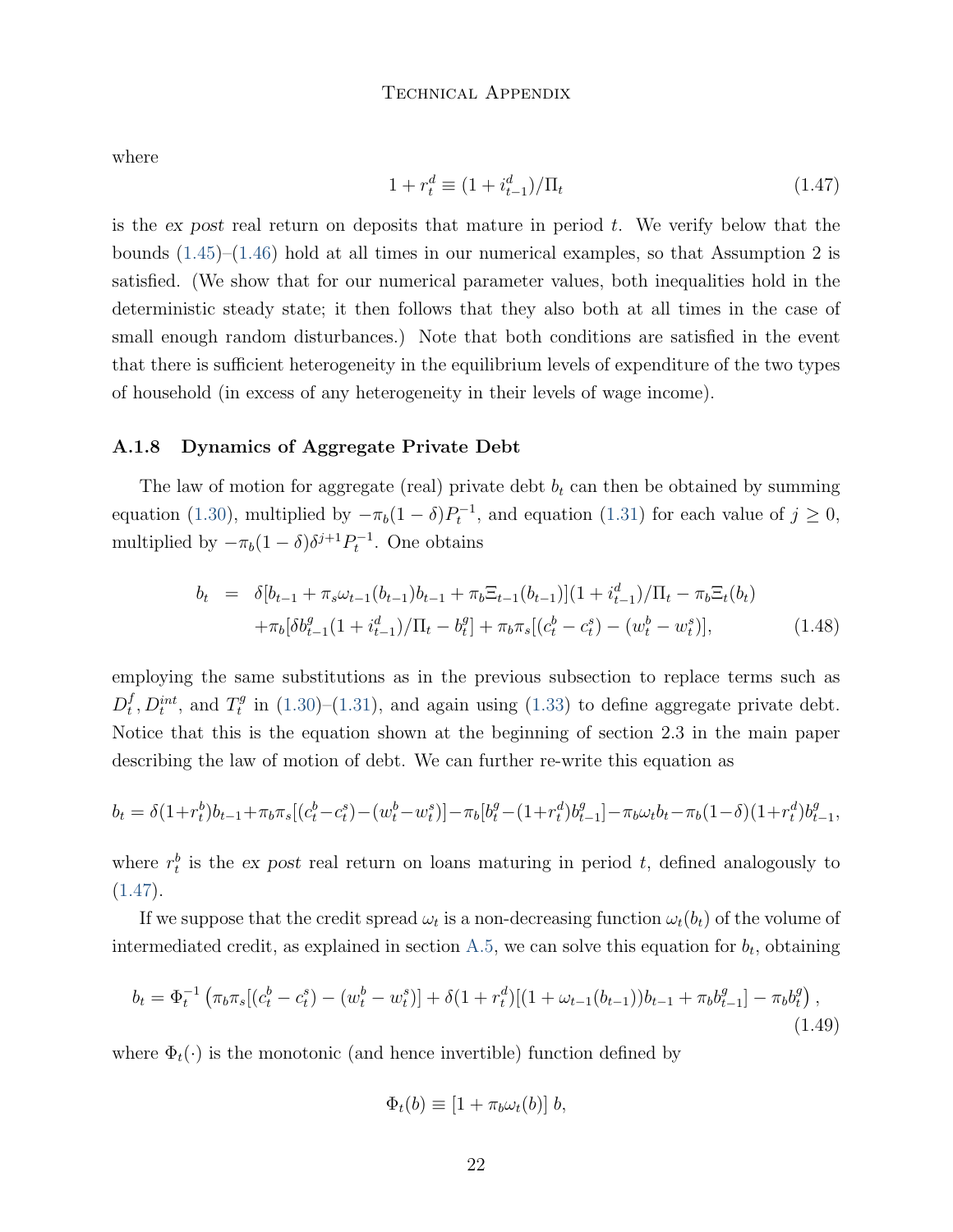where

<span id="page-21-0"></span>
$$
1 + r_t^d \equiv (1 + i_{t-1}^d) / \Pi_t \tag{1.47}
$$

is the ex post real return on deposits that mature in period  $t$ . We verify below that the bounds [\(1.45\)](#page-20-3)–[\(1.46\)](#page-20-4) hold at all times in our numerical examples, so that Assumption 2 is satisfied. (We show that for our numerical parameter values, both inequalities hold in the deterministic steady state; it then follows that they also both at all times in the case of small enough random disturbances.) Note that both conditions are satisfied in the event that there is sufficient heterogeneity in the equilibrium levels of expenditure of the two types of household (in excess of any heterogeneity in their levels of wage income).

#### A.1.8 Dynamics of Aggregate Private Debt

The law of motion for aggregate (real) private debt  $b_t$  can then be obtained by summing equation [\(1.30\)](#page-17-0), multiplied by  $-\pi_b(1 - \delta)P_t^{-1}$ , and equation [\(1.31\)](#page-18-2) for each value of  $j \ge 0$ , multiplied by  $-\pi_b(1-\delta)\delta^{j+1}P_t^{-1}$ . One obtains

$$
b_t = \delta[b_{t-1} + \pi_s \omega_{t-1} (b_{t-1}) b_{t-1} + \pi_b \Xi_{t-1} (b_{t-1})](1 + i_{t-1}^d) / \Pi_t - \pi_b \Xi_t (b_t)
$$
  
+
$$
\pi_b[\delta b_{t-1}^g (1 + i_{t-1}^d) / \Pi_t - b_t^g] + \pi_b \pi_s[(c_t^b - c_t^s) - (w_t^b - w_t^s)], \qquad (1.48)
$$

employing the same substitutions as in the previous subsection to replace terms such as  $D_t^f$  $_t^f, D_t^{int}, \text{ and } T_t^g$  $i_t^g$  in [\(1.30\)](#page-17-0)–[\(1.31\)](#page-18-2), and again using [\(1.33\)](#page-18-1) to define aggregate private debt. Notice that this is the equation shown at the beginning of section 2.3 in the main paper describing the law of motion of debt. We can further re-write this equation as

$$
b_t = \delta(1+r_t^b)b_{t-1} + \pi_b \pi_s[(c_t^b - c_t^s) - (w_t^b - w_t^s)] - \pi_b[b_t^g - (1+r_t^d)b_{t-1}^g] - \pi_b \omega_t b_t - \pi_b(1-\delta)(1+r_t^d)b_{t-1}^g,
$$

where  $r_t^b$  is the ex post real return on loans maturing in period t, defined analogously to  $(1.47).$  $(1.47).$ 

If we suppose that the credit spread  $\omega_t$  is a non-decreasing function  $\omega_t(b_t)$  of the volume of intermediated credit, as explained in section [A.5,](#page-27-0) we can solve this equation for  $b_t$ , obtaining

<span id="page-21-1"></span>
$$
b_t = \Phi_t^{-1} \left( \pi_b \pi_s [(c_t^b - c_t^s) - (w_t^b - w_t^s)] + \delta (1 + r_t^d) [(1 + \omega_{t-1}(b_{t-1}))b_{t-1} + \pi_b b_{t-1}^g] - \pi_b b_t^g \right),
$$
\n(1.49)

where  $\Phi_t(\cdot)$  is the monotonic (and hence invertible) function defined by

$$
\Phi_t(b) \equiv [1 + \pi_b \omega_t(b)] b,
$$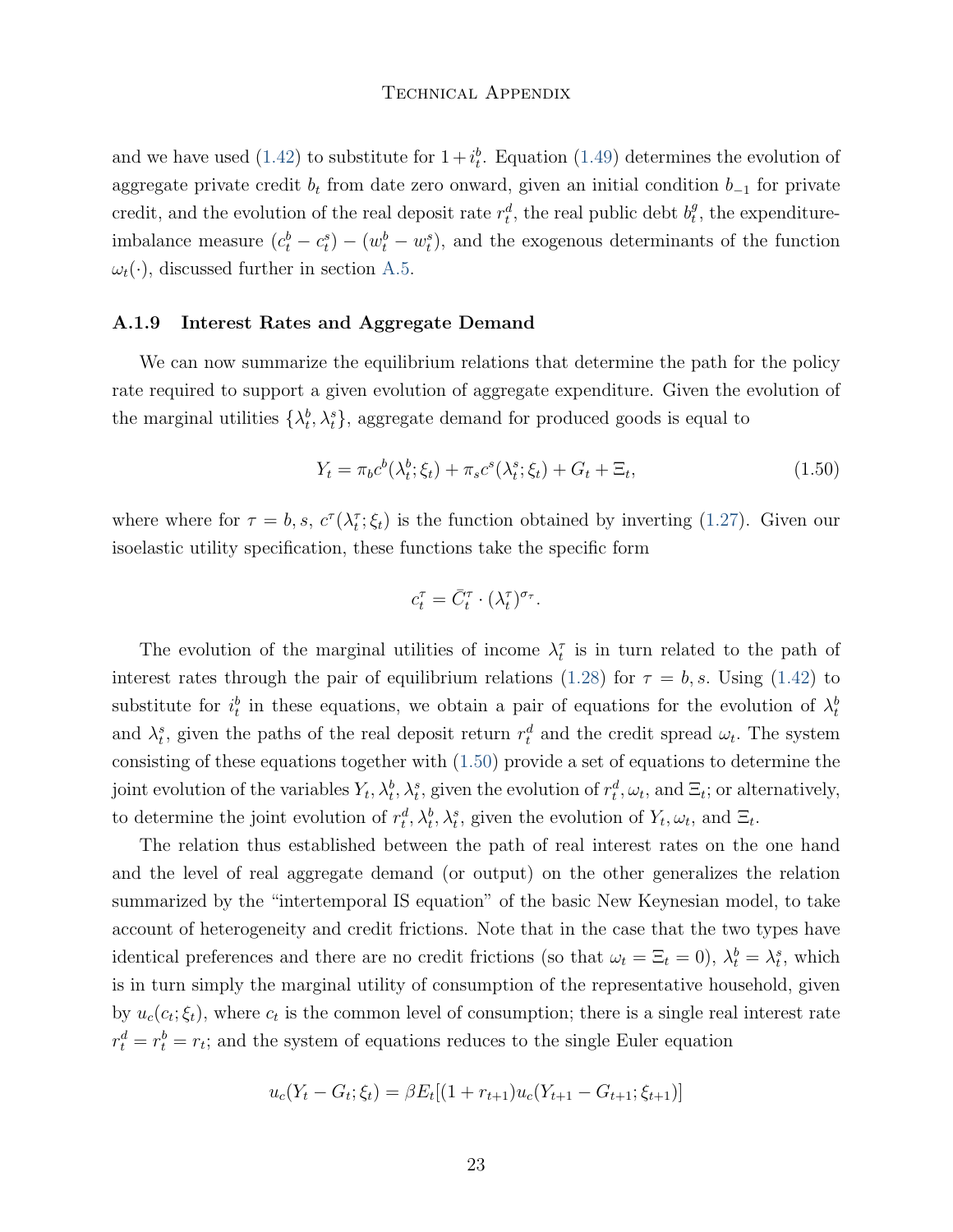and we have used [\(1.42\)](#page-20-5) to substitute for  $1 + i_t^b$ . Equation [\(1.49\)](#page-21-1) determines the evolution of aggregate private credit  $b_t$  from date zero onward, given an initial condition  $b_{-1}$  for private credit, and the evolution of the real deposit rate  $r_t^d$ , the real public debt  $b_t^g$  $_{t}^{g}$ , the expenditureimbalance measure  $(c_t^b - c_t^s) - (w_t^b - w_t^s)$ , and the exogenous determinants of the function  $\omega_t(\cdot)$ , discussed further in section [A.5.](#page-27-0)

#### A.1.9 Interest Rates and Aggregate Demand

We can now summarize the equilibrium relations that determine the path for the policy rate required to support a given evolution of aggregate expenditure. Given the evolution of the marginal utilities  $\{\lambda_t^b, \lambda_t^s\}$ , aggregate demand for produced goods is equal to

<span id="page-22-0"></span>
$$
Y_t = \pi_b c^b(\lambda_t^b; \xi_t) + \pi_s c^s(\lambda_t^s; \xi_t) + G_t + \Xi_t,
$$
\n(1.50)

where where for  $\tau = b$ , s,  $c^{\tau}(\lambda_t^{\tau}; \xi_t)$  is the function obtained by inverting [\(1.27\)](#page-16-0). Given our isoelastic utility specification, these functions take the specific form

$$
c_t^{\tau} = \bar{C}_t^{\tau} \cdot (\lambda_t^{\tau})^{\sigma_{\tau}}.
$$

The evolution of the marginal utilities of income  $\lambda_t^{\tau}$  is in turn related to the path of interest rates through the pair of equilibrium relations [\(1.28\)](#page-16-1) for  $\tau = b$ , s. Using [\(1.42\)](#page-20-5) to substitute for  $i_t^b$  in these equations, we obtain a pair of equations for the evolution of  $\lambda_t^b$ and  $\lambda_t^s$ , given the paths of the real deposit return  $r_t^d$  and the credit spread  $\omega_t$ . The system consisting of these equations together with [\(1.50\)](#page-22-0) provide a set of equations to determine the joint evolution of the variables  $Y_t, \lambda_t^b, \lambda_t^s$ , given the evolution of  $r_t^d, \omega_t$ , and  $\Xi_t$ ; or alternatively, to determine the joint evolution of  $r_t^d$ ,  $\lambda_t^b$ ,  $\lambda_t^s$ , given the evolution of  $Y_t$ ,  $\omega_t$ , and  $\Xi_t$ .

The relation thus established between the path of real interest rates on the one hand and the level of real aggregate demand (or output) on the other generalizes the relation summarized by the "intertemporal IS equation" of the basic New Keynesian model, to take account of heterogeneity and credit frictions. Note that in the case that the two types have identical preferences and there are no credit frictions (so that  $\omega_t = \Xi_t = 0$ ),  $\lambda_t^b = \lambda_t^s$ , which is in turn simply the marginal utility of consumption of the representative household, given by  $u_c(c_t; \xi_t)$ , where  $c_t$  is the common level of consumption; there is a single real interest rate  $r_t^d = r_t^b = r_t$ ; and the system of equations reduces to the single Euler equation

$$
u_c(Y_t - G_t; \xi_t) = \beta E_t[(1 + r_{t+1})u_c(Y_{t+1} - G_{t+1}; \xi_{t+1})]
$$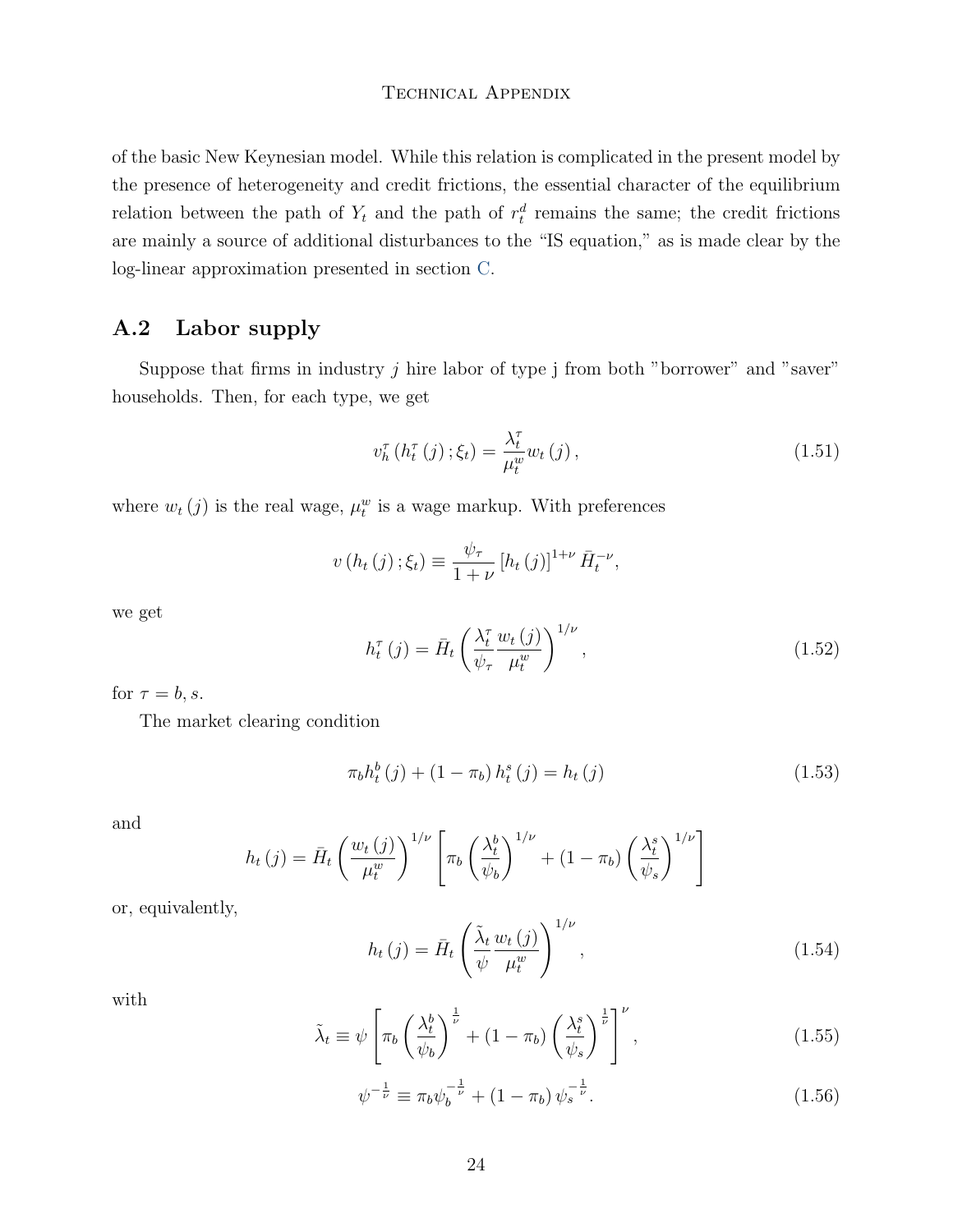of the basic New Keynesian model. While this relation is complicated in the present model by the presence of heterogeneity and credit frictions, the essential character of the equilibrium relation between the path of  $Y_t$  and the path of  $r_t^d$  remains the same; the credit frictions are mainly a source of additional disturbances to the "IS equation," as is made clear by the log-linear approximation presented in section [C.](#page-46-0)

## <span id="page-23-0"></span>A.2 Labor supply

Suppose that firms in industry  $j$  hire labor of type  $j$  from both "borrower" and "saver" households. Then, for each type, we get

$$
v_h^{\tau}\left(h_t^{\tau}\left(j\right);\xi_t\right) = \frac{\lambda_t^{\tau}}{\mu_t^w} w_t\left(j\right),\tag{1.51}
$$

where  $w_t(j)$  is the real wage,  $\mu_t^w$  is a wage markup. With preferences

$$
v(h_t(j); \xi_t) \equiv \frac{\psi_\tau}{1+\nu} [h_t(j)]^{1+\nu} \bar{H}_t^{-\nu},
$$

we get

$$
h_t^{\tau}(j) = \bar{H}_t \left(\frac{\lambda_t^{\tau}}{\psi_{\tau}} \frac{w_t(j)}{\mu_t^w}\right)^{1/\nu}, \qquad (1.52)
$$

for  $\tau = b, s$ .

The market clearing condition

$$
\pi_b h_t^b(j) + (1 - \pi_b) h_t^s(j) = h_t(j) \tag{1.53}
$$

and

$$
h_t(j) = \bar{H}_t \left(\frac{w_t(j)}{\mu_t^w}\right)^{1/\nu} \left[\pi_b \left(\frac{\lambda_t^b}{\psi_b}\right)^{1/\nu} + (1 - \pi_b) \left(\frac{\lambda_t^s}{\psi_s}\right)^{1/\nu}\right]
$$

or, equivalently,

$$
h_t(j) = \bar{H}_t \left( \frac{\tilde{\lambda}_t}{\psi} \frac{w_t(j)}{\mu_t^w} \right)^{1/\nu}, \qquad (1.54)
$$

with

$$
\tilde{\lambda}_t \equiv \psi \left[ \pi_b \left( \frac{\lambda_t^b}{\psi_b} \right)^{\frac{1}{\nu}} + (1 - \pi_b) \left( \frac{\lambda_t^s}{\psi_s} \right)^{\frac{1}{\nu}} \right]^\nu, \tag{1.55}
$$

$$
\psi^{-\frac{1}{\nu}} \equiv \pi_b \psi_b^{-\frac{1}{\nu}} + (1 - \pi_b) \psi_s^{-\frac{1}{\nu}}.
$$
\n(1.56)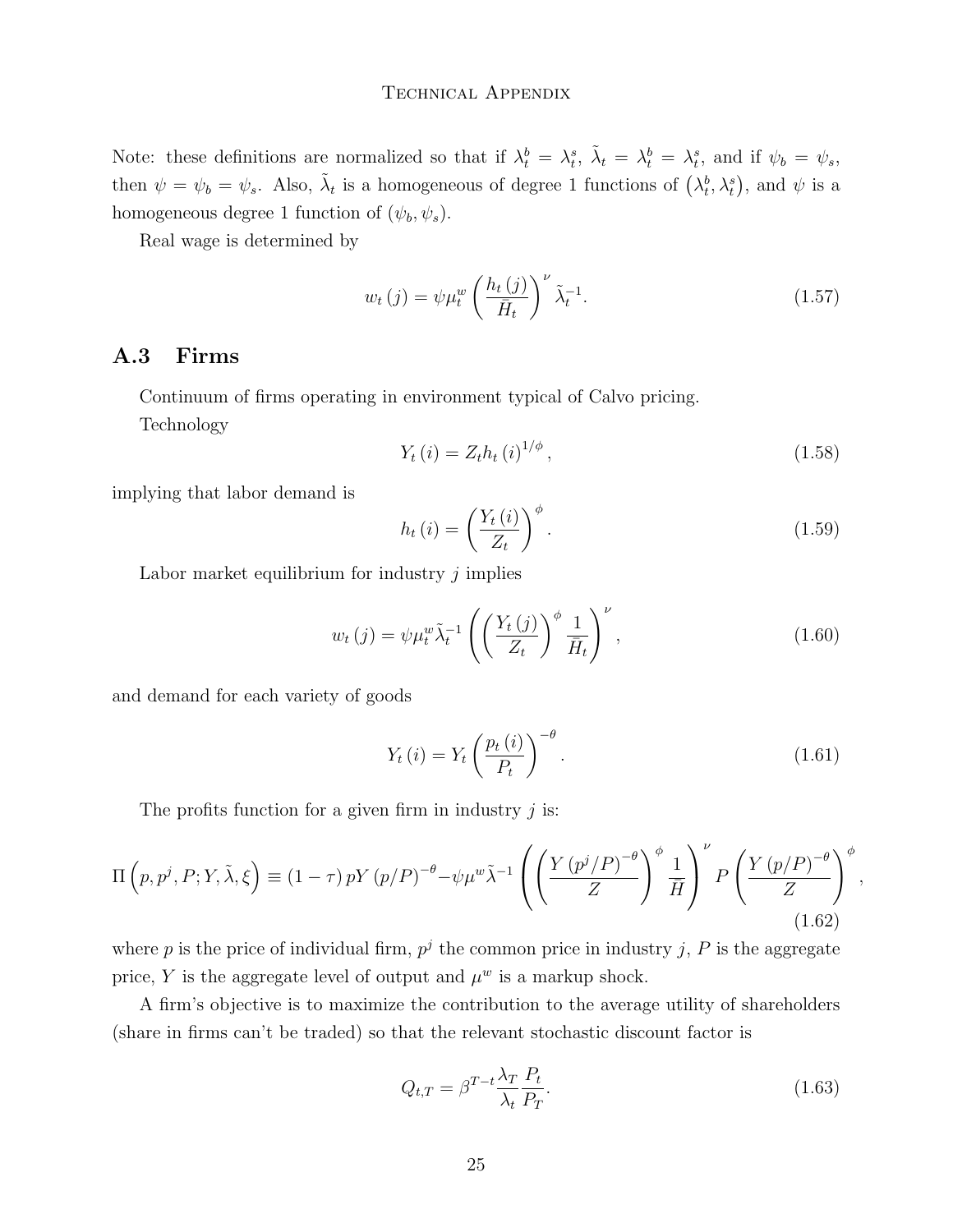Note: these definitions are normalized so that if  $\lambda_t^b = \lambda_t^s$ ,  $\tilde{\lambda}_t = \lambda_t^b = \lambda_t^s$ , and if  $\psi_b = \psi_s$ , then  $\psi = \psi_b = \psi_s$ . Also,  $\tilde{\lambda}_t$  is a homogeneous of degree 1 functions of  $(\lambda_t^b, \lambda_t^s)$ , and  $\psi$  is a homogeneous degree 1 function of  $(\psi_b, \psi_s)$ .

Real wage is determined by

$$
w_t(j) = \psi \mu_t^w \left(\frac{h_t(j)}{\bar{H}_t}\right)^{\nu} \tilde{\lambda}_t^{-1}.
$$
\n(1.57)

#### A.3 Firms

Continuum of firms operating in environment typical of Calvo pricing. Technology

$$
Y_t(i) = Z_t h_t(i)^{1/\phi}, \qquad (1.58)
$$

implying that labor demand is

<span id="page-24-0"></span>
$$
h_t(i) = \left(\frac{Y_t(i)}{Z_t}\right)^{\phi}.
$$
\n(1.59)

Labor market equilibrium for industry  $j$  implies

$$
w_t(j) = \psi \mu_t^w \tilde{\lambda}_t^{-1} \left( \left( \frac{Y_t(j)}{Z_t} \right)^{\phi} \frac{1}{\bar{H}_t} \right)^{\nu}, \qquad (1.60)
$$

and demand for each variety of goods

<span id="page-24-1"></span>
$$
Y_t(i) = Y_t \left(\frac{p_t(i)}{P_t}\right)^{-\theta}.
$$
\n(1.61)

The profits function for a given firm in industry  $j$  is:

$$
\Pi\left(p, p^j, P; Y, \tilde{\lambda}, \xi\right) \equiv (1-\tau) p Y\left(p/P\right)^{-\theta} - \psi \mu^w \tilde{\lambda}^{-1} \left( \left(\frac{Y\left(p^j/P\right)^{-\theta}}{Z}\right)^{\phi} \frac{1}{\bar{H}} \right)^{\nu} P\left(\frac{Y\left(p/P\right)^{-\theta}}{Z}\right)^{\phi},\tag{1.62}
$$

where p is the price of individual firm,  $p<sup>j</sup>$  the common price in industry j, P is the aggregate price, Y is the aggregate level of output and  $\mu^w$  is a markup shock.

A firm's objective is to maximize the contribution to the average utility of shareholders (share in firms can't be traded) so that the relevant stochastic discount factor is

$$
Q_{t,T} = \beta^{T-t} \frac{\lambda_T}{\lambda_t} \frac{P_t}{P_T}.
$$
\n(1.63)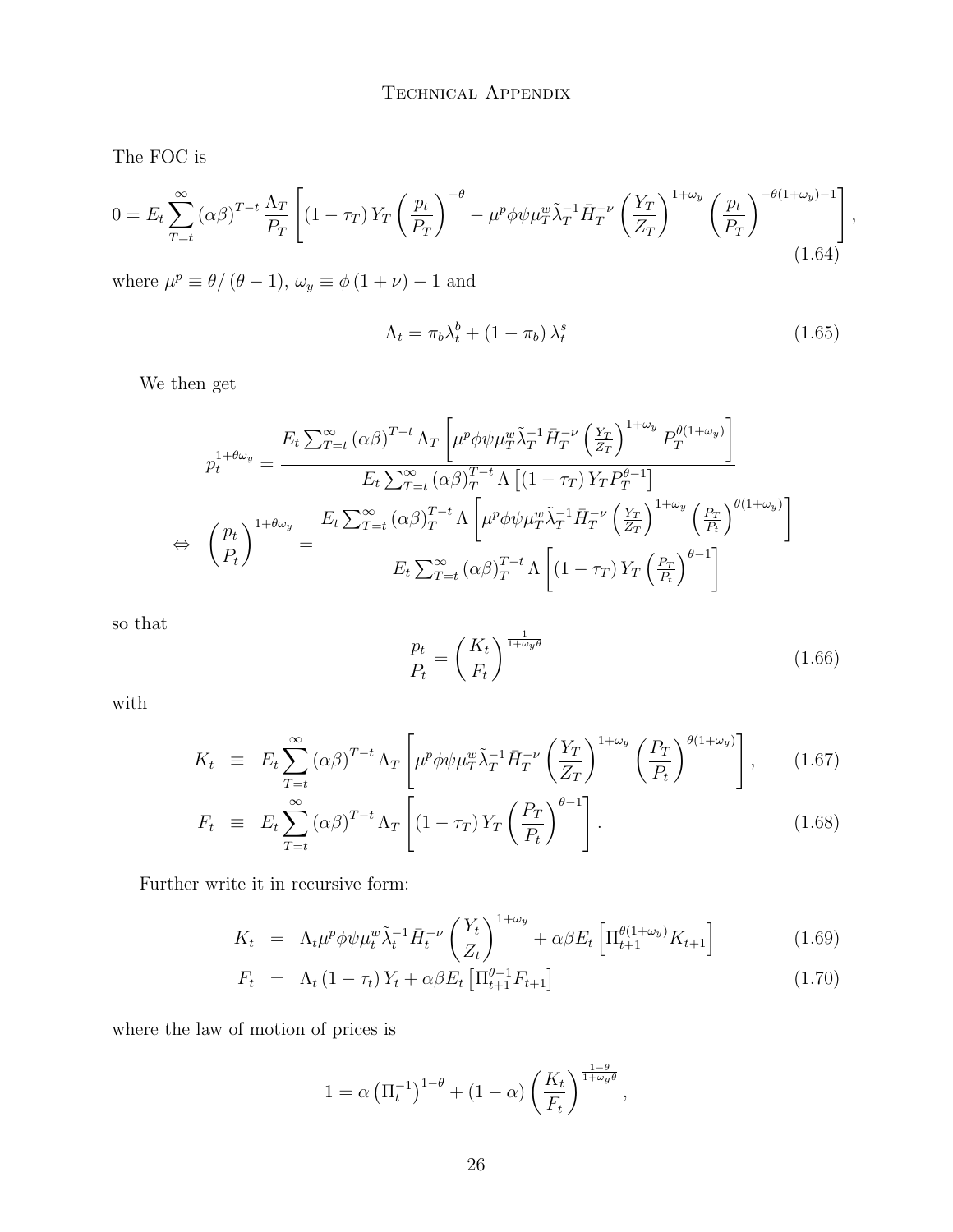The FOC is

$$
0 = E_t \sum_{T=t}^{\infty} (\alpha \beta)^{T-t} \frac{\Lambda_T}{P_T} \left[ \left( 1 - \tau_T \right) Y_T \left( \frac{p_t}{P_T} \right)^{-\theta} - \mu^p \phi \psi \mu_T^w \tilde{\lambda}_T^{-1} \bar{H}_T^{-\nu} \left( \frac{Y_T}{Z_T} \right)^{1+\omega_y} \left( \frac{p_t}{P_T} \right)^{-\theta(1+\omega_y)-1} \right],
$$
\n(1.64)

where  $\mu^p \equiv \theta/(\theta - 1)$ ,  $\omega_y \equiv \phi(1 + \nu) - 1$  and

$$
\Lambda_t = \pi_b \lambda_t^b + (1 - \pi_b) \lambda_t^s \tag{1.65}
$$

We then get

$$
p_t^{1+\theta\omega_y} = \frac{E_t \sum_{T=t}^{\infty} (\alpha \beta)^{T-t} \Lambda_T \left[ \mu^p \phi \psi \mu_T^w \tilde{\lambda}_T^{-1} \bar{H}_T^{-\nu} \left( \frac{Y_T}{Z_T} \right)^{1+\omega_y} P_T^{\theta(1+\omega_y)} \right]}{E_t \sum_{T=t}^{\infty} (\alpha \beta)_T^{T-t} \Lambda \left[ (1 - \tau_T) Y_T P_T^{\theta-1} \right]}
$$
  
\n
$$
\Leftrightarrow \left( \frac{p_t}{P_t} \right)^{1+\theta\omega_y} = \frac{E_t \sum_{T=t}^{\infty} (\alpha \beta)_T^{T-t} \Lambda \left[ \mu^p \phi \psi \mu_T^w \tilde{\lambda}_T^{-1} \bar{H}_T^{-\nu} \left( \frac{Y_T}{Z_T} \right)^{1+\omega_y} \left( \frac{P_T}{P_t} \right)^{\theta(1+\omega_y)} \right]}{E_t \sum_{T=t}^{\infty} (\alpha \beta)_T^{T-t} \Lambda \left[ (1 - \tau_T) Y_T \left( \frac{P_T}{P_t} \right)^{\theta-1} \right]}
$$

so that

$$
\frac{p_t}{P_t} = \left(\frac{K_t}{F_t}\right)^{\frac{1}{1+\omega_y \theta}}
$$
\n(1.66)

with

$$
K_t \equiv E_t \sum_{T=t}^{\infty} (\alpha \beta)^{T-t} \Lambda_T \left[ \mu^p \phi \psi \mu_T^w \tilde{\lambda}_T^{-1} \bar{H}_T^{-\nu} \left( \frac{Y_T}{Z_T} \right)^{1+\omega_y} \left( \frac{P_T}{P_t} \right)^{\theta(1+\omega_y)} \right], \qquad (1.67)
$$

$$
F_t \equiv E_t \sum_{T=t}^{\infty} (\alpha \beta)^{T-t} \Lambda_T \left[ (1 - \tau_T) Y_T \left( \frac{P_T}{P_t} \right)^{\theta - 1} \right]. \tag{1.68}
$$

Further write it in recursive form:

$$
K_t = \Lambda_t \mu^p \phi \psi \mu_t^w \tilde{\lambda}_t^{-1} \bar{H}_t^{-\nu} \left(\frac{Y_t}{Z_t}\right)^{1+\omega_y} + \alpha \beta E_t \left[\Pi_{t+1}^{\theta(1+\omega_y)} K_{t+1}\right]
$$
(1.69)

$$
F_t = \Lambda_t (1 - \tau_t) Y_t + \alpha \beta E_t \left[ \Pi_{t+1}^{\theta - 1} F_{t+1} \right]
$$
 (1.70)

where the law of motion of prices is

$$
1 = \alpha \left(\Pi_t^{-1}\right)^{1-\theta} + (1-\alpha) \left(\frac{K_t}{F_t}\right)^{\frac{1-\theta}{1+\omega_y \theta}},
$$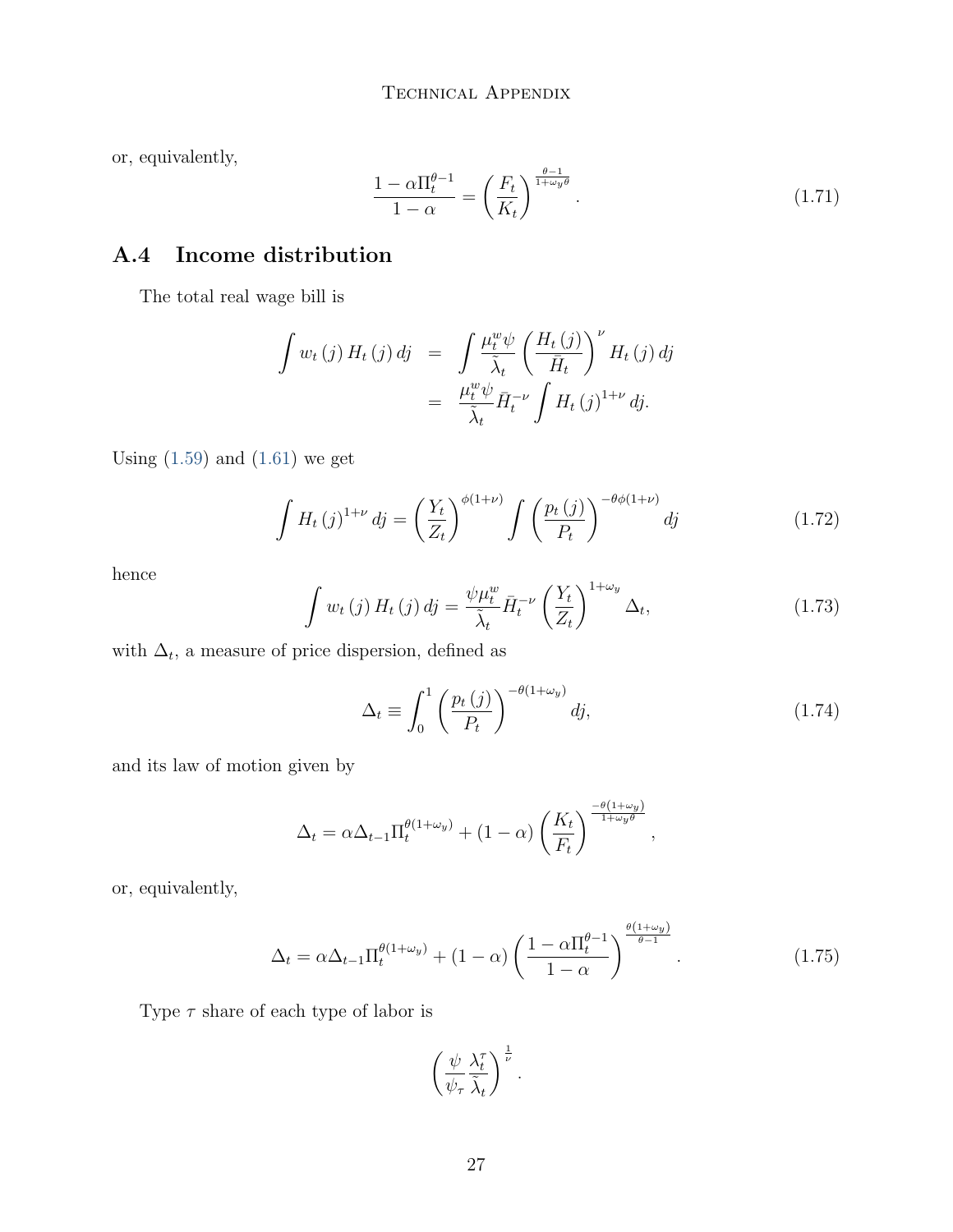or, equivalently,

$$
\frac{1 - \alpha \Pi_t^{\theta - 1}}{1 - \alpha} = \left(\frac{F_t}{K_t}\right)^{\frac{\theta - 1}{1 + \omega_y \theta}}.\tag{1.71}
$$

## A.4 Income distribution

The total real wage bill is

$$
\int w_t(j) H_t(j) dj = \int \frac{\mu_t^w \psi}{\tilde{\lambda}_t} \left( \frac{H_t(j)}{\bar{H}_t} \right)^{\nu} H_t(j) dj
$$
  

$$
= \frac{\mu_t^w \psi}{\tilde{\lambda}_t} \bar{H}_t^{-\nu} \int H_t(j)^{1+\nu} dj.
$$

Using  $(1.59)$  and  $(1.61)$  we get

$$
\int H_t(j)^{1+\nu} dj = \left(\frac{Y_t}{Z_t}\right)^{\phi(1+\nu)} \int \left(\frac{p_t(j)}{P_t}\right)^{-\theta\phi(1+\nu)} dj \qquad (1.72)
$$

hence

$$
\int w_t(j) H_t(j) dj = \frac{\psi \mu_t^w}{\tilde{\lambda}_t} \bar{H}_t^{-\nu} \left(\frac{Y_t}{Z_t}\right)^{1+\omega_y} \Delta_t, \tag{1.73}
$$

with  $\Delta_t$ , a measure of price dispersion, defined as

$$
\Delta_t \equiv \int_0^1 \left(\frac{p_t(j)}{P_t}\right)^{-\theta(1+\omega_y)} dj,\tag{1.74}
$$

and its law of motion given by

$$
\Delta_t = \alpha \Delta_{t-1} \Pi_t^{\theta(1+\omega_y)} + (1-\alpha) \left(\frac{K_t}{F_t}\right)^{\frac{-\theta(1+\omega_y)}{1+\omega_y \theta}},
$$

or, equivalently,

$$
\Delta_t = \alpha \Delta_{t-1} \Pi_t^{\theta(1+\omega_y)} + (1-\alpha) \left( \frac{1-\alpha \Pi_t^{\theta-1}}{1-\alpha} \right)^{\frac{\theta(1+\omega_y)}{\theta-1}}.
$$
\n(1.75)

Type  $\tau$  share of each type of labor is

$$
\left(\frac{\psi}{\psi_\tau}\frac{\lambda_t^\tau}{\tilde{\lambda}_t}\right)^{\frac{1}{\nu}}.
$$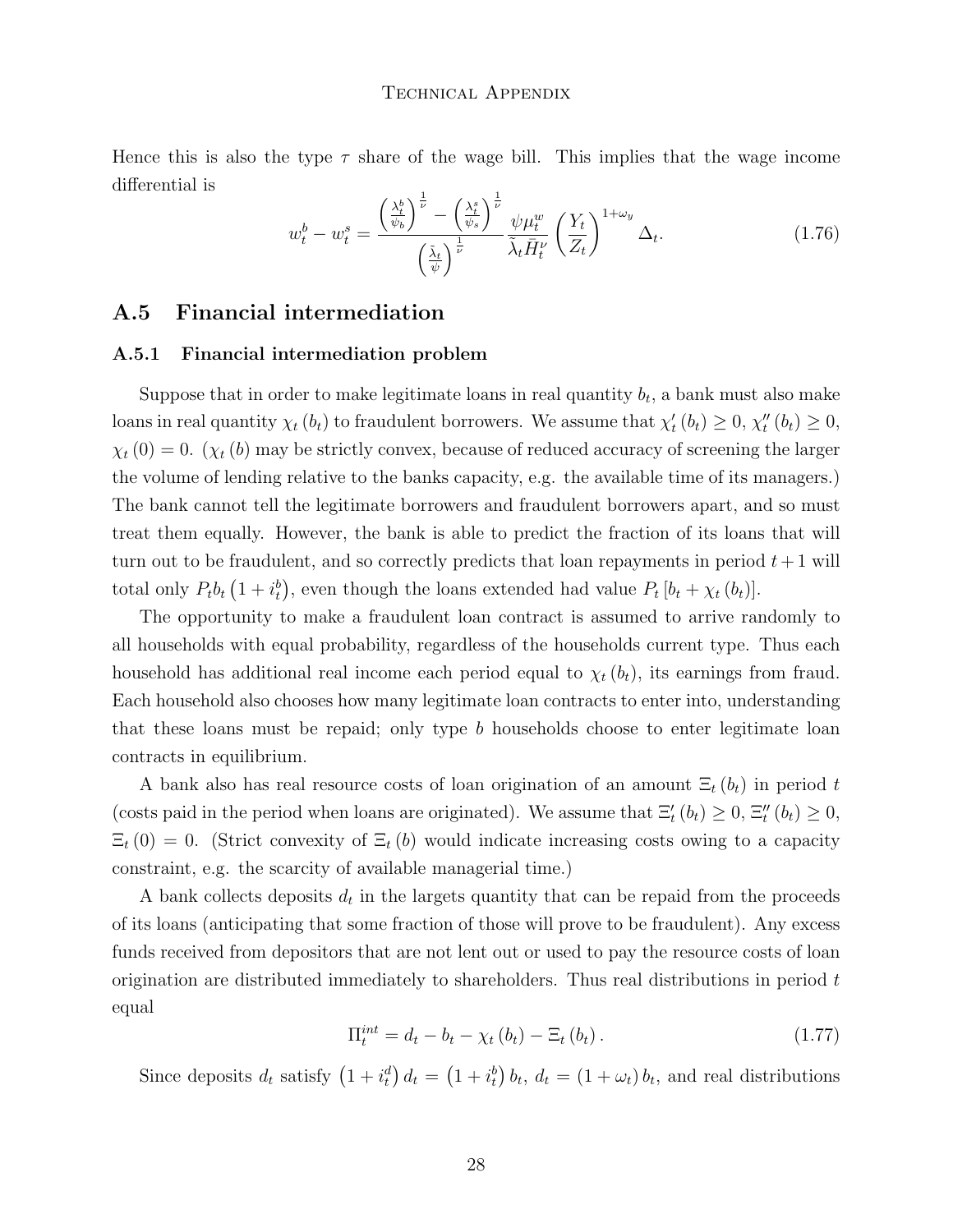Hence this is also the type  $\tau$  share of the wage bill. This implies that the wage income differential is

<span id="page-27-1"></span>
$$
w_t^b - w_t^s = \frac{\left(\frac{\lambda_t^b}{\psi_b}\right)^{\frac{1}{\nu}} - \left(\frac{\lambda_t^s}{\psi_s}\right)^{\frac{1}{\nu}}}{\left(\frac{\tilde{\lambda}_t}{\psi}\right)^{\frac{1}{\nu}}} \frac{\psi \mu_t^w}{\tilde{\lambda}_t \bar{H}_t^{\nu}} \left(\frac{Y_t}{Z_t}\right)^{1+\omega_y} \Delta_t.
$$
 (1.76)

#### <span id="page-27-0"></span>A.5 Financial intermediation

#### A.5.1 Financial intermediation problem

Suppose that in order to make legitimate loans in real quantity  $b_t$ , a bank must also make loans in real quantity  $\chi_t(b_t)$  to fraudulent borrowers. We assume that  $\chi'_t(b_t) \geq 0$ ,  $\chi''_t(b_t) \geq 0$ ,  $\chi_t(0) = 0$ . ( $\chi_t(b)$  may be strictly convex, because of reduced accuracy of screening the larger the volume of lending relative to the banks capacity, e.g. the available time of its managers.) The bank cannot tell the legitimate borrowers and fraudulent borrowers apart, and so must treat them equally. However, the bank is able to predict the fraction of its loans that will turn out to be fraudulent, and so correctly predicts that loan repayments in period  $t+1$  will total only  $P_t b_t (1 + i_t^b)$ , even though the loans extended had value  $P_t [b_t + \chi_t (b_t)].$ 

The opportunity to make a fraudulent loan contract is assumed to arrive randomly to all households with equal probability, regardless of the households current type. Thus each household has additional real income each period equal to  $\chi_t(b_t)$ , its earnings from fraud. Each household also chooses how many legitimate loan contracts to enter into, understanding that these loans must be repaid; only type  $b$  households choose to enter legitimate loan contracts in equilibrium.

A bank also has real resource costs of loan origination of an amount  $\Xi_t(b_t)$  in period t (costs paid in the period when loans are originated). We assume that  $\Xi'_t(b_t) \geq 0$ ,  $\Xi''_t(b_t) \geq 0$ ,  $\Xi_t(0) = 0$ . (Strict convexity of  $\Xi_t(b)$  would indicate increasing costs owing to a capacity constraint, e.g. the scarcity of available managerial time.)

A bank collects deposits  $d_t$  in the largets quantity that can be repaid from the proceeds of its loans (anticipating that some fraction of those will prove to be fraudulent). Any excess funds received from depositors that are not lent out or used to pay the resource costs of loan origination are distributed immediately to shareholders. Thus real distributions in period  $t$ equal

$$
\Pi_t^{int} = d_t - b_t - \chi_t(b_t) - \Xi_t(b_t).
$$
\n(1.77)

Since deposits  $d_t$  satisfy  $(1 + i_t^d) d_t = (1 + i_t^b) b_t, d_t = (1 + \omega_t) b_t$ , and real distributions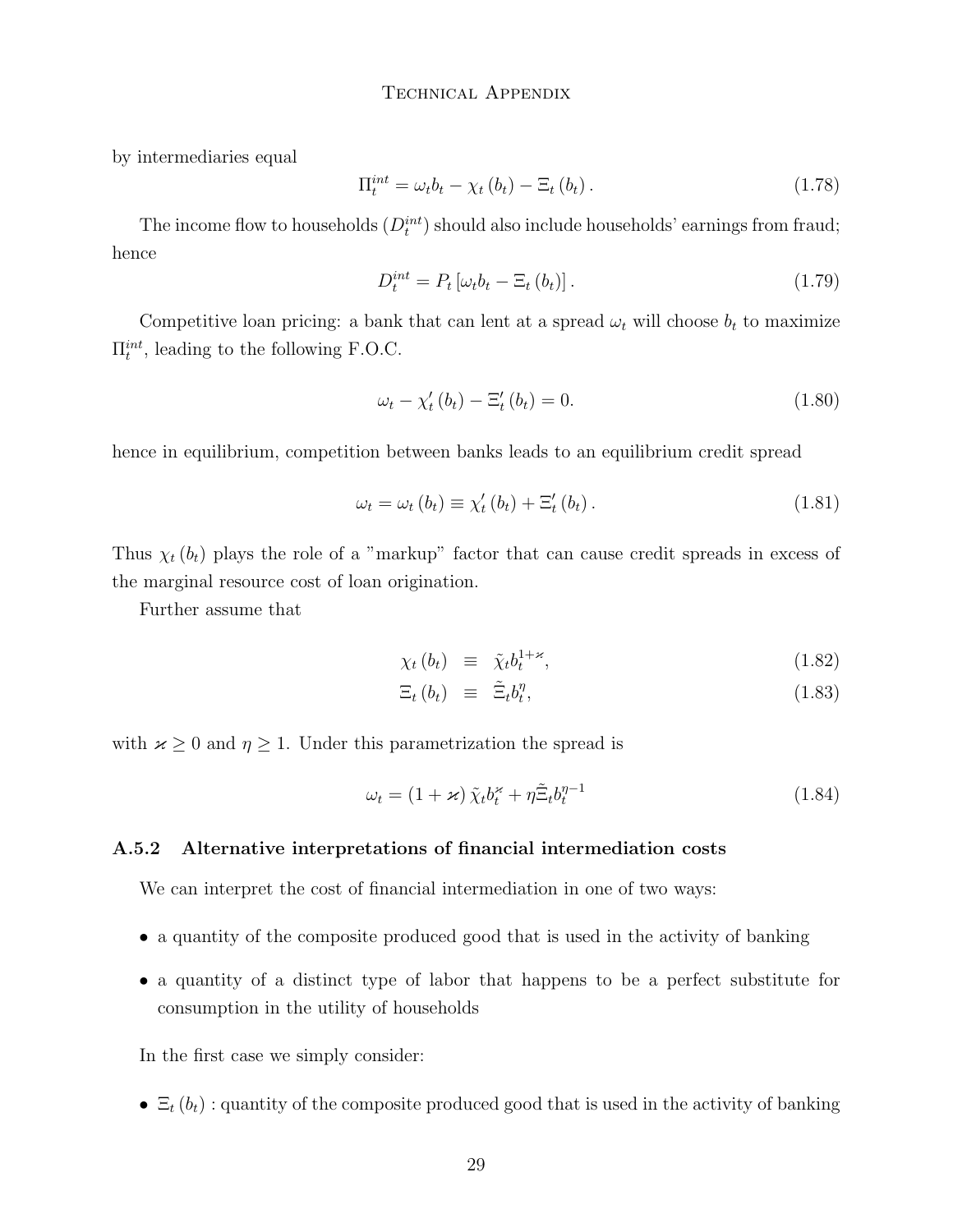by intermediaries equal

$$
\Pi_t^{int} = \omega_t b_t - \chi_t (b_t) - \Xi_t (b_t).
$$
\n(1.78)

The income flow to households  $(D_t^{int})$  should also include households' earnings from fraud; hence

$$
D_t^{int} = P_t \left[ \omega_t b_t - \Xi_t \left( b_t \right) \right]. \tag{1.79}
$$

Competitive loan pricing: a bank that can lent at a spread  $\omega_t$  will choose  $b_t$  to maximize  $\Pi_t^{int}$ , leading to the following F.O.C.

$$
\omega_t - \chi'_t (b_t) - \Xi'_t (b_t) = 0.
$$
\n(1.80)

hence in equilibrium, competition between banks leads to an equilibrium credit spread

$$
\omega_t = \omega_t (b_t) \equiv \chi'_t (b_t) + \Xi'_t (b_t).
$$
\n(1.81)

Thus  $\chi_t(b_t)$  plays the role of a "markup" factor that can cause credit spreads in excess of the marginal resource cost of loan origination.

Further assume that

$$
\chi_t(b_t) \equiv \tilde{\chi}_t b_t^{1+\varkappa}, \qquad (1.82)
$$

$$
\Xi_t(b_t) \equiv \tilde{\Xi}_t b_t^{\eta}, \qquad (1.83)
$$

with  $\varkappa \geq 0$  and  $\eta \geq 1$ . Under this parametrization the spread is

$$
\omega_t = (1 + \varkappa) \tilde{\chi}_t b_t^{\varkappa} + \eta \tilde{\Xi}_t b_t^{\eta - 1}
$$
\n(1.84)

#### <span id="page-28-0"></span>A.5.2 Alternative interpretations of financial intermediation costs

We can interpret the cost of financial intermediation in one of two ways:

- ∙ a quantity of the composite produced good that is used in the activity of banking
- ∙ a quantity of a distinct type of labor that happens to be a perfect substitute for consumption in the utility of households

In the first case we simply consider:

•  $\Xi_t(b_t)$ : quantity of the composite produced good that is used in the activity of banking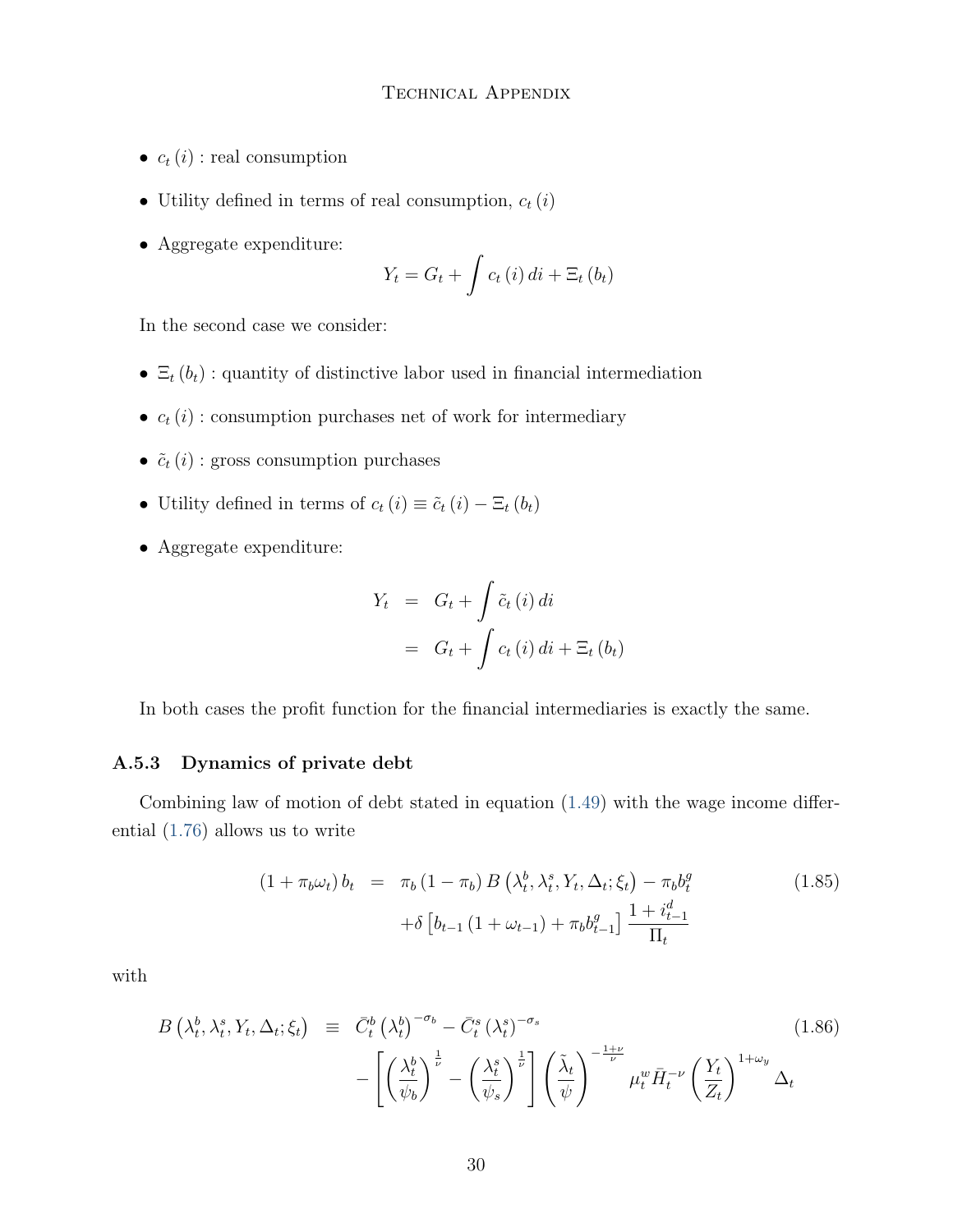- $c_t(i)$ : real consumption
- Utility defined in terms of real consumption,  $c_t(i)$
- ∙ Aggregate expenditure:

$$
Y_t = G_t + \int c_t(i) \, di + \Xi_t(b_t)
$$

In the second case we consider:

- $\Xi_t(b_t)$ : quantity of distinctive labor used in financial intermediation
- $\bullet \enspace c_t\left( i \right)$  : consumption purchases net of work for intermediary
- $\tilde{c}_t(i)$ : gross consumption purchases
- Utility defined in terms of  $c_t(i) \equiv \tilde{c}_t(i) \Xi_t(b_t)$
- ∙ Aggregate expenditure:

$$
Y_t = G_t + \int \tilde{c}_t(i) di
$$
  
=  $G_t + \int c_t(i) di + \Xi_t(b_t)$ 

In both cases the profit function for the financial intermediaries is exactly the same.

#### A.5.3 Dynamics of private debt

Combining law of motion of debt stated in equation [\(1.49\)](#page-21-1) with the wage income differential [\(1.76\)](#page-27-1) allows us to write

$$
(1 + \pi_b \omega_t) b_t = \pi_b (1 - \pi_b) B \left( \lambda_t^b, \lambda_t^s, Y_t, \Delta_t; \xi_t \right) - \pi_b b_t^g
$$
  
+  $\delta \left[ b_{t-1} (1 + \omega_{t-1}) + \pi_b b_{t-1}^g \right] \frac{1 + i_{t-1}^d}{\Pi_t}$  (1.85)

with

$$
B\left(\lambda_t^b, \lambda_t^s, Y_t, \Delta_t; \xi_t\right) \equiv \bar{C}_t^b \left(\lambda_t^b\right)^{-\sigma_b} - \bar{C}_t^s \left(\lambda_t^s\right)^{-\sigma_s} - \left[\left(\frac{\lambda_t^b}{\psi_b}\right)^{\frac{1}{\nu}} - \left(\frac{\lambda_t^s}{\psi_s}\right)^{\frac{1}{\nu}}\right] \left(\frac{\tilde{\lambda}_t}{\psi}\right)^{-\frac{1+\nu}{\nu}} \mu_t^w \bar{H}_t^{-\nu} \left(\frac{Y_t}{Z_t}\right)^{1+\omega_y} \Delta_t
$$
\n(1.86)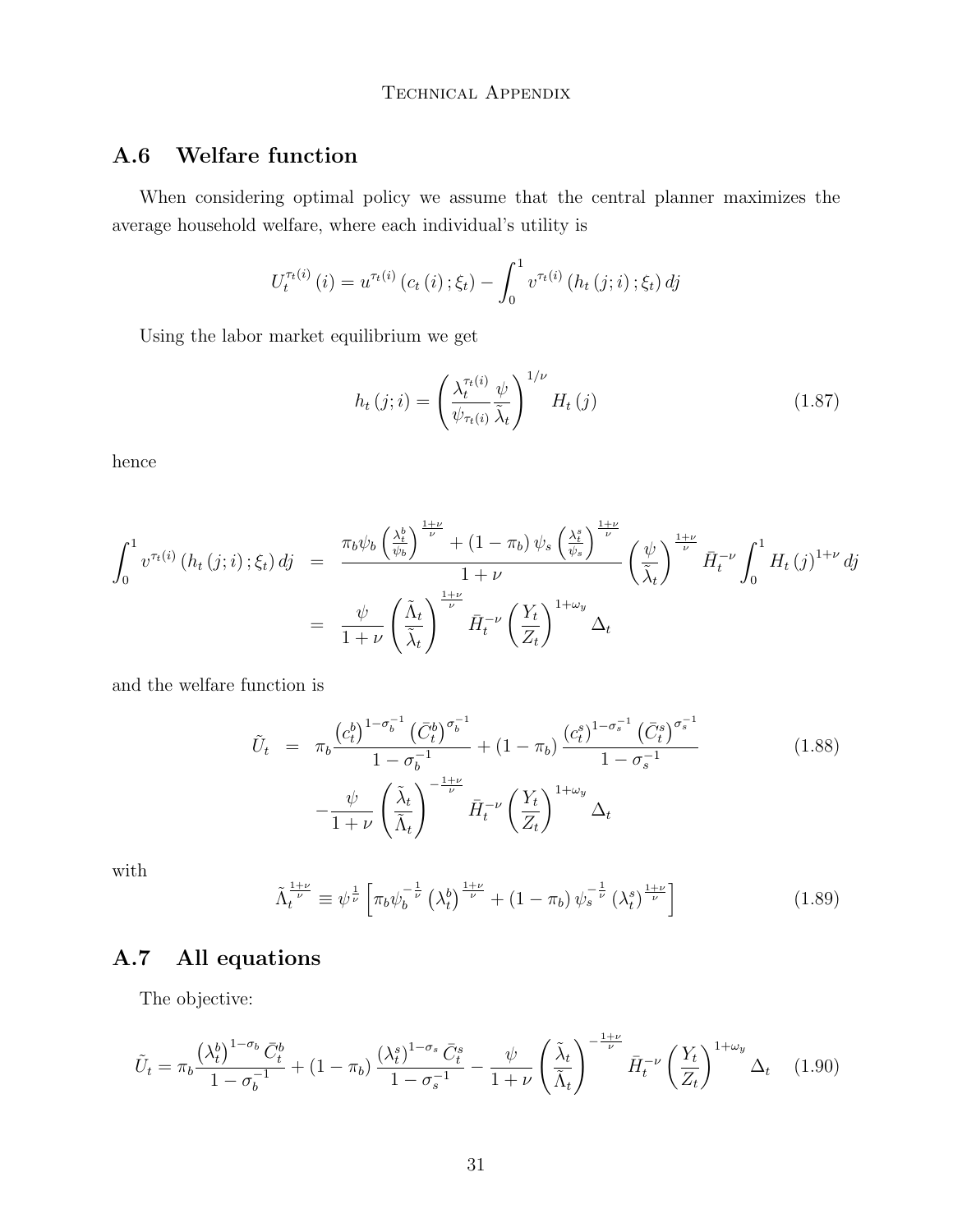## A.6 Welfare function

When considering optimal policy we assume that the central planner maximizes the average household welfare, where each individual's utility is

$$
U_t^{\tau_t(i)}(i) = u^{\tau_t(i)}(c_t(i); \xi_t) - \int_0^1 v^{\tau_t(i)}(h_t(j;i); \xi_t) \, dj
$$

Using the labor market equilibrium we get

$$
h_t(j;i) = \left(\frac{\lambda_t^{\tau_t(i)}}{\psi_{\tau_t(i)}} \frac{\psi}{\tilde{\lambda}_t}\right)^{1/\nu} H_t(j)
$$
\n(1.87)

hence

$$
\int_0^1 v^{\tau_t(i)} \left( h_t(j;i) ; \xi_t \right) dj = \frac{\pi_b \psi_b \left( \frac{\lambda_t^b}{\psi_b} \right)^{\frac{1+\nu}{\nu}} + (1 - \pi_b) \psi_s \left( \frac{\lambda_t^s}{\psi_s} \right)^{\frac{1+\nu}{\nu}}}{1 + \nu} \left( \frac{\psi}{\tilde{\lambda}_t} \right)^{\frac{1+\nu}{\nu}} \bar{H}_t^{-\nu} \int_0^1 H_t(j)^{1+\nu} dj
$$

$$
= \frac{\psi}{1 + \nu} \left( \frac{\tilde{\Lambda}_t}{\tilde{\lambda}_t} \right)^{\frac{1+\nu}{\nu}} \bar{H}_t^{-\nu} \left( \frac{Y_t}{Z_t} \right)^{1 + \omega_y} \Delta_t
$$

and the welfare function is

$$
\tilde{U}_t = \pi_b \frac{\left(c_t^b\right)^{1-\sigma_b^{-1}} \left(\bar{C}_t^b\right)^{\sigma_b^{-1}}}{1-\sigma_b^{-1}} + (1-\pi_b) \frac{\left(c_t^s\right)^{1-\sigma_s^{-1}} \left(\bar{C}_t^s\right)^{\sigma_s^{-1}}}{1-\sigma_s^{-1}} - \frac{\psi}{1+\nu} \left(\frac{\tilde{\lambda}_t}{\tilde{\Lambda}_t}\right)^{-\frac{1+\nu}{\nu}} \bar{H}_t^{-\nu} \left(\frac{Y_t}{Z_t}\right)^{1+\omega_y} \Delta_t \tag{1.88}
$$

with

$$
\tilde{\Lambda}_t^{\frac{1+\nu}{\nu}} \equiv \psi^{\frac{1}{\nu}} \left[ \pi_b \psi_b^{-\frac{1}{\nu}} \left( \lambda_t^b \right)^{\frac{1+\nu}{\nu}} + \left( 1 - \pi_b \right) \psi_s^{-\frac{1}{\nu}} \left( \lambda_t^s \right)^{\frac{1+\nu}{\nu}} \right] \tag{1.89}
$$

## A.7 All equations

The objective:

$$
\tilde{U}_t = \pi_b \frac{\left(\lambda_t^b\right)^{1-\sigma_b} \bar{C}_t^b}{1-\sigma_b^{-1}} + (1-\pi_b) \frac{\left(\lambda_t^s\right)^{1-\sigma_s} \bar{C}_t^s}{1-\sigma_s^{-1}} - \frac{\psi}{1+\nu} \left(\frac{\tilde{\lambda}_t}{\tilde{\Lambda}_t}\right)^{-\frac{1+\nu}{\nu}} \bar{H}_t^{-\nu} \left(\frac{Y_t}{Z_t}\right)^{1+\omega_y} \Delta_t \quad (1.90)
$$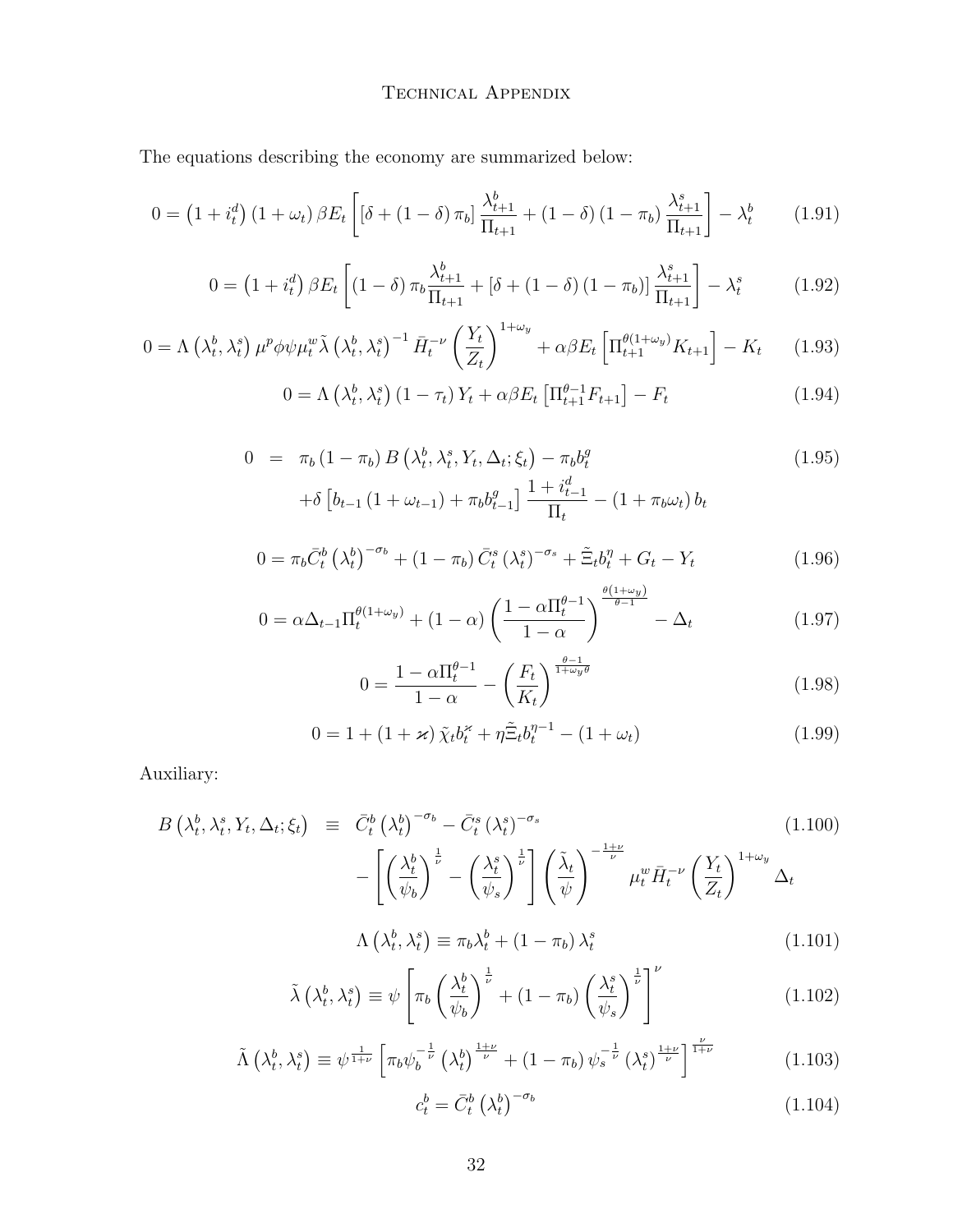### TECHNICAL APPENDIX

The equations describing the economy are summarized below:

$$
0 = \left(1 + i_t^d\right)\left(1 + \omega_t\right)\beta E_t \left[\left(\delta + \left(1 - \delta\right)\pi_b\right)\frac{\lambda_{t+1}^b}{\Pi_{t+1}} + \left(1 - \delta\right)\left(1 - \pi_b\right)\frac{\lambda_{t+1}^s}{\Pi_{t+1}}\right] - \lambda_t^b \tag{1.91}
$$

$$
0 = (1 + i_t^d) \beta E_t \left[ (1 - \delta) \pi_b \frac{\lambda_{t+1}^b}{\Pi_{t+1}} + [\delta + (1 - \delta) (1 - \pi_b)] \frac{\lambda_{t+1}^s}{\Pi_{t+1}} \right] - \lambda_t^s \tag{1.92}
$$

$$
0 = \Lambda \left(\lambda_t^b, \lambda_t^s\right) \mu^p \phi \psi \mu_t^w \tilde{\lambda} \left(\lambda_t^b, \lambda_t^s\right)^{-1} \bar{H}_t^{-\nu} \left(\frac{Y_t}{Z_t}\right)^{1+\omega_y} + \alpha \beta E_t \left[\Pi_{t+1}^{\theta(1+\omega_y)} K_{t+1}\right] - K_t \tag{1.93}
$$

$$
0 = \Lambda \left(\lambda_t^b, \lambda_t^s\right) \left(1 - \tau_t\right) Y_t + \alpha \beta E_t \left[\Pi_{t+1}^{\theta-1} F_{t+1}\right] - F_t \tag{1.94}
$$

$$
0 = \pi_b (1 - \pi_b) B \left( \lambda_t^b, \lambda_t^s, Y_t, \Delta_t; \xi_t \right) - \pi_b b_t^g
$$
  
+  $\delta \left[ b_{t-1} (1 + \omega_{t-1}) + \pi_b b_{t-1}^g \right] \frac{1 + i_{t-1}^d}{\Pi_t} - (1 + \pi_b \omega_t) b_t$  (1.95)

$$
0 = \pi_b \bar{C}_t^b \left(\lambda_t^b\right)^{-\sigma_b} + (1 - \pi_b) \bar{C}_t^s \left(\lambda_t^s\right)^{-\sigma_s} + \tilde{\Xi}_t b_t^{\eta} + G_t - Y_t \tag{1.96}
$$

$$
0 = \alpha \Delta_{t-1} \Pi_t^{\theta(1+\omega_y)} + (1-\alpha) \left( \frac{1 - \alpha \Pi_t^{\theta-1}}{1-\alpha} \right)^{\frac{\alpha(1+\omega_y)}{\theta-1}} - \Delta_t \tag{1.97}
$$

$$
0 = \frac{1 - \alpha \Pi_t^{\theta - 1}}{1 - \alpha} - \left(\frac{F_t}{K_t}\right)^{\frac{\theta - 1}{1 + \omega_y \theta}}
$$
(1.98)

$$
0 = 1 + (1 + \varkappa) \tilde{\chi}_t b_t^{\varkappa} + \eta \tilde{\Xi}_t b_t^{\eta - 1} - (1 + \omega_t)
$$
 (1.99)

Auxiliary:

$$
B\left(\lambda_t^b, \lambda_t^s, Y_t, \Delta_t; \xi_t\right) \equiv \bar{C}_t^b \left(\lambda_t^b\right)^{-\sigma_b} - \bar{C}_t^s \left(\lambda_t^s\right)^{-\sigma_s} - \left[\left(\frac{\lambda_t^b}{\psi_b}\right)^{\frac{1}{\nu}} - \left(\frac{\lambda_t^s}{\psi_s}\right)^{\frac{1}{\nu}}\right] \left(\frac{\tilde{\lambda}_t}{\psi}\right)^{-\frac{1+\nu}{\nu}} \mu_t^w \bar{H}_t^{-\nu} \left(\frac{Y_t}{Z_t}\right)^{1+\omega_y} \Delta_t
$$
\n(1.100)

$$
\Lambda\left(\lambda_t^b, \lambda_t^s\right) \equiv \pi_b \lambda_t^b + \left(1 - \pi_b\right) \lambda_t^s \tag{1.101}
$$

$$
\tilde{\lambda}\left(\lambda_t^b, \lambda_t^s\right) \equiv \psi \left[ \pi_b \left( \frac{\lambda_t^b}{\psi_b} \right)^{\frac{1}{\nu}} + (1 - \pi_b) \left( \frac{\lambda_t^s}{\psi_s} \right)^{\frac{1}{\nu}} \right]^\nu \tag{1.102}
$$

$$
\tilde{\Lambda}\left(\lambda_t^b, \lambda_t^s\right) \equiv \psi^{\frac{1}{1+\nu}} \left[\pi_b \psi_b^{-\frac{1}{\nu}}\left(\lambda_t^b\right)^{\frac{1+\nu}{\nu}} + \left(1 - \pi_b\right) \psi_s^{-\frac{1}{\nu}}\left(\lambda_t^s\right)^{\frac{1+\nu}{\nu}}\right]^{\frac{\nu}{1+\nu}}
$$
(1.103)

$$
c_t^b = \bar{C}_t^b \left(\lambda_t^b\right)^{-\sigma_b} \tag{1.104}
$$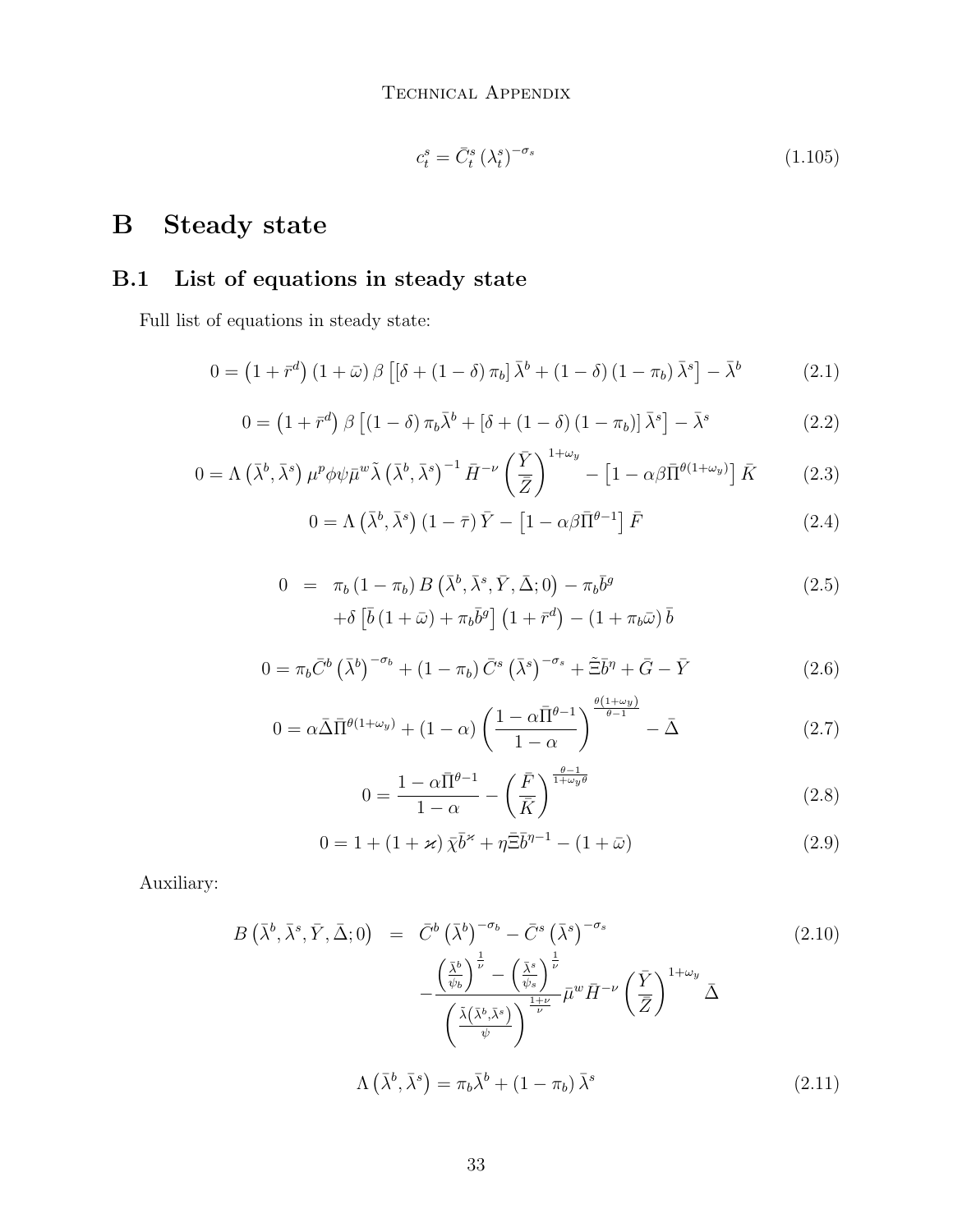$$
c_t^s = \bar{C}_t^s \left(\lambda_t^s\right)^{-\sigma_s} \tag{1.105}
$$

# <span id="page-32-0"></span>B Steady state

## B.1 List of equations in steady state

Full list of equations in steady state:

$$
0 = \left(1 + \bar{r}^d\right)\left(1 + \bar{\omega}\right)\beta\left[\left[\delta + \left(1 - \delta\right)\pi_b\right]\bar{\lambda}^b + \left(1 - \delta\right)\left(1 - \pi_b\right)\bar{\lambda}^s\right] - \bar{\lambda}^b \tag{2.1}
$$

$$
0 = \left(1 + \bar{r}^d\right) \beta \left[\left(1 - \delta\right) \pi_b \bar{\lambda}^b + \left[\delta + \left(1 - \delta\right) \left(1 - \pi_b\right)\right] \bar{\lambda}^s\right] - \bar{\lambda}^s \tag{2.2}
$$

$$
0 = \Lambda \left( \bar{\lambda}^b, \bar{\lambda}^s \right) \mu^p \phi \psi \bar{\mu}^w \tilde{\lambda} \left( \bar{\lambda}^b, \bar{\lambda}^s \right)^{-1} \bar{H}^{-\nu} \left( \frac{\bar{Y}}{\bar{Z}} \right)^{1+\omega_y} - \left[ 1 - \alpha \beta \bar{\Pi}^{\theta(1+\omega_y)} \right] \bar{K} \tag{2.3}
$$

$$
0 = \Lambda \left( \bar{\lambda}^b, \bar{\lambda}^s \right) \left( 1 - \bar{\tau} \right) \bar{Y} - \left[ 1 - \alpha \beta \bar{\Pi}^{\theta - 1} \right] \bar{F}
$$
 (2.4)

$$
0 = \pi_b (1 - \pi_b) B\left(\bar{\lambda}^b, \bar{\lambda}^s, \bar{Y}, \bar{\Delta}; 0\right) - \pi_b \bar{b}^g
$$
  
+ 
$$
\delta \left[\bar{b} (1 + \bar{\omega}) + \pi_b \bar{b}^g\right] (1 + \bar{r}^d) - (1 + \pi_b \bar{\omega}) \bar{b}
$$
 (2.5)

$$
0 = \pi_b \bar{C}^b \left(\bar{\lambda}^b\right)^{-\sigma_b} + \left(1 - \pi_b\right) \bar{C}^s \left(\bar{\lambda}^s\right)^{-\sigma_s} + \tilde{\Xi}\bar{b}^\eta + \bar{G} - \bar{Y}
$$
\n
$$
(2.6)
$$

$$
0 = \alpha \bar{\Delta} \bar{\Pi}^{\theta(1+\omega_y)} + (1-\alpha) \left( \frac{1-\alpha \bar{\Pi}^{\theta-1}}{1-\alpha} \right)^{\frac{\theta(1+\omega_y)}{\theta-1}} - \bar{\Delta}
$$
 (2.7)

$$
0 = \frac{1 - \alpha \bar{\Pi}^{\theta - 1}}{1 - \alpha} - \left(\frac{\bar{F}}{\bar{K}}\right)^{\frac{\theta - 1}{1 + \omega_y \theta}}
$$
\n(2.8)

$$
0 = 1 + (1 + \varkappa) \bar{\chi} \bar{b}^{\varkappa} + \eta \bar{\Xi} \bar{b}^{\eta - 1} - (1 + \bar{\omega})
$$
 (2.9)

Auxiliary:

$$
B\left(\bar{\lambda}^{b}, \bar{\lambda}^{s}, \bar{Y}, \bar{\Delta}; 0\right) = \bar{C}^{b}\left(\bar{\lambda}^{b}\right)^{-\sigma_{b}} - \bar{C}^{s}\left(\bar{\lambda}^{s}\right)^{-\sigma_{s}} - \frac{\left(\frac{\bar{\lambda}^{b}}{\psi_{b}}\right)^{\frac{1}{\nu}} - \left(\frac{\bar{\lambda}^{s}}{\psi_{s}}\right)^{\frac{1}{\nu}}}{\left(\frac{\bar{\lambda}(\bar{\lambda}^{b}, \bar{\lambda}^{s})}{\psi}\right)^{\frac{1+\nu}{\nu}} \bar{\mu}^{w} \bar{H}^{-\nu}\left(\frac{\bar{Y}}{\bar{Z}}\right)^{1+\omega_{y}} \bar{\Delta}
$$
\n
$$
\Lambda\left(\bar{\lambda}^{b}, \bar{\lambda}^{s}\right) = \pi_{b}\bar{\lambda}^{b} + (1 - \pi_{b})\bar{\lambda}^{s}
$$
\n
$$
(2.11)
$$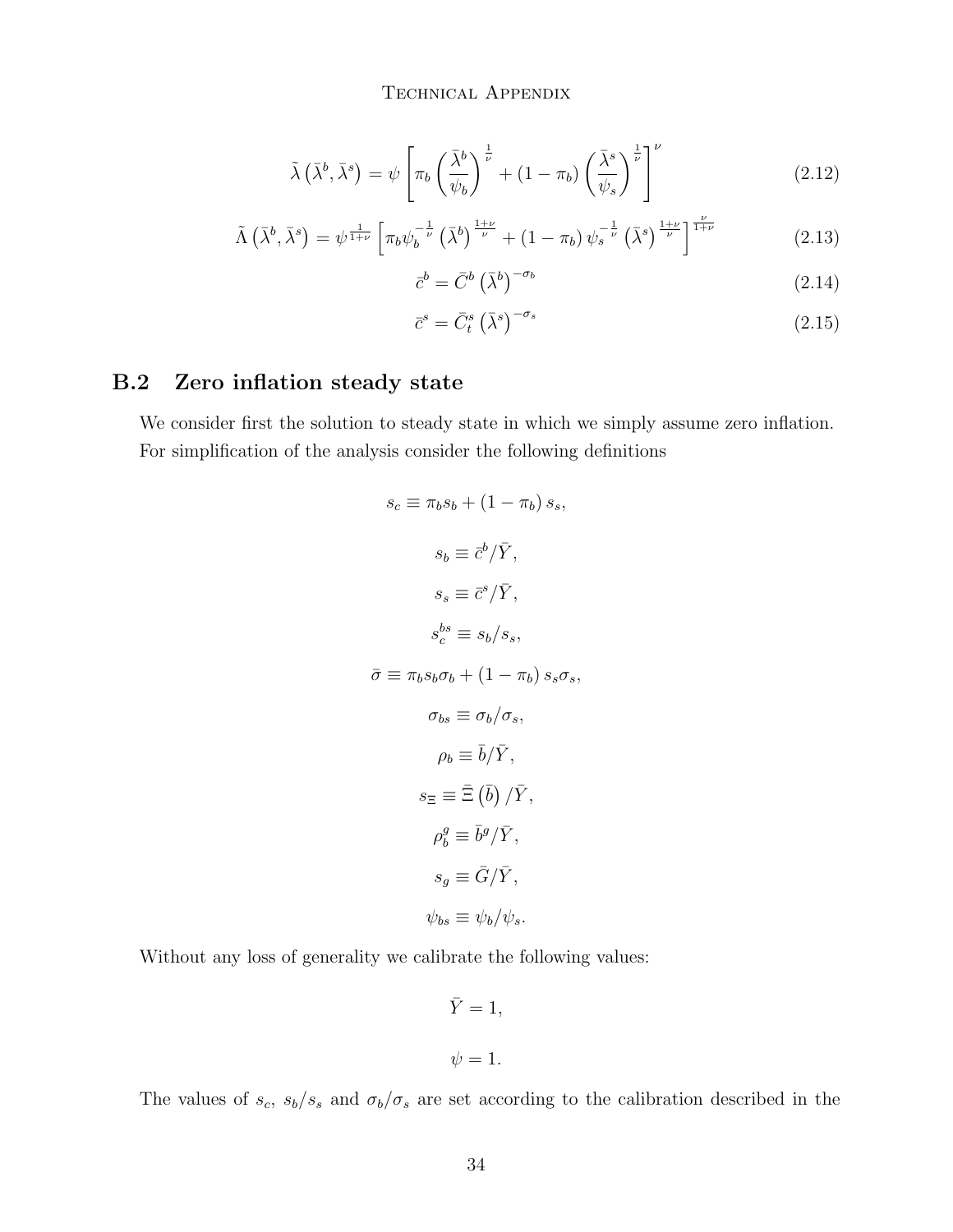$$
\tilde{\lambda}\left(\bar{\lambda}^b,\bar{\lambda}^s\right) = \psi \left[\pi_b \left(\frac{\bar{\lambda}^b}{\psi_b}\right)^{\frac{1}{\nu}} + (1-\pi_b) \left(\frac{\bar{\lambda}^s}{\psi_s}\right)^{\frac{1}{\nu}}\right]^\nu \tag{2.12}
$$

$$
\tilde{\Lambda}\left(\bar{\lambda}^b,\bar{\lambda}^s\right) = \psi^{\frac{1}{1+\nu}} \left[\pi_b \psi_b^{-\frac{1}{\nu}}\left(\bar{\lambda}^b\right)^{\frac{1+\nu}{\nu}} + \left(1-\pi_b\right)\psi_s^{-\frac{1}{\nu}}\left(\bar{\lambda}^s\right)^{\frac{1+\nu}{\nu}}\right]^{\frac{\nu}{1+\nu}}
$$
(2.13)

$$
\bar{c}^b = \bar{C}^b \left(\bar{\lambda}^b\right)^{-\sigma_b} \tag{2.14}
$$

$$
\bar{c}^s = \bar{C}^s_t \left(\bar{\lambda}^s\right)^{-\sigma_s} \tag{2.15}
$$

### B.2 Zero inflation steady state

We consider first the solution to steady state in which we simply assume zero inflation. For simplification of the analysis consider the following definitions

$$
s_c \equiv \pi_b s_b + (1 - \pi_b) s_s,
$$
  
\n
$$
s_b \equiv \bar{c}^b / \bar{Y},
$$
  
\n
$$
s_s \equiv \bar{c}^s / \bar{Y},
$$
  
\n
$$
s_c^{bs} \equiv s_b / s_s,
$$
  
\n
$$
\bar{\sigma} \equiv \pi_b s_b \sigma_b + (1 - \pi_b) s_s \sigma_s,
$$
  
\n
$$
\sigma_{bs} \equiv \sigma_b / \sigma_s,
$$
  
\n
$$
\rho_b \equiv \bar{b} / \bar{Y},
$$
  
\n
$$
s_{\Xi} \equiv \bar{\Xi} (\bar{b}) / \bar{Y},
$$
  
\n
$$
\rho_b^g \equiv \bar{b}^g / \bar{Y},
$$
  
\n
$$
s_g \equiv \bar{G} / \bar{Y},
$$
  
\n
$$
\psi_{bs} \equiv \psi_b / \psi_s.
$$

Without any loss of generality we calibrate the following values:

$$
\bar{Y} = 1,
$$
  

$$
\psi = 1.
$$

The values of  $s_c$ ,  $s_b/s_s$  and  $\sigma_b/\sigma_s$  are set according to the calibration described in the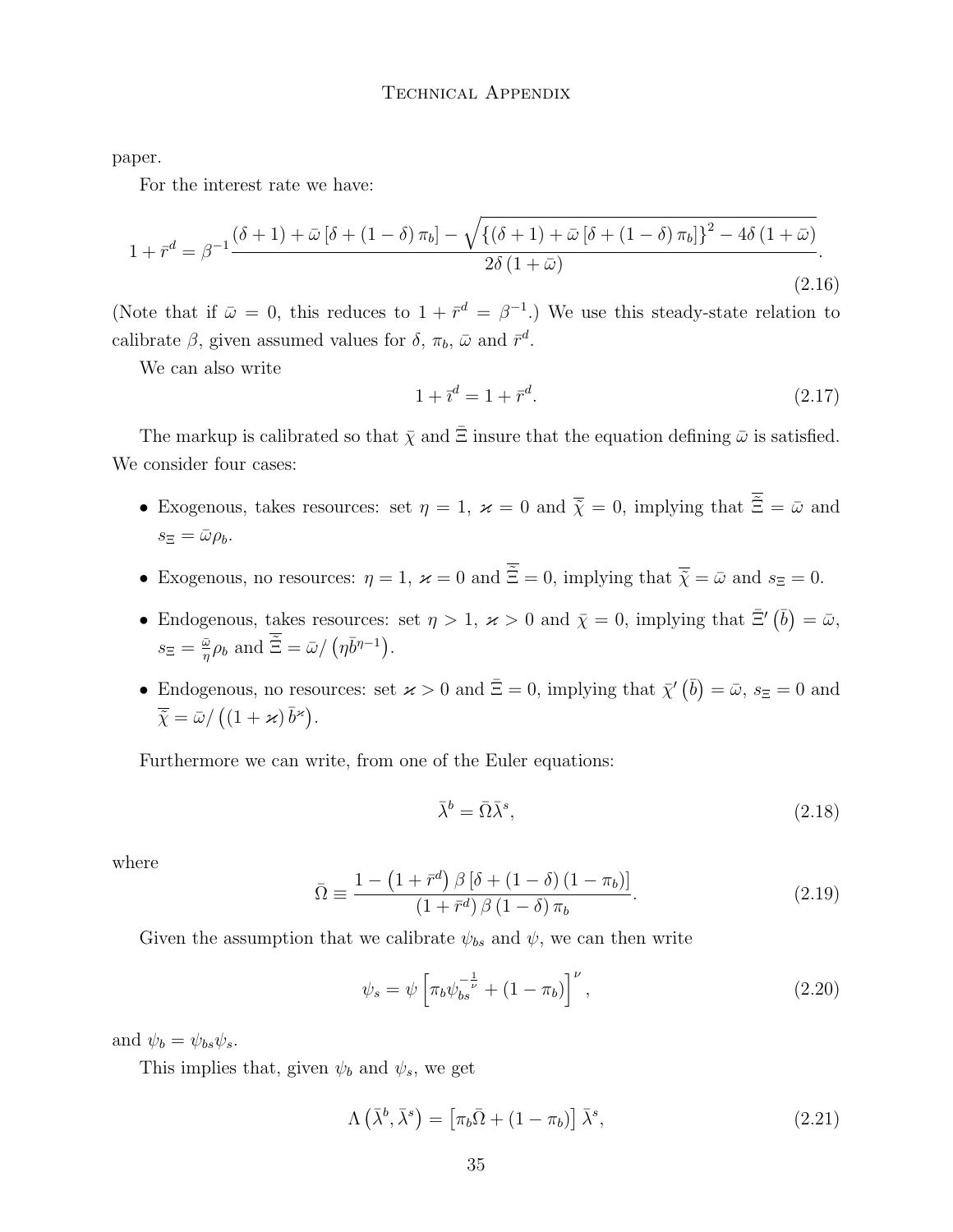paper.

For the interest rate we have:

$$
1 + \bar{r}^d = \beta^{-1} \frac{(\delta + 1) + \bar{\omega} \left[\delta + (1 - \delta)\pi_b\right] - \sqrt{\left\{(\delta + 1) + \bar{\omega} \left[\delta + (1 - \delta)\pi_b\right]\right\}^2 - 4\delta \left(1 + \bar{\omega}\right)}}{2\delta \left(1 + \bar{\omega}\right)}.
$$
\n(2.16)

(Note that if  $\bar{\omega} = 0$ , this reduces to  $1 + \bar{r}^d = \beta^{-1}$ .) We use this steady-state relation to calibrate  $\beta$ , given assumed values for  $\delta$ ,  $\pi_b$ ,  $\bar{\omega}$  and  $\bar{r}^d$ .

We can also write

$$
1 + \bar{r}^d = 1 + \bar{r}^d. \tag{2.17}
$$

The markup is calibrated so that  $\bar{\chi}$  and  $\bar{\Xi}$  insure that the equation defining  $\bar{\omega}$  is satisfied. We consider four cases:

- Exogenous, takes resources: set  $\eta = 1$ ,  $\varkappa = 0$  and  $\overline{\tilde{\chi}} = 0$ , implying that  $\overline{\tilde{\Xi}} = \bar{\omega}$  and  $s_{\Xi} = \bar{\omega} \rho_b.$
- Exogenous, no resources:  $\eta = 1$ ,  $\varkappa = 0$  and  $\overline{\tilde{\Xi}} = 0$ , implying that  $\overline{\tilde{\chi}} = \overline{\omega}$  and  $s_{\Xi} = 0$ .
- Endogenous, takes resources: set  $\eta > 1$ ,  $\varkappa > 0$  and  $\bar{\chi} = 0$ , implying that  $\bar{\Xi}'(\bar{b}) = \bar{\omega}$ ,  $s_{\Xi} = \frac{\bar{\omega}}{n}$  $\frac{\bar{\omega}}{\eta} \rho_b$  and  $\tilde{\Xi} = \bar{\omega} / (\eta \bar{b}^{\eta - 1}).$
- Endogenous, no resources: set  $\varkappa > 0$  and  $\bar{\Xi} = 0$ , implying that  $\bar{\chi}'(\bar{b}) = \bar{\omega}$ ,  $s_{\Xi} = 0$  and  $\overline{\tilde{\chi}} = \bar{\omega}/((1 + \varkappa) \bar{b}^{\varkappa}).$

Furthermore we can write, from one of the Euler equations:

$$
\bar{\lambda}^b = \bar{\Omega}\bar{\lambda}^s,\tag{2.18}
$$

where

$$
\bar{\Omega} \equiv \frac{1 - \left(1 + \bar{r}^d\right) \beta \left[\delta + \left(1 - \delta\right) \left(1 - \pi_b\right)\right]}{\left(1 + \bar{r}^d\right) \beta \left(1 - \delta\right) \pi_b}.\tag{2.19}
$$

Given the assumption that we calibrate  $\psi_{bs}$  and  $\psi$ , we can then write

$$
\psi_s = \psi \left[ \pi_b \psi_{bs}^{-\frac{1}{\nu}} + (1 - \pi_b) \right]^\nu, \tag{2.20}
$$

and  $\psi_b = \psi_{bs} \psi_s$ .

This implies that, given  $\psi_b$  and  $\psi_s$ , we get

$$
\Lambda\left(\bar{\lambda}^b,\bar{\lambda}^s\right) = \left[\pi_b\bar{\Omega} + (1-\pi_b)\right]\bar{\lambda}^s,\tag{2.21}
$$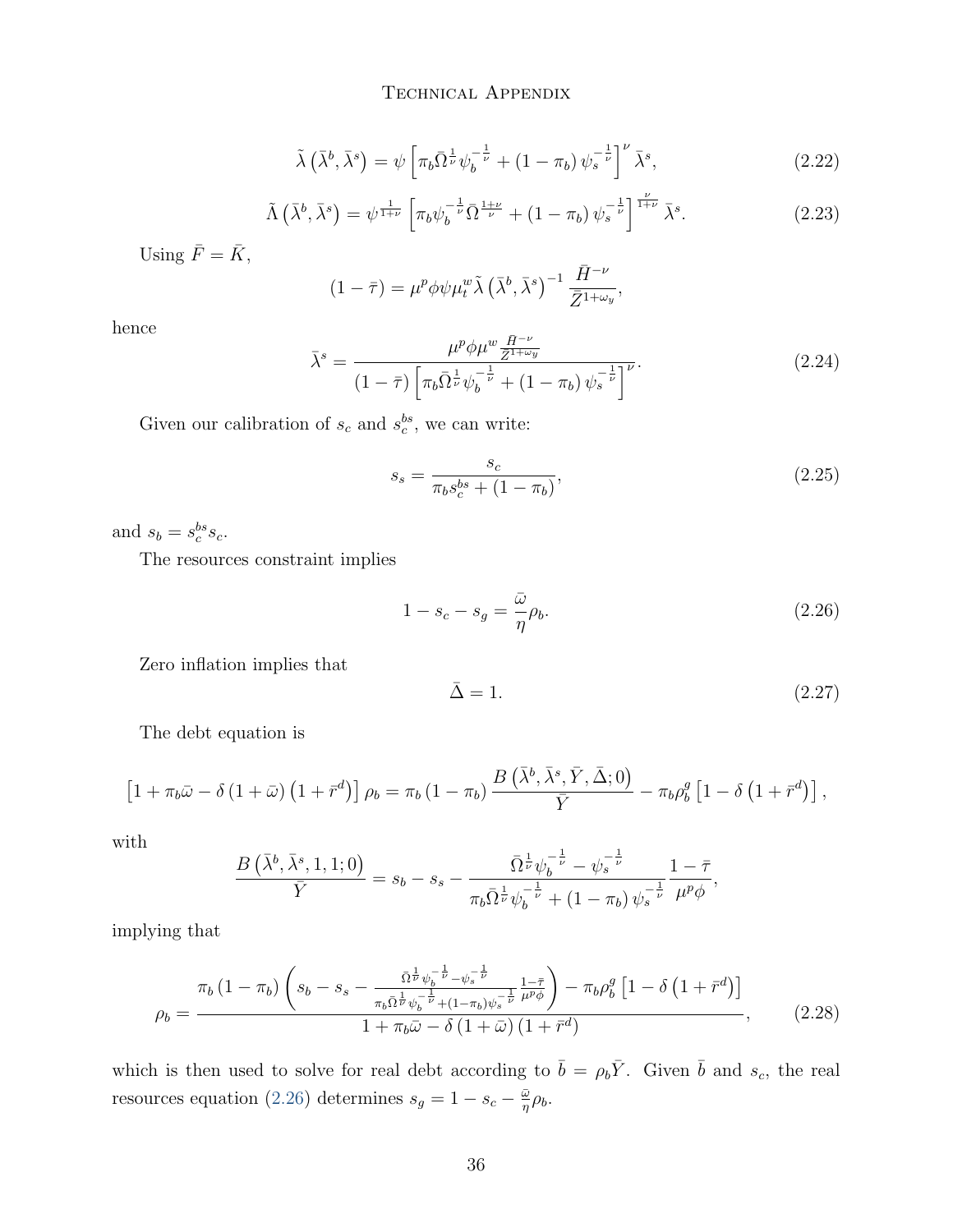$$
\tilde{\lambda}\left(\bar{\lambda}^b,\bar{\lambda}^s\right) = \psi\left[\pi_b\bar{\Omega}^{\frac{1}{\nu}}\psi_b^{-\frac{1}{\nu}} + \left(1-\pi_b\right)\psi_s^{-\frac{1}{\nu}}\right]^\nu\bar{\lambda}^s,\tag{2.22}
$$

$$
\tilde{\Lambda}\left(\bar{\lambda}^b,\bar{\lambda}^s\right) = \psi^{\frac{1}{1+\nu}} \left[\pi_b \psi_b^{-\frac{1}{\nu}} \bar{\Omega}^{\frac{1+\nu}{\nu}} + (1-\pi_b) \psi_s^{-\frac{1}{\nu}}\right]^{\frac{\nu}{1+\nu}} \bar{\lambda}^s. \tag{2.23}
$$

Using  $\bar{F} = \bar{K}$ ,

$$
(1 - \bar{\tau}) = \mu^p \phi \psi \mu_t^w \tilde{\lambda} \left(\bar{\lambda}^b, \bar{\lambda}^s\right)^{-1} \frac{\bar{H}^{-\nu}}{\bar{Z}^{1+\omega_y}},
$$

hence

$$
\bar{\lambda}^{s} = \frac{\mu^{p} \phi \mu^{w} \frac{\bar{H}^{-\nu}}{\bar{Z}^{1+\omega_{y}}}}{(1-\bar{\tau}) \left[ \pi_{b} \bar{\Omega}^{\frac{1}{\nu}} \psi_{b}^{-\frac{1}{\nu}} + (1-\pi_{b}) \psi_{s}^{-\frac{1}{\nu}} \right]^{\nu}}.
$$
\n(2.24)

Given our calibration of  $s_c$  and  $s_c^{bs}$ , we can write:

$$
s_s = \frac{s_c}{\pi_b s_c^{bs} + (1 - \pi_b)},\tag{2.25}
$$

and  $s_b = s_c^{bs} s_c$ .

The resources constraint implies

<span id="page-35-0"></span>
$$
1 - s_c - s_g = \frac{\bar{\omega}}{\eta} \rho_b. \tag{2.26}
$$

Zero inflation implies that

$$
\bar{\Delta} = 1. \tag{2.27}
$$

The debt equation is

$$
\left[1+\pi_b\bar{\omega}-\delta\left(1+\bar{\omega}\right)\left(1+\bar{r}^d\right)\right]\rho_b=\pi_b\left(1-\pi_b\right)\frac{B\left(\bar{\lambda}^b,\bar{\lambda}^s,\bar{Y},\bar{\Delta};0\right)}{\bar{Y}}-\pi_b\rho_b^g\left[1-\delta\left(1+\bar{r}^d\right)\right],
$$

with

$$
\frac{B(\bar{\lambda}^b, \bar{\lambda}^s, 1, 1; 0)}{\bar{Y}} = s_b - s_s - \frac{\bar{\Omega}^{\frac{1}{\nu}} \psi_b^{-\frac{1}{\nu}} - \psi_s^{-\frac{1}{\nu}}}{\pi_b \bar{\Omega}^{\frac{1}{\nu}} \psi_b^{-\frac{1}{\nu}} + (1 - \pi_b) \psi_s^{-\frac{1}{\nu}}} \frac{1 - \bar{\tau}}{\mu^p \phi},
$$

implying that

$$
\rho_b = \frac{\pi_b (1 - \pi_b) \left( s_b - s_s - \frac{\bar{\Omega}^{\frac{1}{\nu}} \psi_b^{-\frac{1}{\nu}} - \psi_s^{-\frac{1}{\nu}}}{\pi_b \bar{\Omega}^{\frac{1}{\nu}} \psi_b^{-\frac{1}{\nu}} + (1 - \pi_b) \psi_s^{-\frac{1}{\nu}} \mu^p \phi} \right) - \pi_b \rho_b^g \left[ 1 - \delta \left( 1 + \bar{r}^d \right) \right]}{1 + \pi_b \bar{\omega} - \delta \left( 1 + \bar{\omega} \right) \left( 1 + \bar{r}^d \right)},\tag{2.28}
$$

which is then used to solve for real debt according to  $\bar{b} = \rho_b \bar{Y}$ . Given  $\bar{b}$  and  $s_c$ , the real resources equation [\(2.26\)](#page-35-0) determines  $s_g = 1 - s_c - \frac{\bar{\omega}}{n}$  $\frac{\bar{\omega}}{\eta}\rho_{b}.$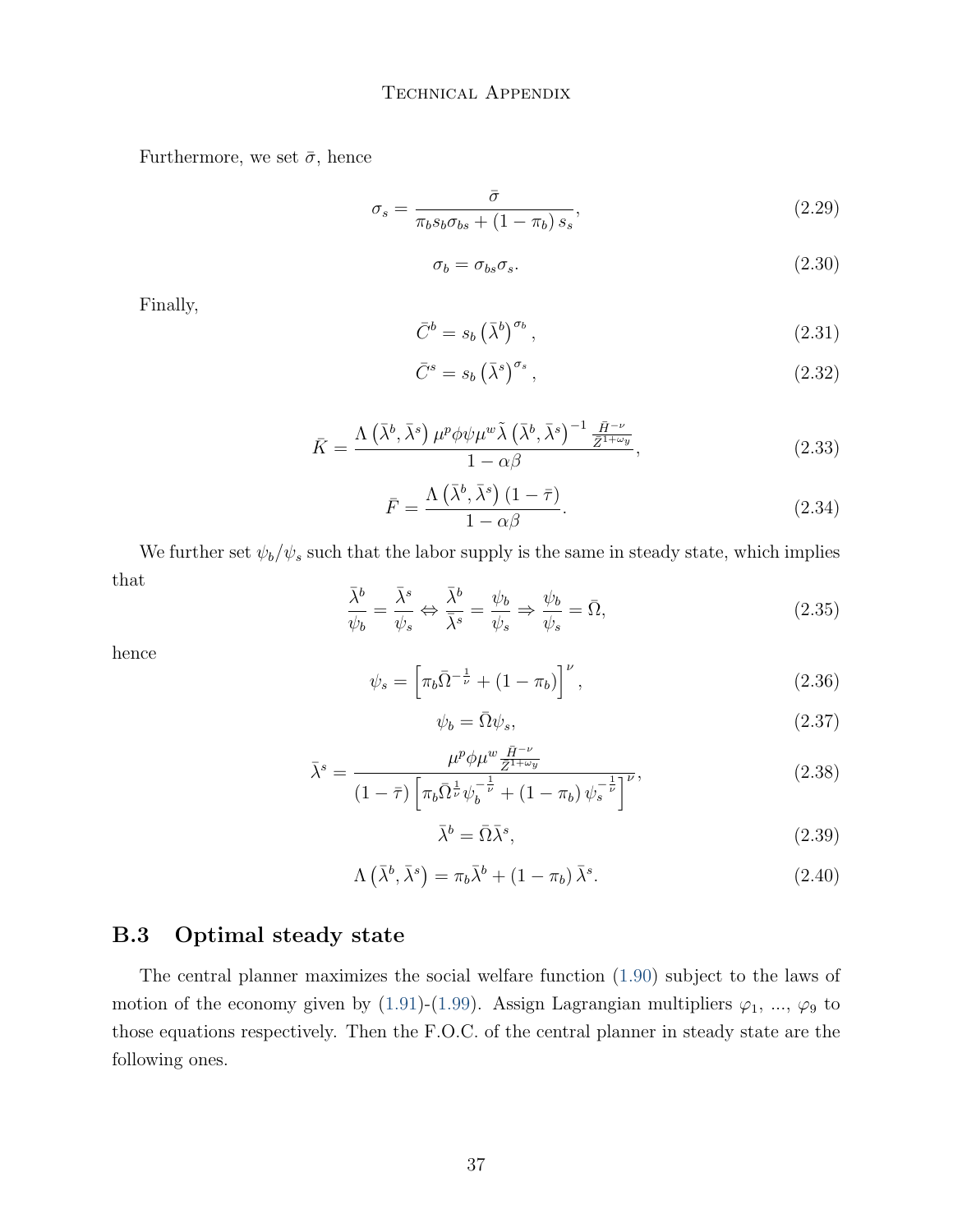Furthermore, we set  $\bar{\sigma},$  hence

$$
\sigma_s = \frac{\bar{\sigma}}{\pi_b s_b \sigma_{bs} + (1 - \pi_b) s_s},\tag{2.29}
$$

$$
\sigma_b = \sigma_{bs}\sigma_s. \tag{2.30}
$$

Finally,

$$
\bar{C}^b = s_b \left(\bar{\lambda}^b\right)^{\sigma_b},\tag{2.31}
$$

$$
\bar{C}^s = s_b \left(\bar{\lambda}^s\right)^{\sigma_s},\tag{2.32}
$$

$$
\bar{K} = \frac{\Lambda\left(\bar{\lambda}^b, \bar{\lambda}^s\right)\mu^p \phi \psi \mu^w \tilde{\lambda}\left(\bar{\lambda}^b, \bar{\lambda}^s\right)^{-1} \frac{\bar{H}^{-\nu}}{\bar{Z}^{1+\omega_y}}}{1 - \alpha \beta},\tag{2.33}
$$

$$
\bar{F} = \frac{\Lambda\left(\bar{\lambda}^b, \bar{\lambda}^s\right)(1-\bar{\tau})}{1-\alpha\beta}.
$$
\n(2.34)

We further set  $\psi_b / \psi_s$  such that the labor supply is the same in steady state, which implies that  $\equiv$ 

$$
\frac{\bar{\lambda}^b}{\psi_b} = \frac{\bar{\lambda}^s}{\psi_s} \Leftrightarrow \frac{\bar{\lambda}^b}{\bar{\lambda}^s} = \frac{\psi_b}{\psi_s} \Rightarrow \frac{\psi_b}{\psi_s} = \bar{\Omega},\tag{2.35}
$$

hence

$$
\psi_s = \left[ \pi_b \bar{\Omega}^{-\frac{1}{\nu}} + (1 - \pi_b) \right]^{\nu}, \tag{2.36}
$$

$$
\psi_b = \bar{\Omega}\psi_s,\tag{2.37}
$$

$$
\bar{\lambda}^{s} = \frac{\mu^{p} \phi \mu^{w} \frac{\bar{H}^{-\nu}}{\bar{Z}^{1+\omega y}}}{\left(1-\bar{\tau}\right) \left[\pi_{b} \bar{\Omega}^{\frac{1}{\nu}} \psi_{b}^{-\frac{1}{\nu}} + \left(1-\pi_{b}\right) \psi_{s}^{-\frac{1}{\nu}}\right]^{V}},\tag{2.38}
$$

$$
\bar{\lambda}^b = \bar{\Omega}\bar{\lambda}^s,\tag{2.39}
$$

$$
\Lambda\left(\bar{\lambda}^b,\bar{\lambda}^s\right) = \pi_b\bar{\lambda}^b + (1 - \pi_b)\bar{\lambda}^s. \tag{2.40}
$$

### B.3 Optimal steady state

The central planner maximizes the social welfare function [\(1.90\)](#page-30-0) subject to the laws of motion of the economy given by [\(1.91\)](#page-31-0)-[\(1.99\)](#page-31-1). Assign Lagrangian multipliers  $\varphi_1$ , ...,  $\varphi_9$  to those equations respectively. Then the F.O.C. of the central planner in steady state are the following ones.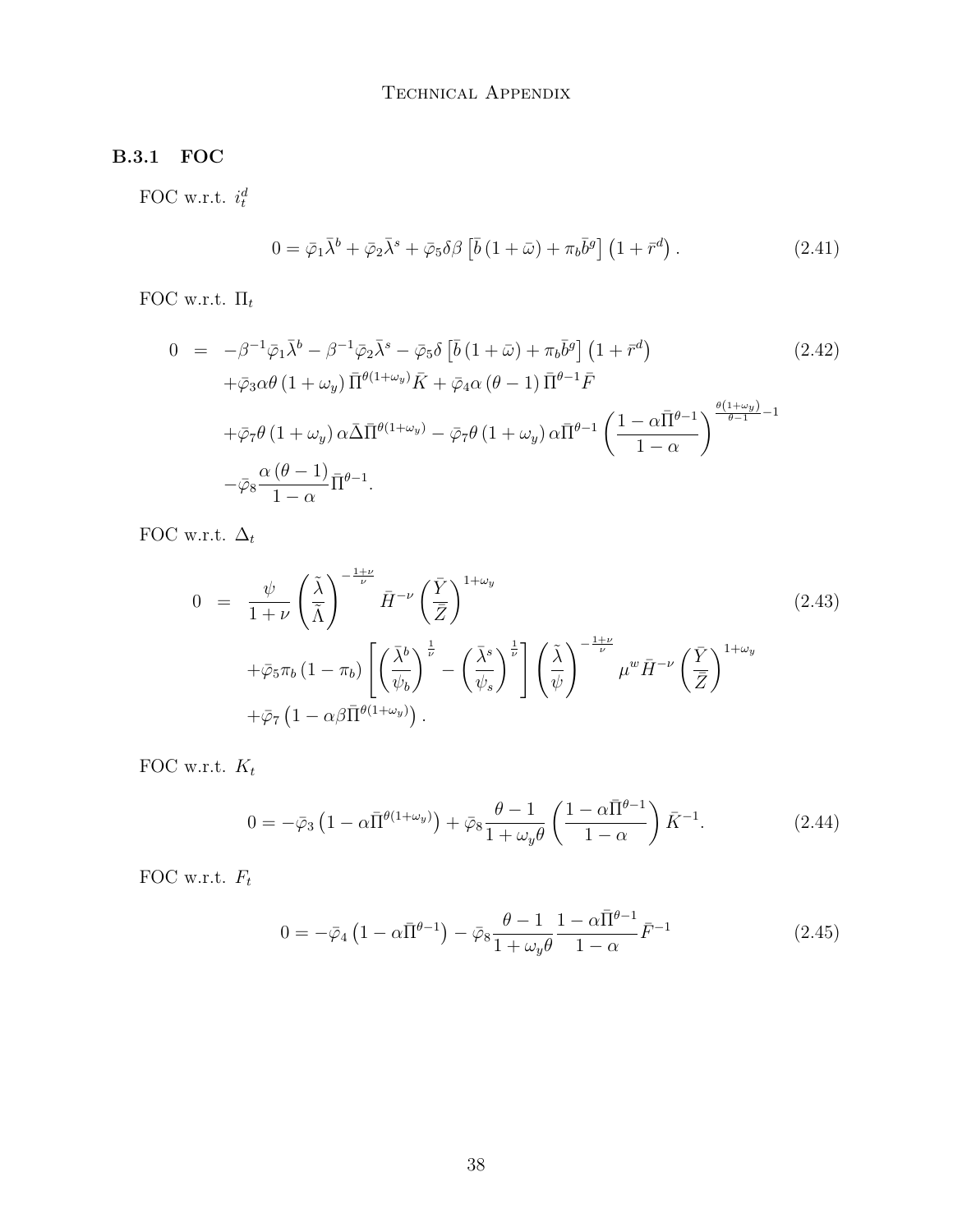### B.3.1 FOC

FOC w.r.t.  $i_t^d$ 

$$
0 = \bar{\varphi}_1 \bar{\lambda}^b + \bar{\varphi}_2 \bar{\lambda}^s + \bar{\varphi}_5 \delta \beta \left[ \bar{b} \left( 1 + \bar{\omega} \right) + \pi_b \bar{b}^g \right] \left( 1 + \bar{r}^d \right). \tag{2.41}
$$

FOC w.r.t.  $\Pi_t$ 

$$
0 = -\beta^{-1}\bar{\varphi}_{1}\bar{\lambda}^{b} - \beta^{-1}\bar{\varphi}_{2}\bar{\lambda}^{s} - \bar{\varphi}_{5}\delta\left[\bar{b}\left(1+\bar{\omega}\right) + \pi_{b}\bar{b}^{g}\right]\left(1+\bar{r}^{d}\right)
$$
\n
$$
+ \bar{\varphi}_{3}\alpha\theta\left(1+\omega_{y}\right)\bar{\Pi}^{\theta(1+\omega_{y})}\bar{K} + \bar{\varphi}_{4}\alpha\left(\theta-1\right)\bar{\Pi}^{\theta-1}\bar{F}
$$
\n
$$
+ \bar{\varphi}_{7}\theta\left(1+\omega_{y}\right)\alpha\bar{\Delta}\bar{\Pi}^{\theta(1+\omega_{y})} - \bar{\varphi}_{7}\theta\left(1+\omega_{y}\right)\alpha\bar{\Pi}^{\theta-1}\left(\frac{1-\alpha\bar{\Pi}^{\theta-1}}{1-\alpha}\right)^{\frac{\theta(1+\omega_{y})}{\theta-1}-1}
$$
\n
$$
- \bar{\varphi}_{8}\frac{\alpha\left(\theta-1\right)}{1-\alpha}\bar{\Pi}^{\theta-1}.
$$
\n(2.42)

FOC w.r.t.  $\Delta_t$ 

$$
0 = \frac{\psi}{1+\nu} \left(\frac{\tilde{\lambda}}{\tilde{\Lambda}}\right)^{-\frac{1+\nu}{\nu}} \bar{H}^{-\nu} \left(\frac{\bar{Y}}{\bar{Z}}\right)^{1+\omega_y} + \bar{\varphi}_5 \pi_b \left(1-\pi_b\right) \left[ \left(\frac{\bar{\lambda}^b}{\psi_b}\right)^{\frac{1}{\nu}} - \left(\frac{\bar{\lambda}^s}{\psi_s}\right)^{\frac{1}{\nu}} \right] \left(\frac{\tilde{\lambda}}{\psi}\right)^{-\frac{1+\nu}{\nu}} \mu^w \bar{H}^{-\nu} \left(\frac{\bar{Y}}{\bar{Z}}\right)^{1+\omega_y} + \bar{\varphi}_7 \left(1-\alpha \beta \bar{\Pi}^{\theta(1+\omega_y)}\right).
$$
\n(2.43)

FOC w.r.t.  $K_t$ 

$$
0 = -\bar{\varphi}_3 \left( 1 - \alpha \bar{\Pi}^{\theta(1+\omega_y)} \right) + \bar{\varphi}_8 \frac{\theta - 1}{1 + \omega_y \theta} \left( \frac{1 - \alpha \bar{\Pi}^{\theta - 1}}{1 - \alpha} \right) \bar{K}^{-1}.
$$
 (2.44)

FOC w.r.t.  $F_t$ 

$$
0 = -\bar{\varphi}_4 \left( 1 - \alpha \bar{\Pi}^{\theta - 1} \right) - \bar{\varphi}_8 \frac{\theta - 1}{1 + \omega_y \theta} \frac{1 - \alpha \bar{\Pi}^{\theta - 1}}{1 - \alpha} \bar{F}^{-1}
$$
(2.45)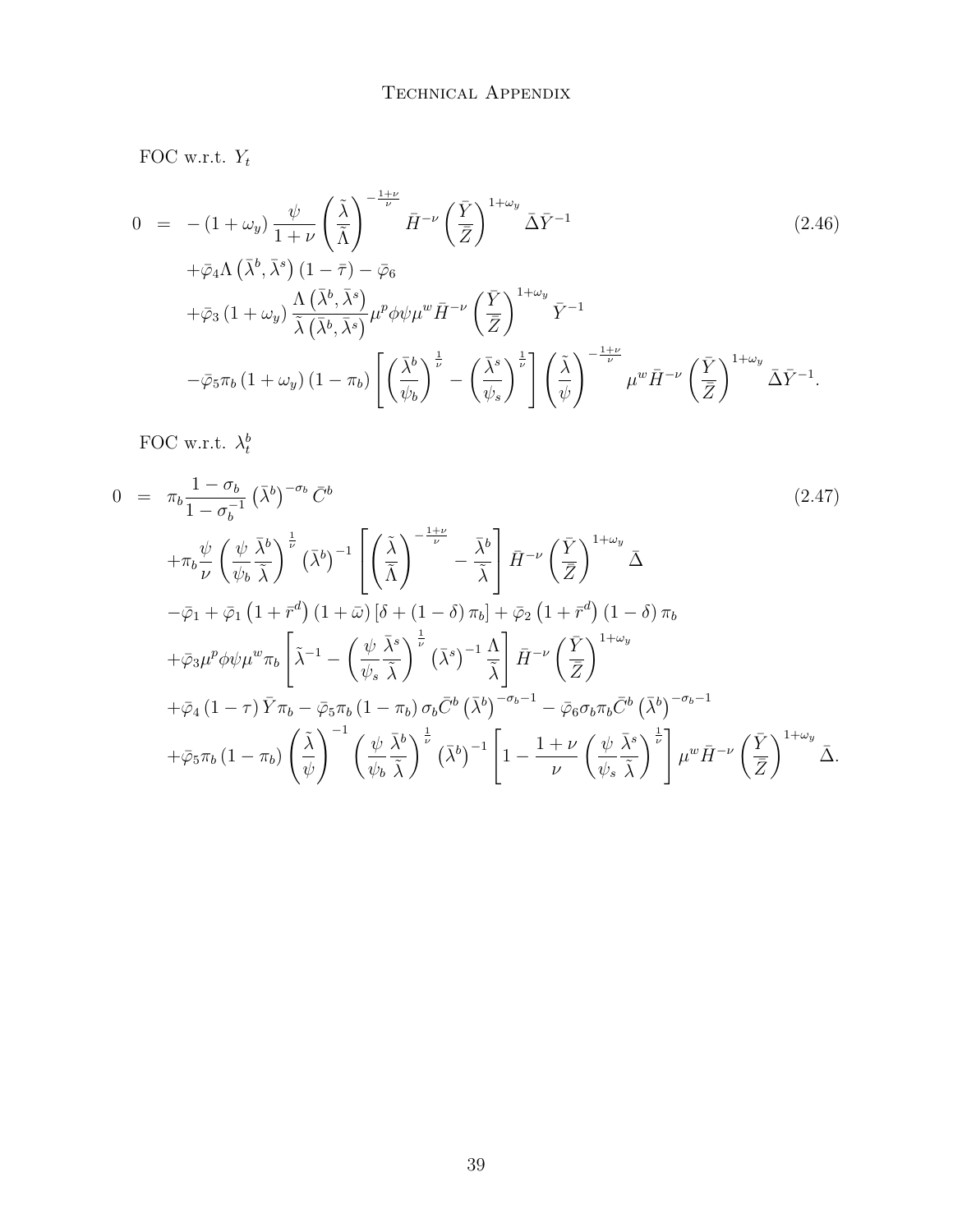FOC w.r.t.  $Y_t$ 

$$
0 = -(1 + \omega_y) \frac{\psi}{1 + \nu} \left(\frac{\tilde{\lambda}}{\tilde{\Lambda}}\right)^{-\frac{1 + \nu}{\nu}} \bar{H}^{-\nu} \left(\frac{\bar{Y}}{\bar{Z}}\right)^{1 + \omega_y} \bar{\Delta} \bar{Y}^{-1}
$$
\n
$$
+ \bar{\omega}_A \Lambda \left(\bar{\lambda}^b, \bar{\lambda}^s\right) (1 - \bar{\tau}) - \bar{\omega}_6
$$
\n(2.46)

$$
\begin{split}\n&+\varphi_{4}\Lambda\left(\lambda,\lambda\right)\left(1-\frac{\gamma}{2}\right)-\varphi_{6} \\
&+\bar{\varphi}_{3}\left(1+\omega_{y}\right)\frac{\Lambda\left(\bar{\lambda}^{b},\bar{\lambda}^{s}\right)}{\tilde{\lambda}\left(\bar{\lambda}^{b},\bar{\lambda}^{s}\right)}\mu^{p}\phi\psi\mu^{w}\bar{H}^{-\nu}\left(\frac{\bar{Y}}{\bar{Z}}\right)^{1+\omega_{y}}\bar{Y}^{-1} \\
&-\bar{\varphi}_{5}\pi_{b}\left(1+\omega_{y}\right)\left(1-\pi_{b}\right)\left[\left(\frac{\bar{\lambda}^{b}}{\psi_{b}}\right)^{\frac{1}{\nu}}-\left(\frac{\bar{\lambda}^{s}}{\psi_{s}}\right)^{\frac{1}{\nu}}\right]\left(\frac{\tilde{\lambda}}{\psi}\right)^{-\frac{1+\nu}{\nu}}\mu^{w}\bar{H}^{-\nu}\left(\frac{\bar{Y}}{\bar{Z}}\right)^{1+\omega_{y}}\bar{\Delta}\bar{Y}^{-1}.\n\end{split}
$$

FOC w.r.t.  $\lambda_t^b$ 

$$
0 = \pi_b \frac{1 - \sigma_b}{1 - \sigma_b^{-1}} (\bar{\lambda}^b)^{-\sigma_b} \bar{C}^b
$$
\n
$$
+ \pi_b \frac{\psi}{\nu} \left(\frac{\psi}{\psi_b} \frac{\bar{\lambda}^b}{\bar{\lambda}}\right)^{\frac{1}{\nu}} (\bar{\lambda}^b)^{-1} \left[ \left(\frac{\tilde{\lambda}}{\bar{\Lambda}}\right)^{-\frac{1+\nu}{\nu}} - \frac{\bar{\lambda}^b}{\bar{\lambda}} \right] \bar{H}^{-\nu} \left(\frac{\bar{Y}}{\bar{Z}}\right)^{1+\omega_y} \bar{\Delta}
$$
\n
$$
- \bar{\varphi}_1 + \bar{\varphi}_1 (1 + \bar{r}^d) (1 + \bar{\omega}) [\delta + (1 - \delta) \pi_b] + \bar{\varphi}_2 (1 + \bar{r}^d) (1 - \delta) \pi_b
$$
\n
$$
+ \bar{\varphi}_3 \mu^p \phi \psi \mu^w \pi_b \left[ \tilde{\lambda}^{-1} - \left(\frac{\psi}{\psi_s} \frac{\bar{\lambda}^s}{\bar{\lambda}}\right)^{\frac{1}{\nu}} (\bar{\lambda}^s)^{-1} \frac{\Lambda}{\bar{\lambda}} \right] \bar{H}^{-\nu} \left(\frac{\bar{Y}}{\bar{Z}}\right)^{1+\omega_y}
$$
\n
$$
+ \bar{\varphi}_4 (1 - \tau) \bar{Y} \pi_b - \bar{\varphi}_5 \pi_b (1 - \pi_b) \sigma_b \bar{C}^b (\bar{\lambda}^b)^{-\sigma_b - 1} - \bar{\varphi}_6 \sigma_b \pi_b \bar{C}^b (\bar{\lambda}^b)^{-\sigma_b - 1}
$$
\n
$$
+ \bar{\varphi}_5 \pi_b (1 - \pi_b) \left(\frac{\tilde{\lambda}}{\psi}\right)^{-1} \left(\frac{\psi}{\psi_b} \frac{\bar{\lambda}^b}{\bar{\lambda}}\right)^{\frac{1}{\nu}} (\bar{\lambda}^b)^{-1} \left[1 - \frac{1 + \nu}{\nu} \left(\frac{\psi}{\psi_s} \frac{\bar{\lambda}^s}{\bar{\lambda}}\right)^{\frac{1}{\nu}} \right] \mu^w \bar{H}^{-\nu} \left(\frac{\bar{Y}}{\bar{Z}}\right)^{1+\omega_y} \bar{\Delta}.
$$
\n(2.47)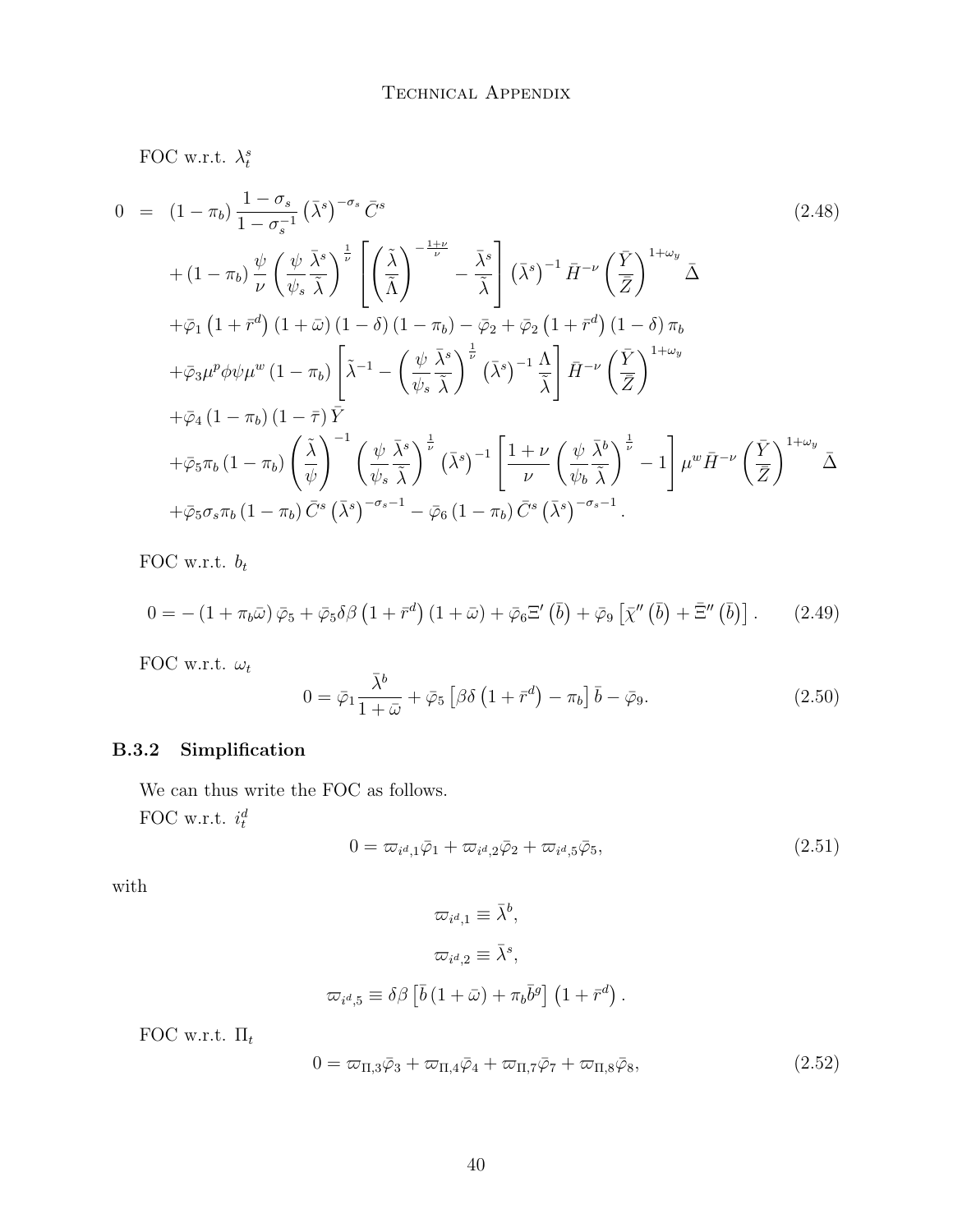FOC w.r.t.  $\lambda_t^s$ 

$$
0 = (1 - \pi_b) \frac{1 - \sigma_s}{1 - \sigma_s^{-1}} (\bar{\lambda}^s)^{-\sigma_s} \bar{C}^s
$$
\n
$$
+ (1 - \pi_b) \frac{\psi}{\nu} \left(\frac{\psi}{\psi_s} \frac{\bar{\lambda}^s}{\tilde{\lambda}}\right)^{\frac{1}{\nu}} \left[\left(\frac{\tilde{\lambda}}{\tilde{\lambda}}\right)^{-\frac{1+\nu}{\nu}} - \frac{\bar{\lambda}^s}{\tilde{\lambda}}\right] (\bar{\lambda}^s)^{-1} \bar{H}^{-\nu} \left(\frac{\bar{Y}}{\bar{Z}}\right)^{1+\omega_y} \bar{\Delta}
$$
\n
$$
+ \bar{\varphi}_1 (1 + \bar{r}^d) (1 + \bar{\omega}) (1 - \delta) (1 - \pi_b) - \bar{\varphi}_2 + \bar{\varphi}_2 (1 + \bar{r}^d) (1 - \delta) \pi_b
$$
\n
$$
+ \bar{\varphi}_3 \mu^p \phi \psi \mu^w (1 - \pi_b) \left[\tilde{\lambda}^{-1} - \left(\frac{\psi}{\psi_s} \frac{\bar{\lambda}^s}{\tilde{\lambda}}\right)^{\frac{1}{\nu}} (\bar{\lambda}^s)^{-1} \frac{\Lambda}{\tilde{\lambda}}\right] \bar{H}^{-\nu} \left(\frac{\bar{Y}}{\bar{Z}}\right)^{1+\omega_y}
$$
\n
$$
+ \bar{\varphi}_4 (1 - \pi_b) (1 - \bar{\tau}) \bar{Y}
$$
\n
$$
+ \bar{\varphi}_5 \pi_b (1 - \pi_b) \left(\frac{\tilde{\lambda}}{\psi}\right)^{-1} \left(\frac{\psi}{\psi_s} \frac{\bar{\lambda}^s}{\tilde{\lambda}}\right)^{\frac{1}{\nu}} (\bar{\lambda}^s)^{-1} \left[\frac{1 + \nu}{\nu} \left(\frac{\psi}{\psi_b} \frac{\bar{\lambda}^b}{\tilde{\lambda}}\right)^{\frac{1}{\nu}} - 1\right] \mu^w \bar{H}^{-\nu} \left(\frac{\bar{Y}}{\bar{Z}}\right)^{1+\omega_y}
$$
\n
$$
+ \bar{\varphi}_5 \sigma_s \pi_b (1 - \pi_b) \bar{C}^s \left(\bar{\lambda}^s\right)^{-\sigma_s - 1} - \bar{\varphi}_6 (1 - \pi_b) \bar{C}^s \left(\bar{\lambda}^s\right)^{-\sigma_s -
$$

FOC w.r.t.  $b_t$ 

$$
0 = -(1 + \pi_b \bar{\omega}) \bar{\varphi}_5 + \bar{\varphi}_5 \delta \beta \left(1 + \bar{r}^d\right) \left(1 + \bar{\omega}\right) + \bar{\varphi}_6 \Xi' \left(\bar{b}\right) + \bar{\varphi}_9 \left[\bar{\chi}''\left(\bar{b}\right) + \bar{\Xi}''\left(\bar{b}\right)\right]. \tag{2.49}
$$

FOC w.r.t.  $\omega_t$ 

$$
0 = \bar{\varphi}_1 \frac{\bar{\lambda}^b}{1 + \bar{\omega}} + \bar{\varphi}_5 \left[ \beta \delta \left( 1 + \bar{r}^d \right) - \pi_b \right] \bar{b} - \bar{\varphi}_9. \tag{2.50}
$$

### B.3.2 Simplification

We can thus write the FOC as follows. FOC w.r.t.  $i_t^d$ 

<span id="page-39-0"></span>
$$
0 = \varpi_{i^d, 1} \bar{\varphi}_1 + \varpi_{i^d, 2} \bar{\varphi}_2 + \varpi_{i^d, 5} \bar{\varphi}_5, \tag{2.51}
$$

with

$$
\varpi_{i^d,1} \equiv \bar{\lambda}^b,
$$
  

$$
\varpi_{i^d,2} \equiv \bar{\lambda}^s,
$$
  

$$
\varpi_{i^d,5} \equiv \delta\beta \left[ \bar{b} \left( 1 + \bar{\omega} \right) + \pi_b \bar{b}^g \right] \left( 1 + \bar{r}^d \right).
$$

FOC w.r.t.  $\Pi_t$ 

$$
0 = \varpi_{\Pi,3}\bar{\varphi}_3 + \varpi_{\Pi,4}\bar{\varphi}_4 + \varpi_{\Pi,7}\bar{\varphi}_7 + \varpi_{\Pi,8}\bar{\varphi}_8,\tag{2.52}
$$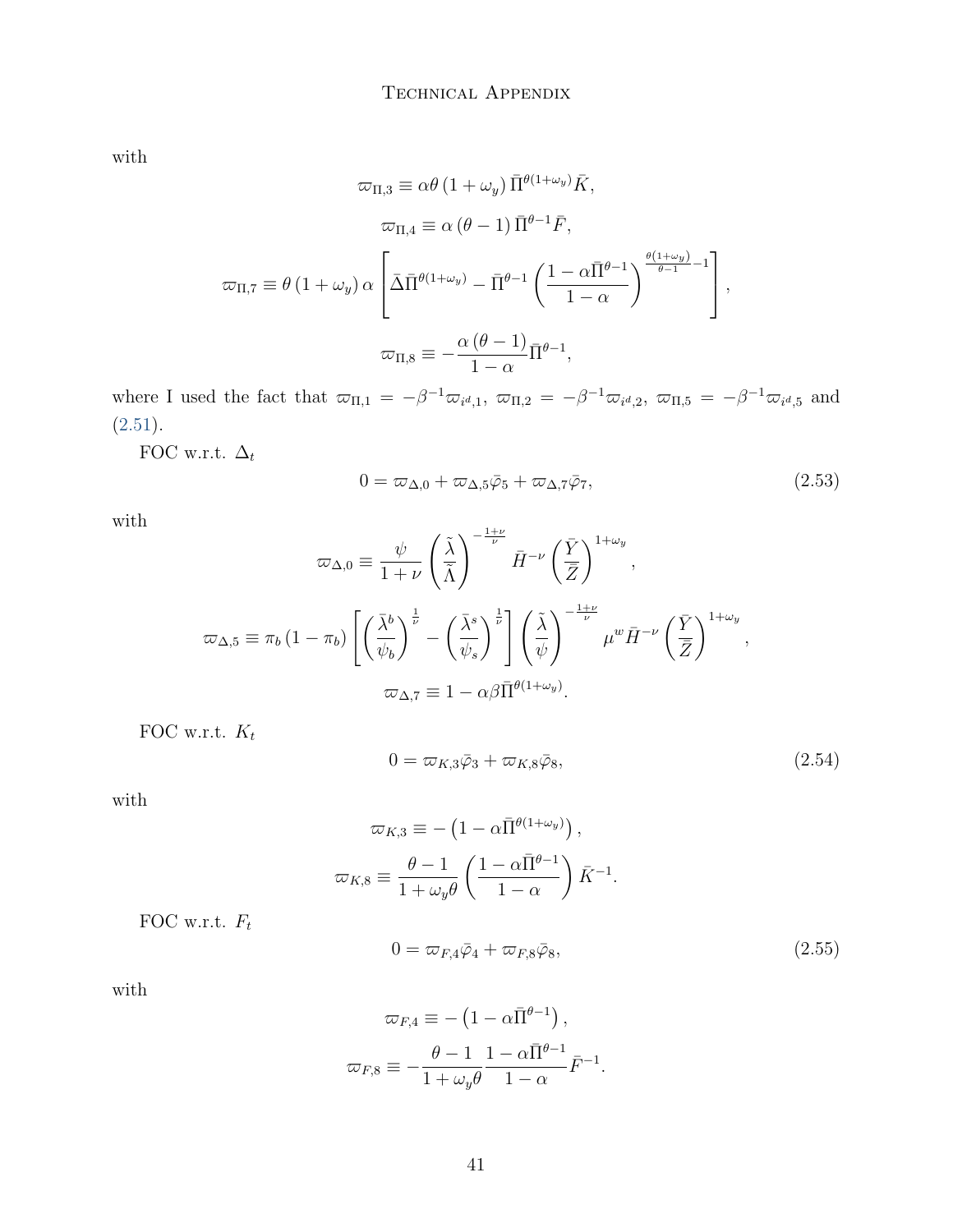with

$$
\varpi_{\Pi,3} \equiv \alpha \theta (1 + \omega_y) \bar{\Pi}^{\theta(1 + \omega_y)} \bar{K},
$$

$$
\varpi_{\Pi,4} \equiv \alpha (\theta - 1) \bar{\Pi}^{\theta - 1} \bar{F},
$$

$$
\varpi_{\Pi,7} \equiv \theta (1 + \omega_y) \alpha \left[ \bar{\Delta} \bar{\Pi}^{\theta(1 + \omega_y)} - \bar{\Pi}^{\theta - 1} \left( \frac{1 - \alpha \bar{\Pi}^{\theta - 1}}{1 - \alpha} \right)^{\frac{\theta(1 + \omega_y)}{\theta - 1} - 1} \right],
$$

$$
\varpi_{\Pi,8} \equiv -\frac{\alpha (\theta - 1)}{1 - \alpha} \bar{\Pi}^{\theta - 1},
$$

where I used the fact that  $\overline{\omega}_{\Pi,1} = -\beta^{-1} \overline{\omega}_{i^d,1}$ ,  $\overline{\omega}_{\Pi,2} = -\beta^{-1} \overline{\omega}_{i^d,2}$ ,  $\overline{\omega}_{\Pi,5} = -\beta^{-1} \overline{\omega}_{i^d,5}$  and [\(2.51\)](#page-39-0).

FOC w.r.t.  $\Delta_t$ 

$$
0 = \varpi_{\Delta,0} + \varpi_{\Delta,5}\bar{\varphi}_5 + \varpi_{\Delta,7}\bar{\varphi}_7, \qquad (2.53)
$$

with

$$
\varpi_{\Delta,0} \equiv \frac{\psi}{1+\nu} \left(\frac{\tilde{\lambda}}{\tilde{\Lambda}}\right)^{-\frac{1+\nu}{\nu}} \bar{H}^{-\nu} \left(\frac{\bar{Y}}{\bar{Z}}\right)^{1+\omega_y},
$$
  

$$
\varpi_{\Delta,5} \equiv \pi_b \left(1-\pi_b\right) \left[ \left(\frac{\bar{\lambda}^b}{\psi_b}\right)^{\frac{1}{\nu}} - \left(\frac{\bar{\lambda}^s}{\psi_s}\right)^{\frac{1}{\nu}} \right] \left(\frac{\tilde{\lambda}}{\psi}\right)^{-\frac{1+\nu}{\nu}} \mu^w \bar{H}^{-\nu} \left(\frac{\bar{Y}}{\bar{Z}}\right)^{1+\omega_y},
$$
  

$$
\varpi_{\Delta,7} \equiv 1 - \alpha \beta \bar{\Pi}^{\theta(1+\omega_y)}.
$$

FOC w.r.t.  $K_t$ 

$$
0 = \varpi_{K,3}\bar{\varphi}_3 + \varpi_{K,8}\bar{\varphi}_8,\tag{2.54}
$$

with

$$
\varpi_{K,3} \equiv -\left(1 - \alpha \bar{\Pi}^{\theta(1+\omega_y)}\right),
$$

$$
\varpi_{K,8} \equiv \frac{\theta - 1}{1 + \omega_y \theta} \left(\frac{1 - \alpha \bar{\Pi}^{\theta - 1}}{1 - \alpha}\right) \bar{K}^{-1}.
$$

FOC w.r.t.  $\mathcal{F}_t$ 

$$
0 = \varpi_{F,4}\bar{\varphi}_4 + \varpi_{F,8}\bar{\varphi}_8,\tag{2.55}
$$

with

$$
\varpi_{F,4} \equiv -\left(1 - \alpha \bar{\Pi}^{\theta - 1}\right),
$$

$$
\varpi_{F,8} \equiv -\frac{\theta - 1}{1 + \omega_y \theta} \frac{1 - \alpha \bar{\Pi}^{\theta - 1}}{1 - \alpha} \bar{F}^{-1}.
$$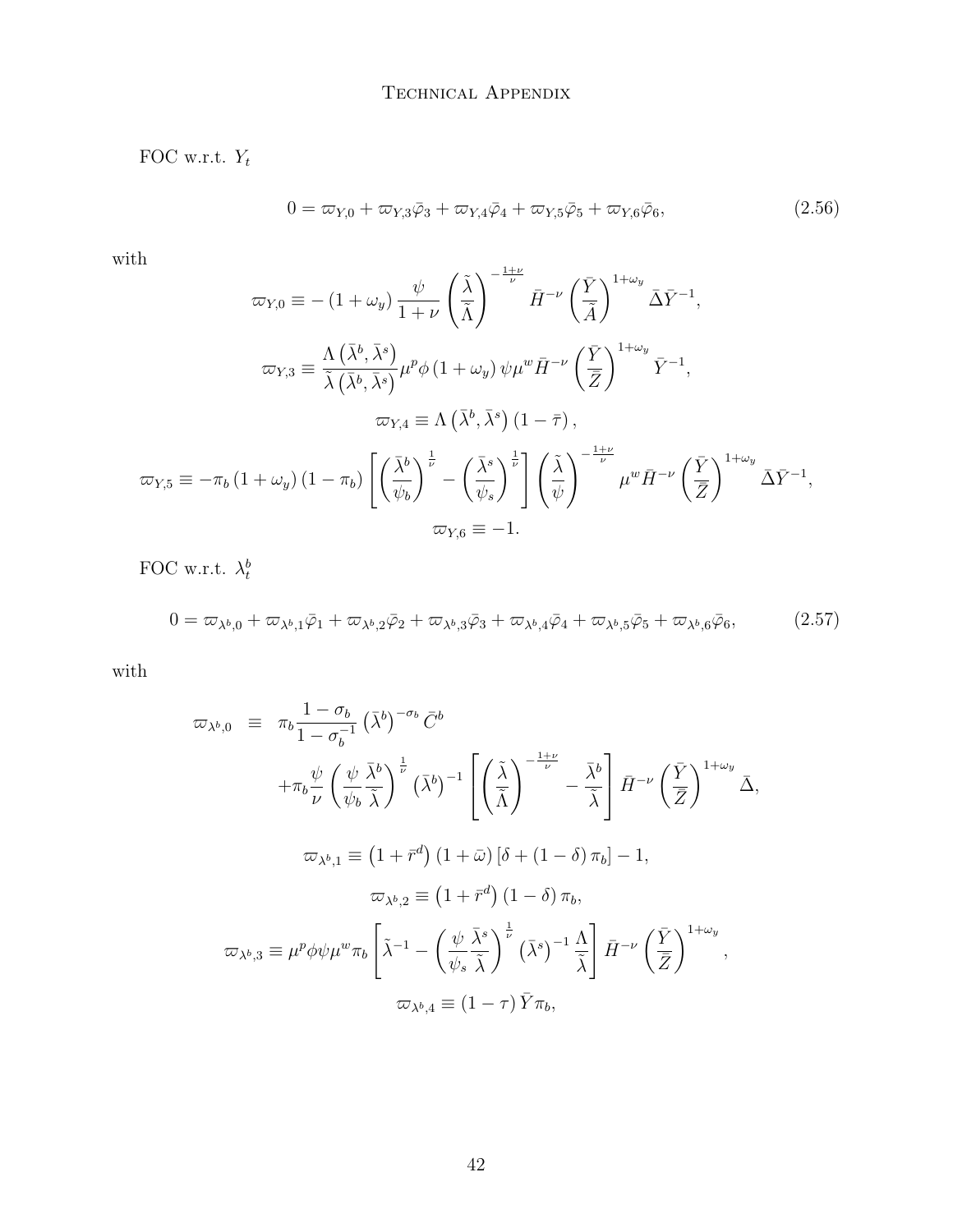#### TECHNICAL APPENDIX

FOC w.r.t.  $Y_t$ 

$$
0 = \varpi_{Y,0} + \varpi_{Y,3}\bar{\varphi}_3 + \varpi_{Y,4}\bar{\varphi}_4 + \varpi_{Y,5}\bar{\varphi}_5 + \varpi_{Y,6}\bar{\varphi}_6, \tag{2.56}
$$

 $\quad$  with

$$
\varpi_{Y,0} \equiv -\left(1 + \omega_y\right) \frac{\psi}{1 + \nu} \left(\frac{\tilde{\lambda}}{\tilde{\Lambda}}\right)^{-\frac{1+\nu}{\nu}} \bar{H}^{-\nu} \left(\frac{\bar{Y}}{\tilde{\Lambda}}\right)^{1 + \omega_y} \bar{\Delta} \bar{Y}^{-1},
$$

$$
\varpi_{Y,3} \equiv \frac{\Lambda \left(\bar{\lambda}^b, \bar{\lambda}^s\right)}{\tilde{\lambda} \left(\bar{\lambda}^b, \bar{\lambda}^s\right)} \mu^p \phi \left(1 + \omega_y\right) \psi \mu^w \bar{H}^{-\nu} \left(\frac{\bar{Y}}{\bar{Z}}\right)^{1 + \omega_y} \bar{Y}^{-1},
$$

$$
\varpi_{Y,4} \equiv \Lambda \left(\bar{\lambda}^b, \bar{\lambda}^s\right) \left(1 - \bar{\tau}\right),
$$

$$
\varpi_{Y,5} \equiv -\pi_b \left(1 + \omega_y\right) \left(1 - \pi_b\right) \left[\left(\frac{\bar{\lambda}^b}{\psi_b}\right)^{\frac{1}{\nu}} - \left(\frac{\bar{\lambda}^s}{\psi_s}\right)^{\frac{1}{\nu}}\right] \left(\frac{\tilde{\lambda}}{\psi}\right)^{-\frac{1+\nu}{\nu}} \mu^w \bar{H}^{-\nu} \left(\frac{\bar{Y}}{\bar{Z}}\right)^{1 + \omega_y} \bar{\Delta} \bar{Y}^{-1},
$$

$$
\varpi_{Y,6} \equiv -1.
$$

FOC w.r.t.  $\lambda_t^b$ 

$$
0 = \varpi_{\lambda^b,0} + \varpi_{\lambda^b,1}\bar{\varphi}_1 + \varpi_{\lambda^b,2}\bar{\varphi}_2 + \varpi_{\lambda^b,3}\bar{\varphi}_3 + \varpi_{\lambda^b,4}\bar{\varphi}_4 + \varpi_{\lambda^b,5}\bar{\varphi}_5 + \varpi_{\lambda^b,6}\bar{\varphi}_6, \tag{2.57}
$$

 $\quad$  with

$$
\varpi_{\lambda^{b},0} \equiv \pi_{b} \frac{1 - \sigma_{b}}{1 - \sigma_{b}^{-1}} (\bar{\lambda}^{b})^{-\sigma_{b}} \bar{C}^{b}
$$
  
+
$$
\pi_{b} \frac{\psi}{\nu} \left(\frac{\psi}{\psi_{b}} \frac{\bar{\lambda}^{b}}{\tilde{\lambda}}\right)^{\frac{1}{\nu}} (\bar{\lambda}^{b})^{-1} \left[\left(\frac{\tilde{\lambda}}{\tilde{\Lambda}}\right)^{-\frac{1+\nu}{\nu}} - \frac{\bar{\lambda}^{b}}{\tilde{\lambda}}\right] \bar{H}^{-\nu} \left(\frac{\bar{Y}}{\bar{Z}}\right)^{1+\omega_{y}} \bar{\Delta},
$$
  

$$
\varpi_{\lambda^{b},1} \equiv (1 + \bar{r}^{d}) (1 + \bar{\omega}) [\delta + (1 - \delta) \pi_{b}] - 1,
$$
  

$$
\varpi_{\lambda^{b},2} \equiv (1 + \bar{r}^{d}) (1 - \delta) \pi_{b},
$$
  

$$
\varpi_{\lambda^{b},3} \equiv \mu^{p} \phi \psi \mu^{w} \pi_{b} \left[\tilde{\lambda}^{-1} - \left(\frac{\psi}{\psi_{s}} \frac{\bar{\lambda}^{s}}{\tilde{\lambda}}\right)^{\frac{1}{\nu}} (\bar{\lambda}^{s})^{-1} \frac{\Lambda}{\tilde{\lambda}}\right] \bar{H}^{-\nu} \left(\frac{\bar{Y}}{\bar{Z}}\right)^{1+\omega_{y}},
$$
  

$$
\varpi_{\lambda^{b},4} \equiv (1 - \tau) \bar{Y} \pi_{b},
$$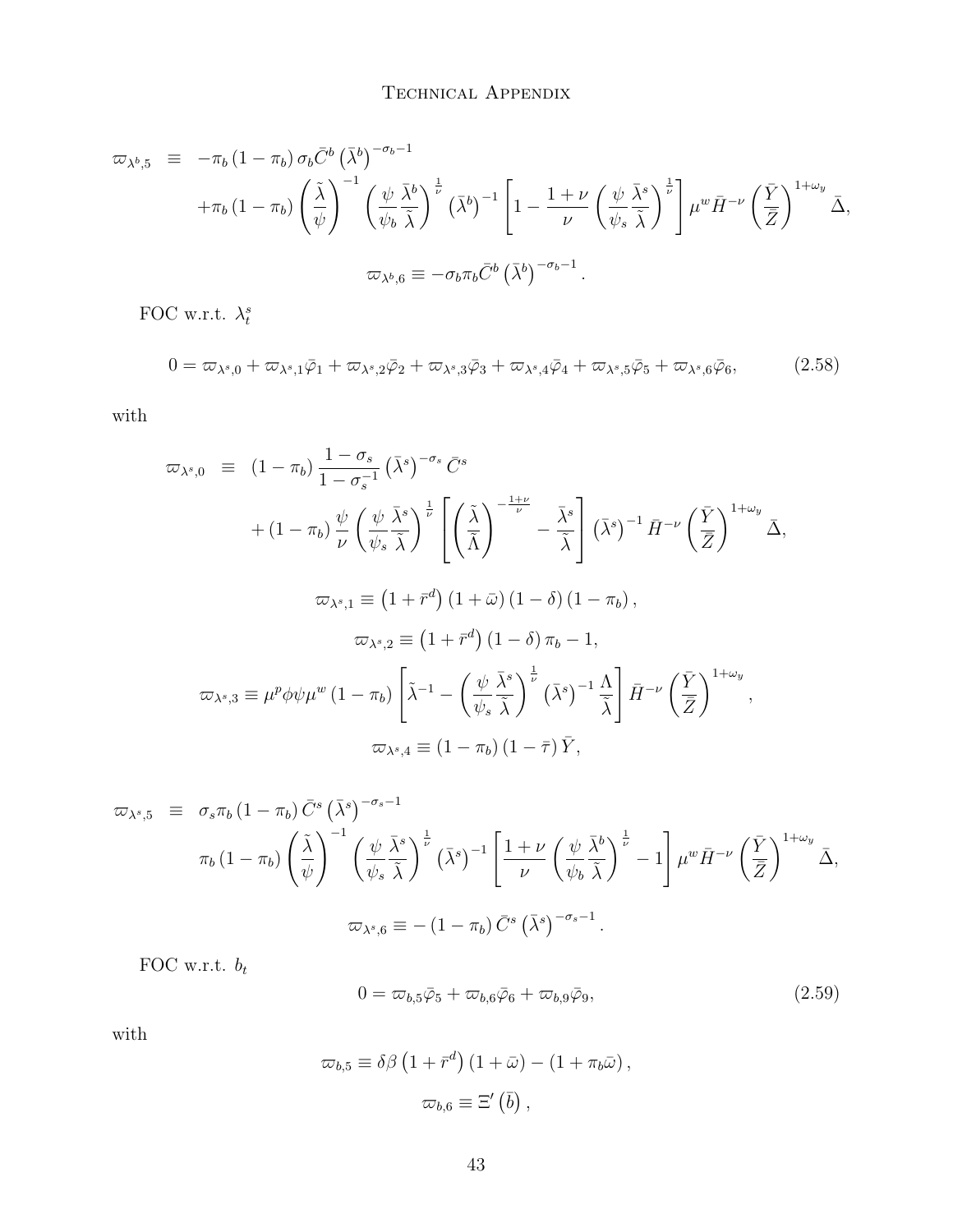#### TECHNICAL APPENDIX

$$
\varpi_{\lambda^{b},5} \equiv -\pi_{b} (1 - \pi_{b}) \sigma_{b} \bar{C}^{b} (\bar{\lambda}^{b})^{-\sigma_{b}-1} \n+ \pi_{b} (1 - \pi_{b}) \left(\frac{\tilde{\lambda}}{\psi}\right)^{-1} \left(\frac{\psi}{\psi_{b}} \frac{\bar{\lambda}^{b}}{\tilde{\lambda}}\right)^{\frac{1}{\nu}} (\bar{\lambda}^{b})^{-1} \left[1 - \frac{1 + \nu}{\nu} \left(\frac{\psi}{\psi_{s}} \frac{\bar{\lambda}^{s}}{\tilde{\lambda}}\right)^{\frac{1}{\nu}}\right] \mu^{w} \bar{H}^{-\nu} \left(\frac{\bar{Y}}{\bar{Z}}\right)^{1+\omega_{y}} \bar{\Delta},
$$
\n
$$
\varpi_{\lambda^{b},6} \equiv -\sigma_{b} \pi_{b} \bar{C}^{b} (\bar{\lambda}^{b})^{-\sigma_{b}-1}.
$$

FOC w.r.t.  $\lambda_t^s$ 

$$
0 = \varpi_{\lambda^s,0} + \varpi_{\lambda^s,1}\bar{\varphi}_1 + \varpi_{\lambda^s,2}\bar{\varphi}_2 + \varpi_{\lambda^s,3}\bar{\varphi}_3 + \varpi_{\lambda^s,4}\bar{\varphi}_4 + \varpi_{\lambda^s,5}\bar{\varphi}_5 + \varpi_{\lambda^s,6}\bar{\varphi}_6, \tag{2.58}
$$

 $% \left\vert \mathbf{U}\right\vert$  with

$$
\varpi_{\lambda^{s},0} \equiv (1 - \pi_{b}) \frac{1 - \sigma_{s}}{1 - \sigma_{s}^{-1}} (\bar{\lambda}^{s})^{-\sigma_{s}} \bar{C}^{s}
$$
  
+ 
$$
(1 - \pi_{b}) \frac{\psi}{\nu} \left(\frac{\psi}{\psi_{s}} \frac{\bar{\lambda}^{s}}{\bar{\lambda}}\right)^{\frac{1}{\nu}} \left[\left(\frac{\tilde{\lambda}}{\bar{\Lambda}}\right)^{-\frac{1+\nu}{\nu}} - \frac{\bar{\lambda}^{s}}{\bar{\lambda}}\right] (\bar{\lambda}^{s})^{-1} \bar{H}^{-\nu} \left(\frac{\bar{Y}}{\bar{Z}}\right)^{1+\omega_{y}} \bar{\Delta},
$$
  

$$
\varpi_{\lambda^{s},1} \equiv (1 + \bar{r}^{d}) (1 + \bar{\omega}) (1 - \delta) (1 - \pi_{b}),
$$
  

$$
\varpi_{\lambda^{s},2} \equiv (1 + \bar{r}^{d}) (1 - \delta) \pi_{b} - 1,
$$
  

$$
\varpi_{\lambda^{s},3} \equiv \mu^{p} \phi \psi \mu^{w} (1 - \pi_{b}) \left[\tilde{\lambda}^{-1} - \left(\frac{\psi}{\psi_{s}} \frac{\bar{\lambda}^{s}}{\tilde{\lambda}}\right)^{\frac{1}{\nu}} (\bar{\lambda}^{s})^{-1} \frac{\Lambda}{\tilde{\lambda}}\right] \bar{H}^{-\nu} \left(\frac{\bar{Y}}{\bar{Z}}\right)^{1+\omega_{y}},
$$
  

$$
\varpi_{\lambda^{s},4} \equiv (1 - \pi_{b}) (1 - \bar{\tau}) \bar{Y},
$$

$$
\varpi_{\lambda^{s},5} \equiv \sigma_{s}\pi_{b}(1-\pi_{b})\bar{C}^{s}(\bar{\lambda}^{s})^{-\sigma_{s}-1}
$$
\n
$$
\pi_{b}(1-\pi_{b})\left(\frac{\tilde{\lambda}}{\psi}\right)^{-1}\left(\frac{\psi}{\psi_{s}}\frac{\bar{\lambda}^{s}}{\tilde{\lambda}}\right)^{\frac{1}{\nu}}(\bar{\lambda}^{s})^{-1}\left[\frac{1+\nu}{\nu}\left(\frac{\psi}{\psi_{b}}\frac{\bar{\lambda}^{b}}{\tilde{\lambda}}\right)^{\frac{1}{\nu}}-1\right]\mu^{w}\bar{H}^{-\nu}\left(\frac{\bar{Y}}{\bar{Z}}\right)^{1+\omega_{y}}\bar{\Delta},
$$
\n
$$
\varpi_{\lambda^{s},6} \equiv -(1-\pi_{b})\bar{C}^{s}(\bar{\lambda}^{s})^{-\sigma_{s}-1}.
$$

FOC w.r.t.  $\boldsymbol{b}_t$ 

$$
0 = \varpi_{b,5}\bar{\varphi}_5 + \varpi_{b,6}\bar{\varphi}_6 + \varpi_{b,9}\bar{\varphi}_9, \tag{2.59}
$$

 $\quad$  with

$$
\varpi_{b,5} \equiv \delta\beta \left(1 + \bar{r}^d\right) \left(1 + \bar{\omega}\right) - \left(1 + \pi_b \bar{\omega}\right),
$$
  

$$
\varpi_{b,6} \equiv \Xi' \left(\bar{b}\right),
$$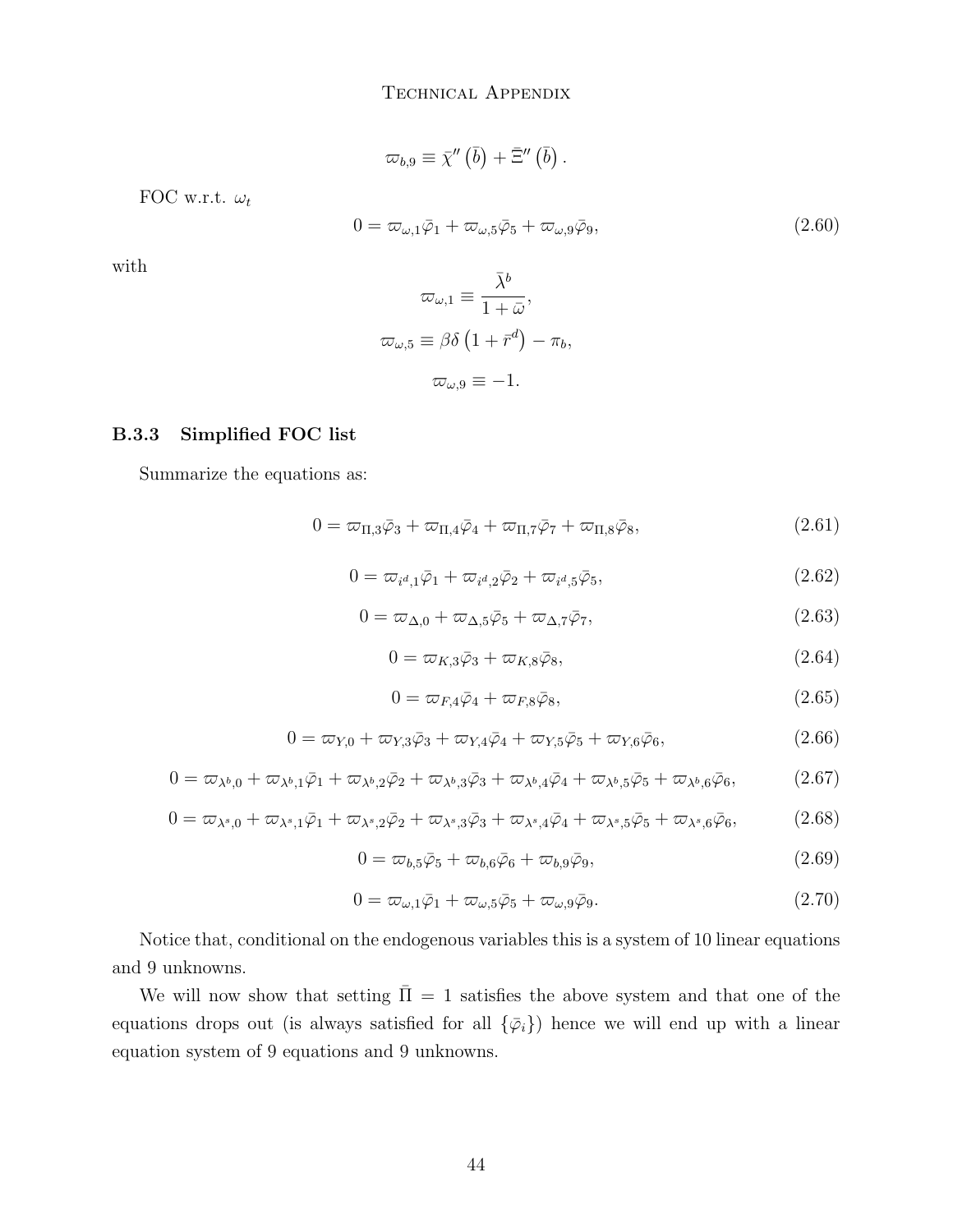$$
\varpi_{b,9}\equiv\bar{\chi}^{\prime\prime}\left(\bar{b}\right)+\bar{\Xi}^{\prime\prime}\left(\bar{b}\right).
$$

FOC w.r.t.  $\omega_t$ 

$$
0 = \varpi_{\omega,1}\bar{\varphi}_1 + \varpi_{\omega,5}\bar{\varphi}_5 + \varpi_{\omega,9}\bar{\varphi}_9, \tag{2.60}
$$

with

$$
\begin{aligned}\n\varpi_{\omega,1} &\equiv \frac{\lambda^b}{1+\bar{\omega}}, \\
\varpi_{\omega,5} &\equiv \beta\delta \left(1 + \bar{r}^d\right) - \pi_b, \\
\varpi_{\omega,9} &\equiv -1.\n\end{aligned}
$$

 $-$ 

#### B.3.3 Simplified FOC list

Summarize the equations as:

<span id="page-43-2"></span>
$$
0 = \varpi_{\Pi,3}\bar{\varphi}_3 + \varpi_{\Pi,4}\bar{\varphi}_4 + \varpi_{\Pi,7}\bar{\varphi}_7 + \varpi_{\Pi,8}\bar{\varphi}_8,\tag{2.61}
$$

<span id="page-43-4"></span>
$$
0 = \varpi_{i^d,1}\bar{\varphi}_1 + \varpi_{i^d,2}\bar{\varphi}_2 + \varpi_{i^d,5}\bar{\varphi}_5, \tag{2.62}
$$

<span id="page-43-3"></span>
$$
0 = \varpi_{\Delta,0} + \varpi_{\Delta,5}\bar{\varphi}_5 + \varpi_{\Delta,7}\bar{\varphi}_7, \tag{2.63}
$$

<span id="page-43-0"></span>
$$
0 = \varpi_{K,3}\bar{\varphi}_3 + \varpi_{K,8}\bar{\varphi}_8,\tag{2.64}
$$

<span id="page-43-1"></span>
$$
0 = \varpi_{F,4}\bar{\varphi}_4 + \varpi_{F,8}\bar{\varphi}_8,\tag{2.65}
$$

<span id="page-43-7"></span>
$$
0 = \varpi_{Y,0} + \varpi_{Y,3}\bar{\varphi}_3 + \varpi_{Y,4}\bar{\varphi}_4 + \varpi_{Y,5}\bar{\varphi}_5 + \varpi_{Y,6}\bar{\varphi}_6, \tag{2.66}
$$

<span id="page-43-8"></span>
$$
0 = \varpi_{\lambda^b,0} + \varpi_{\lambda^b,1}\bar{\varphi}_1 + \varpi_{\lambda^b,2}\bar{\varphi}_2 + \varpi_{\lambda^b,3}\bar{\varphi}_3 + \varpi_{\lambda^b,4}\bar{\varphi}_4 + \varpi_{\lambda^b,5}\bar{\varphi}_5 + \varpi_{\lambda^b,6}\bar{\varphi}_6, \tag{2.67}
$$

<span id="page-43-9"></span>
$$
0 = \varpi_{\lambda^s,0} + \varpi_{\lambda^s,1}\bar{\varphi}_1 + \varpi_{\lambda^s,2}\bar{\varphi}_2 + \varpi_{\lambda^s,3}\bar{\varphi}_3 + \varpi_{\lambda^s,4}\bar{\varphi}_4 + \varpi_{\lambda^s,5}\bar{\varphi}_5 + \varpi_{\lambda^s,6}\bar{\varphi}_6,\tag{2.68}
$$

<span id="page-43-6"></span>
$$
0 = \varpi_{b,5}\bar{\varphi}_5 + \varpi_{b,6}\bar{\varphi}_6 + \varpi_{b,9}\bar{\varphi}_9, \tag{2.69}
$$

<span id="page-43-5"></span>
$$
0 = \varpi_{\omega,1}\bar{\varphi}_1 + \varpi_{\omega,5}\bar{\varphi}_5 + \varpi_{\omega,9}\bar{\varphi}_9. \tag{2.70}
$$

Notice that, conditional on the endogenous variables this is a system of 10 linear equations and 9 unknowns.

We will now show that setting  $\bar{\Pi} = 1$  satisfies the above system and that one of the equations drops out (is always satisfied for all  $\{\bar{\varphi}_i\}$ ) hence we will end up with a linear equation system of 9 equations and 9 unknowns.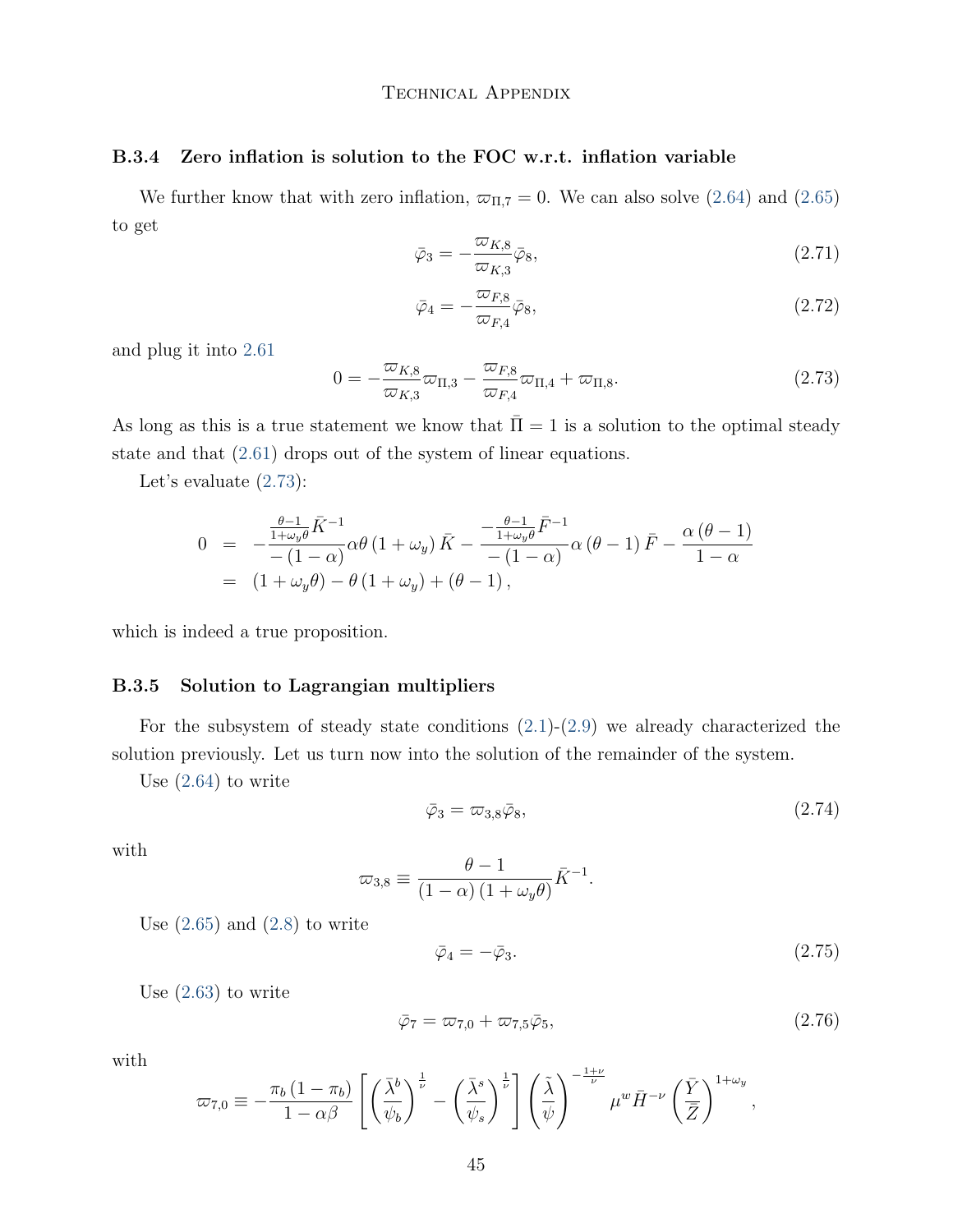#### B.3.4 Zero inflation is solution to the FOC w.r.t. inflation variable

We further know that with zero inflation,  $\varpi_{\Pi,7} = 0$ . We can also solve [\(2.64\)](#page-43-0) and [\(2.65\)](#page-43-1) to get

$$
\bar{\varphi}_3 = -\frac{\varpi_{K,8}}{\varpi_{K,3}} \bar{\varphi}_8,\tag{2.71}
$$

$$
\bar{\varphi}_4 = -\frac{\varpi_{F,8}}{\varpi_{F,4}} \bar{\varphi}_8,\tag{2.72}
$$

and plug it into [2.61](#page-43-2)

<span id="page-44-0"></span>
$$
0 = -\frac{\varpi_{K,8}}{\varpi_{K,3}}\varpi_{\Pi,3} - \frac{\varpi_{F,8}}{\varpi_{F,4}}\varpi_{\Pi,4} + \varpi_{\Pi,8}.
$$
\n(2.73)

As long as this is a true statement we know that  $\overline{\Pi} = 1$  is a solution to the optimal steady state and that [\(2.61\)](#page-43-2) drops out of the system of linear equations.

Let's evaluate [\(2.73\)](#page-44-0):

$$
0 = -\frac{\frac{\theta-1}{1+\omega_y \theta} \bar{K}^{-1}}{-(1-\alpha)} \alpha \theta (1+\omega_y) \bar{K} - \frac{-\frac{\theta-1}{1+\omega_y \theta} \bar{F}^{-1}}{-(1-\alpha)} \alpha (\theta-1) \bar{F} - \frac{\alpha (\theta-1)}{1-\alpha}
$$
  
=  $(1+\omega_y \theta) - \theta (1+\omega_y) + (\theta-1),$ 

which is indeed a true proposition.

#### B.3.5 Solution to Lagrangian multipliers

For the subsystem of steady state conditions  $(2.1)-(2.9)$  $(2.1)-(2.9)$  $(2.1)-(2.9)$  we already characterized the solution previously. Let us turn now into the solution of the remainder of the system.

Use [\(2.64\)](#page-43-0) to write

<span id="page-44-1"></span>
$$
\bar{\varphi}_3 = \varpi_{3,8}\bar{\varphi}_8,\tag{2.74}
$$

.

with

$$
\varpi_{3,8} \equiv \frac{\theta - 1}{(1 - \alpha) (1 + \omega_y \theta)} \bar{K}^{-1}
$$

Use  $(2.65)$  and  $(2.8)$  to write

<span id="page-44-2"></span>
$$
\bar{\varphi}_4 = -\bar{\varphi}_3. \tag{2.75}
$$

Use [\(2.63\)](#page-43-3) to write

$$
\bar{\varphi}_7 = \varpi_{7,0} + \varpi_{7,5}\bar{\varphi}_5,\tag{2.76}
$$

with

$$
\varpi_{7,0} \equiv -\frac{\pi_b (1-\pi_b)}{1-\alpha\beta} \left[ \left( \frac{\bar{\lambda}^b}{\psi_b} \right)^{\frac{1}{\nu}} - \left( \frac{\bar{\lambda}^s}{\psi_s} \right)^{\frac{1}{\nu}} \right] \left( \frac{\tilde{\lambda}}{\psi} \right)^{-\frac{1+\nu}{\nu}} \mu^w \bar{H}^{-\nu} \left( \frac{\bar{Y}}{\bar{Z}} \right)^{1+\omega_y},
$$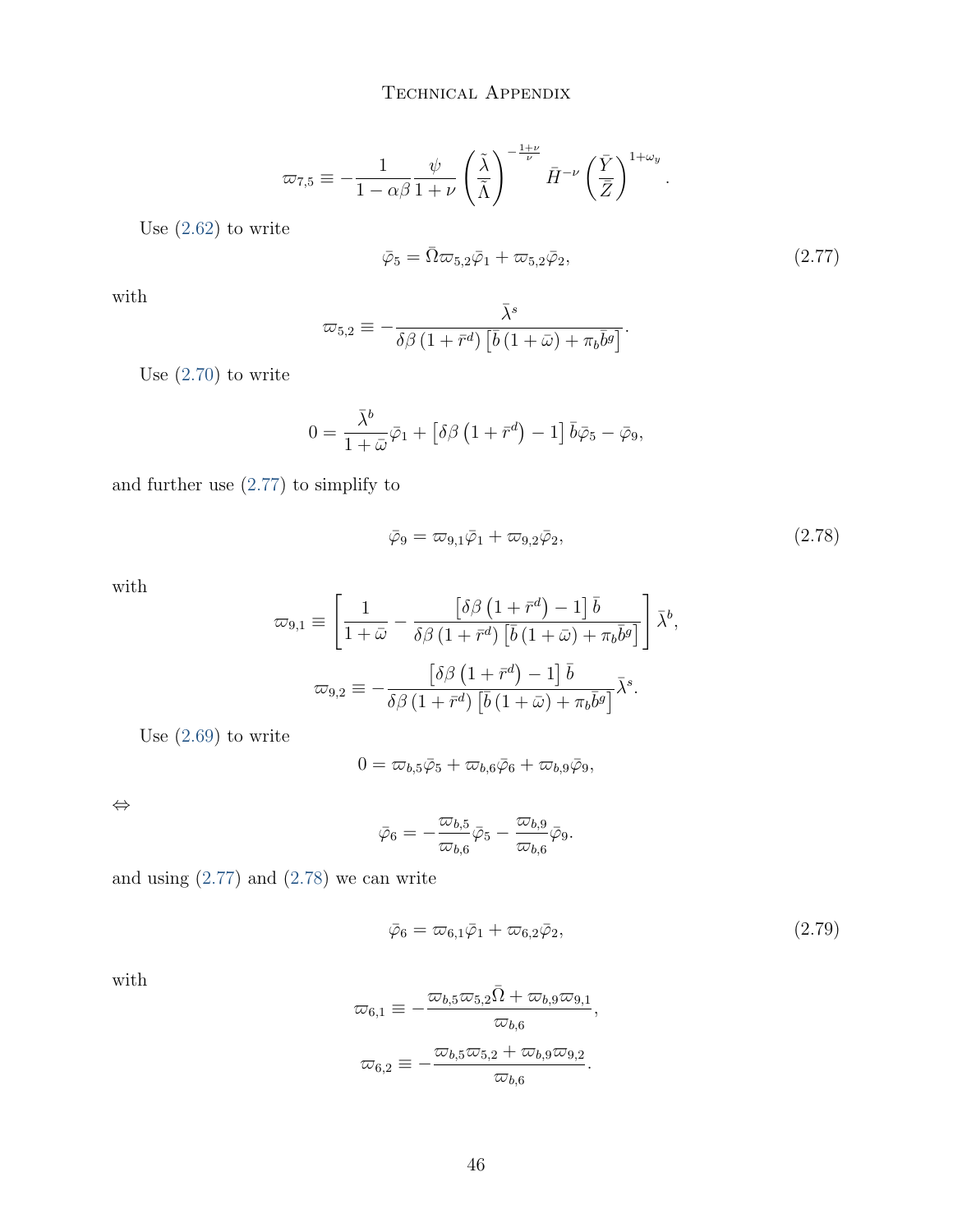$$
\varpi_{7,5} \equiv -\frac{1}{1-\alpha\beta} \frac{\psi}{1+\nu} \left(\frac{\tilde{\lambda}}{\tilde{\Lambda}}\right)^{-\frac{1+\nu}{\nu}} \bar{H}^{-\nu} \left(\frac{\bar{Y}}{\bar{Z}}\right)^{1+\omega_y}
$$

Use [\(2.62\)](#page-43-4) to write

<span id="page-45-0"></span>
$$
\bar{\varphi}_5 = \bar{\Omega}\varpi_{5,2}\bar{\varphi}_1 + \varpi_{5,2}\bar{\varphi}_2, \tag{2.77}
$$

.

with

$$
\varpi_{5,2} \equiv -\frac{\bar{\lambda}^s}{\delta\beta\left(1+\bar{r}^d\right)\left[\bar{b}\left(1+\bar{\omega}\right)+\pi_b\bar{b}^g\right]}.
$$

Use [\(2.70\)](#page-43-5) to write

$$
0 = \frac{\bar{\lambda}^b}{1 + \bar{\omega}} \bar{\varphi}_1 + \left[ \delta \beta \left( 1 + \bar{r}^d \right) - 1 \right] \bar{b} \bar{\varphi}_5 - \bar{\varphi}_9,
$$

and further use [\(2.77\)](#page-45-0) to simplify to

<span id="page-45-1"></span>
$$
\bar{\varphi}_9 = \varpi_{9,1}\bar{\varphi}_1 + \varpi_{9,2}\bar{\varphi}_2,\tag{2.78}
$$

with

$$
\varpi_{9,1} \equiv \left[ \frac{1}{1+\bar{\omega}} - \frac{\left[ \delta \beta \left( 1 + \bar{r}^d \right) - 1 \right] \bar{b}}{\delta \beta \left( 1 + \bar{r}^d \right) \left[ \bar{b} \left( 1 + \bar{\omega} \right) + \pi_b \bar{b}^g \right]} \right] \bar{\lambda}^b,
$$
  

$$
\varpi_{9,2} \equiv -\frac{\left[ \delta \beta \left( 1 + \bar{r}^d \right) - 1 \right] \bar{b}}{\delta \beta \left( 1 + \bar{r}^d \right) \left[ \bar{b} \left( 1 + \bar{\omega} \right) + \pi_b \bar{b}^g \right]} \bar{\lambda}^s.
$$

Use [\(2.69\)](#page-43-6) to write

$$
0 = \varpi_{b,5}\bar{\varphi}_5 + \varpi_{b,6}\bar{\varphi}_6 + \varpi_{b,9}\bar{\varphi}_9,
$$

⇔

$$
\bar{\varphi}_6=-\frac{\varpi_{b,5}}{\varpi_{b,6}}\bar{\varphi}_5-\frac{\varpi_{b,9}}{\varpi_{b,6}}\bar{\varphi}_9.
$$

and using  $(2.77)$  and  $(2.78)$  we can write

<span id="page-45-2"></span>
$$
\bar{\varphi}_6 = \varpi_{6,1}\bar{\varphi}_1 + \varpi_{6,2}\bar{\varphi}_2,\tag{2.79}
$$

with

$$
\varpi_{6,1} \equiv -\frac{\varpi_{b,5}\varpi_{5,2}\bar{\Omega} + \varpi_{b,9}\varpi_{9,1}}{\varpi_{b,6}},
$$
  

$$
\varpi_{6,2} \equiv -\frac{\varpi_{b,5}\varpi_{5,2} + \varpi_{b,9}\varpi_{9,2}}{\varpi_{b,6}}.
$$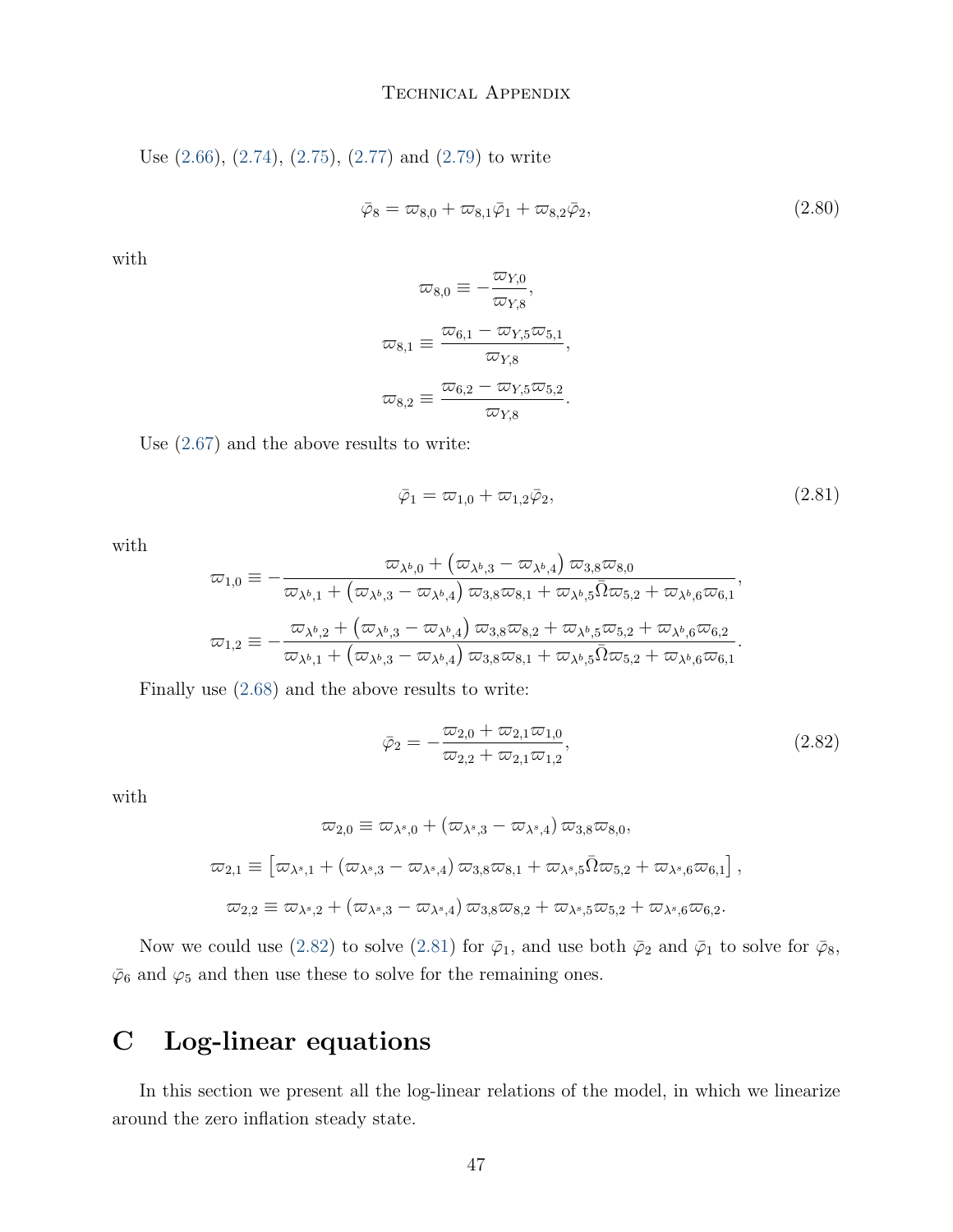Use [\(2.66\)](#page-43-7), [\(2.74\)](#page-44-1), [\(2.75\)](#page-44-2), [\(2.77\)](#page-45-0) and [\(2.79\)](#page-45-2) to write

$$
\bar{\varphi}_8 = \bar{\omega}_{8,0} + \bar{\omega}_{8,1}\bar{\varphi}_1 + \bar{\omega}_{8,2}\bar{\varphi}_2, \tag{2.80}
$$

with

$$
\omega_{8,0} \equiv -\frac{\omega_{Y,0}}{\omega_{Y,8}},
$$

$$
\omega_{8,1} \equiv \frac{\omega_{6,1} - \omega_{Y,5}\omega_{5,1}}{\omega_{Y,8}},
$$

$$
\omega_{8,2} \equiv \frac{\omega_{6,2} - \omega_{Y,5}\omega_{5,2}}{\omega_{Y,8}}.
$$

Use [\(2.67\)](#page-43-8) and the above results to write:

<span id="page-46-1"></span>
$$
\bar{\varphi}_1 = \varpi_{1,0} + \varpi_{1,2}\bar{\varphi}_2,\tag{2.81}
$$

with

$$
\varpi_{1,0} \equiv -\frac{\varpi_{\lambda^b,0} + (\varpi_{\lambda^b,3} - \varpi_{\lambda^b,4}) \varpi_{3,8} \varpi_{8,0}}{\varpi_{\lambda^b,1} + (\varpi_{\lambda^b,3} - \varpi_{\lambda^b,4}) \varpi_{3,8} \varpi_{8,1} + \varpi_{\lambda^b,5} \overline{\Omega} \varpi_{5,2} + \varpi_{\lambda^b,6} \varpi_{6,1}},
$$
\n
$$
\varpi_{1,2} \equiv -\frac{\varpi_{\lambda^b,2} + (\varpi_{\lambda^b,3} - \varpi_{\lambda^b,4}) \varpi_{3,8} \varpi_{8,2} + \varpi_{\lambda^b,5} \varpi_{5,2} + \varpi_{\lambda^b,6} \varpi_{6,2}}{\varpi_{\lambda^b,1} + (\varpi_{\lambda^b,3} - \varpi_{\lambda^b,4}) \varpi_{3,8} \varpi_{8,1} + \varpi_{\lambda^b,5} \overline{\Omega} \varpi_{5,2} + \varpi_{\lambda^b,6} \varpi_{6,1}}.
$$

Finally use [\(2.68\)](#page-43-9) and the above results to write:

<span id="page-46-0"></span>
$$
\bar{\varphi}_2 = -\frac{\varpi_{2,0} + \varpi_{2,1}\varpi_{1,0}}{\varpi_{2,2} + \varpi_{2,1}\varpi_{1,2}},\tag{2.82}
$$

with

$$
\varpi_{2,0} \equiv \varpi_{\lambda^s,0} + (\varpi_{\lambda^s,3} - \varpi_{\lambda^s,4}) \varpi_{3,8} \varpi_{8,0},
$$
  

$$
\varpi_{2,1} \equiv [\varpi_{\lambda^s,1} + (\varpi_{\lambda^s,3} - \varpi_{\lambda^s,4}) \varpi_{3,8} \varpi_{8,1} + \varpi_{\lambda^s,5} \overline{\Omega} \varpi_{5,2} + \varpi_{\lambda^s,6} \varpi_{6,1}],
$$
  

$$
\varpi_{2,2} \equiv \varpi_{\lambda^s,2} + (\varpi_{\lambda^s,3} - \varpi_{\lambda^s,4}) \varpi_{3,8} \varpi_{8,2} + \varpi_{\lambda^s,5} \varpi_{5,2} + \varpi_{\lambda^s,6} \varpi_{6,2}.
$$

Now we could use [\(2.82\)](#page-46-0) to solve [\(2.81\)](#page-46-1) for  $\bar{\varphi}_1$ , and use both  $\bar{\varphi}_2$  and  $\bar{\varphi}_1$  to solve for  $\bar{\varphi}_8$ ,  $\bar{\varphi}_6$  and  $\varphi_5$  and then use these to solve for the remaining ones.

# C Log-linear equations

In this section we present all the log-linear relations of the model, in which we linearize around the zero inflation steady state.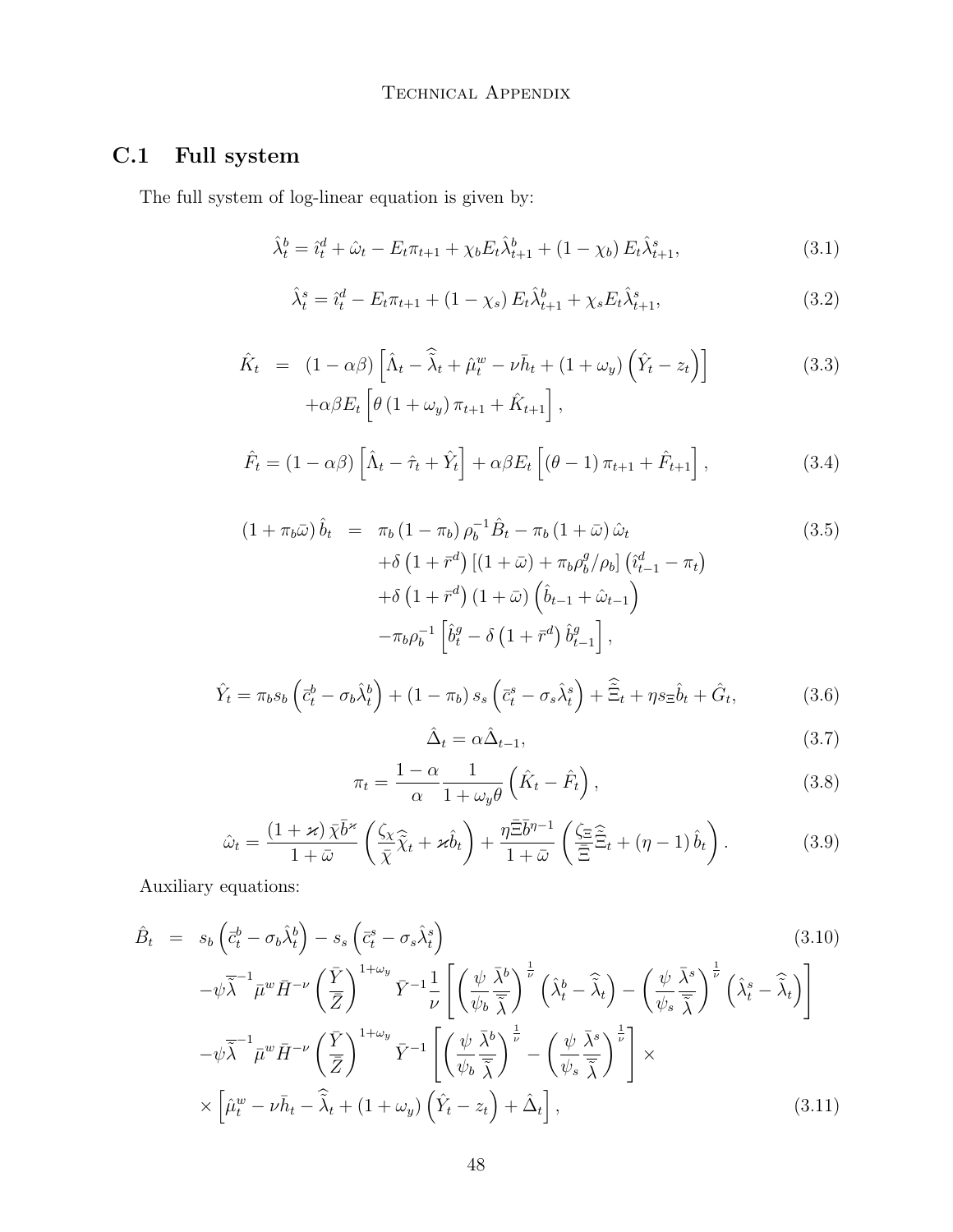# C.1 Full system

The full system of log-linear equation is given by:

$$
\hat{\lambda}_t^b = \hat{\imath}_t^d + \hat{\omega}_t - E_t \pi_{t+1} + \chi_b E_t \hat{\lambda}_{t+1}^b + (1 - \chi_b) E_t \hat{\lambda}_{t+1}^s, \tag{3.1}
$$

$$
\hat{\lambda}_t^s = \hat{\imath}_t^d - E_t \pi_{t+1} + (1 - \chi_s) E_t \hat{\lambda}_{t+1}^b + \chi_s E_t \hat{\lambda}_{t+1}^s, \tag{3.2}
$$

$$
\hat{K}_t = (1 - \alpha \beta) \left[ \hat{\Lambda}_t - \hat{\tilde{\lambda}}_t + \hat{\mu}_t^w - \nu \bar{h}_t + (1 + \omega_y) \left( \hat{Y}_t - z_t \right) \right]
$$
\n
$$
+ \alpha \beta E_t \left[ \theta \left( 1 + \omega_y \right) \pi_{t+1} + \hat{K}_{t+1} \right],
$$
\n(3.3)

$$
\hat{F}_t = (1 - \alpha \beta) \left[ \hat{\Lambda}_t - \hat{\tau}_t + \hat{Y}_t \right] + \alpha \beta E_t \left[ (\theta - 1) \pi_{t+1} + \hat{F}_{t+1} \right], \tag{3.4}
$$

$$
(1 + \pi_b \bar{\omega}) \hat{b}_t = \pi_b (1 - \pi_b) \rho_b^{-1} \hat{B}_t - \pi_b (1 + \bar{\omega}) \hat{\omega}_t
$$
  
+ 
$$
\delta (1 + \bar{r}^d) [(1 + \bar{\omega}) + \pi_b \rho_b^g / \rho_b] (\hat{i}_{t-1}^d - \pi_t)
$$
  
+ 
$$
\delta (1 + \bar{r}^d) (1 + \bar{\omega}) (\hat{b}_{t-1} + \hat{\omega}_{t-1})
$$
  
- 
$$
\pi_b \rho_b^{-1} [\hat{b}_t^g - \delta (1 + \bar{r}^d) \hat{b}_{t-1}^g],
$$
 (3.5)

$$
\hat{Y}_t = \pi_b s_b \left( \bar{c}_t^b - \sigma_b \hat{\lambda}_t^b \right) + (1 - \pi_b) s_s \left( \bar{c}_t^s - \sigma_s \hat{\lambda}_t^s \right) + \tilde{\Xi}_t + \eta s_{\Xi} \hat{b}_t + \hat{G}_t, \tag{3.6}
$$

$$
\hat{\Delta}_t = \alpha \hat{\Delta}_{t-1},\tag{3.7}
$$

$$
\pi_t = \frac{1 - \alpha}{\alpha} \frac{1}{1 + \omega_y \theta} \left( \hat{K}_t - \hat{F}_t \right),\tag{3.8}
$$

$$
\hat{\omega}_t = \frac{(1+\varkappa)\,\bar{\chi}\bar{b}^{\varkappa}}{1+\bar{\omega}}\left(\frac{\zeta_{\chi}}{\bar{\chi}}\hat{\tilde{\chi}}_t + \varkappa \hat{b}_t\right) + \frac{\eta\bar{\Xi}\bar{b}^{\eta-1}}{1+\bar{\omega}}\left(\frac{\zeta_{\Xi}\,\hat{\Xi}}{\bar{\Xi}}_t + (\eta-1)\,\hat{b}_t\right). \tag{3.9}
$$

Auxiliary equations:

$$
\hat{B}_{t} = s_{b} \left( \bar{c}_{t}^{b} - \sigma_{b} \hat{\lambda}_{t}^{b} \right) - s_{s} \left( \bar{c}_{t}^{s} - \sigma_{s} \hat{\lambda}_{t}^{s} \right)
$$
\n
$$
- \psi \bar{\lambda}^{-1} \bar{\mu}^{w} \bar{H}^{-\nu} \left( \frac{\bar{Y}}{\bar{Z}} \right)^{1+\omega_{y}} \bar{Y}^{-1} \frac{1}{\nu} \left[ \left( \frac{\psi}{\psi_{b}} \frac{\bar{\lambda}^{b}}{\bar{\lambda}} \right)^{\frac{1}{\nu}} \left( \hat{\lambda}_{t}^{b} - \hat{\lambda}_{t} \right) - \left( \frac{\psi}{\psi_{s}} \frac{\bar{\lambda}^{s}}{\bar{\lambda}} \right)^{\frac{1}{\nu}} \left( \hat{\lambda}_{t}^{s} - \hat{\lambda}_{t} \right) \right]
$$
\n
$$
- \psi \bar{\lambda}^{-1} \bar{\mu}^{w} \bar{H}^{-\nu} \left( \frac{\bar{Y}}{\bar{Z}} \right)^{1+\omega_{y}} \bar{Y}^{-1} \left[ \left( \frac{\psi}{\psi_{b}} \frac{\bar{\lambda}^{b}}{\bar{\lambda}} \right)^{\frac{1}{\nu}} - \left( \frac{\psi}{\psi_{s}} \frac{\bar{\lambda}^{s}}{\bar{\lambda}} \right)^{\frac{1}{\nu}} \right] \times
$$
\n
$$
\times \left[ \hat{\mu}_{t}^{w} - \nu \bar{h}_{t} - \hat{\lambda}_{t} + (1 + \omega_{y}) \left( \hat{Y}_{t} - z_{t} \right) + \hat{\Delta}_{t} \right], \tag{3.11}
$$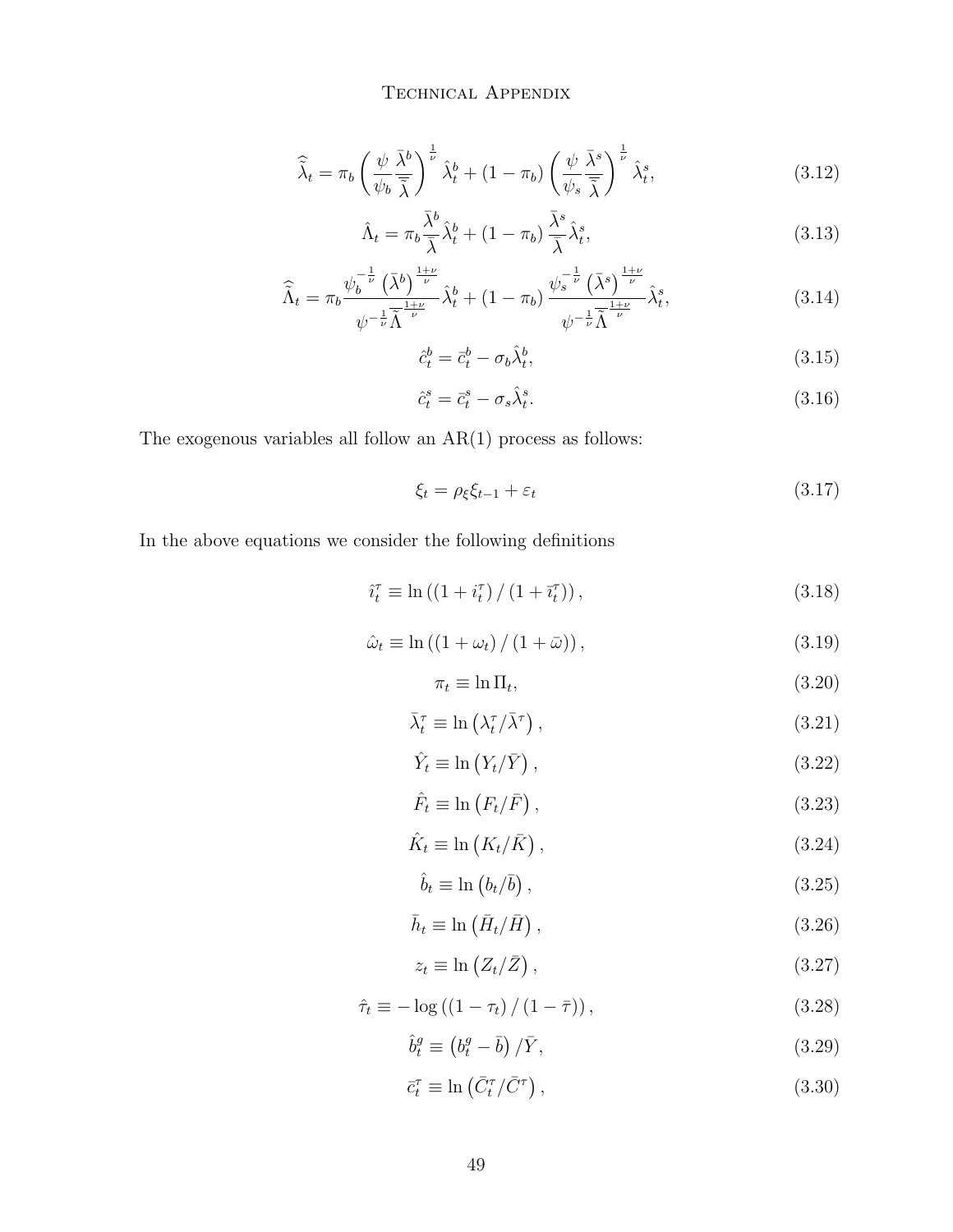$$
\widehat{\widetilde{\lambda}}_t = \pi_b \left( \frac{\psi}{\psi_b} \frac{\bar{\lambda}^b}{\bar{\widetilde{\lambda}}} \right)^{\frac{1}{\nu}} \widehat{\lambda}_t^b + (1 - \pi_b) \left( \frac{\psi}{\psi_s} \frac{\bar{\lambda}^s}{\bar{\widetilde{\lambda}}} \right)^{\frac{1}{\nu}} \widehat{\lambda}_t^s, \tag{3.12}
$$

$$
\hat{\Lambda}_t = \pi_b \frac{\lambda^b}{\bar{\lambda}} \hat{\lambda}^b_t + (1 - \pi_b) \frac{\lambda^s}{\bar{\lambda}} \hat{\lambda}^s_t,\tag{3.13}
$$

$$
\widehat{\widetilde{\Lambda}}_t = \pi_b \frac{\psi_b^{-\frac{1}{\nu}} \left(\bar{\lambda}^b\right)^{\frac{1+\nu}{\nu}}}{\psi^{-\frac{1}{\nu}} \bar{\widetilde{\Lambda}}^{\frac{1+\nu}{\nu}}} \widehat{\lambda}_t^b + (1 - \pi_b) \frac{\psi_s^{-\frac{1}{\nu}} \left(\bar{\lambda}^s\right)^{\frac{1+\nu}{\nu}}}{\psi^{-\frac{1}{\nu}} \bar{\widetilde{\Lambda}}^{\frac{1+\nu}{\nu}}} \widehat{\lambda}_t^s, \tag{3.14}
$$

$$
\hat{c}_t^b = \bar{c}_t^b - \sigma_b \hat{\lambda}_t^b,\tag{3.15}
$$

$$
\hat{c}_t^s = \bar{c}_t^s - \sigma_s \hat{\lambda}_t^s. \tag{3.16}
$$

The exogenous variables all follow an  $AR(1)$  process as follows:

$$
\xi_t = \rho_{\xi} \xi_{t-1} + \varepsilon_t \tag{3.17}
$$

In the above equations we consider the following definitions

$$
\hat{i}_t^{\tau} \equiv \ln\left(\left(1 + i_t^{\tau}\right)/(1 + \bar{i}_t^{\tau})\right),\tag{3.18}
$$

$$
\hat{\omega}_t \equiv \ln\left(\left(1+\omega_t\right)/\left(1+\bar{\omega}\right)\right),\tag{3.19}
$$

$$
\pi_t \equiv \ln \Pi_t,\tag{3.20}
$$

$$
\bar{\lambda}_t^{\tau} \equiv \ln\left(\lambda_t^{\tau}/\bar{\lambda}^{\tau}\right),\tag{3.21}
$$

$$
\hat{Y}_t \equiv \ln \left( Y_t / \bar{Y} \right),\tag{3.22}
$$

$$
\hat{F}_t \equiv \ln \left( F_t / \bar{F} \right),\tag{3.23}
$$

$$
\hat{K}_t \equiv \ln\left(K_t/\bar{K}\right),\tag{3.24}
$$

$$
\hat{b}_t \equiv \ln \left( b_t / \bar{b} \right),\tag{3.25}
$$

$$
\bar{h}_t \equiv \ln\left(\bar{H}_t/\bar{H}\right),\tag{3.26}
$$

$$
z_t \equiv \ln\left(Z_t/\bar{Z}\right),\tag{3.27}
$$

$$
\hat{\tau}_t \equiv -\log\left(\left(1 - \tau_t\right) / \left(1 - \bar{\tau}\right)\right),\tag{3.28}
$$

$$
\hat{b}_t^g \equiv \left(b_t^g - \bar{b}\right) / \bar{Y},\tag{3.29}
$$

$$
\bar{c}_t^{\tau} \equiv \ln\left(\bar{C}_t^{\tau}/\bar{C}^{\tau}\right),\tag{3.30}
$$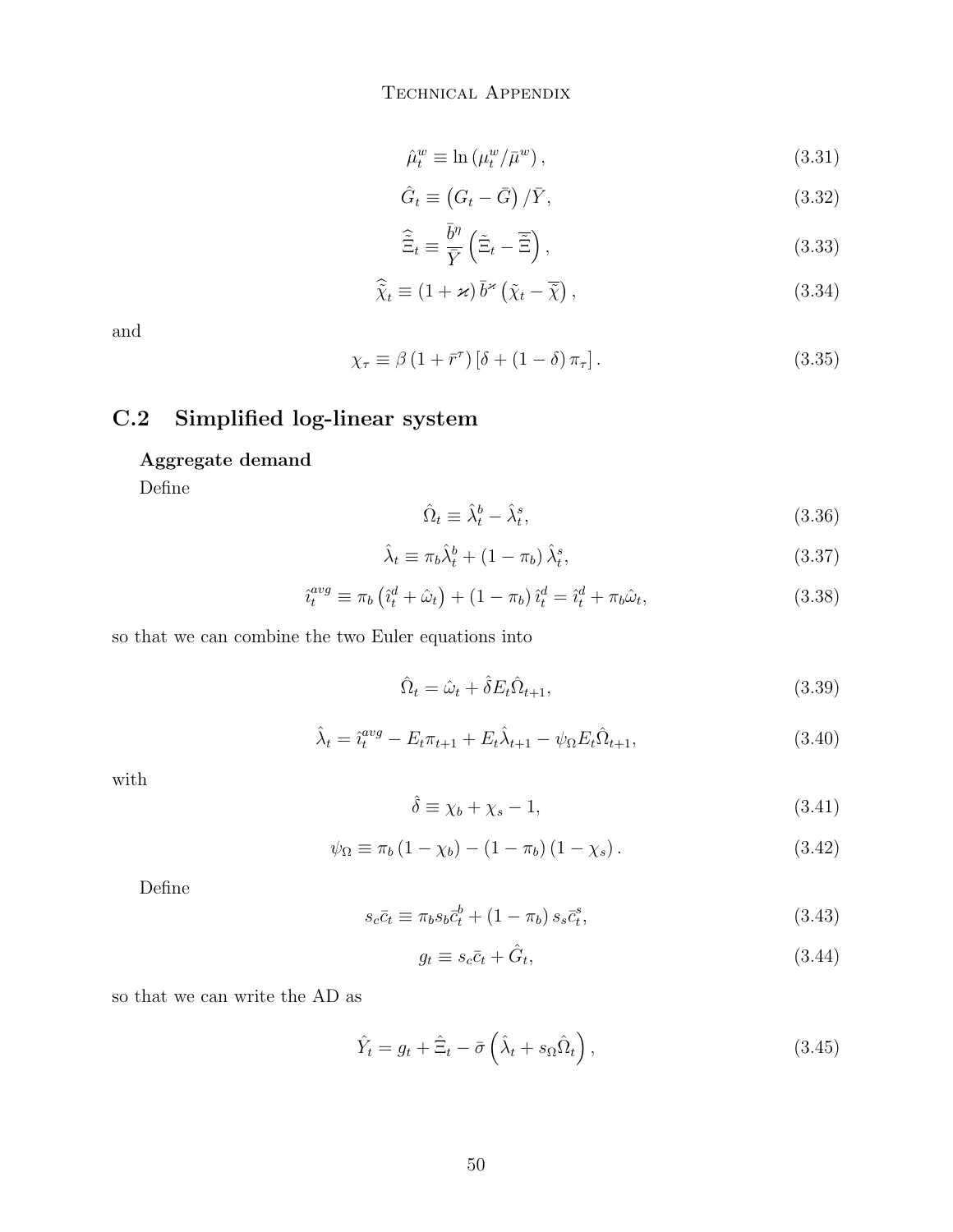$$
\hat{\mu}_t^w \equiv \ln\left(\mu_t^w / \bar{\mu}^w\right),\tag{3.31}
$$

$$
\hat{G}_t \equiv \left(G_t - \bar{G}\right) / \bar{Y},\tag{3.32}
$$

$$
\hat{\tilde{\Xi}}_t \equiv \frac{\bar{b}^{\eta}}{\bar{Y}} \left( \tilde{\Xi}_t - \tilde{\Xi} \right),\tag{3.33}
$$

$$
\widehat{\tilde{\chi}}_t \equiv (1 + \varkappa) \,\overline{b}^{\varkappa} \left( \tilde{\chi}_t - \overline{\tilde{\chi}} \right),\tag{3.34}
$$

and

$$
\chi_{\tau} \equiv \beta \left( 1 + \bar{r}^{\tau} \right) \left[ \delta + \left( 1 - \delta \right) \pi_{\tau} \right]. \tag{3.35}
$$

## C.2 Simplified log-linear system

### Aggregate demand

Define

$$
\hat{\Omega}_t \equiv \hat{\lambda}_t^b - \hat{\lambda}_t^s,\tag{3.36}
$$

$$
\hat{\lambda}_t \equiv \pi_b \hat{\lambda}_t^b + (1 - \pi_b) \hat{\lambda}_t^s,\tag{3.37}
$$

$$
\hat{i}_t^{avg} \equiv \pi_b \left( \hat{i}_t^d + \hat{\omega}_t \right) + \left( 1 - \pi_b \right) \hat{i}_t^d = \hat{i}_t^d + \pi_b \hat{\omega}_t,\tag{3.38}
$$

so that we can combine the two Euler equations into

$$
\hat{\Omega}_t = \hat{\omega}_t + \hat{\delta} E_t \hat{\Omega}_{t+1},\tag{3.39}
$$

$$
\hat{\lambda}_t = \hat{i}_t^{avg} - E_t \pi_{t+1} + E_t \hat{\lambda}_{t+1} - \psi_\Omega E_t \hat{\Omega}_{t+1},
$$
\n(3.40)

with

$$
\hat{\delta} \equiv \chi_b + \chi_s - 1,\tag{3.41}
$$

$$
\psi_{\Omega} \equiv \pi_b (1 - \chi_b) - (1 - \pi_b) (1 - \chi_s). \tag{3.42}
$$

Define

$$
s_c \bar{c}_t \equiv \pi_b s_b \bar{c}_t^b + (1 - \pi_b) s_s \bar{c}_t^s,\tag{3.43}
$$

$$
g_t \equiv s_c \bar{c}_t + \hat{G}_t,\tag{3.44}
$$

so that we can write the AD as

$$
\hat{Y}_t = g_t + \hat{\Xi}_t - \bar{\sigma} \left( \hat{\lambda}_t + s_\Omega \hat{\Omega}_t \right), \tag{3.45}
$$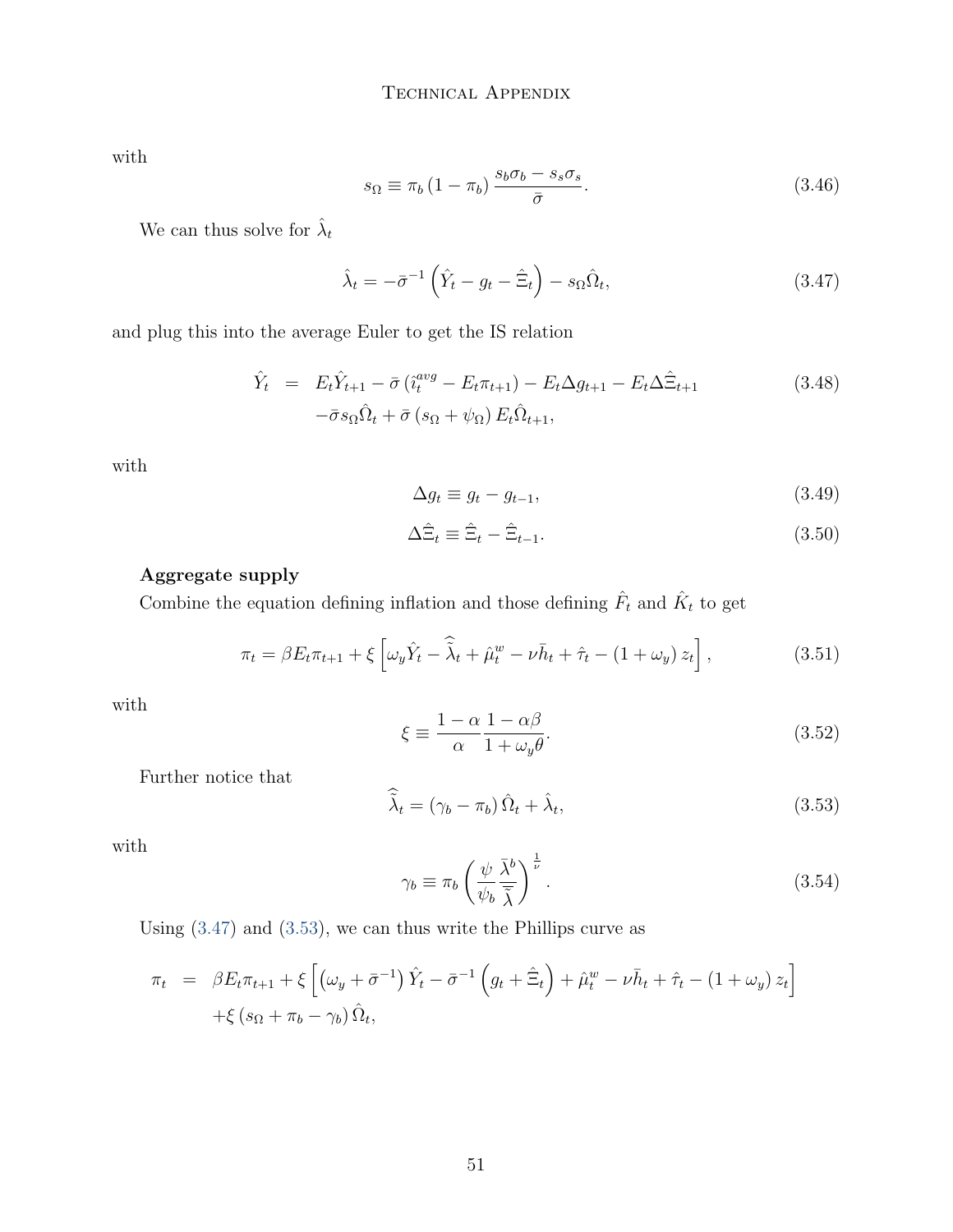with

$$
s_{\Omega} \equiv \pi_b \left( 1 - \pi_b \right) \frac{s_b \sigma_b - s_s \sigma_s}{\bar{\sigma}}.
$$
\n(3.46)

We can thus solve for  $\hat{\lambda}_t$ 

<span id="page-50-0"></span>
$$
\hat{\lambda}_t = -\bar{\sigma}^{-1} \left( \hat{Y}_t - g_t - \hat{\Xi}_t \right) - s_{\Omega} \hat{\Omega}_t,\tag{3.47}
$$

and plug this into the average Euler to get the IS relation

$$
\hat{Y}_t = E_t \hat{Y}_{t+1} - \bar{\sigma} \left( \hat{i}_t^{avg} - E_t \pi_{t+1} \right) - E_t \Delta g_{t+1} - E_t \Delta \hat{\Xi}_{t+1}
$$
\n
$$
-\bar{\sigma} s_\Omega \hat{\Omega}_t + \bar{\sigma} \left( s_\Omega + \psi_\Omega \right) E_t \hat{\Omega}_{t+1},
$$
\n(3.48)

with

$$
\Delta g_t \equiv g_t - g_{t-1},\tag{3.49}
$$

$$
\Delta \hat{\Xi}_t \equiv \hat{\Xi}_t - \hat{\Xi}_{t-1}.
$$
\n(3.50)

#### Aggregate supply

Combine the equation defining inflation and those defining  $\hat{F}_t$  and  $\hat{K}_t$  to get

$$
\pi_t = \beta E_t \pi_{t+1} + \xi \left[ \omega_y \hat{Y}_t - \hat{\tilde{\lambda}}_t + \hat{\mu}_t^w - \nu \bar{h}_t + \hat{\tau}_t - (1 + \omega_y) z_t \right],
$$
\n(3.51)

with

$$
\xi \equiv \frac{1 - \alpha}{\alpha} \frac{1 - \alpha \beta}{1 + \omega_y \theta}.
$$
\n(3.52)

Further notice that

<span id="page-50-1"></span>
$$
\widehat{\widetilde{\lambda}}_t = (\gamma_b - \pi_b) \,\widehat{\Omega}_t + \widehat{\lambda}_t,\tag{3.53}
$$

with

$$
\gamma_b \equiv \pi_b \left(\frac{\psi}{\psi_b} \frac{\bar{\lambda}^b}{\bar{\tilde{\lambda}}}\right)^{\frac{1}{\nu}}.
$$
\n(3.54)

Using [\(3.47\)](#page-50-0) and [\(3.53\)](#page-50-1), we can thus write the Phillips curve as

$$
\pi_t = \beta E_t \pi_{t+1} + \xi \left[ \left( \omega_y + \bar{\sigma}^{-1} \right) \hat{Y}_t - \bar{\sigma}^{-1} \left( g_t + \hat{\Xi}_t \right) + \hat{\mu}_t^w - \nu \bar{h}_t + \hat{\tau}_t - \left( 1 + \omega_y \right) z_t \right] + \xi \left( s_{\Omega} + \pi_b - \gamma_b \right) \hat{\Omega}_t,
$$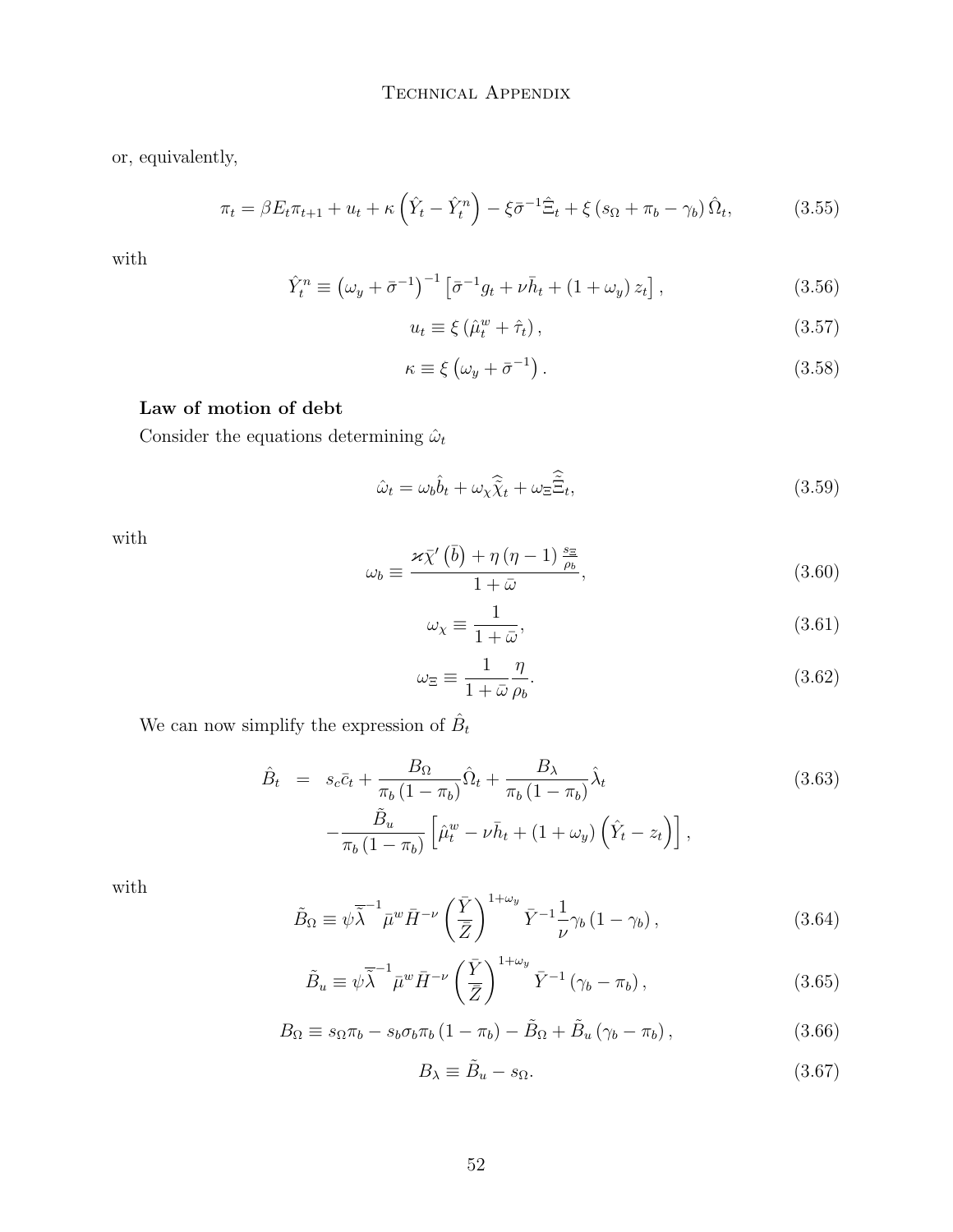or, equivalently,

$$
\pi_t = \beta E_t \pi_{t+1} + u_t + \kappa \left(\hat{Y}_t - \hat{Y}_t^n\right) - \xi \bar{\sigma}^{-1} \hat{\Xi}_t + \xi \left(s_{\Omega} + \pi_b - \gamma_b\right) \hat{\Omega}_t,\tag{3.55}
$$

with

<span id="page-51-0"></span>
$$
\hat{Y}_t^n \equiv \left(\omega_y + \bar{\sigma}^{-1}\right)^{-1} \left[\bar{\sigma}^{-1}g_t + \nu \bar{h}_t + \left(1 + \omega_y\right) z_t\right],\tag{3.56}
$$

$$
u_t \equiv \xi \left( \hat{\mu}_t^w + \hat{\tau}_t \right), \tag{3.57}
$$

$$
\kappa \equiv \xi \left( \omega_y + \bar{\sigma}^{-1} \right). \tag{3.58}
$$

#### Law of motion of debt

Consider the equations determining  $\hat{\omega}_t$ 

$$
\hat{\omega}_t = \omega_b \hat{b}_t + \omega_x \hat{\tilde{\chi}}_t + \omega_{\Xi} \hat{\tilde{\Xi}}_t,\tag{3.59}
$$

with

$$
\omega_b \equiv \frac{\varkappa \bar{\chi}'(\bar{b}) + \eta (\eta - 1) \frac{s_{\Xi}}{\rho_b}}{1 + \bar{\omega}}, \tag{3.60}
$$

$$
\omega_{\chi} \equiv \frac{1}{1+\bar{\omega}},\tag{3.61}
$$

$$
\omega_{\Xi} \equiv \frac{1}{1+\bar{\omega}} \frac{\eta}{\rho_b}.\tag{3.62}
$$

We can now simplify the expression of  $\hat{B}_t$ 

$$
\hat{B}_t = s_c \bar{c}_t + \frac{B_{\Omega}}{\pi_b (1 - \pi_b)} \hat{\Omega}_t + \frac{B_{\lambda}}{\pi_b (1 - \pi_b)} \hat{\lambda}_t
$$
\n
$$
-\frac{\tilde{B}_u}{\pi_b (1 - \pi_b)} \left[ \hat{\mu}_t^w - \nu \bar{h}_t + (1 + \omega_y) \left( \hat{Y}_t - z_t \right) \right],
$$
\n(3.63)

with

$$
\tilde{B}_{\Omega} \equiv \psi \overline{\tilde{\lambda}}^{-1} \bar{\mu}^{w} \bar{H}^{-\nu} \left(\frac{\bar{Y}}{\bar{Z}}\right)^{1+\omega_{y}} \bar{Y}^{-1} \frac{1}{\nu} \gamma_{b} \left(1-\gamma_{b}\right), \tag{3.64}
$$

$$
\tilde{B}_u \equiv \psi \overline{\tilde{\lambda}}^{-1} \bar{\mu}^w \bar{H}^{-\nu} \left(\frac{\bar{Y}}{\bar{Z}}\right)^{1+\omega_y} \bar{Y}^{-1} \left(\gamma_b - \pi_b\right),\tag{3.65}
$$

$$
B_{\Omega} \equiv s_{\Omega} \pi_b - s_b \sigma_b \pi_b (1 - \pi_b) - \tilde{B}_{\Omega} + \tilde{B}_{u} (\gamma_b - \pi_b), \qquad (3.66)
$$

$$
B_{\lambda} \equiv \tilde{B}_u - s_{\Omega}. \tag{3.67}
$$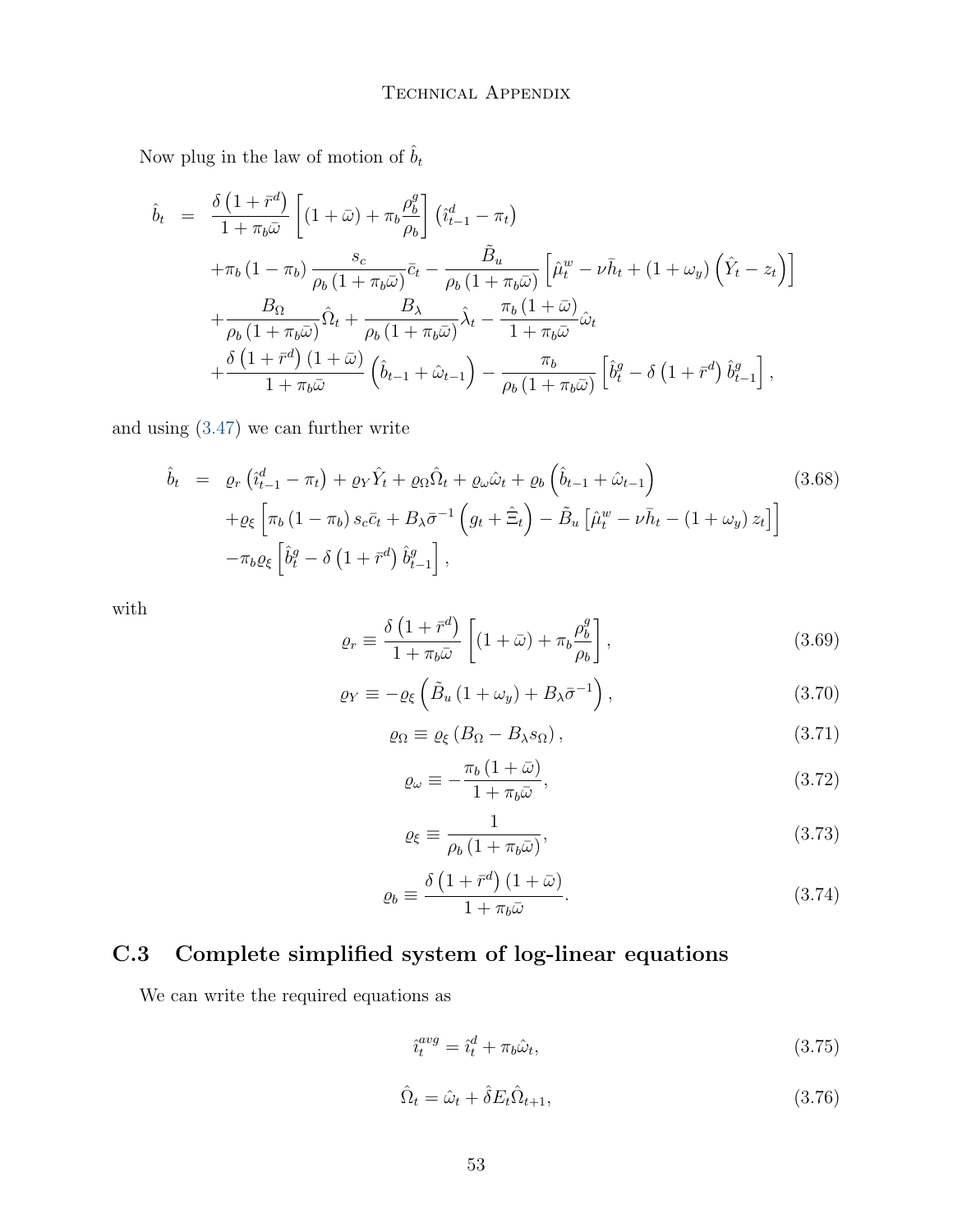Now plug in the law of motion of  $\hat{b}_t$ 

$$
\hat{b}_{t} = \frac{\delta (1 + \bar{r}^{d})}{1 + \pi_{b}\bar{\omega}} \left[ (1 + \bar{\omega}) + \pi_{b} \frac{\rho_{b}^{g}}{\rho_{b}} \right] \left( \hat{i}_{t-1}^{d} - \pi_{t} \right) \n+ \pi_{b} (1 - \pi_{b}) \frac{s_{c}}{\rho_{b} (1 + \pi_{b}\bar{\omega})} \bar{c}_{t} - \frac{\tilde{B}_{u}}{\rho_{b} (1 + \pi_{b}\bar{\omega})} \left[ \hat{\mu}_{t}^{w} - \nu \bar{h}_{t} + (1 + \omega_{y}) \left( \hat{Y}_{t} - z_{t} \right) \right] \n+ \frac{B_{\Omega}}{\rho_{b} (1 + \pi_{b}\bar{\omega})} \hat{\Omega}_{t} + \frac{B_{\lambda}}{\rho_{b} (1 + \pi_{b}\bar{\omega})} \hat{\lambda}_{t} - \frac{\pi_{b} (1 + \bar{\omega})}{1 + \pi_{b}\bar{\omega}} \hat{\omega}_{t} \n+ \frac{\delta (1 + \bar{r}^{d}) (1 + \bar{\omega})}{1 + \pi_{b}\bar{\omega}} \left( \hat{b}_{t-1} + \hat{\omega}_{t-1} \right) - \frac{\pi_{b}}{\rho_{b} (1 + \pi_{b}\bar{\omega})} \left[ \hat{b}_{t}^{g} - \delta (1 + \bar{r}^{d}) \hat{b}_{t-1}^{g} \right],
$$

and using [\(3.47\)](#page-50-0) we can further write

$$
\hat{b}_t = \varrho_r \left( \hat{i}_{t-1}^d - \pi_t \right) + \varrho_Y \hat{Y}_t + \varrho_\Omega \hat{\Omega}_t + \varrho_\omega \hat{\omega}_t + \varrho_b \left( \hat{b}_{t-1} + \hat{\omega}_{t-1} \right) \tag{3.68}
$$
\n
$$
+ \varrho_\xi \left[ \pi_b \left( 1 - \pi_b \right) s_c \bar{c}_t + B_\lambda \bar{\sigma}^{-1} \left( g_t + \hat{\Xi}_t \right) - \tilde{B}_u \left[ \hat{\mu}_t^w - \nu \bar{h}_t - \left( 1 + \omega_y \right) z_t \right] \right]
$$
\n
$$
- \pi_b \varrho_\xi \left[ \hat{b}_t^g - \delta \left( 1 + \bar{r}^d \right) \hat{b}_{t-1}^g \right],
$$

with

$$
\varrho_r \equiv \frac{\delta \left(1 + \bar{r}^d\right)}{1 + \pi_b \bar{\omega}} \left[ (1 + \bar{\omega}) + \pi_b \frac{\rho_b^g}{\rho_b} \right],\tag{3.69}
$$

$$
\varrho_Y \equiv -\varrho_\xi \left( \tilde{B}_u \left( 1 + \omega_y \right) + B_\lambda \bar{\sigma}^{-1} \right), \tag{3.70}
$$

$$
\varrho_{\Omega} \equiv \varrho_{\xi} \left( B_{\Omega} - B_{\lambda} s_{\Omega} \right), \tag{3.71}
$$

$$
\varrho_{\omega} \equiv -\frac{\pi_b (1+\bar{\omega})}{1+\pi_b \bar{\omega}},\tag{3.72}
$$

$$
\varrho_{\xi} \equiv \frac{1}{\rho_b \left(1 + \pi_b \bar{\omega}\right)},\tag{3.73}
$$

$$
\varrho_b \equiv \frac{\delta \left(1 + \bar{r}^d\right) \left(1 + \bar{\omega}\right)}{1 + \pi_b \bar{\omega}}.\tag{3.74}
$$

# C.3 Complete simplified system of log-linear equations

We can write the required equations as

$$
\hat{i}_t^{avg} = \hat{i}_t^d + \pi_b \hat{\omega}_t,\tag{3.75}
$$

$$
\hat{\Omega}_t = \hat{\omega}_t + \hat{\delta} E_t \hat{\Omega}_{t+1},\tag{3.76}
$$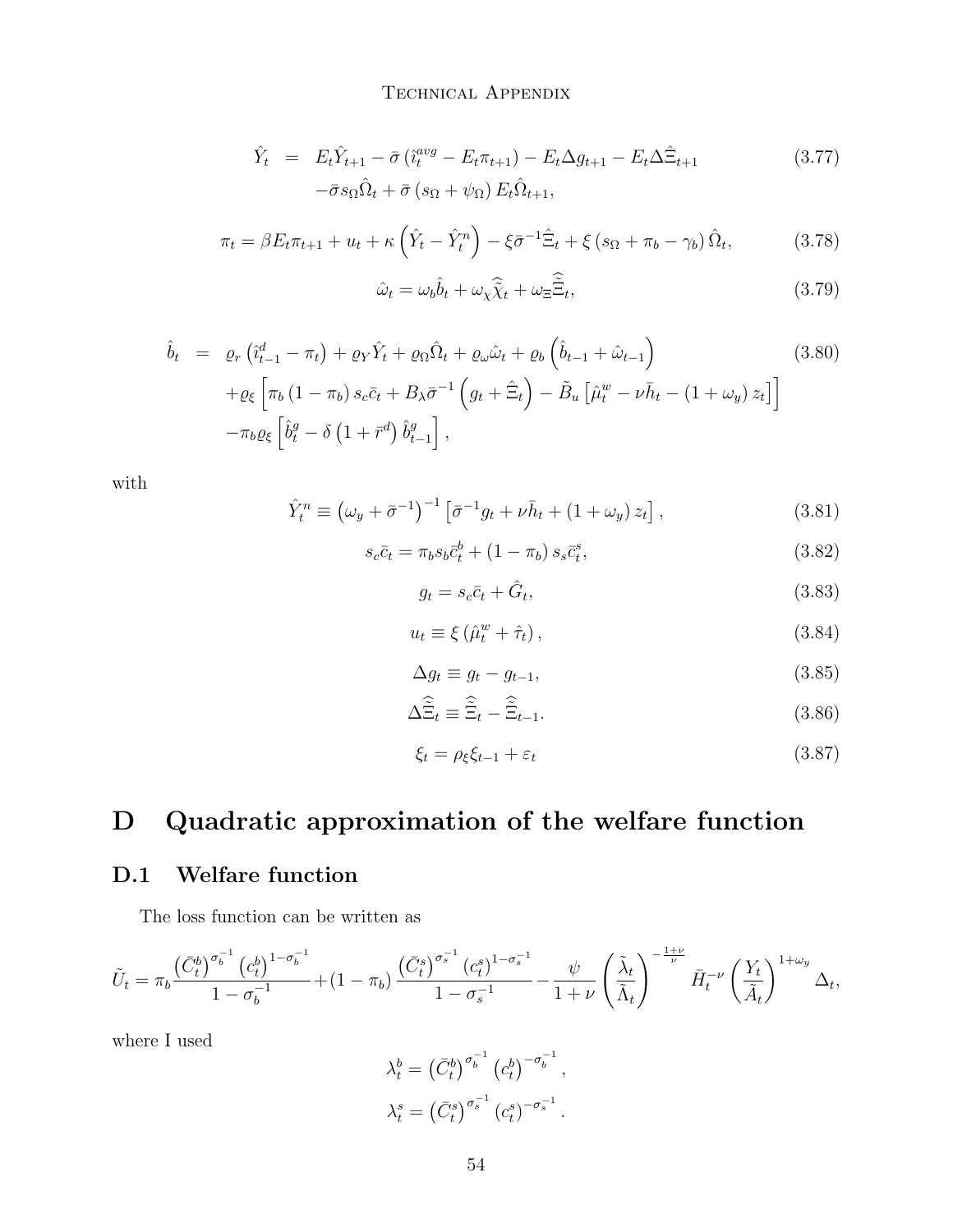#### Technical Appendix

$$
\hat{Y}_t = E_t \hat{Y}_{t+1} - \bar{\sigma} \left( \hat{i}_t^{avg} - E_t \pi_{t+1} \right) - E_t \Delta g_{t+1} - E_t \Delta \hat{\Xi}_{t+1}
$$
\n
$$
-\bar{\sigma} s_{\Omega} \hat{\Omega}_t + \bar{\sigma} \left( s_{\Omega} + \psi_{\Omega} \right) E_t \hat{\Omega}_{t+1},
$$
\n(3.77)

$$
\pi_t = \beta E_t \pi_{t+1} + u_t + \kappa \left(\hat{Y}_t - \hat{Y}_t^n\right) - \xi \bar{\sigma}^{-1} \hat{\Xi}_t + \xi \left(s_{\Omega} + \pi_b - \gamma_b\right) \hat{\Omega}_t,\tag{3.78}
$$

$$
\hat{\omega}_t = \omega_b \hat{b}_t + \omega_x \hat{\tilde{\chi}}_t + \omega_{\Xi} \hat{\tilde{\Xi}}_t,\tag{3.79}
$$

$$
\hat{b}_t = \varrho_r \left( \hat{\imath}_{t-1}^d - \pi_t \right) + \varrho_Y \hat{Y}_t + \varrho_\Omega \hat{\Omega}_t + \varrho_\omega \hat{\omega}_t + \varrho_b \left( \hat{b}_{t-1} + \hat{\omega}_{t-1} \right) \tag{3.80}
$$
\n
$$
+ \varrho_\xi \left[ \pi_b \left( 1 - \pi_b \right) s_c \bar{c}_t + B_\lambda \bar{\sigma}^{-1} \left( g_t + \hat{\Xi}_t \right) - \tilde{B}_u \left[ \hat{\mu}_t^w - \nu \bar{h}_t - \left( 1 + \omega_y \right) z_t \right] \right]
$$
\n
$$
- \pi_b \varrho_\xi \left[ \hat{b}_t^g - \delta \left( 1 + \bar{r}^d \right) \hat{b}_{t-1}^g \right],
$$
\n
$$
(3.80)
$$

with

$$
\hat{Y}_t^n \equiv \left(\omega_y + \bar{\sigma}^{-1}\right)^{-1} \left[\bar{\sigma}^{-1} g_t + \nu \bar{h}_t + \left(1 + \omega_y\right) z_t\right],\tag{3.81}
$$

$$
s_c \bar{c}_t = \pi_b s_b \bar{c}_t^b + (1 - \pi_b) s_s \bar{c}_t^s, \tag{3.82}
$$

$$
g_t = s_c \bar{c}_t + \hat{G}_t,\tag{3.83}
$$

$$
u_t \equiv \xi \left(\hat{\mu}_t^w + \hat{\tau}_t\right),\tag{3.84}
$$

$$
\Delta g_t \equiv g_t - g_{t-1},\tag{3.85}
$$

$$
\Delta \widetilde{\Xi}_t \equiv \widetilde{\Xi}_t - \widetilde{\Xi}_{t-1}.
$$
\n(3.86)

$$
\xi_t = \rho_{\xi} \xi_{t-1} + \varepsilon_t \tag{3.87}
$$

# D Quadratic approximation of the welfare function

### D.1 Welfare function

The loss function can be written as

$$
\tilde{U}_t = \pi_b \frac{\left(\bar{C}_t^b\right)^{\sigma_b^{-1}} \left(c_t^b\right)^{1-\sigma_b^{-1}}}{1-\sigma_b^{-1}} + (1-\pi_b) \frac{\left(\bar{C}_t^s\right)^{\sigma_s^{-1}} \left(c_t^s\right)^{1-\sigma_s^{-1}}}{1-\sigma_s^{-1}} - \frac{\psi}{1+\nu} \left(\frac{\tilde{\lambda}_t}{\tilde{\Lambda}_t}\right)^{-\frac{1+\nu}{\nu}} \bar{H}_t^{-\nu} \left(\frac{Y_t}{\tilde{A}_t}\right)^{1+\omega_y} \Delta_t,
$$

where I used

$$
\lambda_t^b = \left(\bar{C}_t^b\right)^{\sigma_b^{-1}} \left(c_t^b\right)^{-\sigma_b^{-1}},
$$

$$
\lambda_t^s = \left(\bar{C}_t^s\right)^{\sigma_s^{-1}} \left(c_t^s\right)^{-\sigma_s^{-1}}.
$$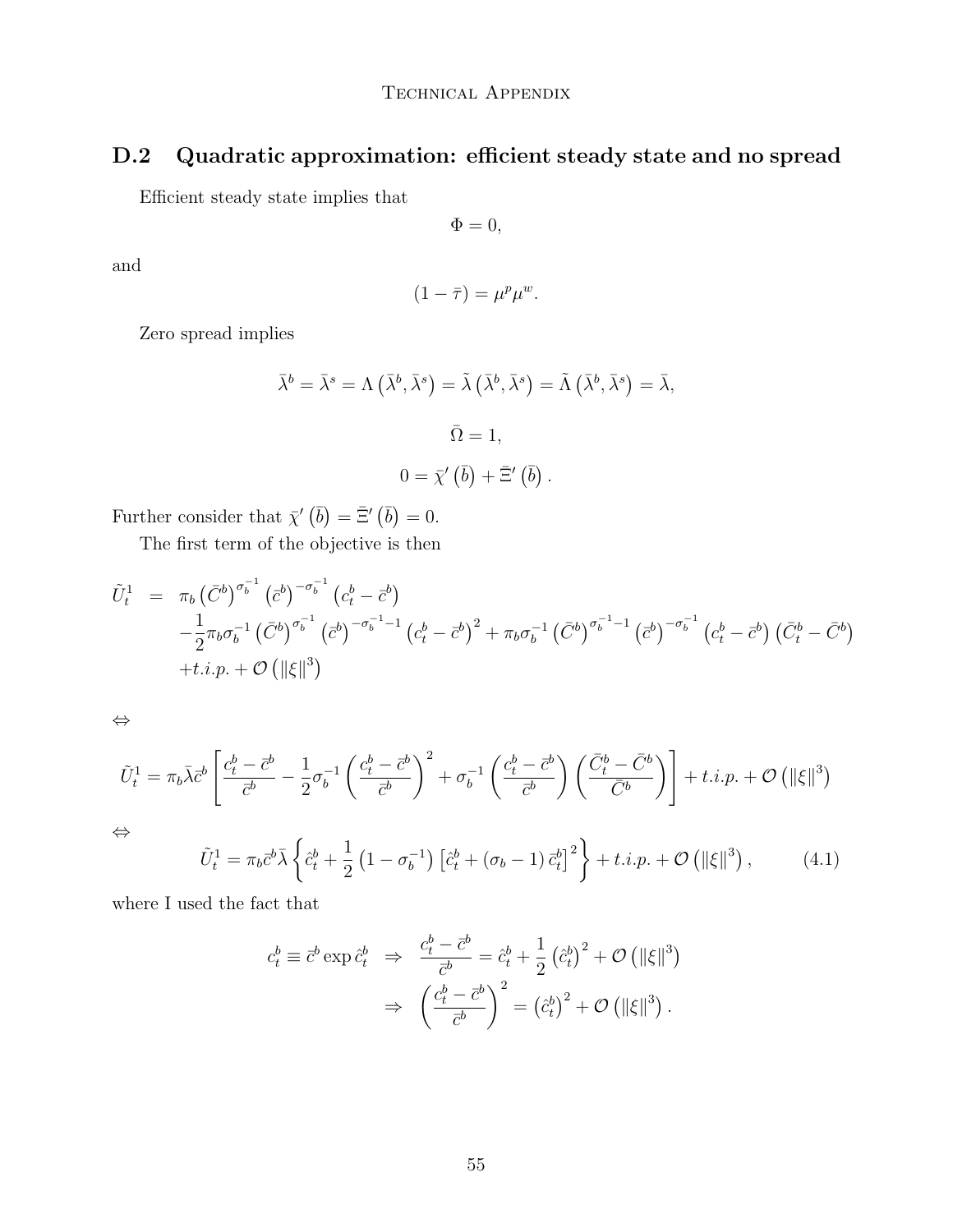## D.2 Quadratic approximation: efficient steady state and no spread

Efficient steady state implies that

$$
\Phi=0,
$$

and

$$
(1 - \bar{\tau}) = \mu^p \mu^w.
$$

Zero spread implies

$$
\bar{\lambda}^{b} = \bar{\lambda}^{s} = \Lambda \left( \bar{\lambda}^{b}, \bar{\lambda}^{s} \right) = \tilde{\lambda} \left( \bar{\lambda}^{b}, \bar{\lambda}^{s} \right) = \tilde{\Lambda} \left( \bar{\lambda}^{b}, \bar{\lambda}^{s} \right) = \bar{\lambda},
$$
  

$$
\bar{\Omega} = 1,
$$
  

$$
0 = \bar{\chi}' \left( \bar{b} \right) + \bar{\Xi}' \left( \bar{b} \right).
$$

Further consider that  $\bar{\chi}'(\bar{b}) = \bar{\Xi}'(\bar{b}) = 0$ .

The first term of the objective is then

$$
\tilde{U}_{t}^{1} = \pi_{b} (\bar{C}^{b})^{\sigma_{b}^{-1}} (\bar{c}^{b})^{-\sigma_{b}^{-1}} (c_{t}^{b} - \bar{c}^{b}) \n- \frac{1}{2} \pi_{b} \sigma_{b}^{-1} (\bar{C}^{b})^{\sigma_{b}^{-1}} (\bar{c}^{b})^{-\sigma_{b}^{-1}-1} (c_{t}^{b} - \bar{c}^{b})^{2} + \pi_{b} \sigma_{b}^{-1} (\bar{C}^{b})^{\sigma_{b}^{-1}-1} (\bar{c}^{b})^{-\sigma_{b}^{-1}} (c_{t}^{b} - \bar{c}^{b}) (\bar{C}^{b} - \bar{C}^{b}) \n+ t.i.p. + \mathcal{O} (||\xi||^{3})
$$

⇔

$$
\tilde{U}_t^1 = \pi_b \bar{\lambda} \bar{c}^b \left[ \frac{c_t^b - \bar{c}^b}{\bar{c}^b} - \frac{1}{2} \sigma_b^{-1} \left( \frac{c_t^b - \bar{c}^b}{\bar{c}^b} \right)^2 + \sigma_b^{-1} \left( \frac{c_t^b - \bar{c}^b}{\bar{c}^b} \right) \left( \frac{\bar{C}_t^b - \bar{C}^b}{\bar{C}^b} \right) \right] + t.i.p. + \mathcal{O}\left( \|\xi\|^3 \right)
$$
\n
$$
\Leftrightarrow \qquad \left( \frac{1}{\bar{C}^b} - \frac{1}{\bar{C}^b} \right) \left( \frac{\bar{C}_t^b - \bar{C}^b}{\bar{C}^b} \right) \left( \frac{\bar{C}_t^b - \bar{C}^b}{\bar{C}^b} \right) + t.i.p. + \mathcal{O}\left( \|\xi\|^3 \right)
$$

⇔

$$
\tilde{U}_t^1 = \pi_b \bar{c}^b \bar{\lambda} \left\{ \hat{c}_t^b + \frac{1}{2} \left( 1 - \sigma_b^{-1} \right) \left[ \hat{c}_t^b + (\sigma_b - 1) \bar{c}_t^b \right]^2 \right\} + t.i.p. + \mathcal{O}\left( \|\xi\|^3 \right),\tag{4.1}
$$

where I used the fact that

$$
c_t^b \equiv \bar{c}^b \exp \hat{c}_t^b \Rightarrow \frac{c_t^b - \bar{c}^b}{\bar{c}^b} = \hat{c}_t^b + \frac{1}{2} (\hat{c}_t^b)^2 + \mathcal{O} \left( \|\xi\|^3 \right)
$$

$$
\Rightarrow \left( \frac{c_t^b - \bar{c}^b}{\bar{c}^b} \right)^2 = (\hat{c}_t^b)^2 + \mathcal{O} \left( \|\xi\|^3 \right).
$$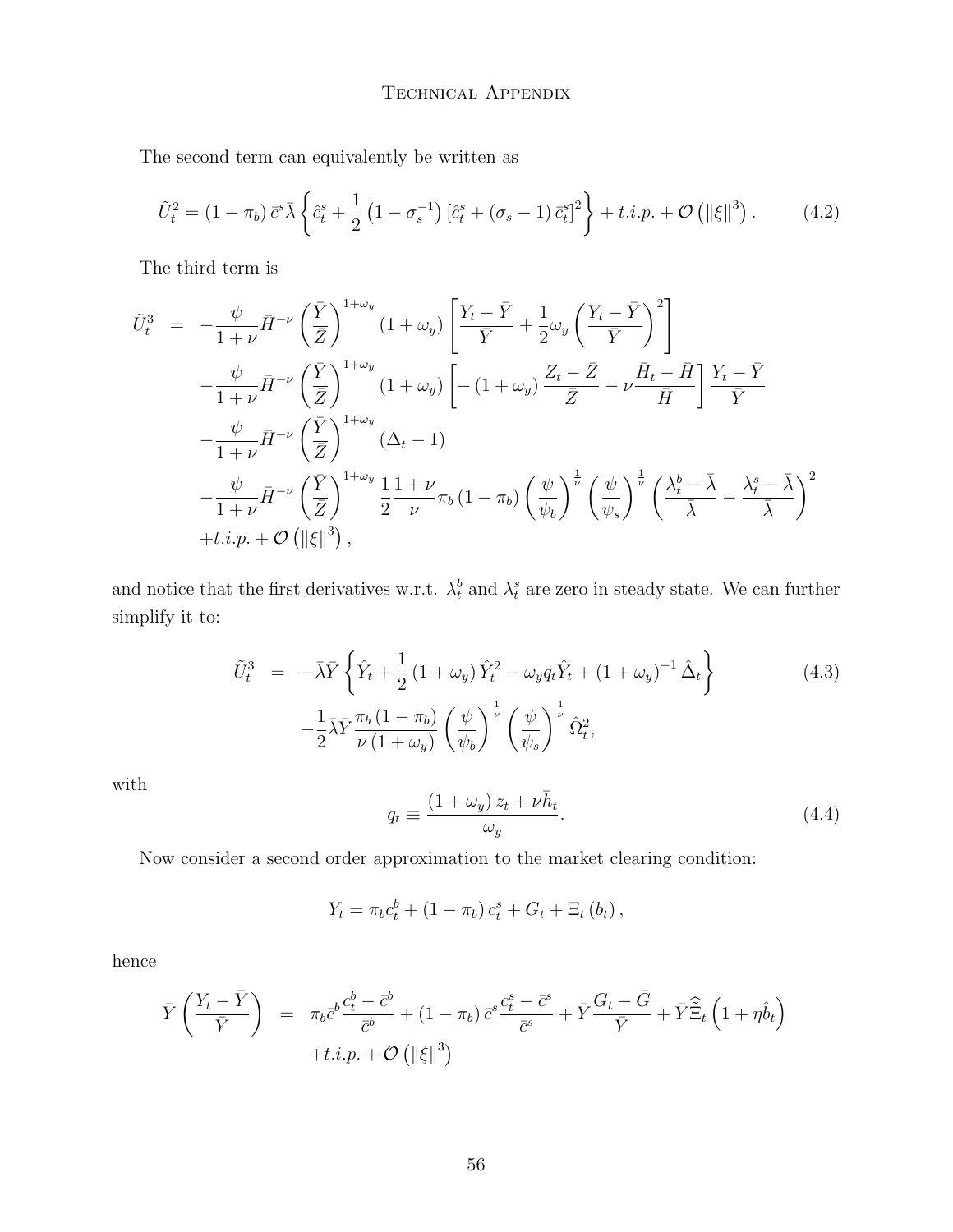The second term can equivalently be written as

$$
\tilde{U}_t^2 = (1 - \pi_b) \,\bar{c}^s \bar{\lambda} \left\{ \hat{c}_t^s + \frac{1}{2} \left( 1 - \sigma_s^{-1} \right) \left[ \hat{c}_t^s + (\sigma_s - 1) \,\bar{c}_t^s \right]^2 \right\} + t.i.p. + \mathcal{O}\left( \|\xi\|^3 \right). \tag{4.2}
$$

The third term is

$$
\tilde{U}_{t}^{3} = -\frac{\psi}{1+\nu}\bar{H}^{-\nu}\left(\frac{\bar{Y}}{\bar{Z}}\right)^{1+\omega_{y}}\left(1+\omega_{y}\right)\left[\frac{Y_{t}-\bar{Y}}{\bar{Y}}+\frac{1}{2}\omega_{y}\left(\frac{Y_{t}-\bar{Y}}{\bar{Y}}\right)^{2}\right] \n-\frac{\psi}{1+\nu}\bar{H}^{-\nu}\left(\frac{\bar{Y}}{\bar{Z}}\right)^{1+\omega_{y}}\left(1+\omega_{y}\right)\left[-\left(1+\omega_{y}\right)\frac{Z_{t}-\bar{Z}}{\bar{Z}}-\nu\frac{\bar{H}_{t}-\bar{H}}{\bar{H}}\right]\frac{Y_{t}-\bar{Y}}{\bar{Y}} \n-\frac{\psi}{1+\nu}\bar{H}^{-\nu}\left(\frac{\bar{Y}}{\bar{Z}}\right)^{1+\omega_{y}}\left(\Delta_{t}-1\right) \n-\frac{\psi}{1+\nu}\bar{H}^{-\nu}\left(\frac{\bar{Y}}{\bar{Z}}\right)^{1+\omega_{y}}\frac{1}{2}\frac{1+\nu}{\nu}\pi_{b}\left(1-\pi_{b}\right)\left(\frac{\psi}{\psi_{b}}\right)^{\frac{1}{\nu}}\left(\frac{\psi}{\psi_{s}}\right)^{\frac{1}{\nu}}\left(\frac{\lambda_{t}^{b}-\bar{\lambda}}{\bar{\lambda}}-\frac{\lambda_{t}^{s}-\bar{\lambda}}{\bar{\lambda}}\right)^{2} \n+t.i.p.+\mathcal{O}\left(\|\xi\|^{3}\right),
$$

and notice that the first derivatives w.r.t.  $\lambda_t^b$  and  $\lambda_t^s$  are zero in steady state. We can further simplify it to:

$$
\tilde{U}_t^3 = -\bar{\lambda}\bar{Y}\left\{\hat{Y}_t + \frac{1}{2}\left(1 + \omega_y\right)\hat{Y}_t^2 - \omega_y q_t \hat{Y}_t + \left(1 + \omega_y\right)^{-1}\hat{\Delta}_t\right\} \qquad (4.3)
$$
\n
$$
-\frac{1}{2}\bar{\lambda}\bar{Y}\frac{\pi_b\left(1 - \pi_b\right)}{\nu\left(1 + \omega_y\right)}\left(\frac{\psi}{\psi_b}\right)^{\frac{1}{\nu}}\left(\frac{\psi}{\psi_s}\right)^{\frac{1}{\nu}}\hat{\Omega}_t^2,
$$

with

$$
q_t \equiv \frac{(1 + \omega_y) z_t + \nu \bar{h}_t}{\omega_y}.
$$
\n(4.4)

Now consider a second order approximation to the market clearing condition:

$$
Y_t = \pi_b c_t^b + (1 - \pi_b) c_t^s + G_t + \Xi_t (b_t),
$$

hence

$$
\bar{Y}\left(\frac{Y_t - \bar{Y}}{\bar{Y}}\right) = \pi_b \bar{c}^b \frac{c_t^b - \bar{c}^b}{\bar{c}^b} + (1 - \pi_b) \bar{c}^s \frac{c_t^s - \bar{c}^s}{\bar{c}^s} + \bar{Y}\frac{G_t - \bar{G}}{\bar{Y}} + \bar{Y}\hat{\Xi}_t \left(1 + \eta \hat{b}_t\right) + t.i.p. + \mathcal{O}\left(\|\xi\|^3\right)
$$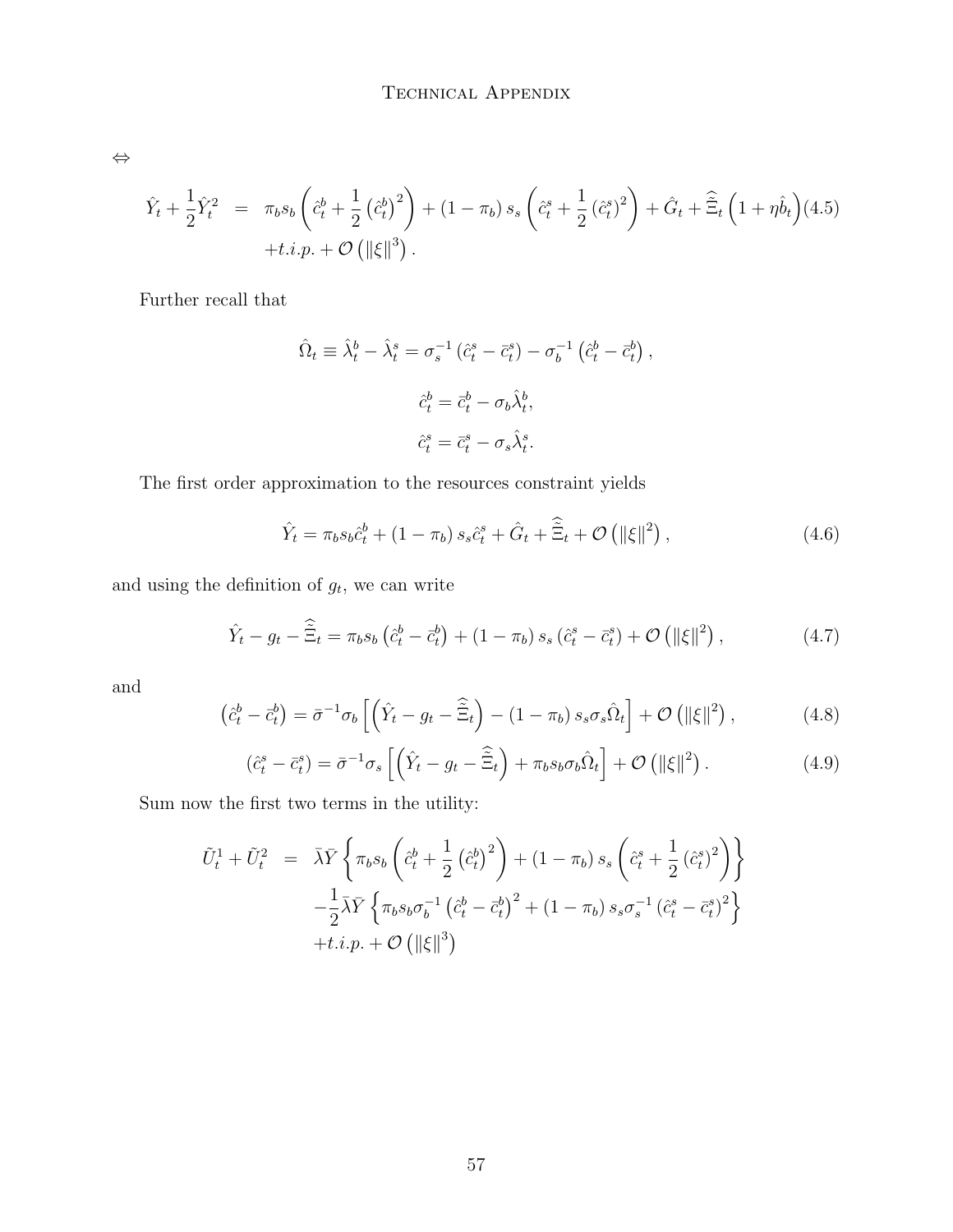⇔

$$
\hat{Y}_t + \frac{1}{2}\hat{Y}_t^2 = \pi_b s_b \left(\hat{c}_t^b + \frac{1}{2} (\hat{c}_t^b)^2\right) + (1 - \pi_b) s_s \left(\hat{c}_t^s + \frac{1}{2} (\hat{c}_t^s)^2\right) + \hat{G}_t + \hat{\Xi}_t \left(1 + \eta \hat{b}_t\right) (4.5) \n+ t.i.p. + \mathcal{O}\left(\|\xi\|^3\right).
$$

Further recall that

$$
\hat{\Omega}_t \equiv \hat{\lambda}_t^b - \hat{\lambda}_t^s = \sigma_s^{-1} (\hat{c}_t^s - \bar{c}_t^s) - \sigma_b^{-1} (\hat{c}_t^b - \bar{c}_t^b),
$$
  

$$
\hat{c}_t^b = \bar{c}_t^b - \sigma_b \hat{\lambda}_t^b,
$$
  

$$
\hat{c}_t^s = \bar{c}_t^s - \sigma_s \hat{\lambda}_t^s.
$$

The first order approximation to the resources constraint yields

$$
\hat{Y}_t = \pi_b s_b \hat{c}_t^b + (1 - \pi_b) s_s \hat{c}_t^s + \hat{G}_t + \hat{\tilde{\Xi}}_t + \mathcal{O}\left(\|\xi\|^2\right),\tag{4.6}
$$

and using the definition of  $g_t$ , we can write

$$
\hat{Y}_t - g_t - \hat{\Xi}_t = \pi_b s_b \left( \hat{c}_t^b - \bar{c}_t^b \right) + (1 - \pi_b) s_s \left( \hat{c}_t^s - \bar{c}_t^s \right) + \mathcal{O}\left( \|\xi\|^2 \right),\tag{4.7}
$$

and

$$
\left(\hat{c}_t^b - \bar{c}_t^b\right) = \bar{\sigma}^{-1}\sigma_b\left[\left(\hat{Y}_t - g_t - \hat{\Xi}_t\right) - \left(1 - \pi_b\right)s_s\sigma_s\hat{\Omega}_t\right] + \mathcal{O}\left(\|\xi\|^2\right),\tag{4.8}
$$

$$
\left(\hat{c}_{t}^{s} - \bar{c}_{t}^{s}\right) = \bar{\sigma}^{-1}\sigma_{s}\left[\left(\hat{Y}_{t} - g_{t} - \hat{\Xi}_{t}\right) + \pi_{b}s_{b}\sigma_{b}\hat{\Omega}_{t}\right] + \mathcal{O}\left(\|\xi\|^{2}\right). \tag{4.9}
$$

Sum now the first two terms in the utility:

$$
\tilde{U}_{t}^{1} + \tilde{U}_{t}^{2} = \bar{\lambda}\bar{Y}\left\{\pi_{b}s_{b}\left(\hat{c}_{t}^{b} + \frac{1}{2}\left(\hat{c}_{t}^{b}\right)^{2}\right) + (1 - \pi_{b})s_{s}\left(\hat{c}_{t}^{s} + \frac{1}{2}\left(\hat{c}_{t}^{s}\right)^{2}\right)\right\} \n- \frac{1}{2}\bar{\lambda}\bar{Y}\left\{\pi_{b}s_{b}\sigma_{b}^{-1}\left(\hat{c}_{t}^{b} - \bar{c}_{t}^{b}\right)^{2} + (1 - \pi_{b})s_{s}\sigma_{s}^{-1}\left(\hat{c}_{t}^{s} - \bar{c}_{t}^{s}\right)^{2}\right\} \n+ t.i.p. + \mathcal{O}\left(\|\xi\|^{3}\right)
$$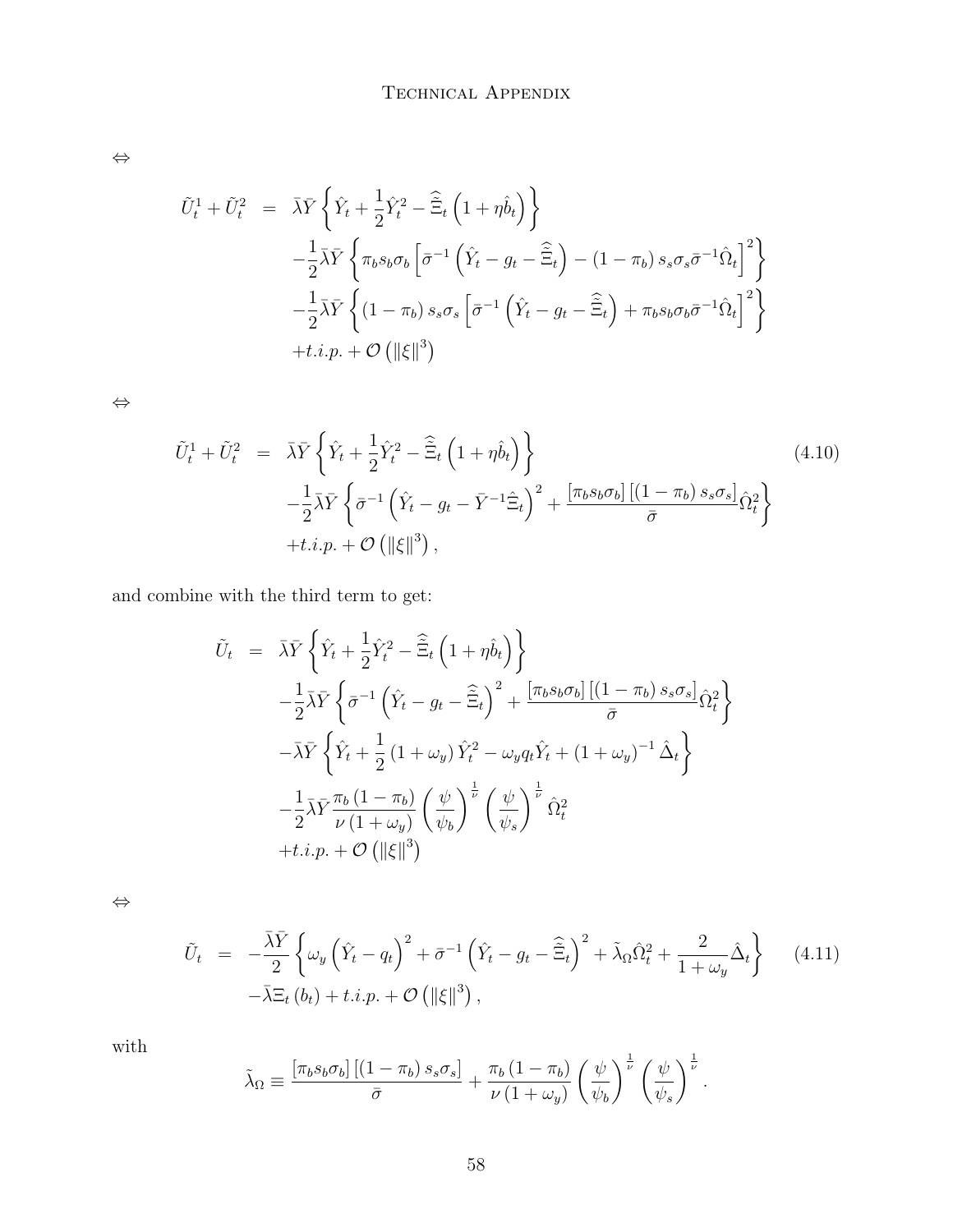⇔

$$
\tilde{U}_{t}^{1} + \tilde{U}_{t}^{2} = \bar{\lambda}\bar{Y}\left\{\hat{Y}_{t} + \frac{1}{2}\hat{Y}_{t}^{2} - \hat{\Xi}_{t}\left(1 + \eta\hat{b}_{t}\right)\right\}
$$
\n
$$
-\frac{1}{2}\bar{\lambda}\bar{Y}\left\{\pi_{b}s_{b}\sigma_{b}\left[\bar{\sigma}^{-1}\left(\hat{Y}_{t} - g_{t} - \hat{\Xi}_{t}\right) - (1 - \pi_{b})s_{s}\sigma_{s}\bar{\sigma}^{-1}\hat{\Omega}_{t}\right]^{2}\right\}
$$
\n
$$
-\frac{1}{2}\bar{\lambda}\bar{Y}\left\{(1 - \pi_{b})s_{s}\sigma_{s}\left[\bar{\sigma}^{-1}\left(\hat{Y}_{t} - g_{t} - \hat{\Xi}_{t}\right) + \pi_{b}s_{b}\sigma_{b}\bar{\sigma}^{-1}\hat{\Omega}_{t}\right]^{2}\right\}
$$
\n
$$
+ t.i.p. + \mathcal{O}\left(\|\xi\|^{3}\right)
$$

⇔

$$
\tilde{U}_t^1 + \tilde{U}_t^2 = \bar{\lambda}\bar{Y}\left\{\hat{Y}_t + \frac{1}{2}\hat{Y}_t^2 - \tilde{\Xi}_t\left(1 + \eta\hat{b}_t\right)\right\} \n- \frac{1}{2}\bar{\lambda}\bar{Y}\left\{\bar{\sigma}^{-1}\left(\hat{Y}_t - g_t - \bar{Y}^{-1}\hat{\Xi}_t\right)^2 + \frac{[\pi_b s_b \sigma_b] \left[(1 - \pi_b) s_s \sigma_s\right]}{\bar{\sigma}}\hat{\Omega}_t^2\right\} \n+ t.i.p. + \mathcal{O}\left(\|\xi\|^3\right),
$$
\n(4.10)

and combine with the third term to get:

$$
\tilde{U}_t = \bar{\lambda}\bar{Y}\left\{\hat{Y}_t + \frac{1}{2}\hat{Y}_t^2 - \hat{\Xi}_t\left(1 + \eta\hat{b}_t\right)\right\}
$$
\n
$$
-\frac{1}{2}\bar{\lambda}\bar{Y}\left\{\bar{\sigma}^{-1}\left(\hat{Y}_t - g_t - \hat{\Xi}_t\right)^2 + \frac{[\pi_b s_b \sigma_b] \left[(1 - \pi_b) s_s \sigma_s\right]}{\bar{\sigma}}\hat{\Omega}_t^2\right\}
$$
\n
$$
-\bar{\lambda}\bar{Y}\left\{\hat{Y}_t + \frac{1}{2}\left(1 + \omega_y\right)\hat{Y}_t^2 - \omega_y q_t \hat{Y}_t + \left(1 + \omega_y\right)^{-1}\hat{\Delta}_t\right\}
$$
\n
$$
-\frac{1}{2}\bar{\lambda}\bar{Y}\frac{\pi_b\left(1 - \pi_b\right)}{\nu\left(1 + \omega_y\right)}\left(\frac{\psi}{\psi_b}\right)^{\frac{1}{\nu}}\left(\frac{\psi}{\psi_s}\right)^{\frac{1}{\nu}}\hat{\Omega}_t^2
$$
\n
$$
+ t.i.p. + \mathcal{O}\left(\|\xi\|^3\right)
$$

⇔

$$
\tilde{U}_t = -\frac{\bar{\lambda}\bar{Y}}{2} \left\{ \omega_y \left( \hat{Y}_t - q_t \right)^2 + \bar{\sigma}^{-1} \left( \hat{Y}_t - g_t - \hat{\Xi}_t \right)^2 + \tilde{\lambda}_\Omega \hat{\Omega}_t^2 + \frac{2}{1 + \omega_y} \hat{\Delta}_t \right\} \quad (4.11)
$$

$$
-\bar{\lambda}\Xi_t (b_t) + t.i.p. + \mathcal{O} \left( \|\xi\|^3 \right),
$$

with

$$
\tilde{\lambda}_{\Omega} \equiv \frac{\left[\pi_b s_b \sigma_b\right] \left[\left(1 - \pi_b\right) s_s \sigma_s\right]}{\bar{\sigma}} + \frac{\pi_b \left(1 - \pi_b\right)}{\nu \left(1 + \omega_y\right)} \left(\frac{\psi}{\psi_b}\right)^{\frac{1}{\nu}} \left(\frac{\psi}{\psi_s}\right)^{\frac{1}{\nu}}.
$$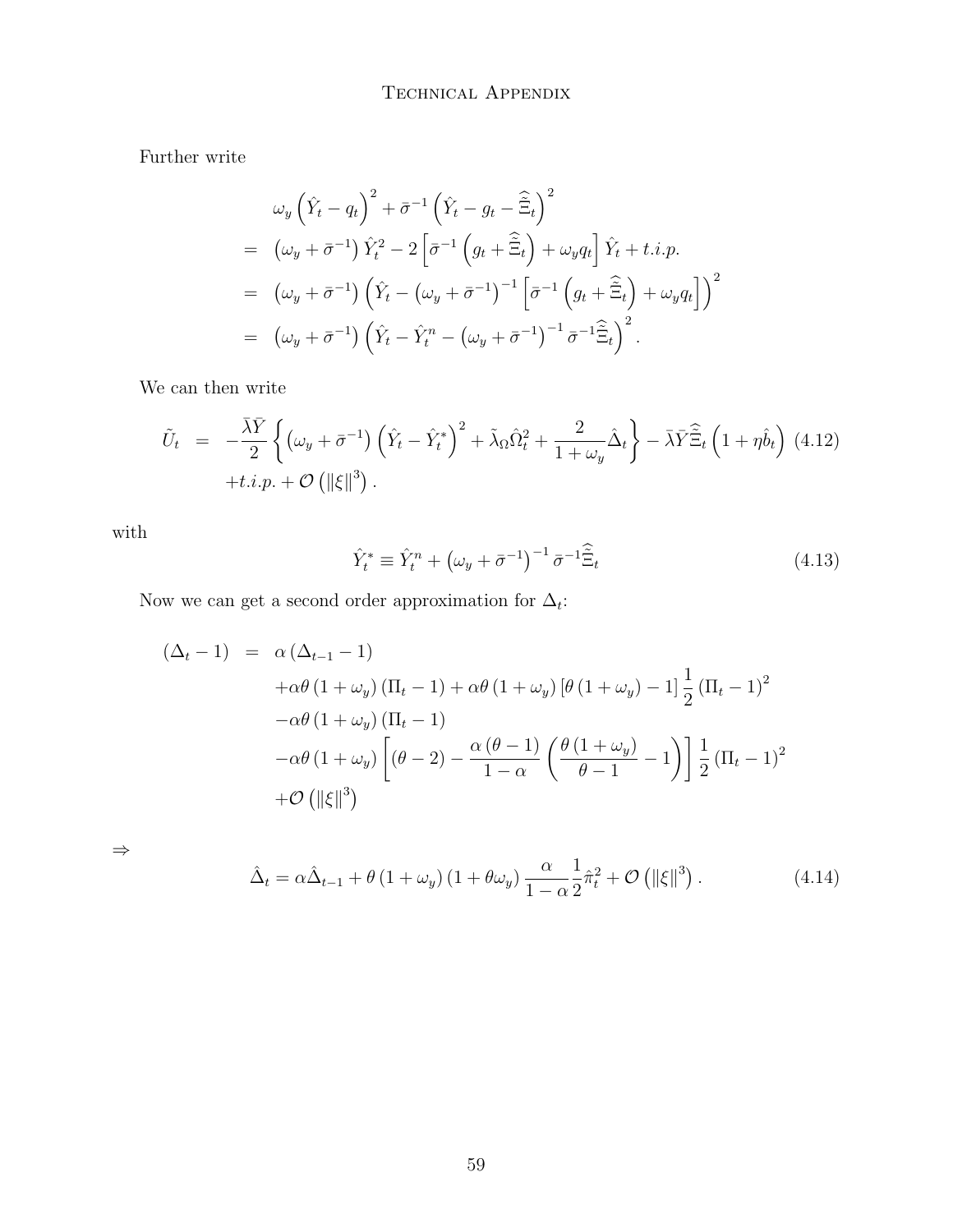Further write

$$
\omega_y \left(\hat{Y}_t - q_t\right)^2 + \bar{\sigma}^{-1} \left(\hat{Y}_t - g_t - \tilde{\Xi}_t\right)^2
$$
\n
$$
= (\omega_y + \bar{\sigma}^{-1}) \hat{Y}_t^2 - 2 \left[\bar{\sigma}^{-1} \left(g_t + \tilde{\Xi}_t\right) + \omega_y q_t\right] \hat{Y}_t + t.i.p.
$$
\n
$$
= (\omega_y + \bar{\sigma}^{-1}) \left(\hat{Y}_t - (\omega_y + \bar{\sigma}^{-1})^{-1} \left[\bar{\sigma}^{-1} \left(g_t + \tilde{\Xi}_t\right) + \omega_y q_t\right]\right)^2
$$
\n
$$
= (\omega_y + \bar{\sigma}^{-1}) \left(\hat{Y}_t - \hat{Y}_t^n - (\omega_y + \bar{\sigma}^{-1})^{-1} \bar{\sigma}^{-1} \tilde{\Xi}_t\right)^2.
$$

We can then write

$$
\tilde{U}_t = -\frac{\bar{\lambda}\bar{Y}}{2} \left\{ \left( \omega_y + \bar{\sigma}^{-1} \right) \left( \hat{Y}_t - \hat{Y}_t^* \right)^2 + \tilde{\lambda}_\Omega \hat{\Omega}_t^2 + \frac{2}{1 + \omega_y} \hat{\Delta}_t \right\} - \bar{\lambda} \bar{Y} \hat{\Xi}_t \left( 1 + \eta \hat{b}_t \right) (4.12) \n+ t.i.p. + \mathcal{O} \left( \|\xi\|^3 \right).
$$

with

$$
\hat{Y}_t^* \equiv \hat{Y}_t^n + \left(\omega_y + \bar{\sigma}^{-1}\right)^{-1} \bar{\sigma}^{-1} \hat{\Xi}_t \tag{4.13}
$$

Now we can get a second order approximation for  $\Delta_t$ :

$$
(\Delta_t - 1) = \alpha (\Delta_{t-1} - 1)
$$
  
+  $\alpha \theta (1 + \omega_y) (\Pi_t - 1) + \alpha \theta (1 + \omega_y) [\theta (1 + \omega_y) - 1] \frac{1}{2} (\Pi_t - 1)^2$   
-  $\alpha \theta (1 + \omega_y) (\Pi_t - 1)$   
-  $\alpha \theta (1 + \omega_y) [(\theta - 2) - \frac{\alpha (\theta - 1)}{1 - \alpha} (\frac{\theta (1 + \omega_y)}{\theta - 1} - 1)] \frac{1}{2} (\Pi_t - 1)^2$   
+  $\mathcal{O} (||\xi||^3)$ 

⇒

$$
\hat{\Delta}_t = \alpha \hat{\Delta}_{t-1} + \theta \left( 1 + \omega_y \right) \left( 1 + \theta \omega_y \right) \frac{\alpha}{1 - \alpha} \frac{1}{2} \hat{\pi}_t^2 + \mathcal{O} \left( \|\xi\|^3 \right). \tag{4.14}
$$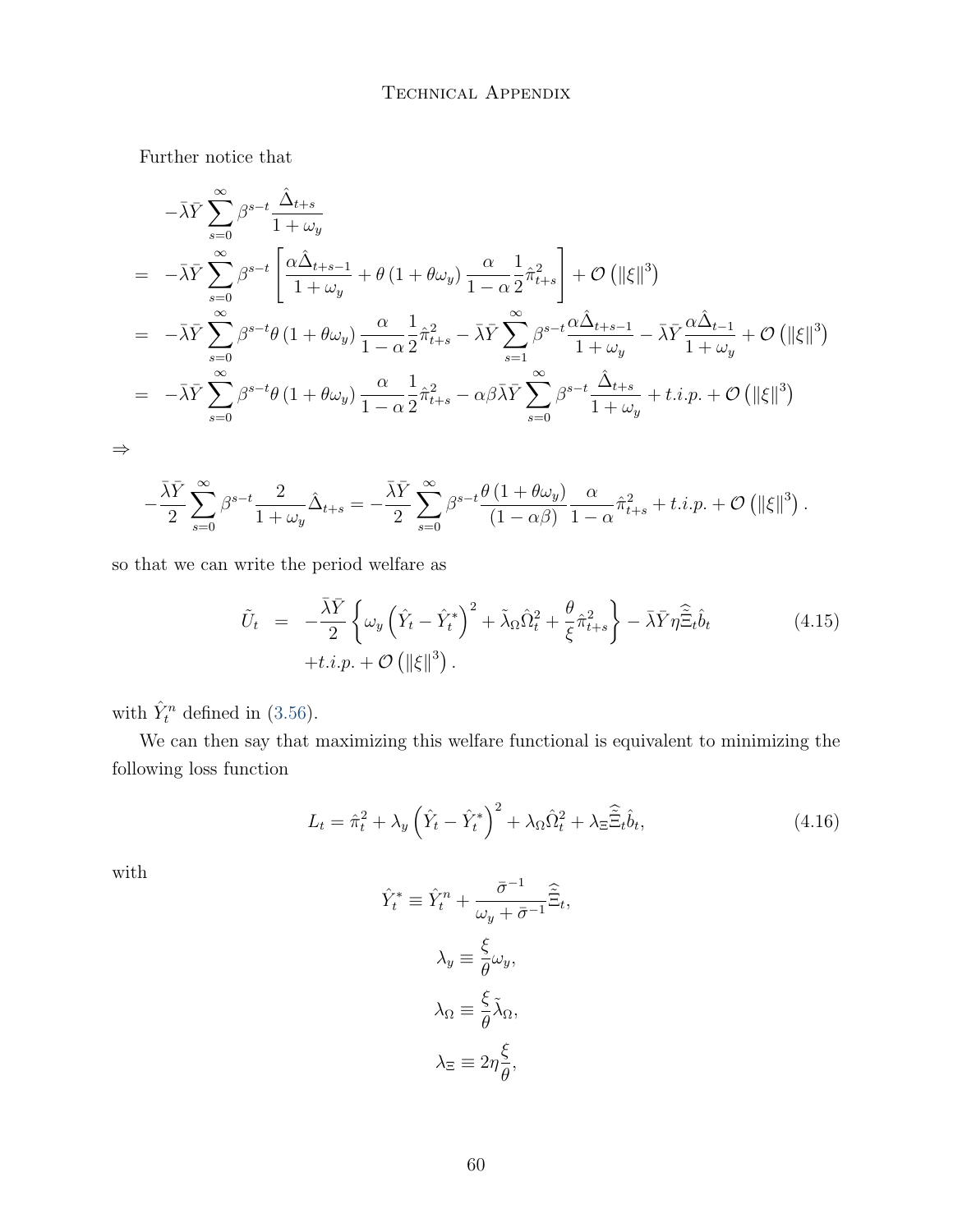Further notice that

$$
-\bar{\lambda}\bar{Y}\sum_{s=0}^{\infty}\beta^{s-t}\frac{\hat{\Delta}_{t+s}}{1+\omega_y}
$$
  
=\n
$$
-\bar{\lambda}\bar{Y}\sum_{s=0}^{\infty}\beta^{s-t}\left[\frac{\alpha\hat{\Delta}_{t+s-1}}{1+\omega_y} + \theta(1+\theta\omega_y)\frac{\alpha}{1-\alpha}\frac{1}{2}\hat{\pi}_{t+s}^2\right] + \mathcal{O}\left(\|\xi\|^3\right)
$$
  
=\n
$$
-\bar{\lambda}\bar{Y}\sum_{s=0}^{\infty}\beta^{s-t}\theta(1+\theta\omega_y)\frac{\alpha}{1-\alpha}\frac{1}{2}\hat{\pi}_{t+s}^2 - \bar{\lambda}\bar{Y}\sum_{s=1}^{\infty}\beta^{s-t}\frac{\alpha\hat{\Delta}_{t+s-1}}{1+\omega_y} - \bar{\lambda}\bar{Y}\frac{\alpha\hat{\Delta}_{t-1}}{1+\omega_y} + \mathcal{O}\left(\|\xi\|^3\right)
$$
  
=\n
$$
-\bar{\lambda}\bar{Y}\sum_{s=0}^{\infty}\beta^{s-t}\theta(1+\theta\omega_y)\frac{\alpha}{1-\alpha}\frac{1}{2}\hat{\pi}_{t+s}^2 - \alpha\beta\bar{\lambda}\bar{Y}\sum_{s=0}^{\infty}\beta^{s-t}\frac{\hat{\Delta}_{t+s}}{1+\omega_y} + t.i.p. + \mathcal{O}\left(\|\xi\|^3\right)
$$

⇒

$$
-\frac{\bar{\lambda}\bar{Y}}{2}\sum_{s=0}^{\infty}\beta^{s-t}\frac{2}{1+\omega_y}\hat{\Delta}_{t+s}=-\frac{\bar{\lambda}\bar{Y}}{2}\sum_{s=0}^{\infty}\beta^{s-t}\frac{\theta\left(1+\theta\omega_y\right)}{(1-\alpha\beta)}\frac{\alpha}{1-\alpha}\hat{\pi}_{t+s}^2+t.i.p.+\mathcal{O}\left(\|\xi\|^3\right).
$$

so that we can write the period welfare as

$$
\tilde{U}_t = -\frac{\bar{\lambda}\bar{Y}}{2} \left\{ \omega_y \left( \hat{Y}_t - \hat{Y}_t^* \right)^2 + \tilde{\lambda}_\Omega \hat{\Omega}_t^2 + \frac{\theta}{\xi} \hat{\pi}_{t+s}^2 \right\} - \bar{\lambda} \bar{Y} \eta \hat{\tilde{\Xi}}_t \hat{b}_t
$$
\n
$$
+ t.i.p. + \mathcal{O} \left( \|\xi\|^3 \right).
$$
\n(4.15)

with  $\hat{Y}_t^n$  defined in [\(3.56\)](#page-51-0).

We can then say that maximizing this welfare functional is equivalent to minimizing the following loss function

$$
L_t = \hat{\pi}_t^2 + \lambda_y \left(\hat{Y}_t - \hat{Y}_t^*\right)^2 + \lambda_\Omega \hat{\Omega}_t^2 + \lambda_\Xi \hat{\Xi}_t \hat{b}_t,\tag{4.16}
$$

with

$$
\hat{Y}_t^* \equiv \hat{Y}_t^n + \frac{\bar{\sigma}^{-1}}{\omega_y + \bar{\sigma}^{-1}} \hat{\Xi}_t,
$$

$$
\lambda_y \equiv \frac{\xi}{\theta} \omega_y,
$$

$$
\lambda_\Omega \equiv \frac{\xi}{\theta} \tilde{\lambda}_\Omega,
$$

$$
\lambda_\Xi \equiv 2\eta \frac{\xi}{\theta},
$$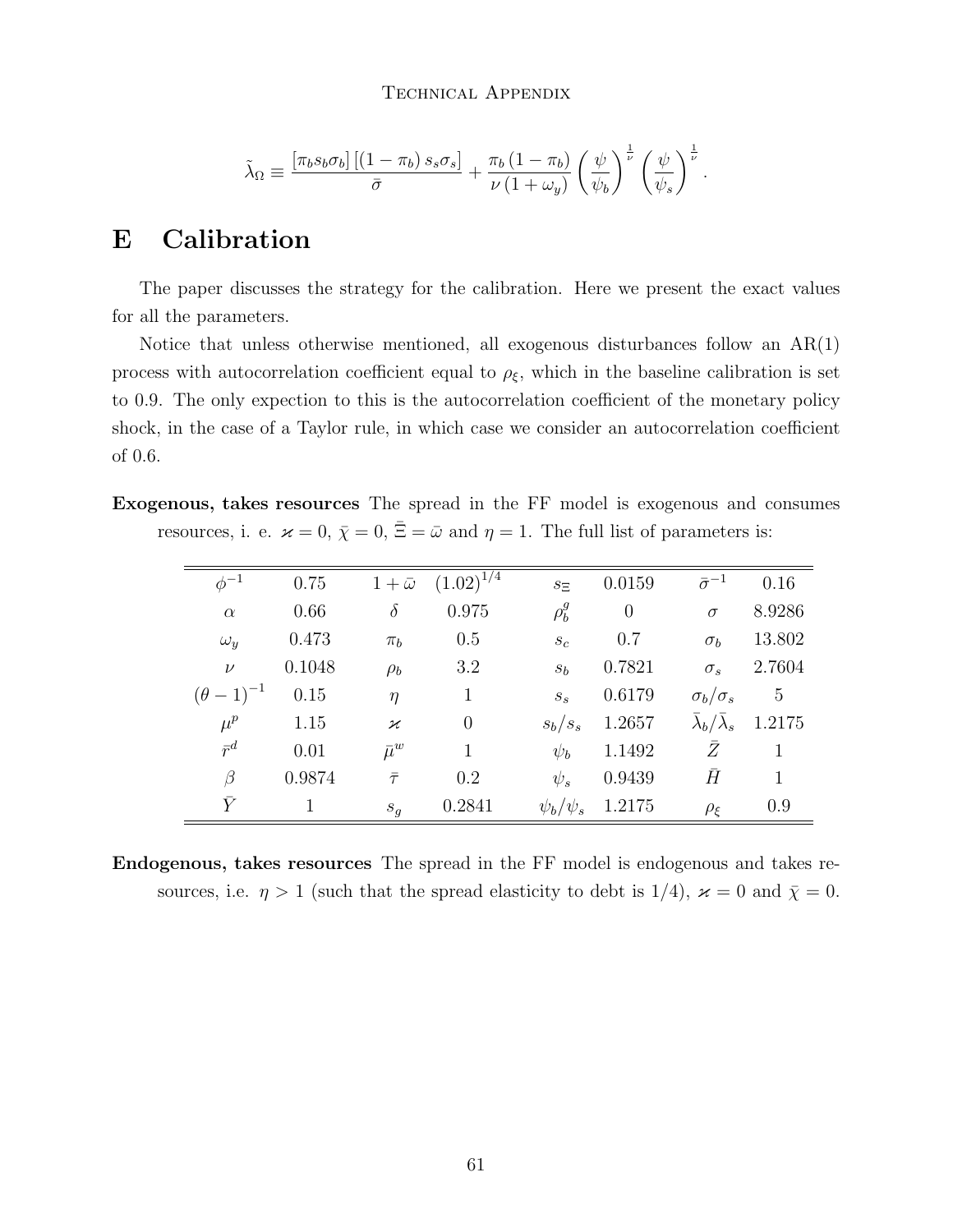#### Technical Appendix

$$
\tilde{\lambda}_{\Omega} \equiv \frac{\left[\pi_b s_b \sigma_b\right] \left[\left(1 - \pi_b\right) s_s \sigma_s\right]}{\bar{\sigma}} + \frac{\pi_b \left(1 - \pi_b\right)}{\nu \left(1 + \omega_y\right)} \left(\frac{\psi}{\psi_b}\right)^{\frac{1}{\nu}} \left(\frac{\psi}{\psi_s}\right)^{\frac{1}{\nu}}.
$$

### E Calibration

The paper discusses the strategy for the calibration. Here we present the exact values for all the parameters.

Notice that unless otherwise mentioned, all exogenous disturbances follow an AR(1) process with autocorrelation coefficient equal to  $\rho_{\xi}$ , which in the baseline calibration is set to 0.9. The only expection to this is the autocorrelation coefficient of the monetary policy shock, in the case of a Taylor rule, in which case we consider an autocorrelation coefficient of 0.6.

Exogenous, takes resources The spread in the FF model is exogenous and consumes resources, i. e.  $\varkappa = 0$ ,  $\bar{\chi} = 0$ ,  $\bar{\Xi} = \bar{\omega}$  and  $\eta = 1$ . The full list of parameters is:

| $\phi^{-1}$         | 0.75   |               | $1 + \bar{\omega} \quad (1.02)^{\overline{1/4}}$ | $s_{\Xi}$         | 0.0159           | $\bar{\sigma}^{-1}$                         | 0.16            |
|---------------------|--------|---------------|--------------------------------------------------|-------------------|------------------|---------------------------------------------|-----------------|
| $\alpha$            | 0.66   | $\delta$      | 0.975                                            | $\rho_b^g$        | $\boldsymbol{0}$ | $\sigma$                                    | 8.9286          |
| $\omega_{y}$        | 0.473  | $\pi_b$       | 0.5                                              | $S_{\mathcal{C}}$ | 0.7              | $\sigma_b$                                  | 13.802          |
| $\nu$               | 0.1048 | $\rho_b$      | 3.2                                              | $s_b$             | 0.7821           | $\sigma_s$                                  | 2.7604          |
| $(\theta - 1)^{-1}$ | 0.15   | $\eta$        | $\mathbf{1}$                                     | $S_{S}$           | 0.6179           | $\sigma_b/\sigma_s$                         | $5\phantom{.0}$ |
| $\mu^p$             | 1.15   | $\varkappa$   | $\overline{0}$                                   | $s_b/s_s$         | 1.2657           | $\overline{\lambda}_b/\overline{\lambda}_s$ | 1.2175          |
| $\bar{r}^d$         | 0.01   | $\bar{\mu}^w$ | $\mathbf{1}$                                     | $\psi_b$          | 1.1492           | Z.                                          | $\mathbf{1}$    |
| $\beta$             | 0.9874 | $\bar{\tau}$  | 0.2                                              | $\psi_s$          | 0.9439           | $\bar{H}$                                   | $\mathbf{1}$    |
| $\bar{Y}$           | 1      | $S_g$         | 0.2841                                           | $\psi_b/\psi_s$   | 1.2175           | $\rho_{\xi}$                                | 0.9             |

Endogenous, takes resources The spread in the FF model is endogenous and takes resources, i.e.  $\eta > 1$  (such that the spread elasticity to debt is 1/4),  $\varkappa = 0$  and  $\overline{\chi} = 0$ .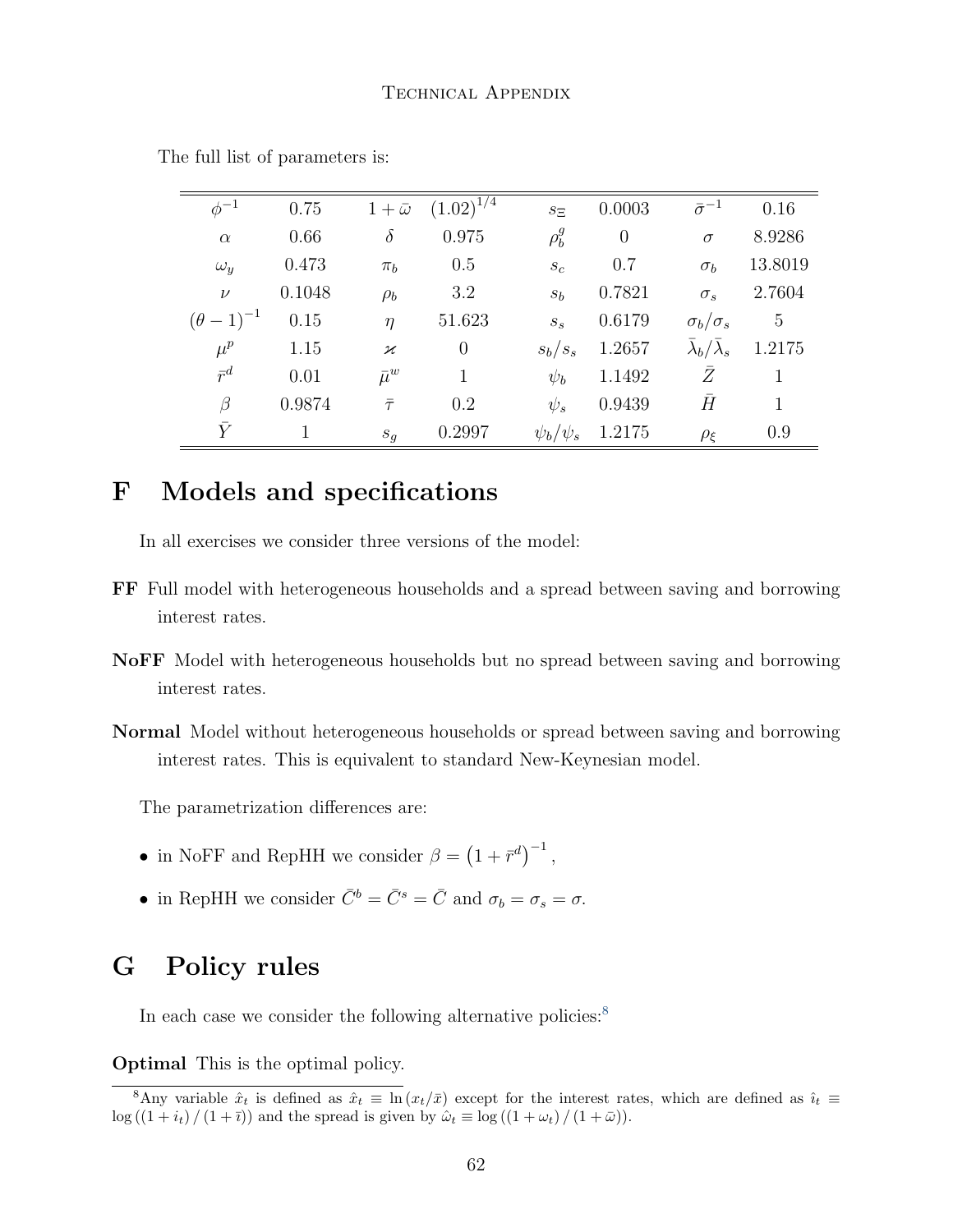| $\phi^{-1}$         | 0.75         |                          | $1 + \bar{\omega}$ $(1.02)^{1/4}$ | $S_{\Xi}$       | 0.0003   | $\bar{\sigma}^{-1}$               | 0.16           |
|---------------------|--------------|--------------------------|-----------------------------------|-----------------|----------|-----------------------------------|----------------|
| $\alpha$            | 0.66         | $\delta$                 | 0.975                             | $\rho_b^g$      | $\theta$ | $\sigma$                          | 8.9286         |
| $\omega_y$          | 0.473        | $\pi_h$                  | 0.5                               | $s_c$           | 0.7      | $\sigma_b$                        | 13.8019        |
| $\nu$               | 0.1048       | $\rho_b$                 | 3.2                               | $s_b$           | 0.7821   | $\sigma_s$                        | 2.7604         |
| $(\theta - 1)^{-1}$ | 0.15         | $\eta$                   | 51.623                            | $S_{S}$         | 0.6179   | $\sigma_b/\sigma_s$               | $\overline{5}$ |
| $\mu^p$             | 1.15         | $\boldsymbol{\varkappa}$ | $\overline{0}$                    | $s_b/s_s$       | 1.2657   | $\bar{\lambda}_b/\bar{\lambda}_s$ | 1.2175         |
| $\bar{r}^d$         | 0.01         | $\bar{\mu}^w$            | 1                                 | $\psi_b$        | 1.1492   | Ź                                 | 1              |
| β                   | 0.9874       | $\bar{\tau}$             | 0.2                               | $\psi_s$        | 0.9439   | $\bar{H}$                         | 1              |
| $\bar{Y}$           | $\mathbf{1}$ | $S_q$                    | 0.2997                            | $\psi_b/\psi_s$ | 1.2175   | $\rho_{\xi}$                      | 0.9            |

The full list of parameters is:

### F Models and specifications

In all exercises we consider three versions of the model:

- FF Full model with heterogeneous households and a spread between saving and borrowing interest rates.
- NoFF Model with heterogeneous households but no spread between saving and borrowing interest rates.
- Normal Model without heterogeneous households or spread between saving and borrowing interest rates. This is equivalent to standard New-Keynesian model.

The parametrization differences are:

- in NoFF and RepHH we consider  $\beta = (1 + \bar{r}^d)^{-1}$ ,
- in RepHH we consider  $\overline{C}^b = \overline{C}^s = \overline{C}$  and  $\sigma_b = \sigma_s = \sigma$ .

### G Policy rules

In each case we consider the following alternative policies: $8$ 

Optimal This is the optimal policy.

<sup>&</sup>lt;sup>8</sup>Any variable  $\hat{x}_t$  is defined as  $\hat{x}_t \equiv \ln (x_t/\bar{x})$  except for the interest rates, which are defined as  $\hat{i}_t \equiv$  $\log ((1 + i_t) / (1 + \overline{i}))$  and the spread is given by  $\hat{\omega}_t \equiv \log ((1 + \omega_t) / (1 + \overline{\omega}))$ .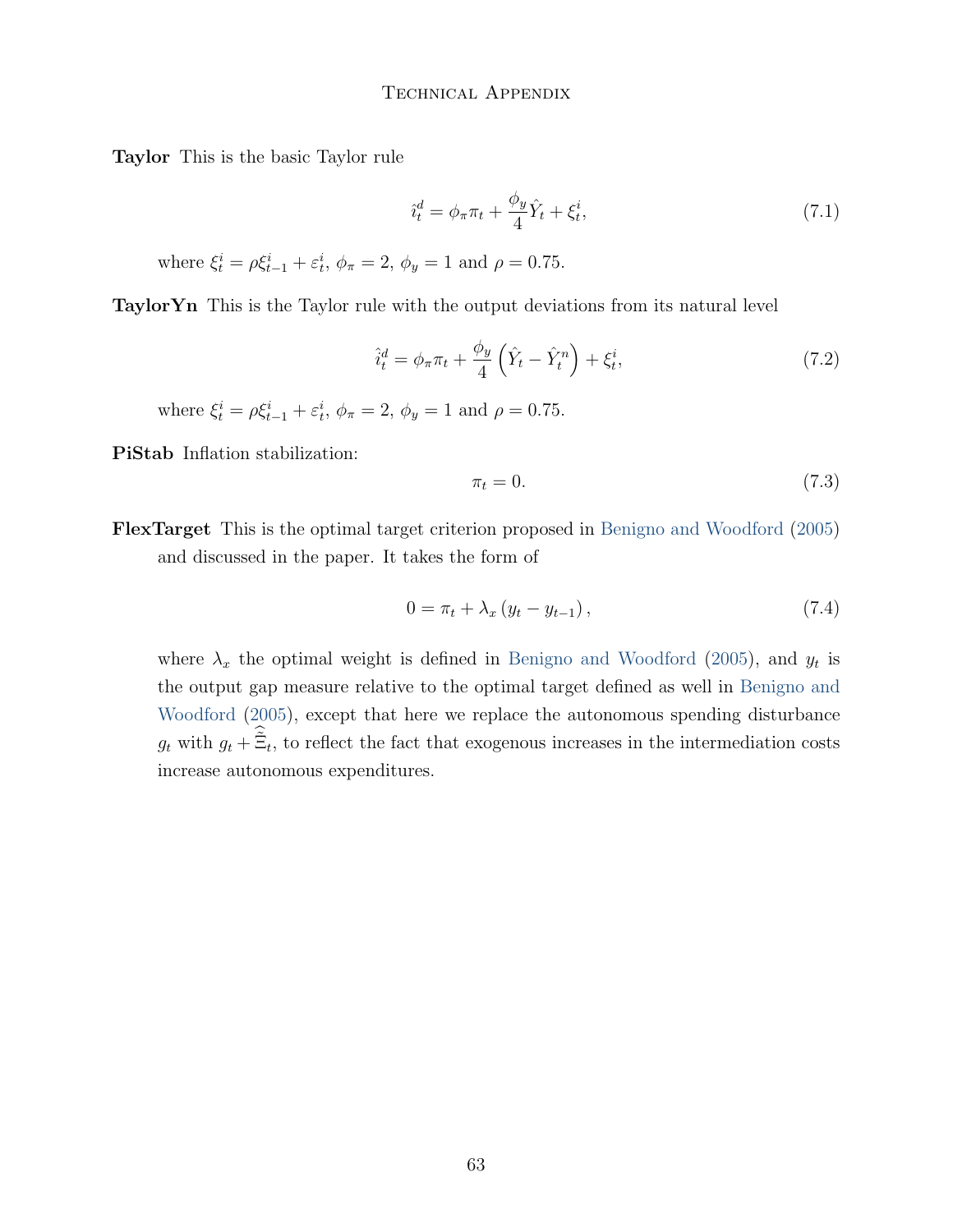#### Technical Appendix

Taylor This is the basic Taylor rule

$$
\hat{i}_t^d = \phi_\pi \pi_t + \frac{\phi_y}{4} \hat{Y}_t + \xi_t^i,\tag{7.1}
$$

where  $\xi_t^i = \rho \xi_{t-1}^i + \varepsilon_t^i$ ,  $\phi_{\pi} = 2$ ,  $\phi_y = 1$  and  $\rho = 0.75$ .

TaylorYn This is the Taylor rule with the output deviations from its natural level

$$
\hat{i}_t^d = \phi_\pi \pi_t + \frac{\phi_y}{4} \left( \hat{Y}_t - \hat{Y}_t^n \right) + \xi_t^i,\tag{7.2}
$$

where  $\xi_t^i = \rho \xi_{t-1}^i + \varepsilon_t^i$ ,  $\phi_{\pi} = 2$ ,  $\phi_y = 1$  and  $\rho = 0.75$ .

PiStab Inflation stabilization:

$$
\pi_t = 0. \tag{7.3}
$$

FlexTarget This is the optimal target criterion proposed in [Benigno and Woodford](#page-101-0) [\(2005\)](#page-101-0) and discussed in the paper. It takes the form of

$$
0 = \pi_t + \lambda_x \left( y_t - y_{t-1} \right), \tag{7.4}
$$

where  $\lambda_x$  the optimal weight is defined in [Benigno and Woodford](#page-101-0) [\(2005\)](#page-101-0), and  $y_t$  is the output gap measure relative to the optimal target defined as well in [Benigno and](#page-101-0) [Woodford](#page-101-0) [\(2005\)](#page-101-0), except that here we replace the autonomous spending disturbance  $g_t$  with  $g_t + \tilde{\Xi}_t$ , to reflect the fact that exogenous increases in the intermediation costs increase autonomous expenditures.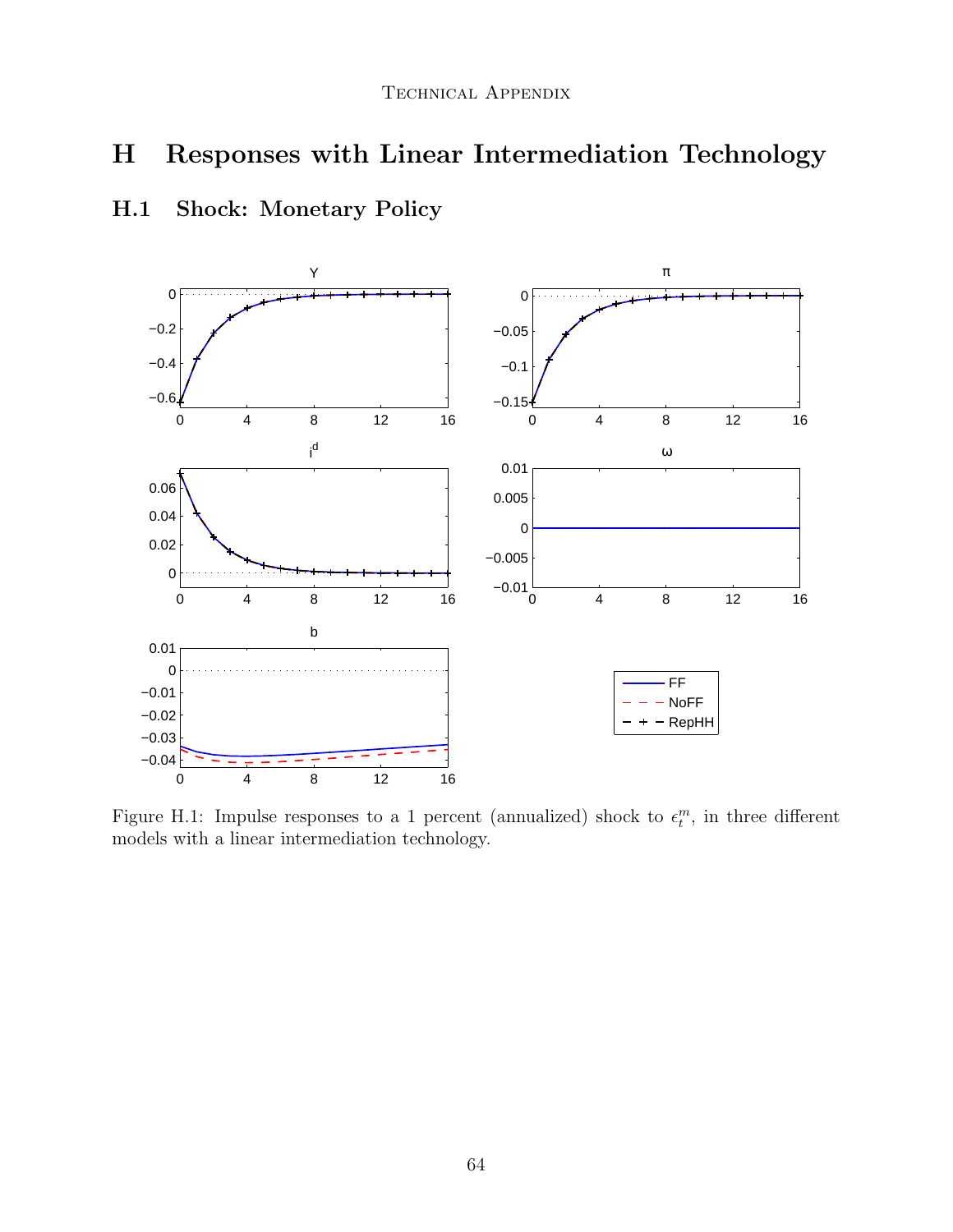# H Responses with Linear Intermediation Technology

# H.1 Shock: Monetary Policy



Figure H.1: Impulse responses to a 1 percent (annualized) shock to  $\epsilon_t^m$ , in three different models with a linear intermediation technology.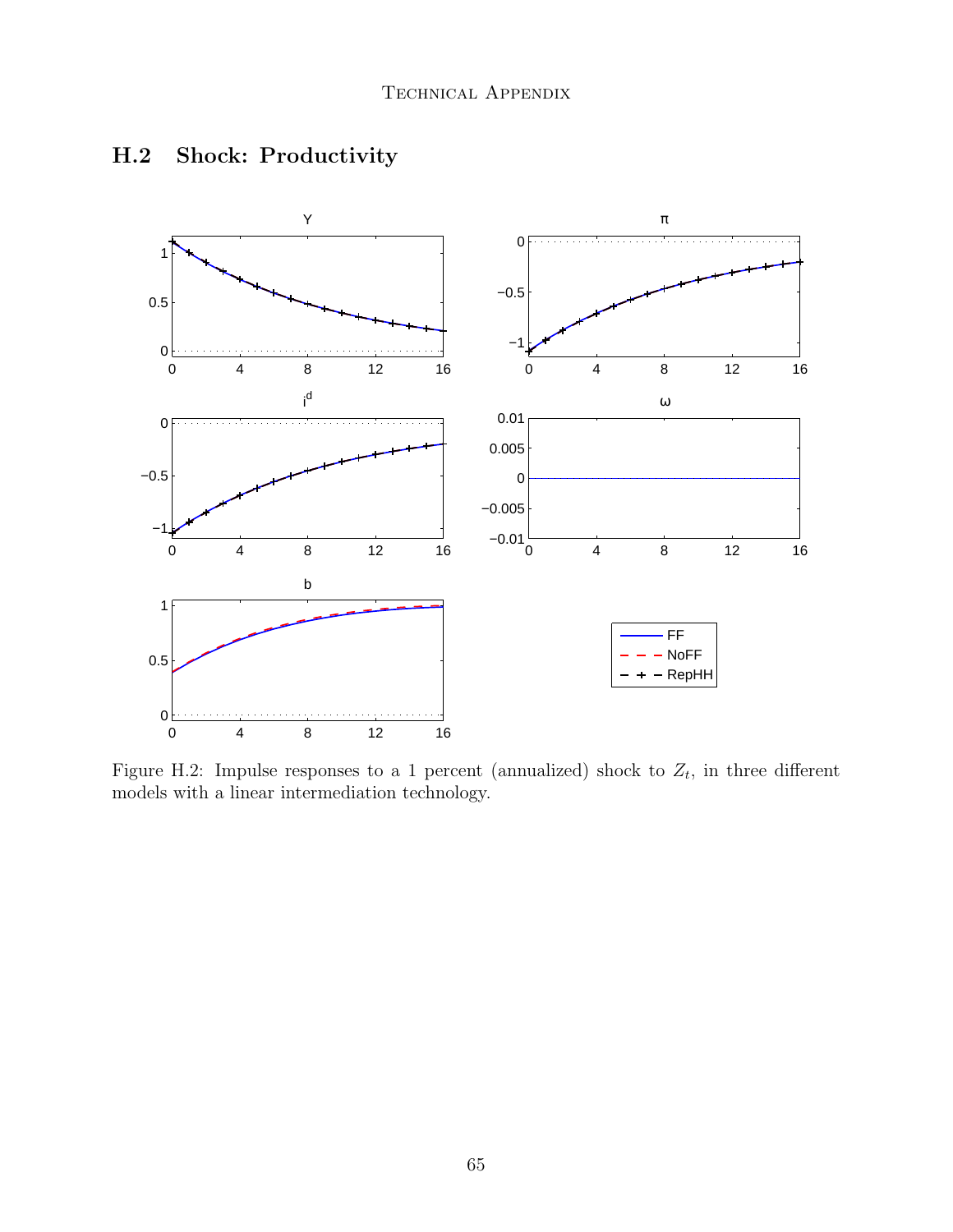

# H.2 Shock: Productivity

Figure H.2: Impulse responses to a 1 percent (annualized) shock to  $Z_t$ , in three different models with a linear intermediation technology.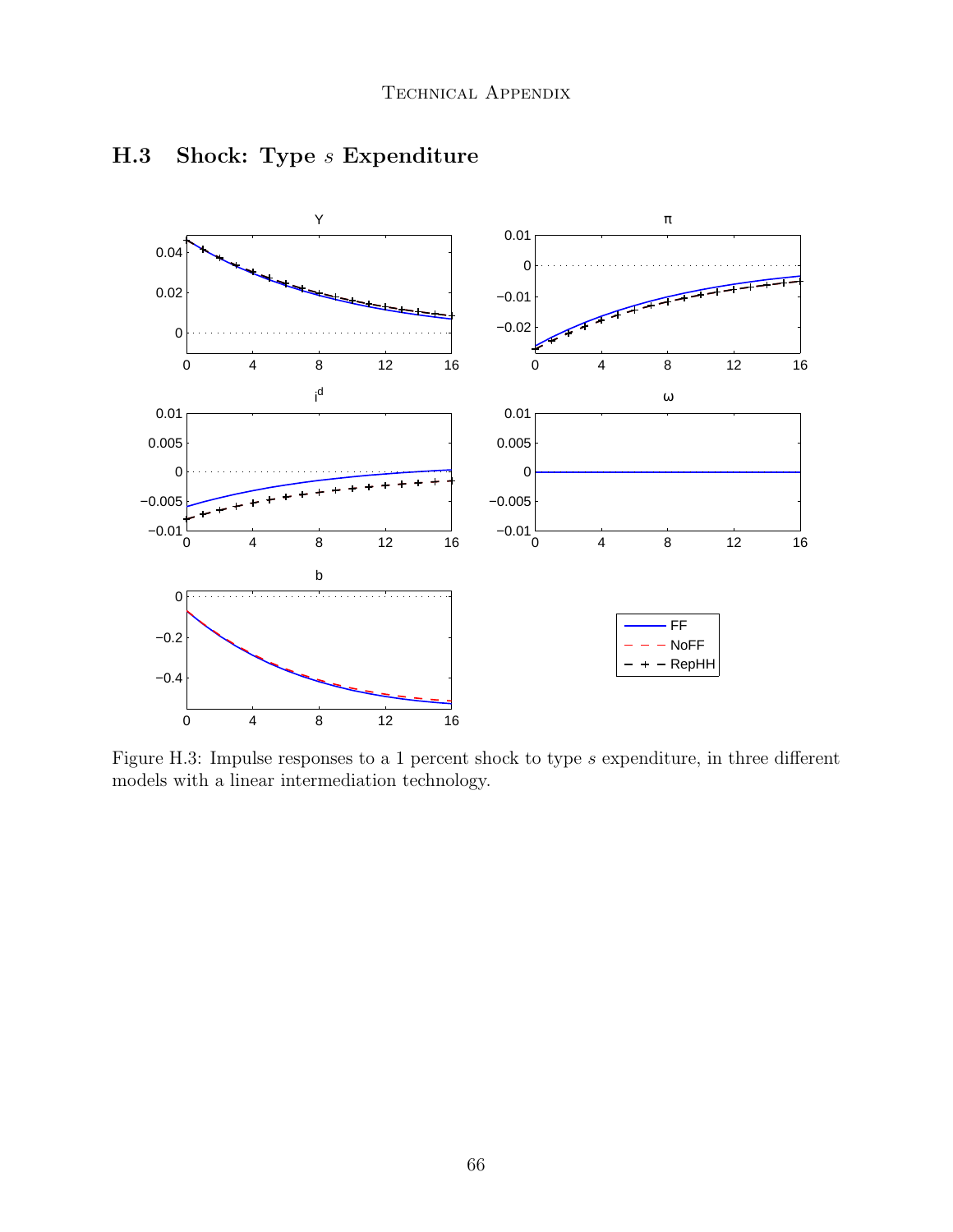

# H.3 Shock: Type *s* Expenditure

Figure H.3: Impulse responses to a 1 percent shock to type s expenditure, in three different models with a linear intermediation technology.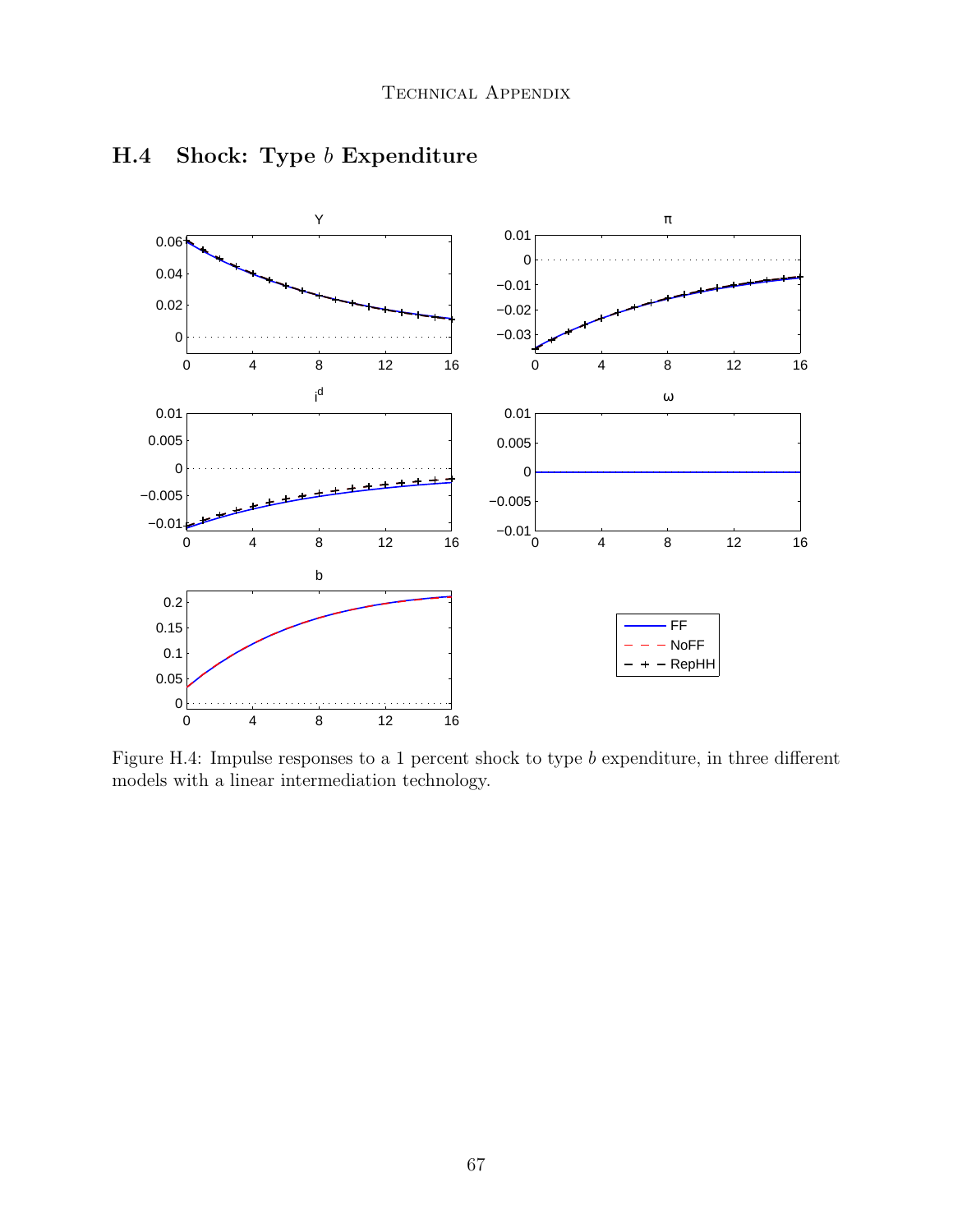

## H.4 Shock: Type b Expenditure

Figure H.4: Impulse responses to a 1 percent shock to type  $b$  expenditure, in three different models with a linear intermediation technology.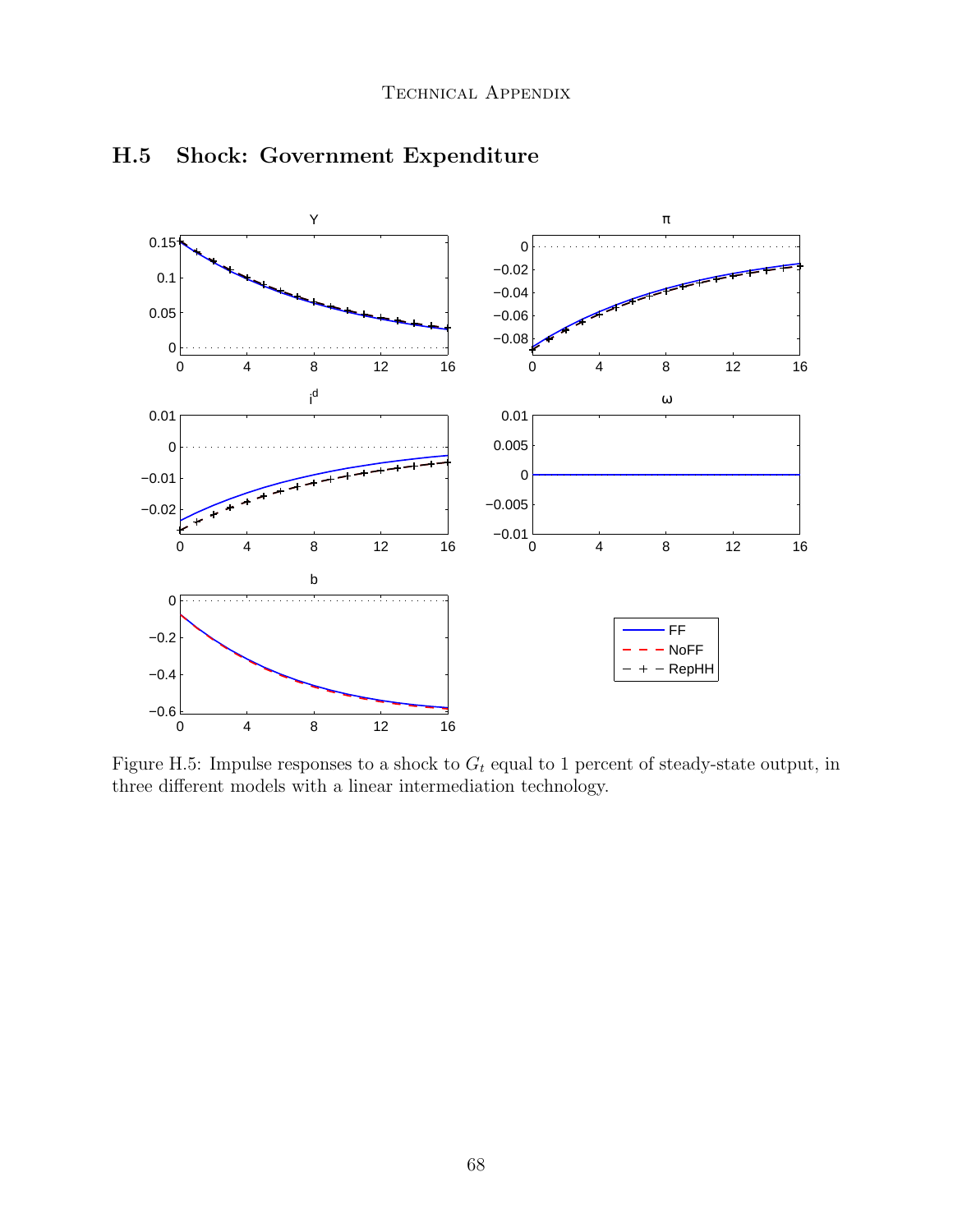

## H.5 Shock: Government Expenditure

Figure H.5: Impulse responses to a shock to  $G_t$  equal to 1 percent of steady-state output, in three different models with a linear intermediation technology.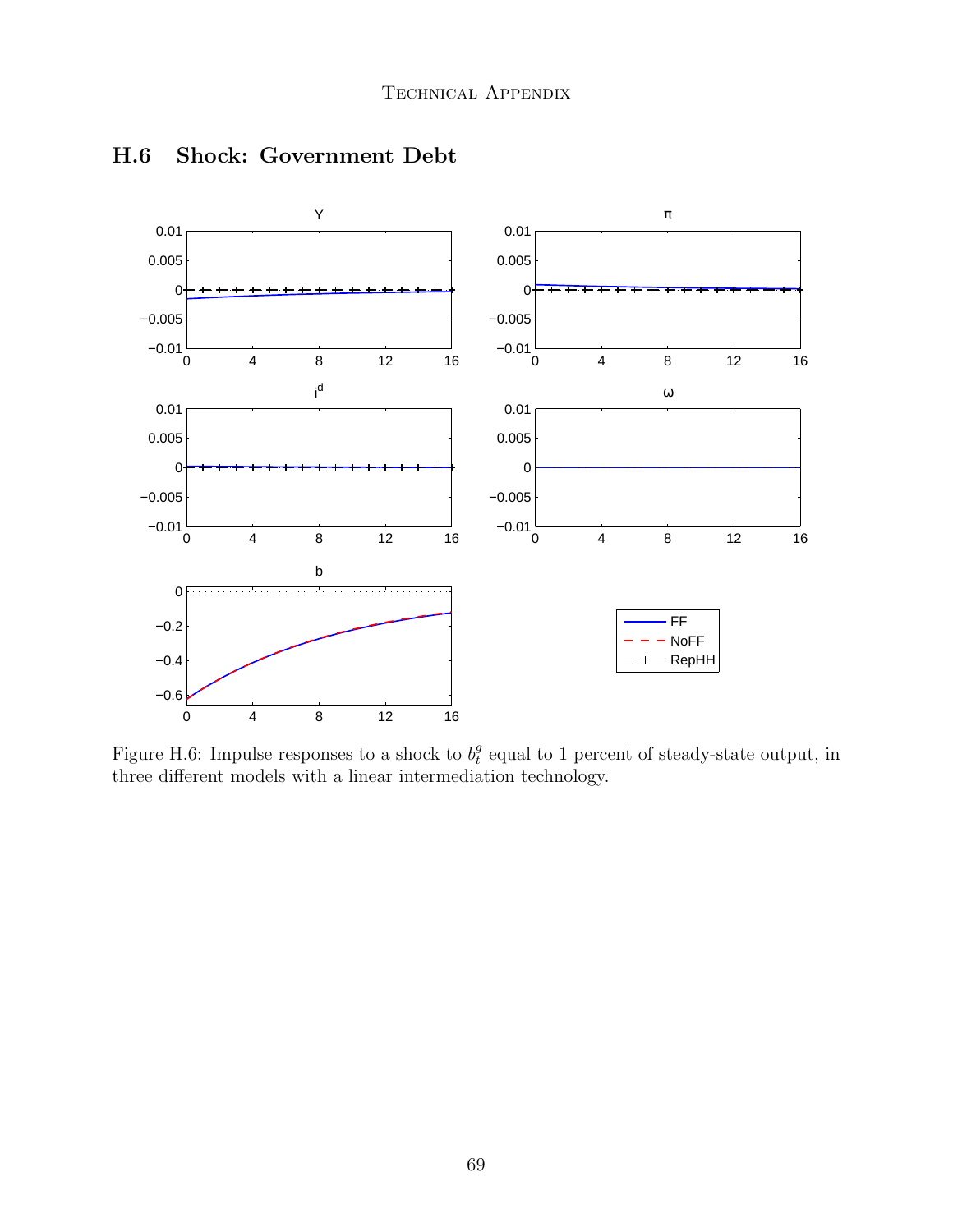

### H.6 Shock: Government Debt

Figure H.6: Impulse responses to a shock to  $b_t^g$  $e_t^g$  equal to 1 percent of steady-state output, in three different models with a linear intermediation technology.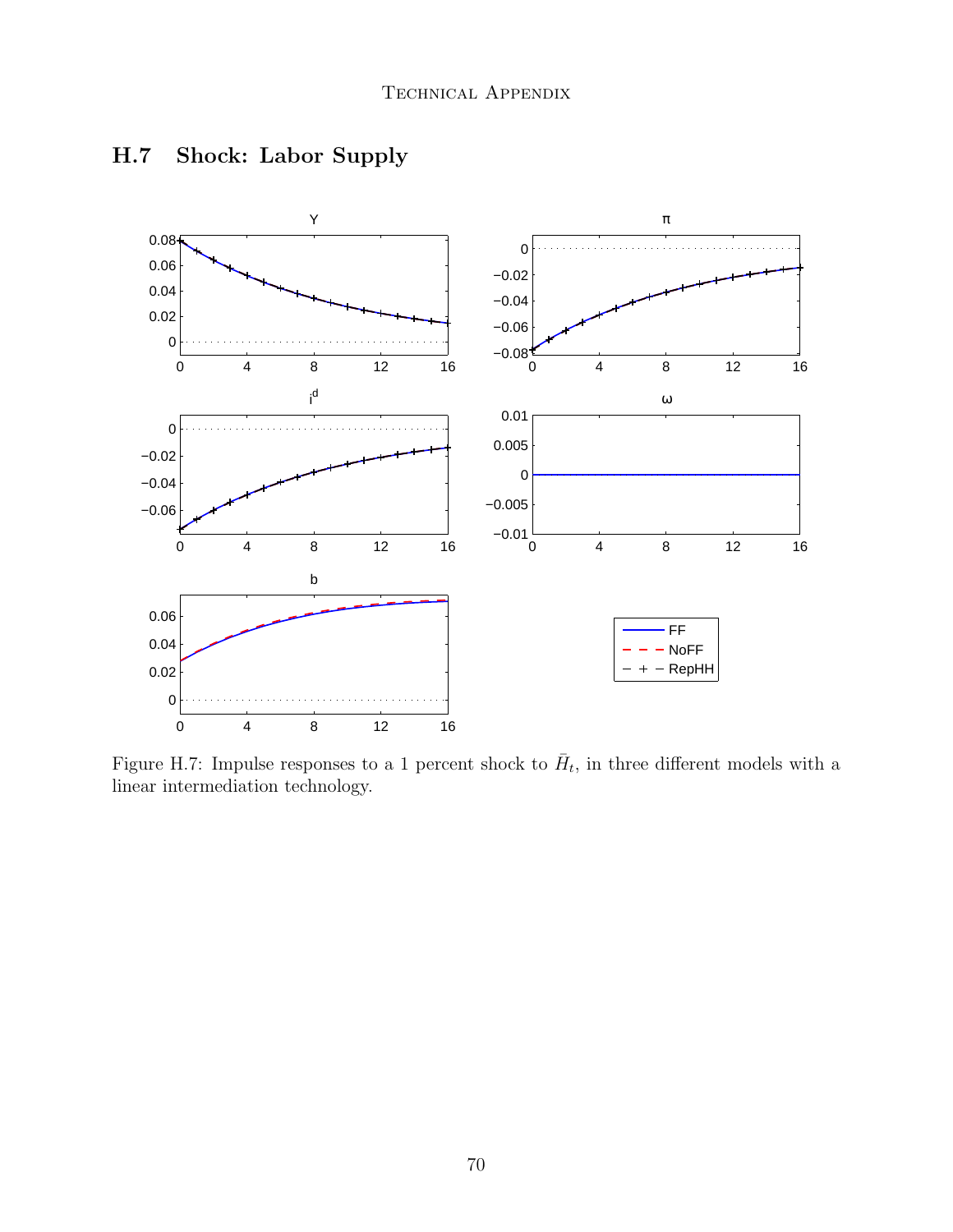

# H.7 Shock: Labor Supply

Figure H.7: Impulse responses to a 1 percent shock to  $\bar{H}_t$ , in three different models with a linear intermediation technology.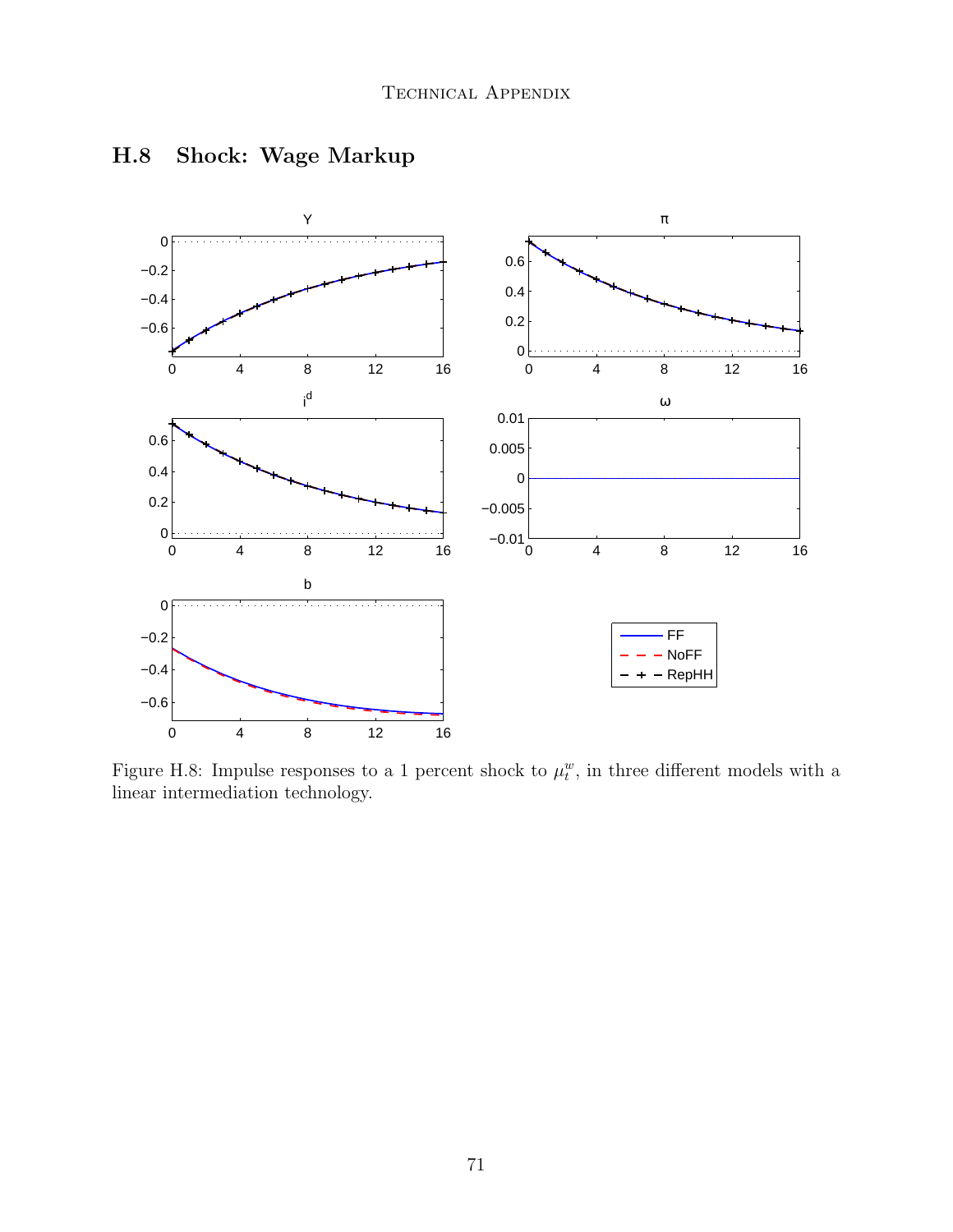

# H.8 Shock: Wage Markup

Figure H.8: Impulse responses to a 1 percent shock to  $\mu_t^w$ , in three different models with a linear intermediation technology.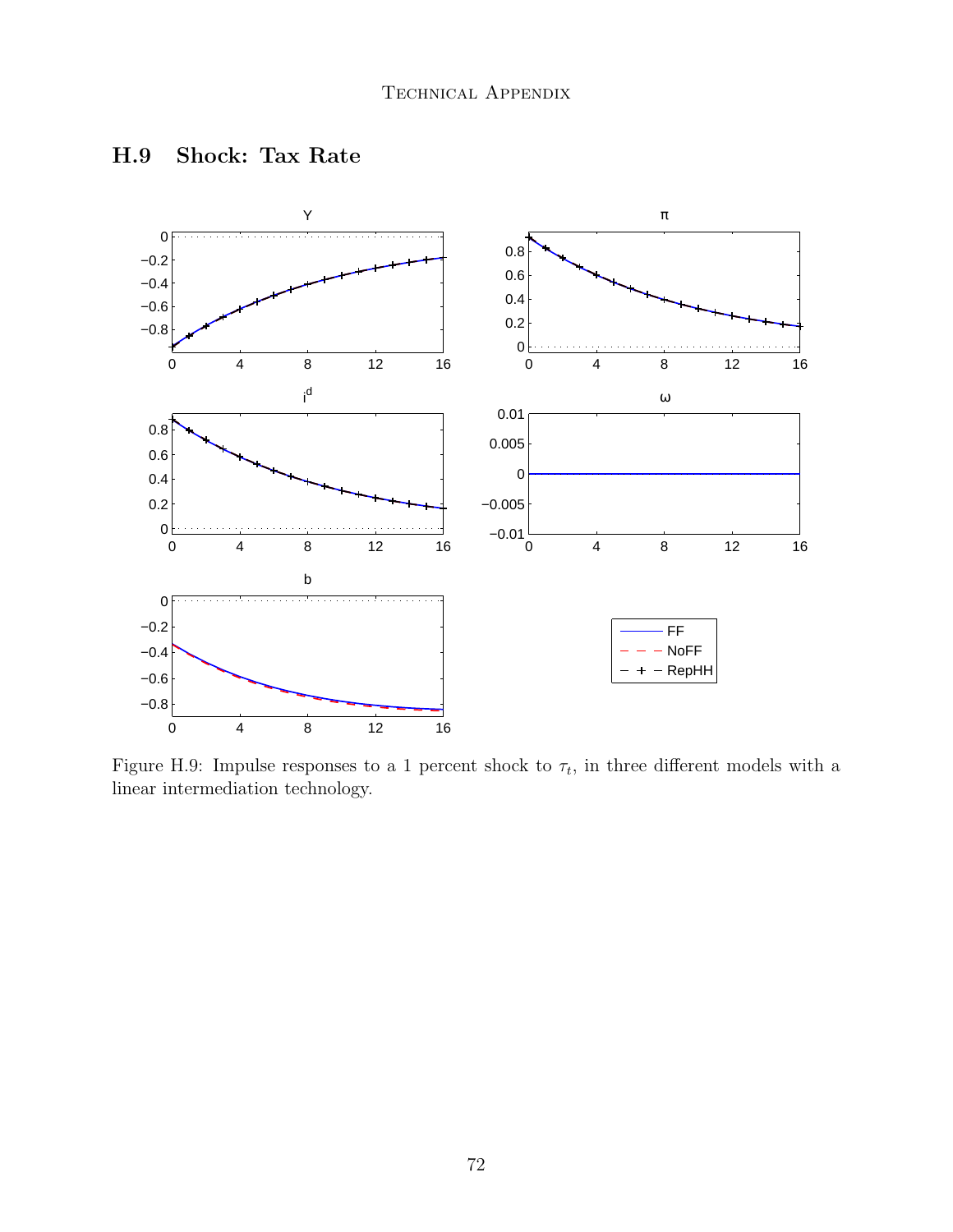

### H.9 Shock: Tax Rate

Figure H.9: Impulse responses to a 1 percent shock to  $\tau_t$ , in three different models with a linear intermediation technology.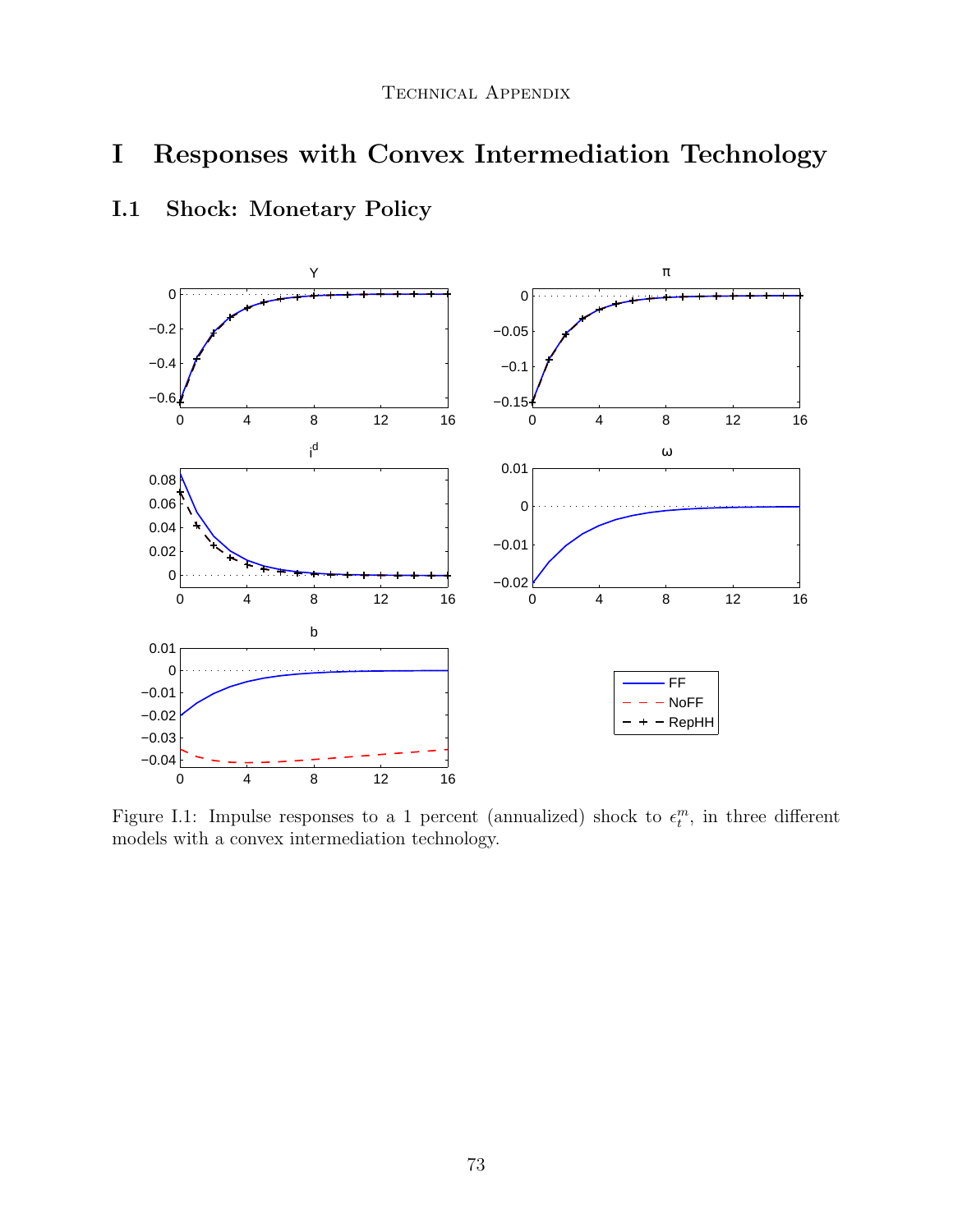# I Responses with Convex Intermediation Technology



# I.1 Shock: Monetary Policy

Figure I.1: Impulse responses to a 1 percent (annualized) shock to  $\epsilon_t^m$ , in three different models with a convex intermediation technology.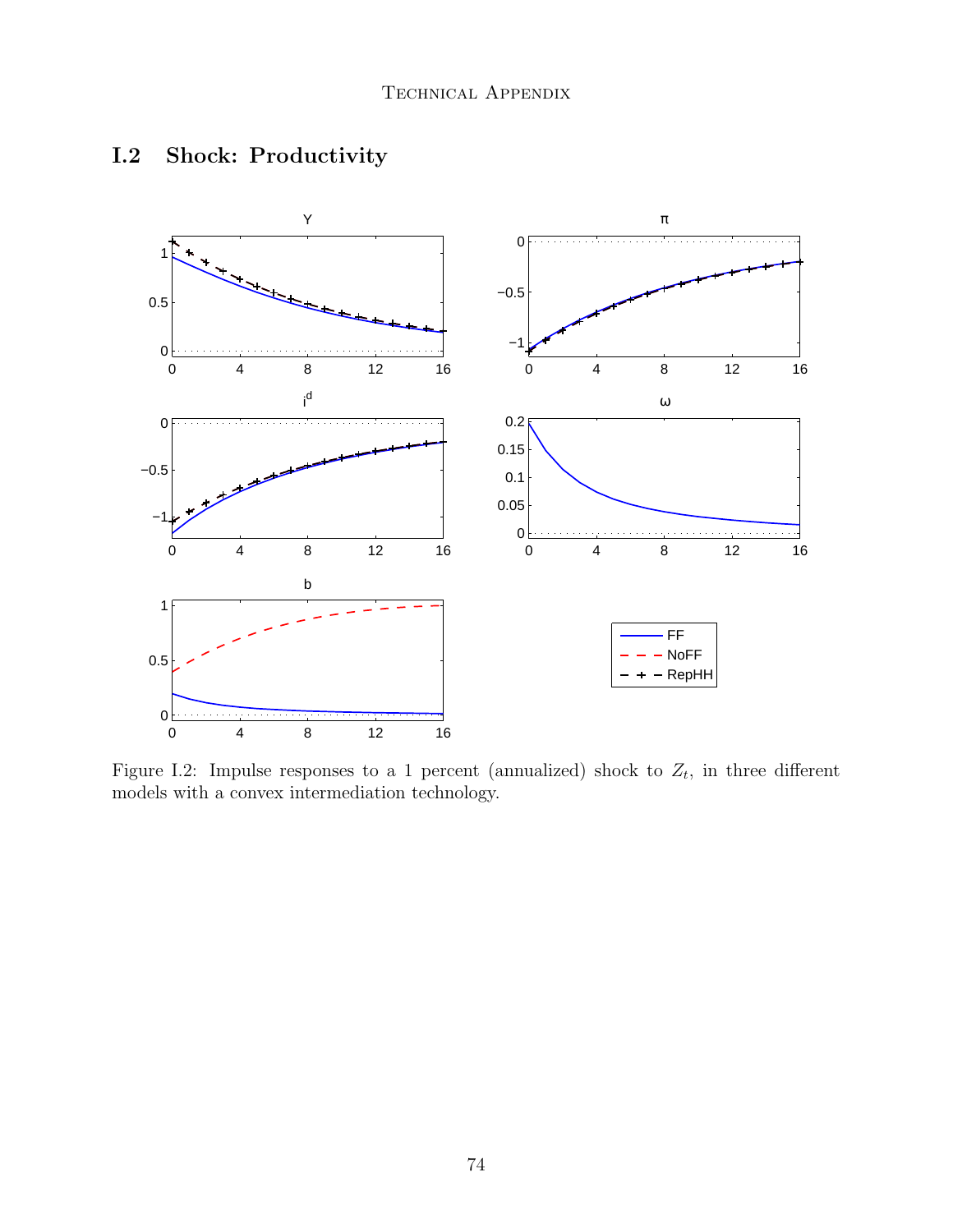

# I.2 Shock: Productivity

Figure I.2: Impulse responses to a 1 percent (annualized) shock to  $Z_t$ , in three different models with a convex intermediation technology.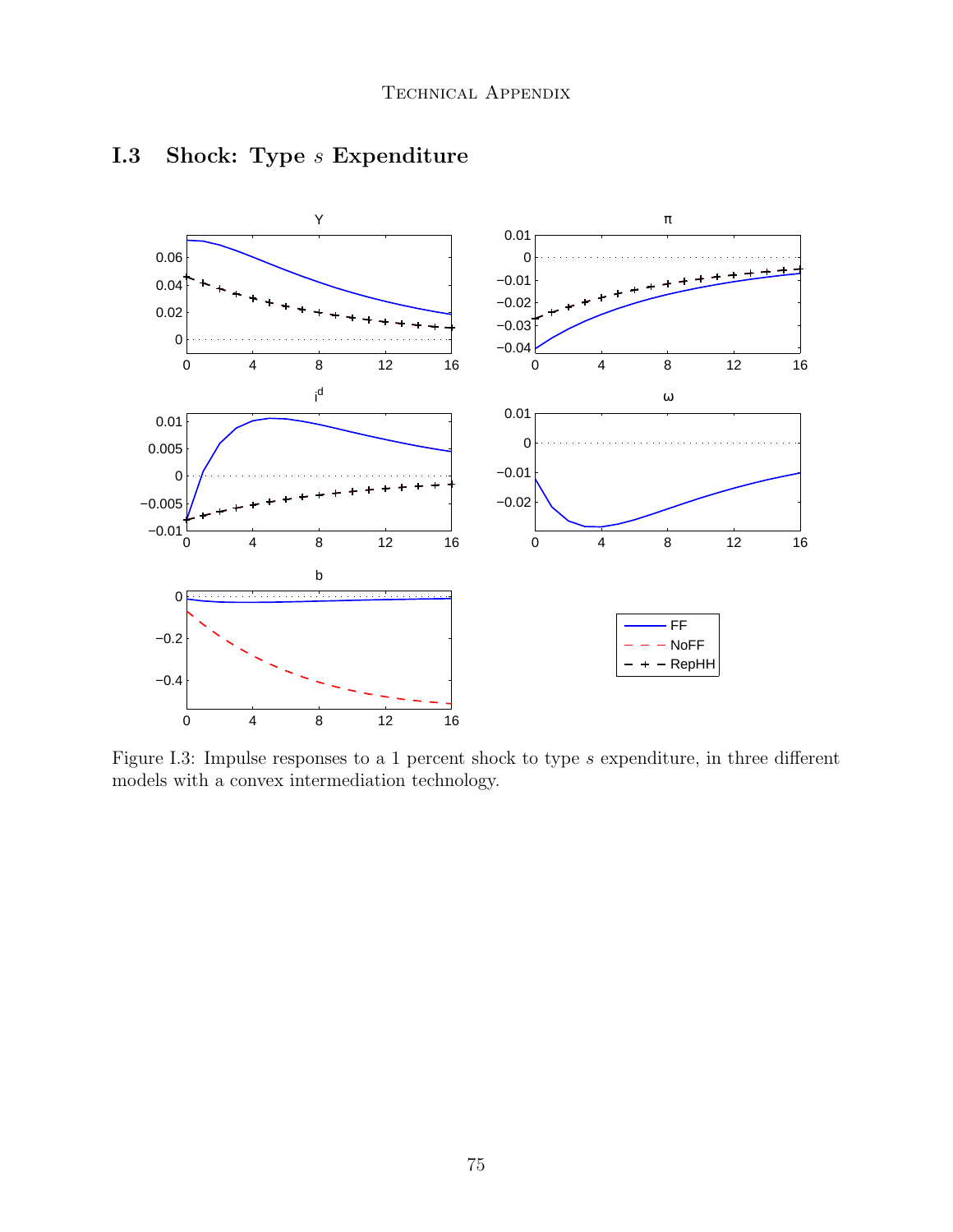

## I.3 Shock: Type *s* Expenditure

Figure I.3: Impulse responses to a 1 percent shock to type  $s$  expenditure, in three different models with a convex intermediation technology.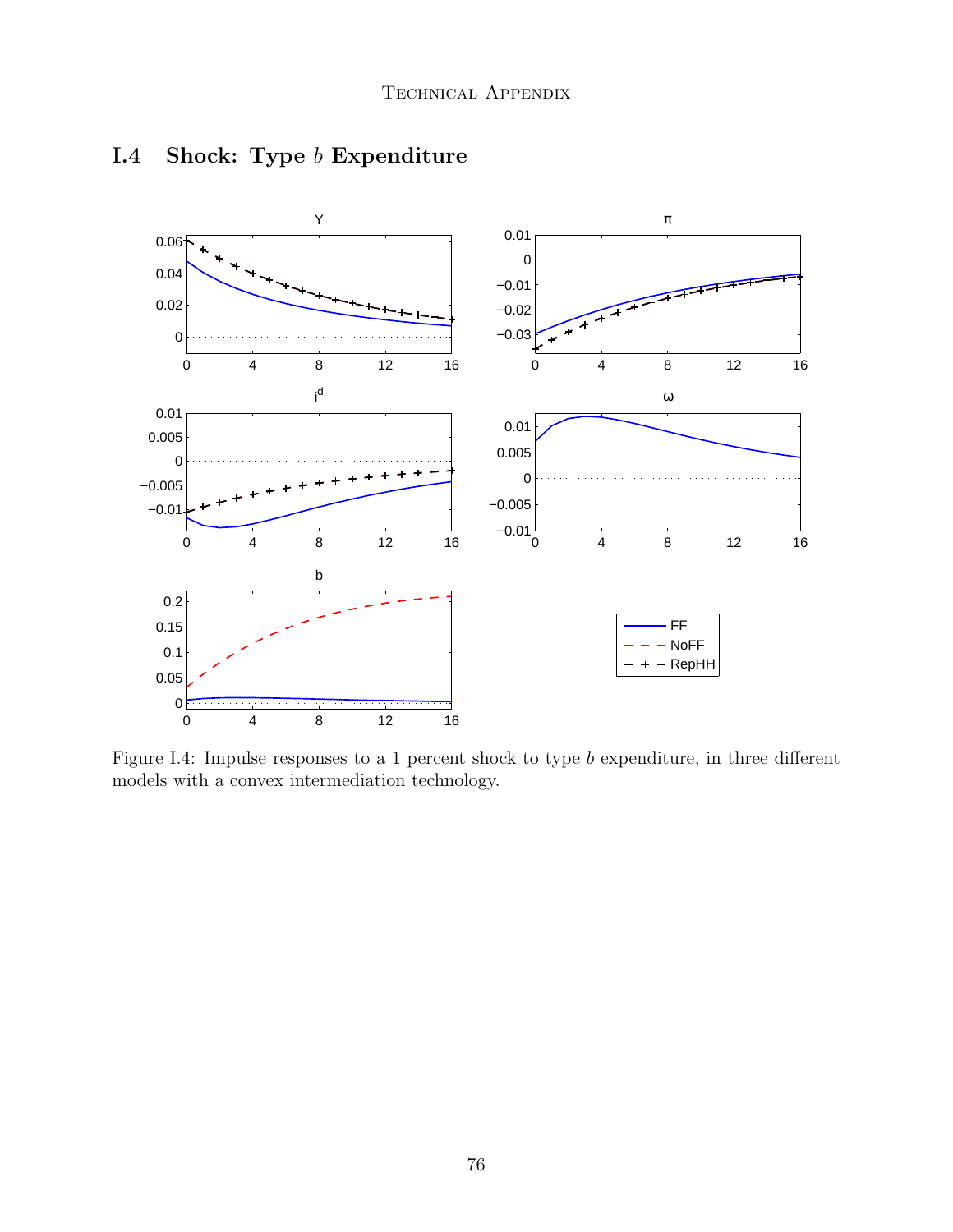

## I.4 Shock: Type b Expenditure

Figure I.4: Impulse responses to a 1 percent shock to type  $b$  expenditure, in three different models with a convex intermediation technology.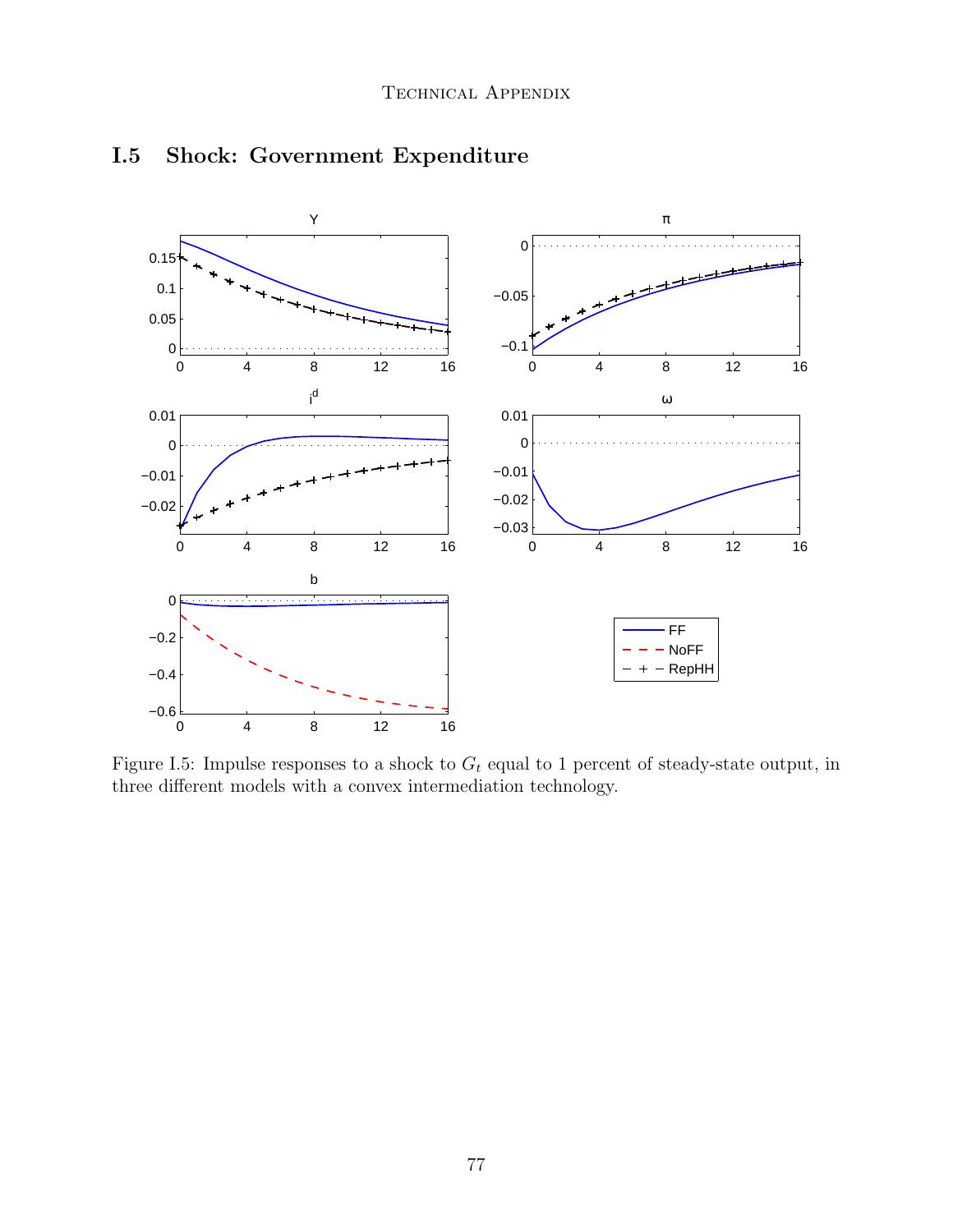

## I.5 Shock: Government Expenditure

Figure I.5: Impulse responses to a shock to  $G_t$  equal to 1 percent of steady-state output, in three different models with a convex intermediation technology.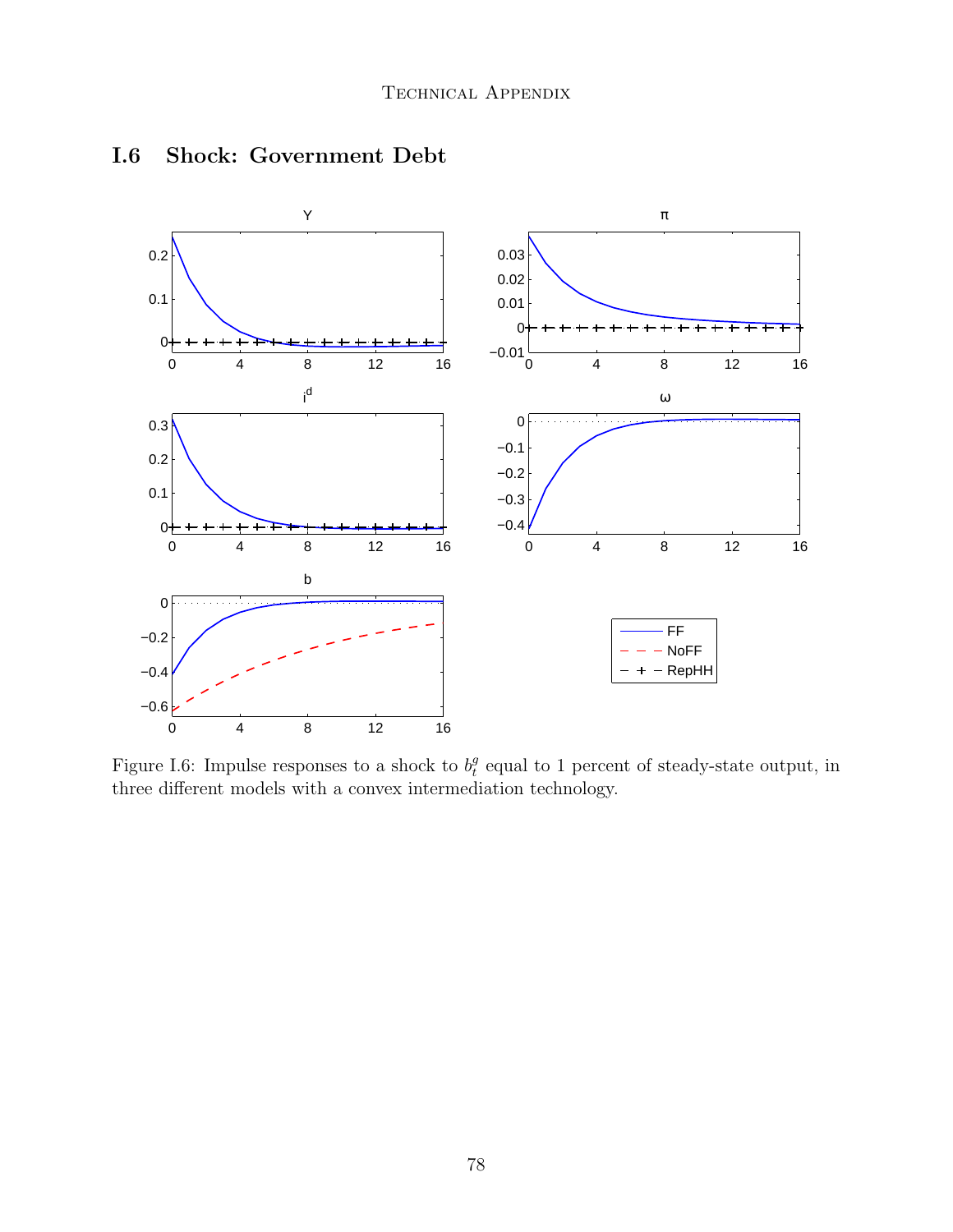

#### I.6 Shock: Government Debt

Figure I.6: Impulse responses to a shock to  $b_t^g$  $e_t^g$  equal to 1 percent of steady-state output, in three different models with a convex intermediation technology.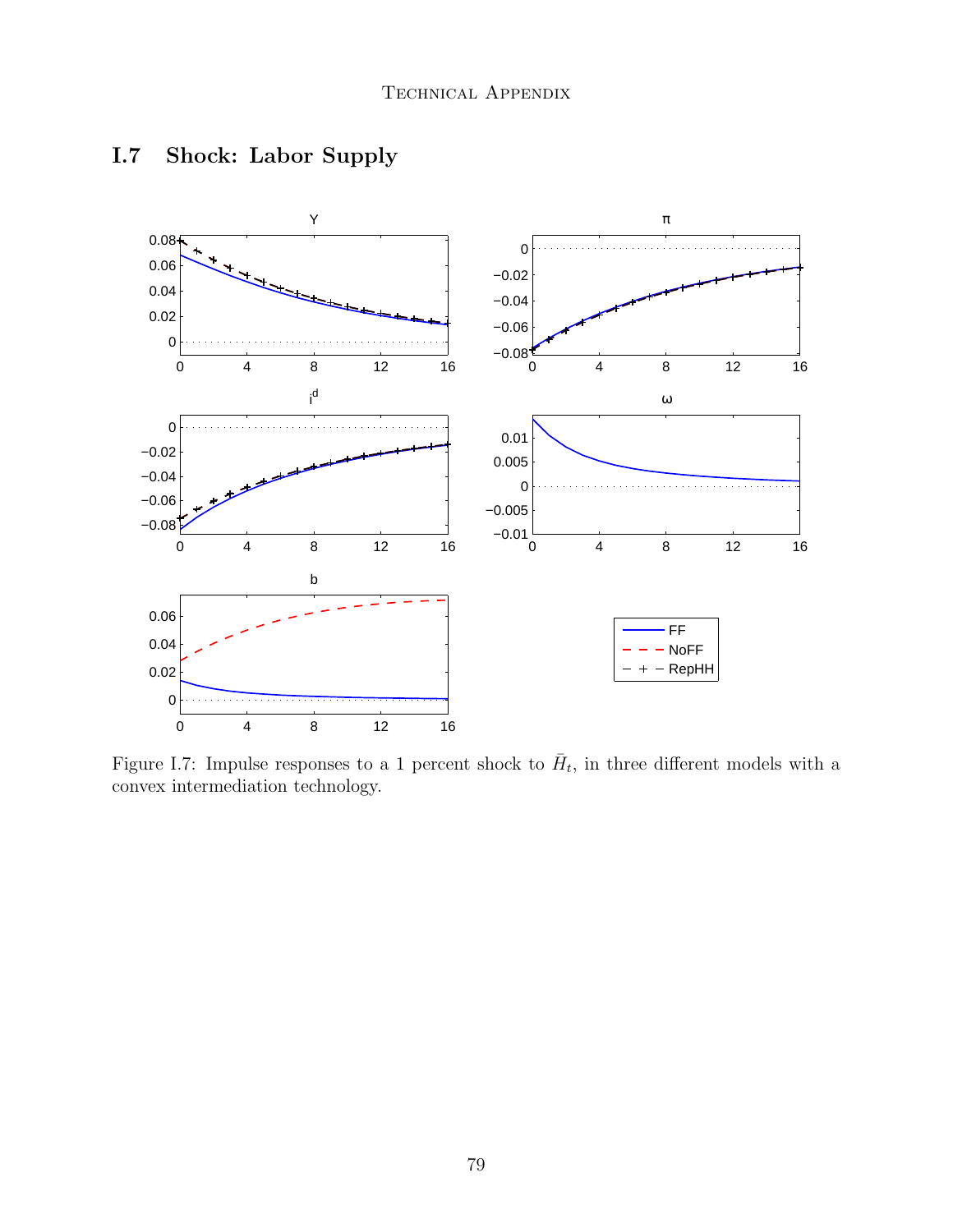

## I.7 Shock: Labor Supply

Figure I.7: Impulse responses to a 1 percent shock to  $\bar{H}_t$ , in three different models with a convex intermediation technology.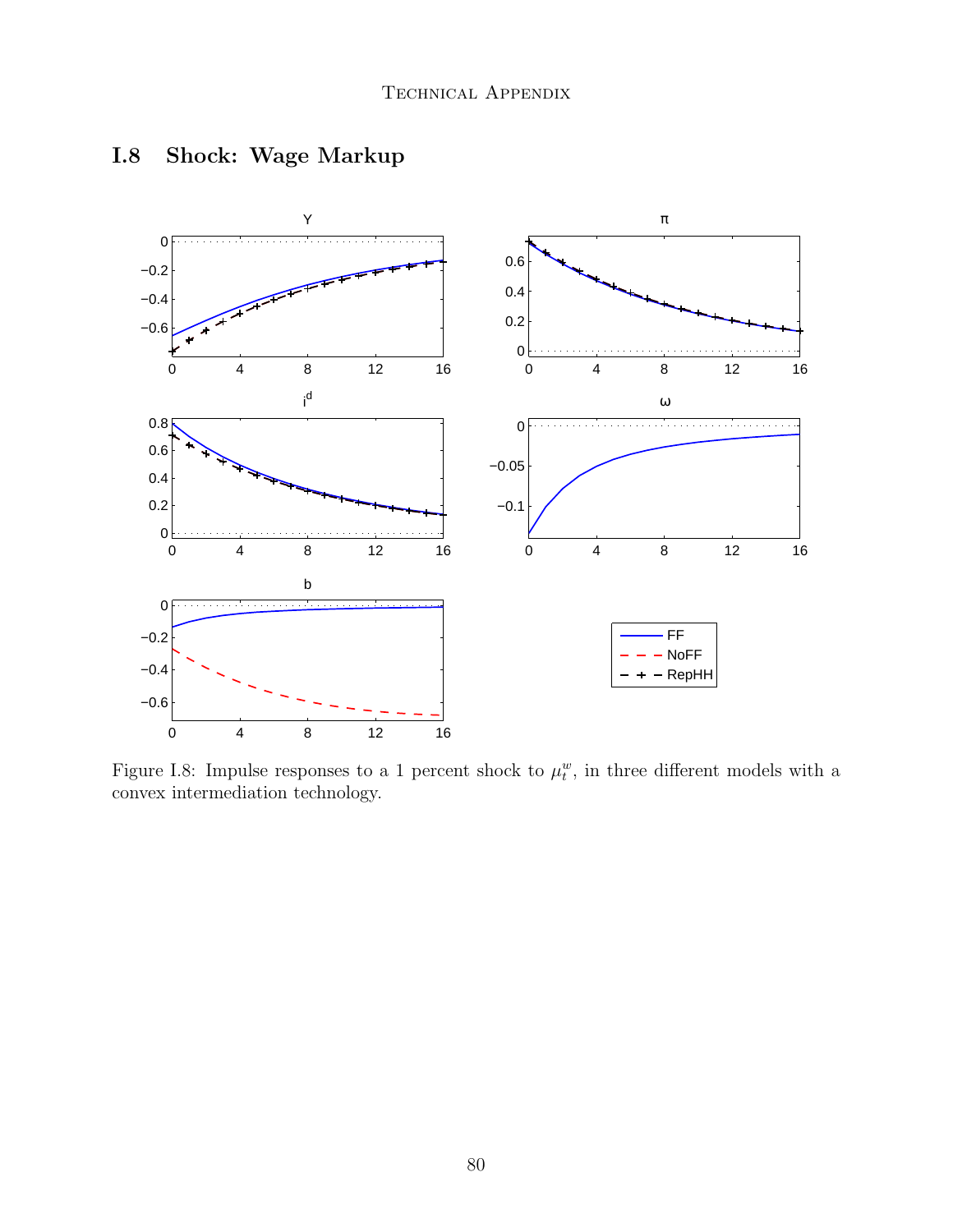

# I.8 Shock: Wage Markup

Figure I.8: Impulse responses to a 1 percent shock to  $\mu_t^w$ , in three different models with a convex intermediation technology.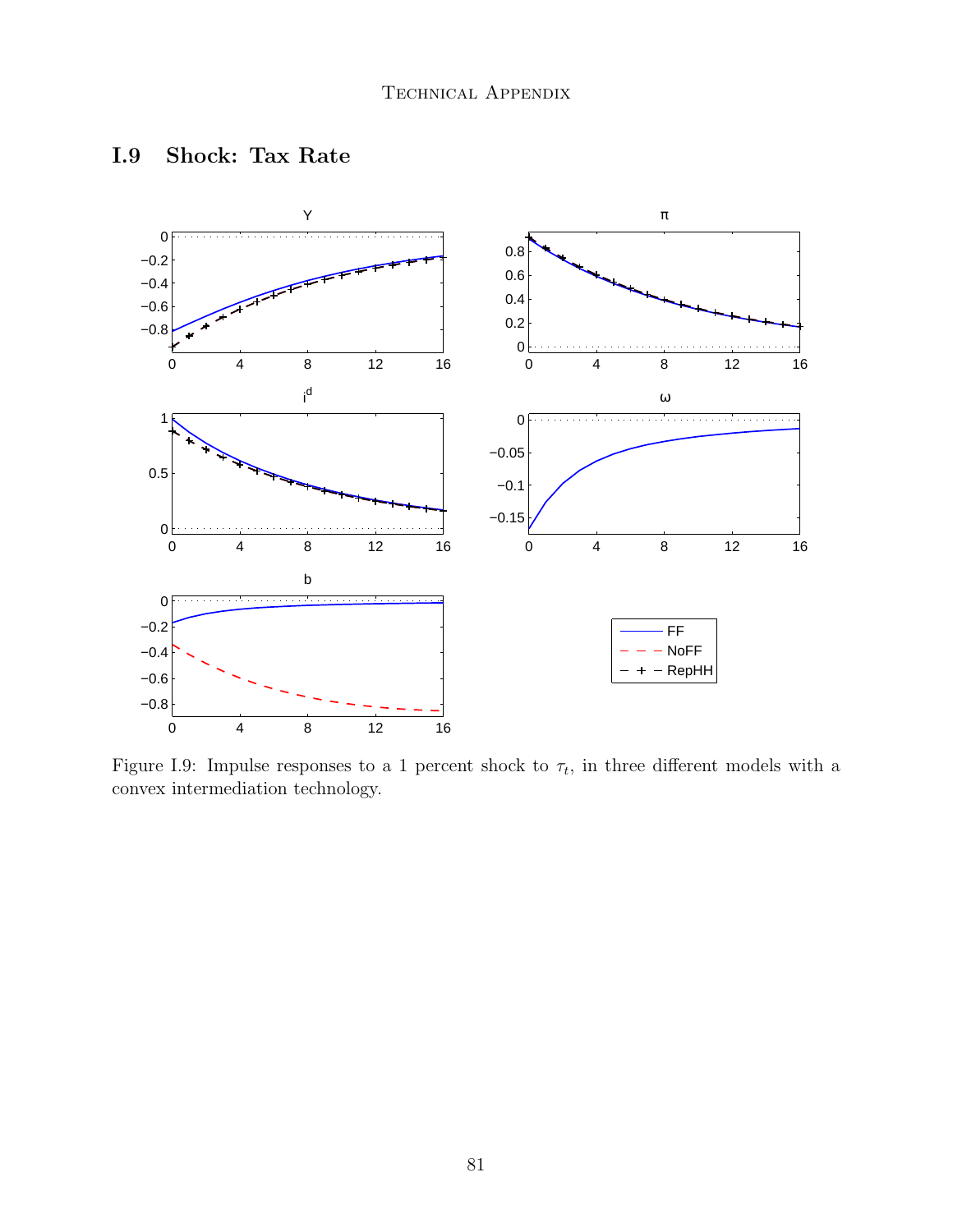

#### I.9 Shock: Tax Rate

Figure I.9: Impulse responses to a 1 percent shock to  $\tau_t$ , in three different models with a convex intermediation technology.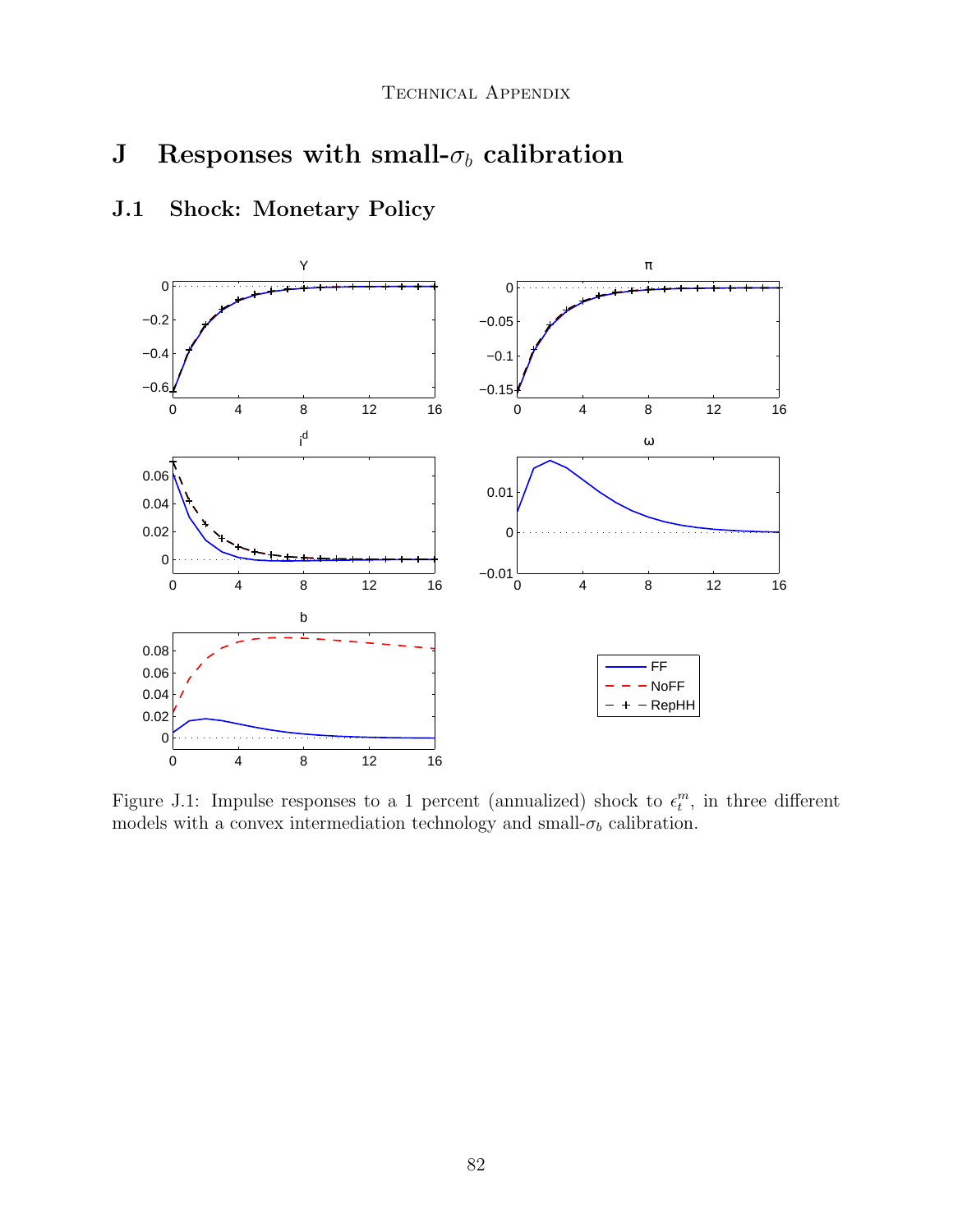#### ${\bf J}$  - Responses with small- $\sigma_b$  calibration  $\overline{D}$   $\overline{M}$

# J.1 Shock: Monetary Policy



Figure J.1: Impulse responses to a 1 percent (annualized) shock to  $\epsilon_t^m$ , in three different models with a convex intermediation technology and small-  $\sigma_b$  calibration.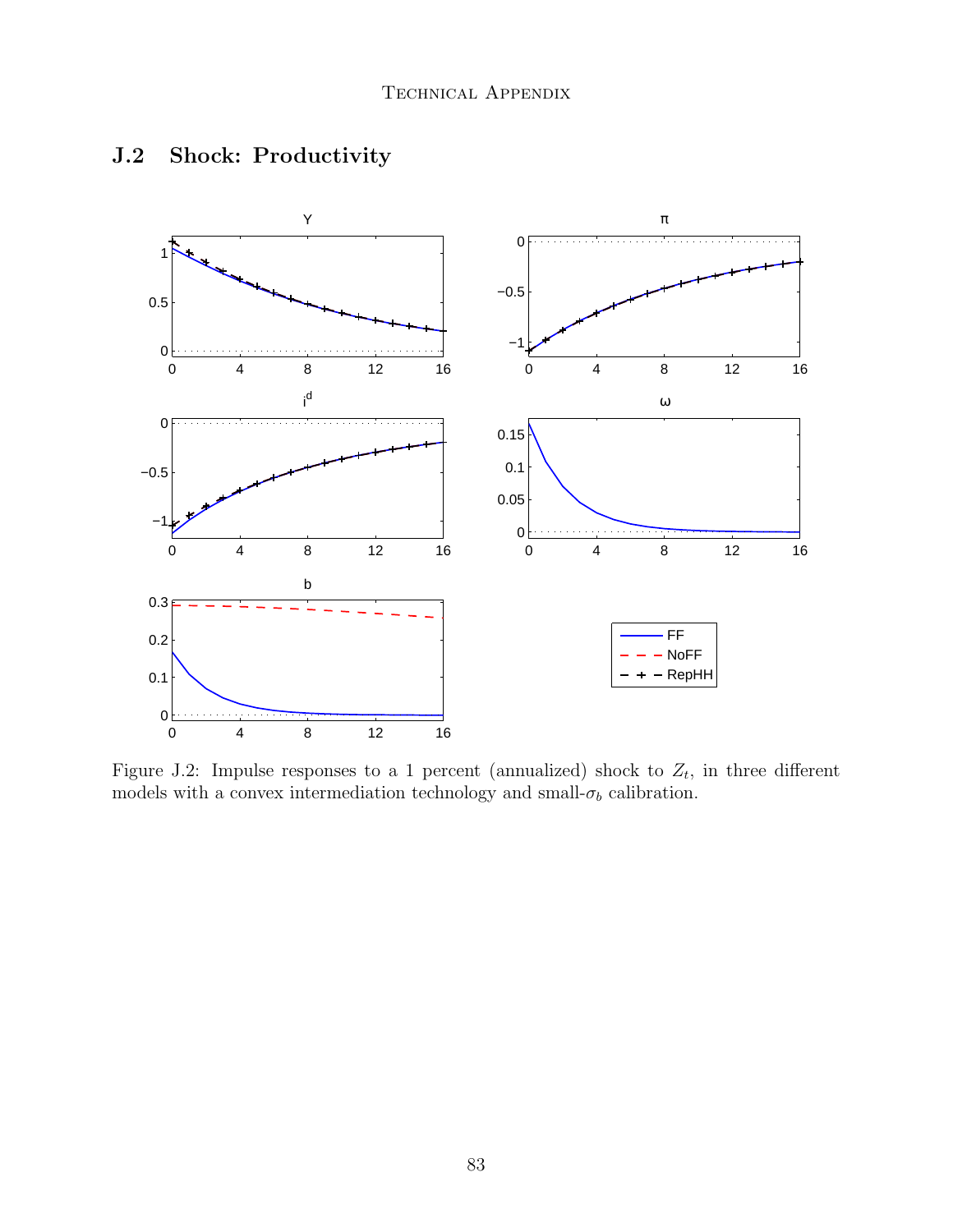

# J.2 Shock: Productivity

Figure J.2: Impulse responses to a 1 percent (annualized) shock to  $Z_t$ , in three different models with a convex intermediation technology and small-  $\sigma_b$  calibration.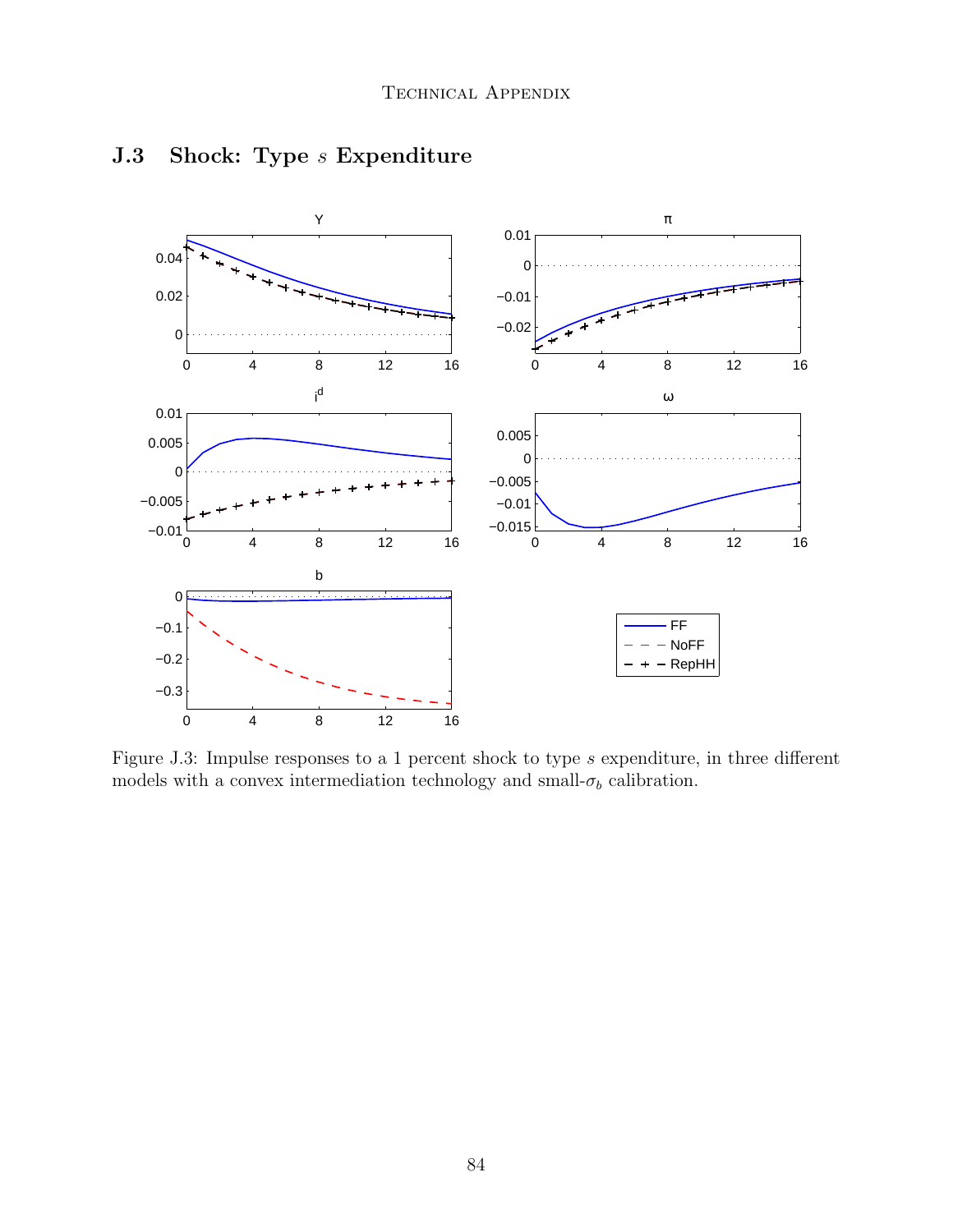

## J.3 Shock: Type *s* Expenditure

Figure J.3: Impulse responses to a 1 percent shock to type  $s$  expenditure, in three different models with a convex intermediation technology and small-  $\sigma_b$  calibration.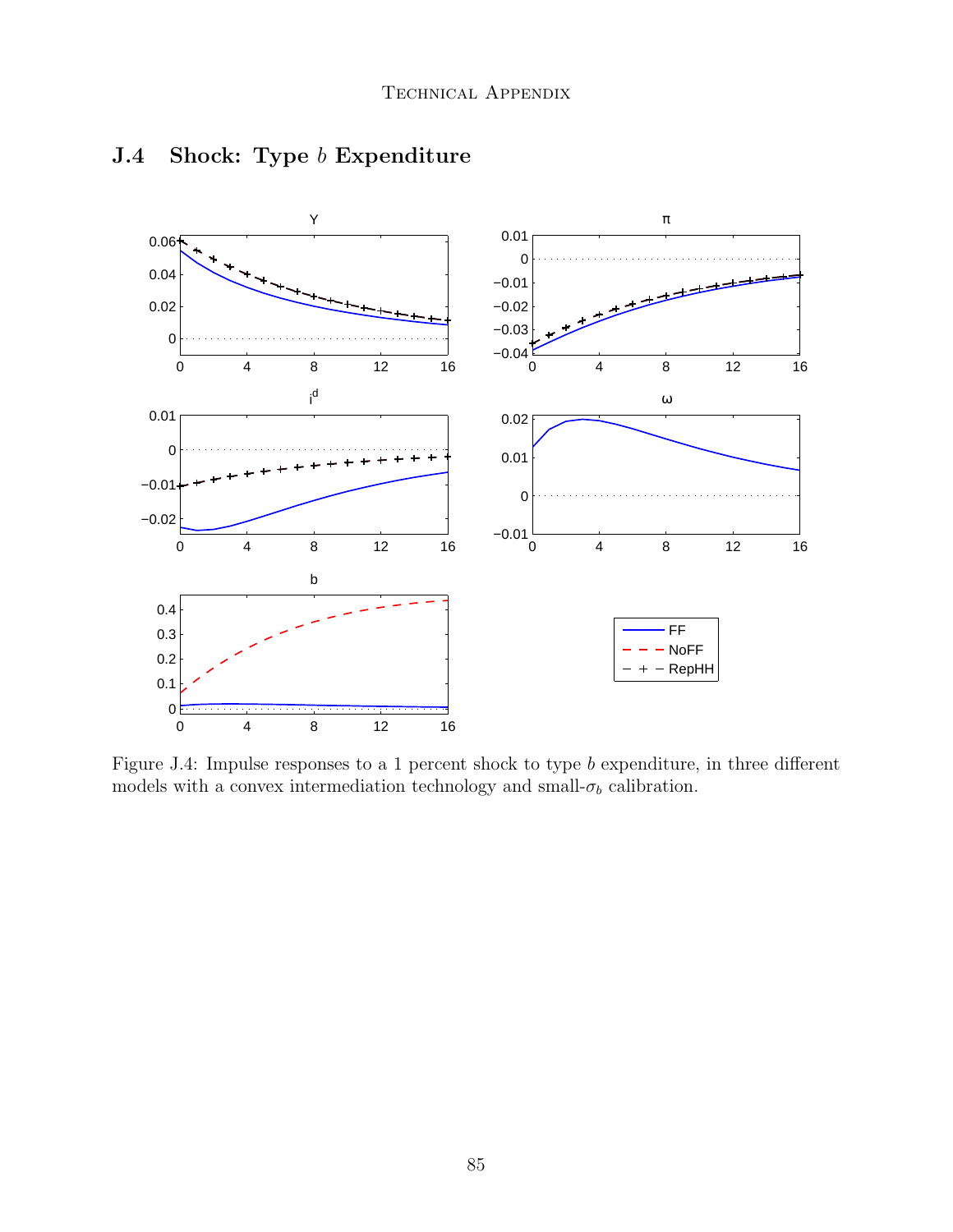

## J.4 Shock: Type b Expenditure

Figure J.4: Impulse responses to a 1 percent shock to type  $b$  expenditure, in three different models with a convex intermediation technology and small- $\sigma_b$  calibration.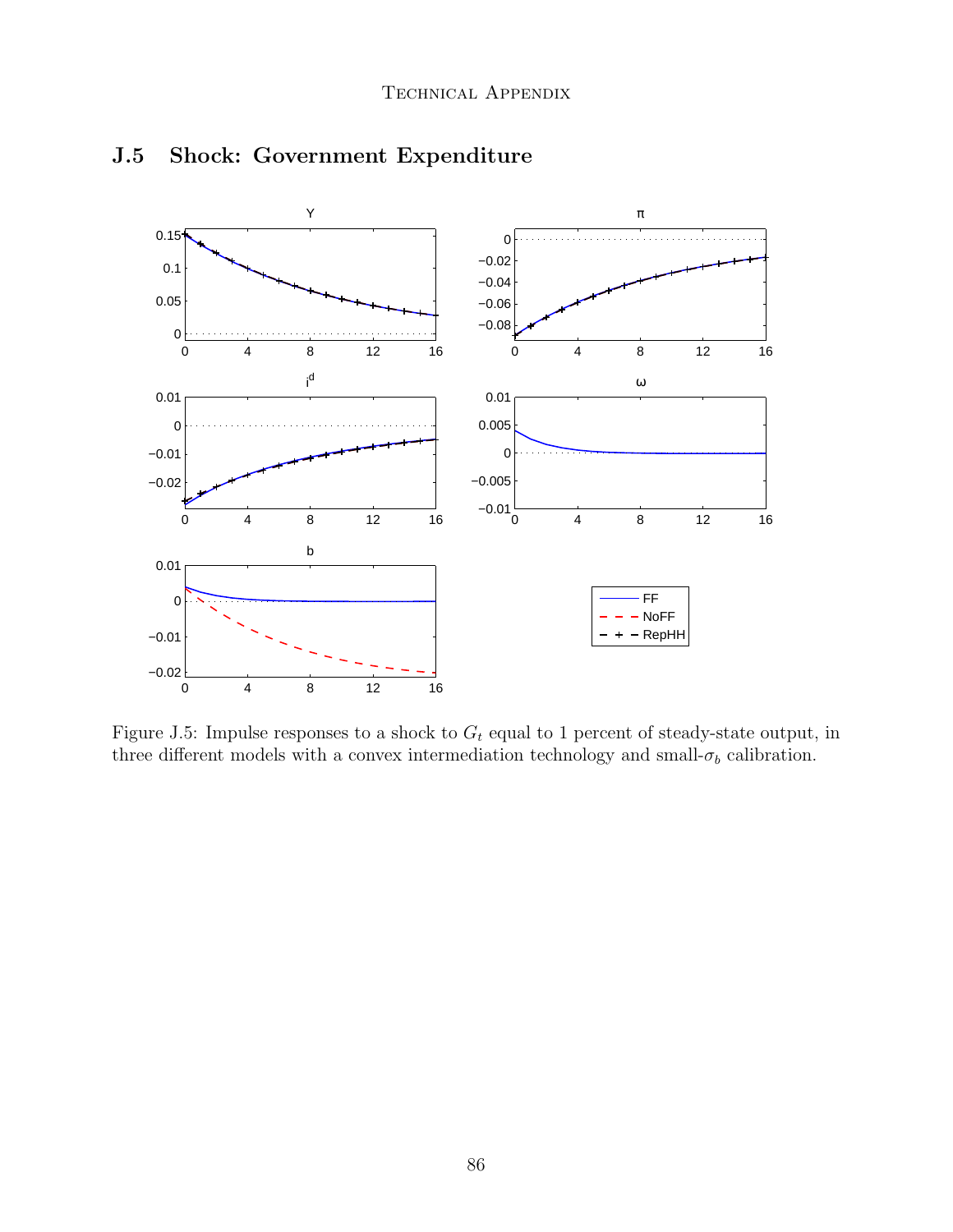

# J.5 Shock: Government Expenditure

Figure J.5: Impulse responses to a shock to  $G_t$  equal to 1 percent of steady-state output, in three different models with a convex intermediation technology and small- $\sigma_b$  calibration.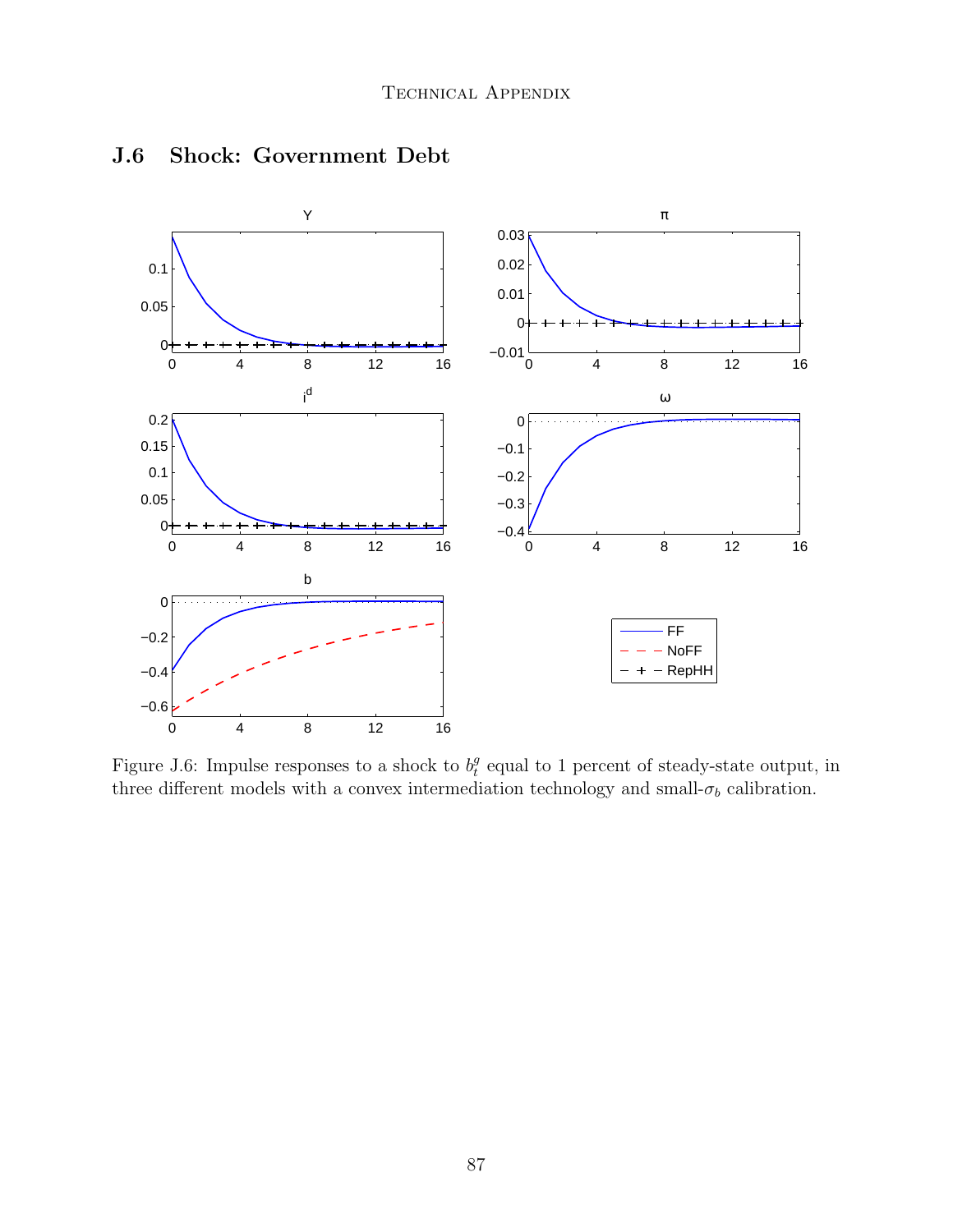

#### J.6 Shock: Government Debt

Figure J.6: Impulse responses to a shock to  $b_t^g$  $e_t^g$  equal to 1 percent of steady-state output, in three different models with a convex intermediation technology and small-  $\sigma_b$  calibration.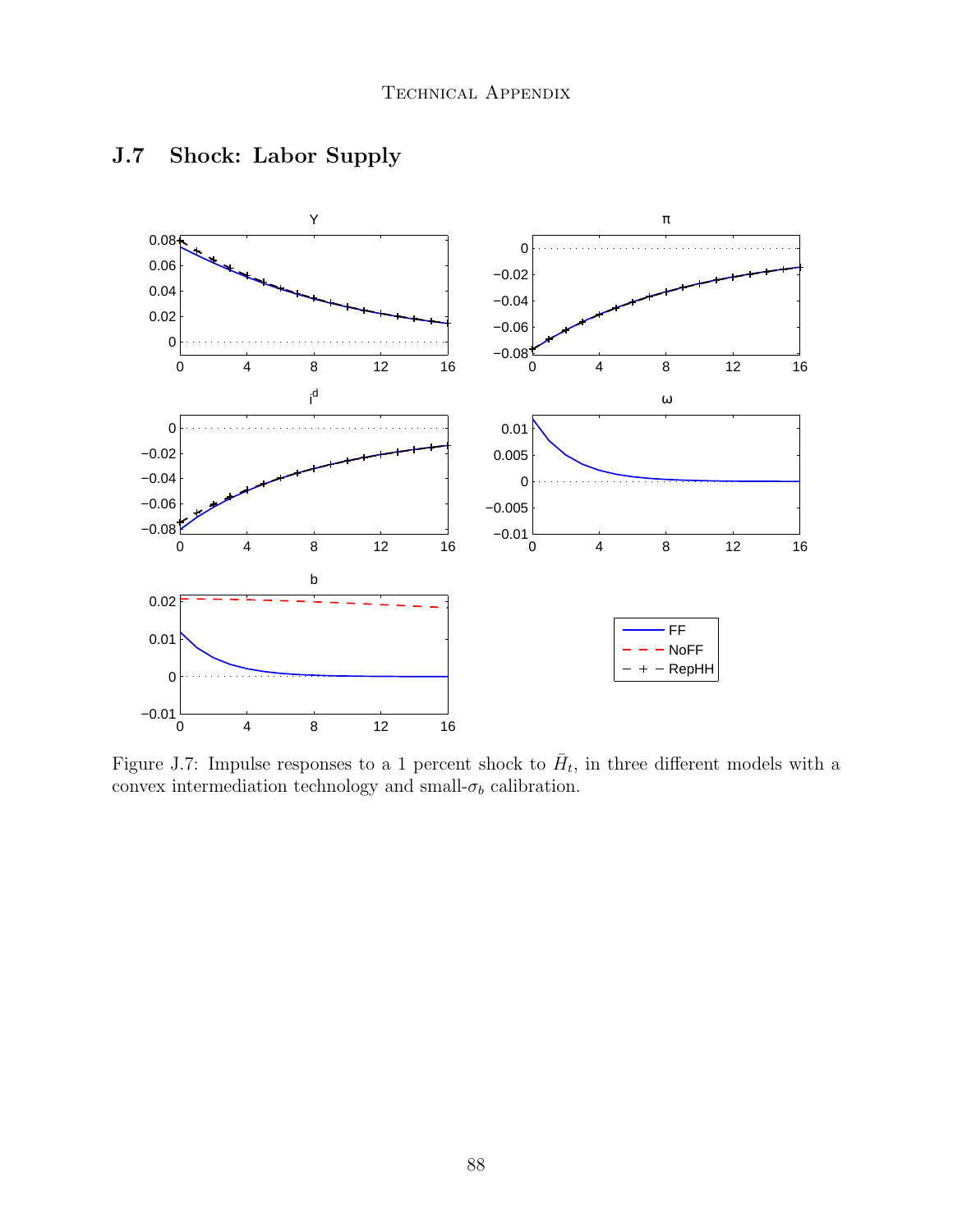

## J.7 Shock: Labor Supply

Figure J.7: Impulse responses to a 1 percent shock to  $\bar{H}_t$ , in three different models with a convex intermediation technology and small-  $\sigma_b$  calibration.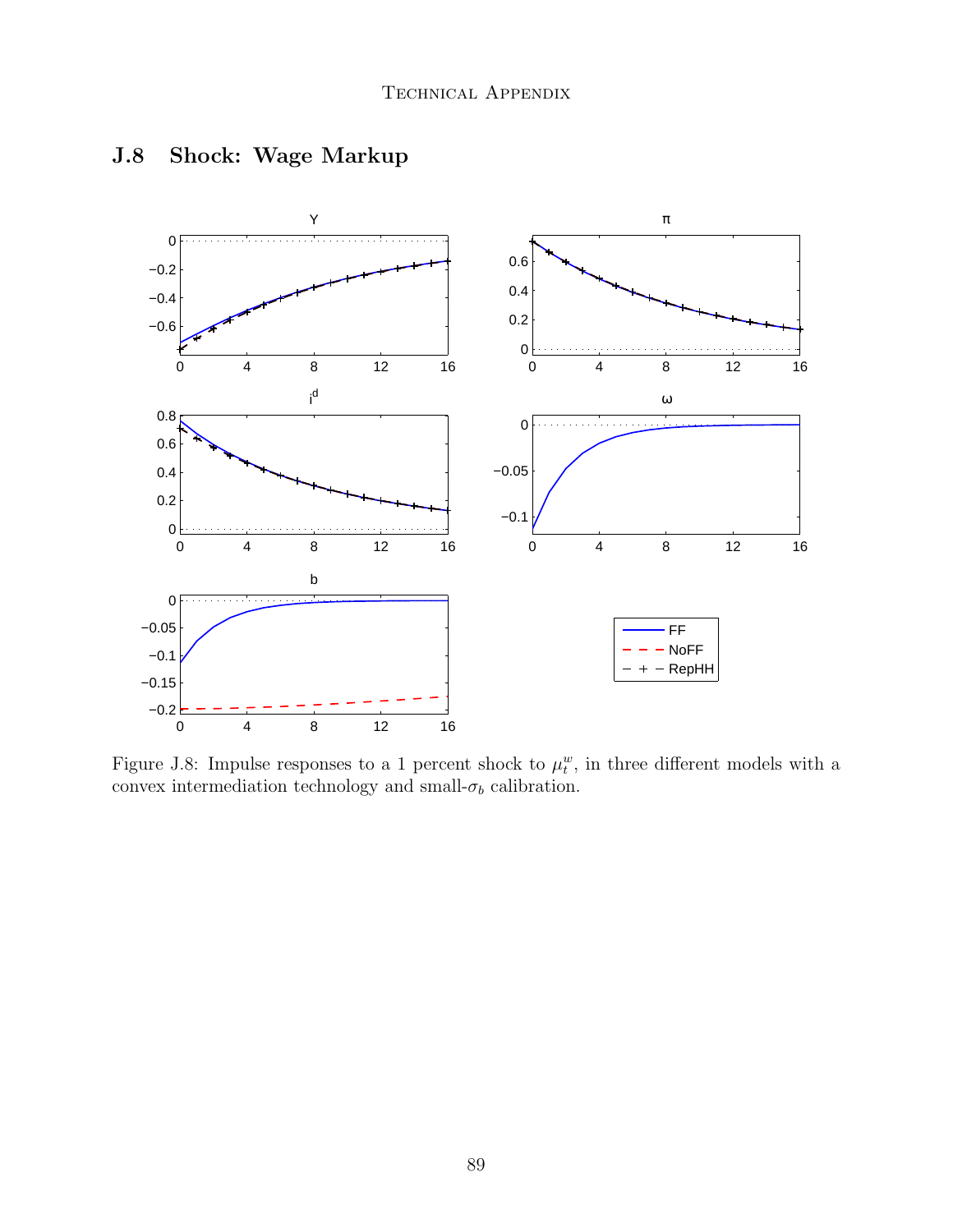

## J.8 Shock: Wage Markup

Figure J.8: Impulse responses to a 1 percent shock to  $\mu_t^w$ , in three different models with a convex intermediation technology and small-  $\sigma_b$  calibration.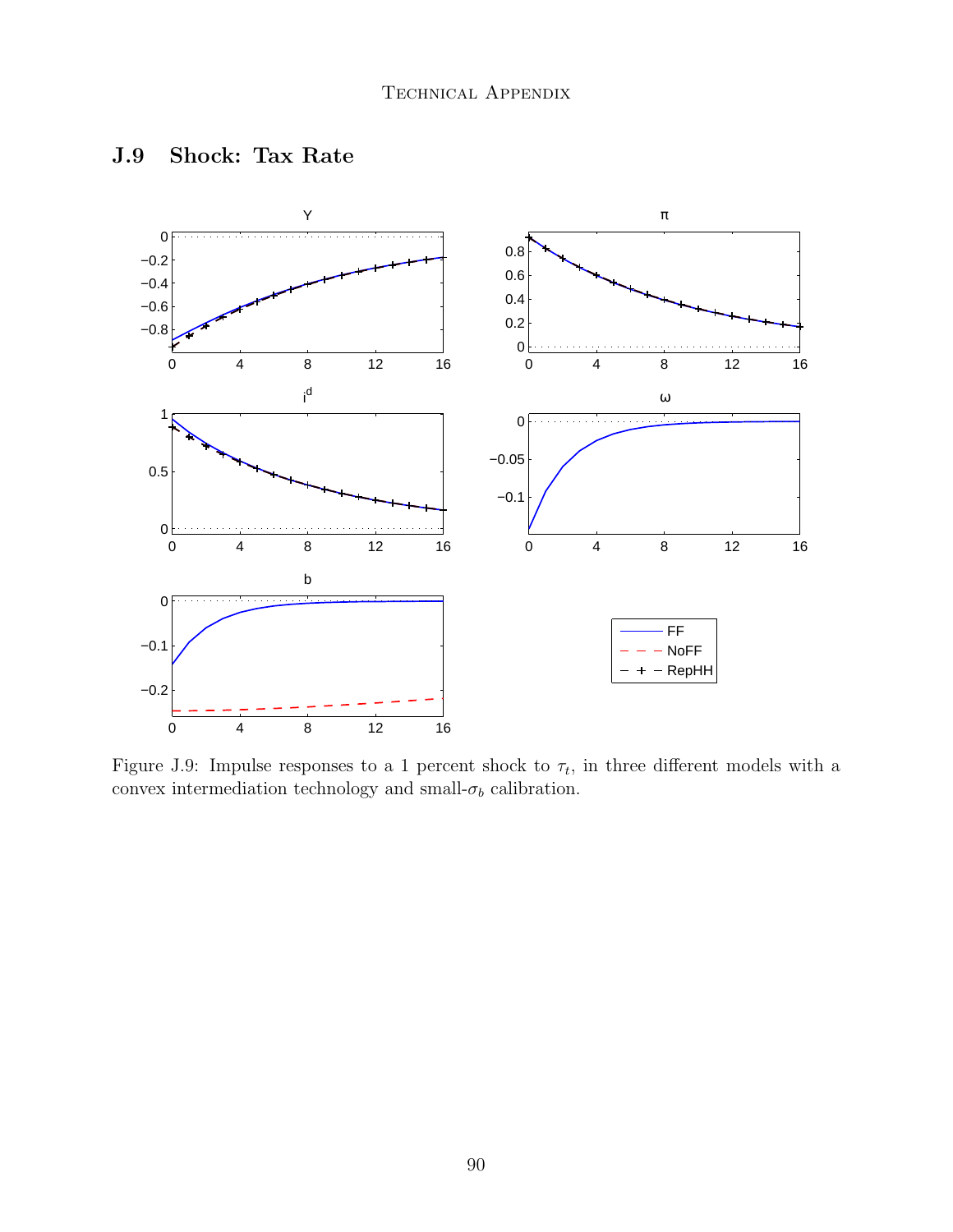

#### J.9 Shock: Tax Rate

Figure J.9: Impulse responses to a 1 percent shock to  $\tau_t$ , in three different models with a convex intermediation technology and small-  $\sigma_b$  calibration.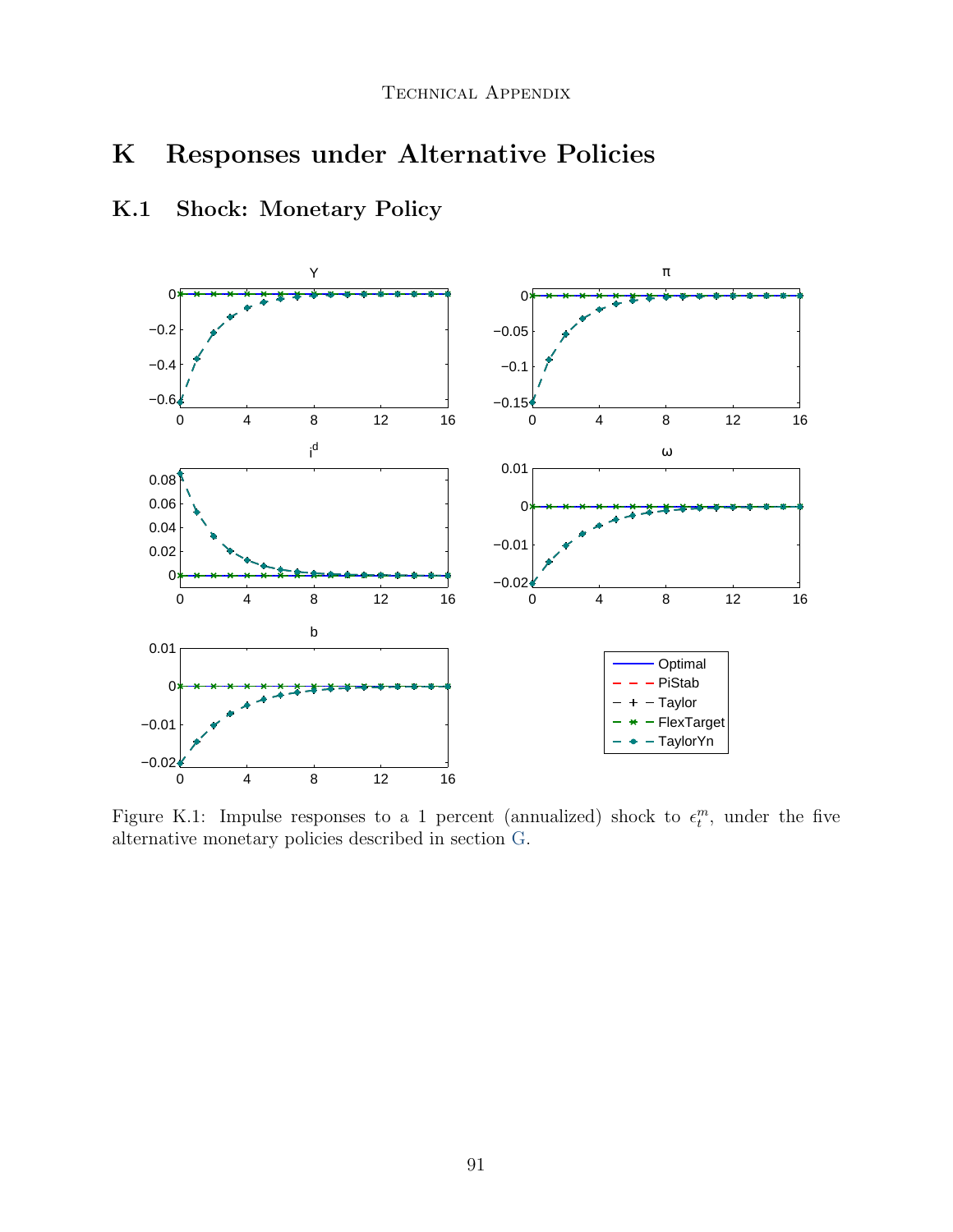# K Responses under Alternative Policies

## K.1 Shock: Monetary Policy



Figure K.1: Impulse responses to a 1 percent (annualized) shock to  $\epsilon_t^m$ , under the five alternative monetary policies described in section [G.](#page-61-0)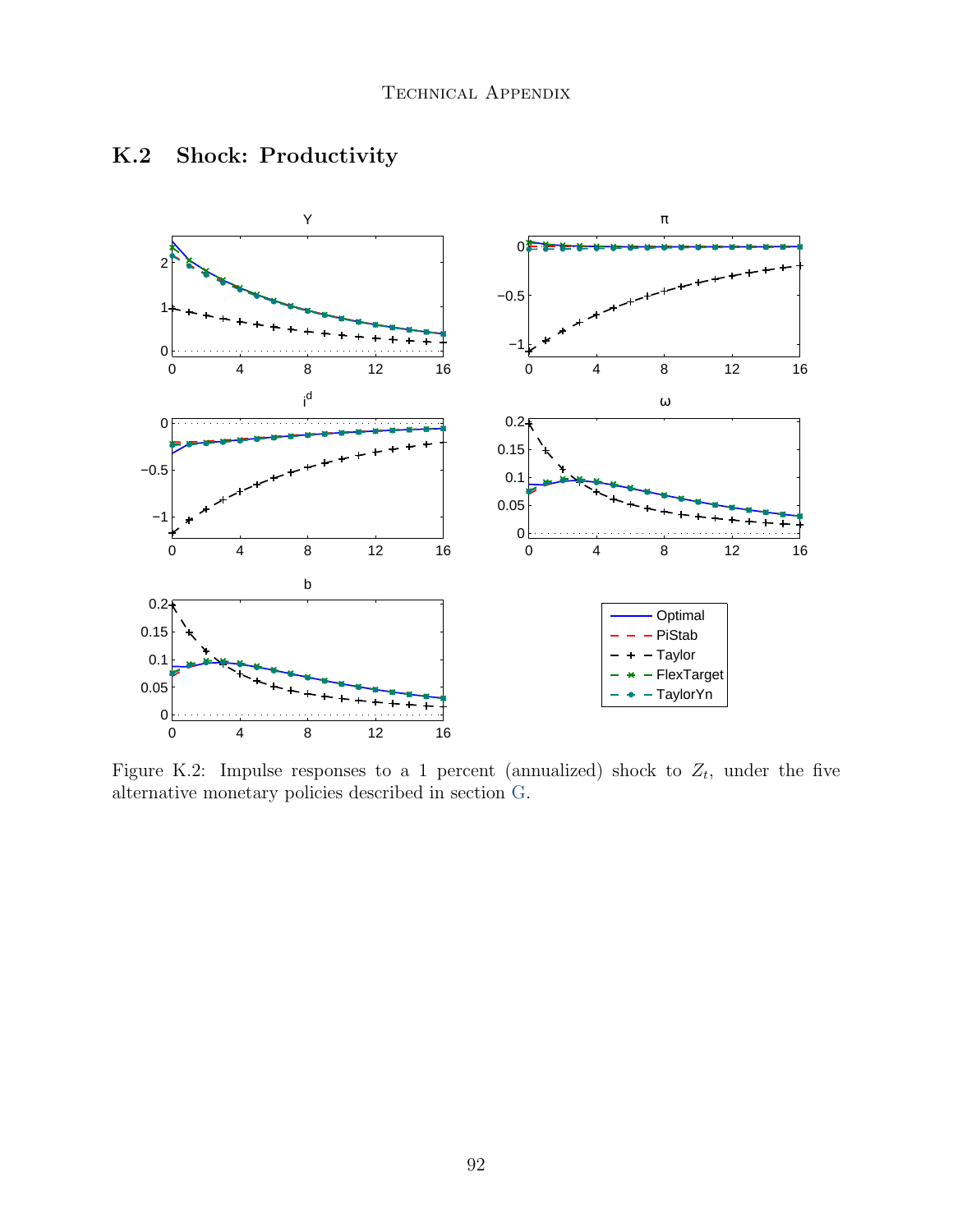

# K.2 Shock: Productivity

Figure K.2: Impulse responses to a 1 percent (annualized) shock to  $Z_t$ , under the five alternative monetary policies described in section [G.](#page-61-0)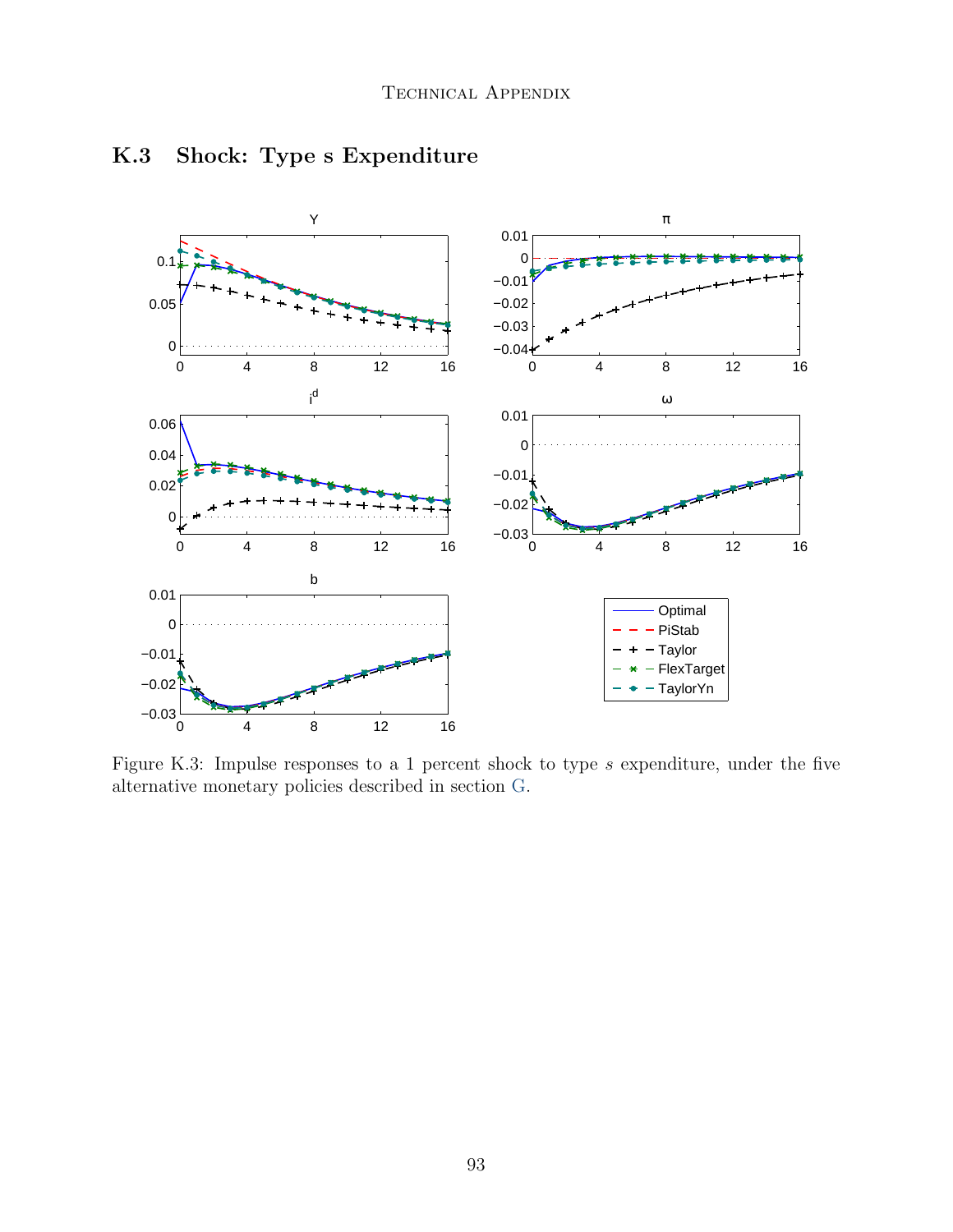

## K.3 Shock: Type s Expenditure

Figure K.3: Impulse responses to a 1 percent shock to type s expenditure, under the five alternative monetary policies described in section [G.](#page-61-0)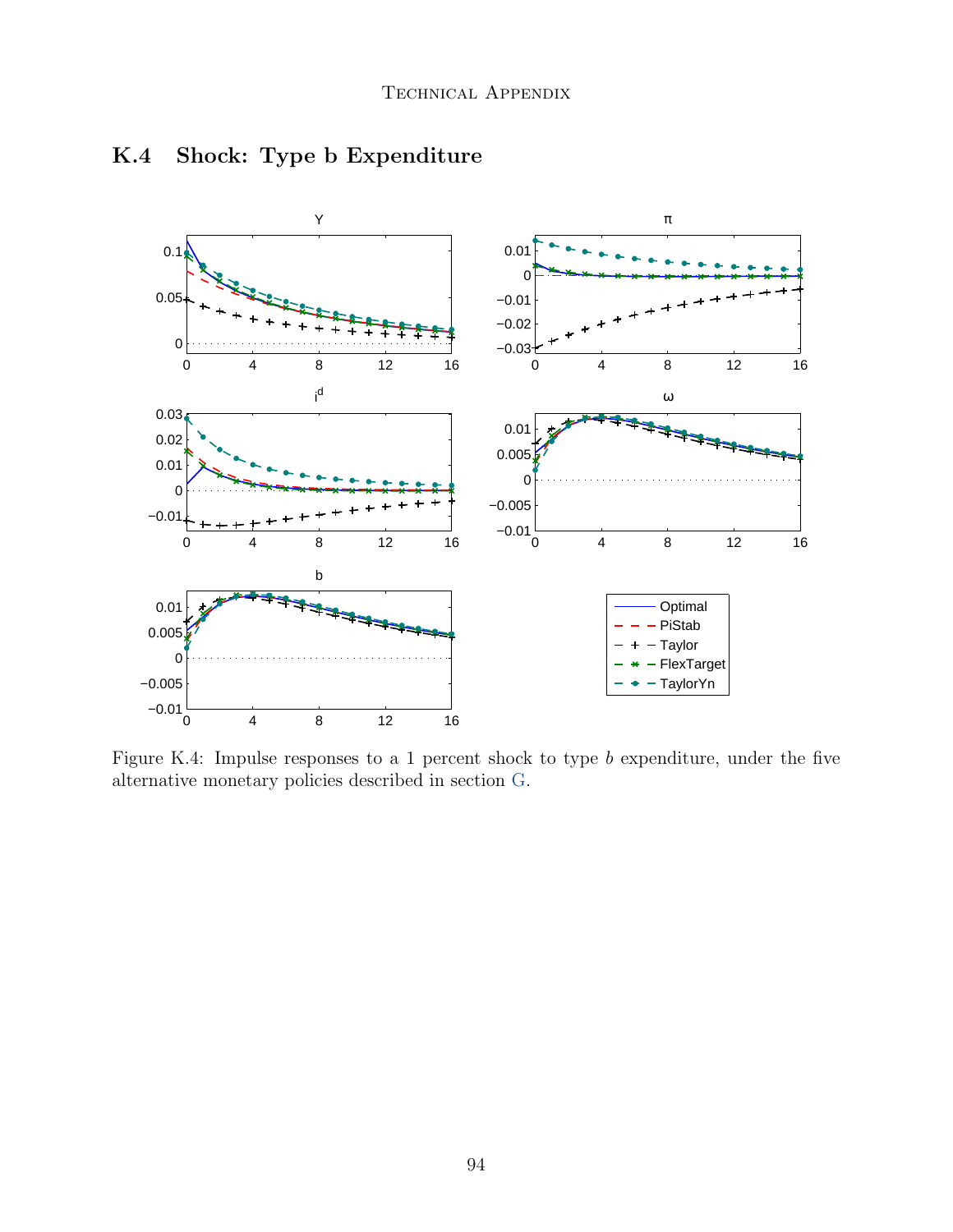

## K.4 Shock: Type b Expenditure

Figure K.4: Impulse responses to a 1 percent shock to type  $b$  expenditure, under the five alternative monetary policies described in section [G.](#page-61-0)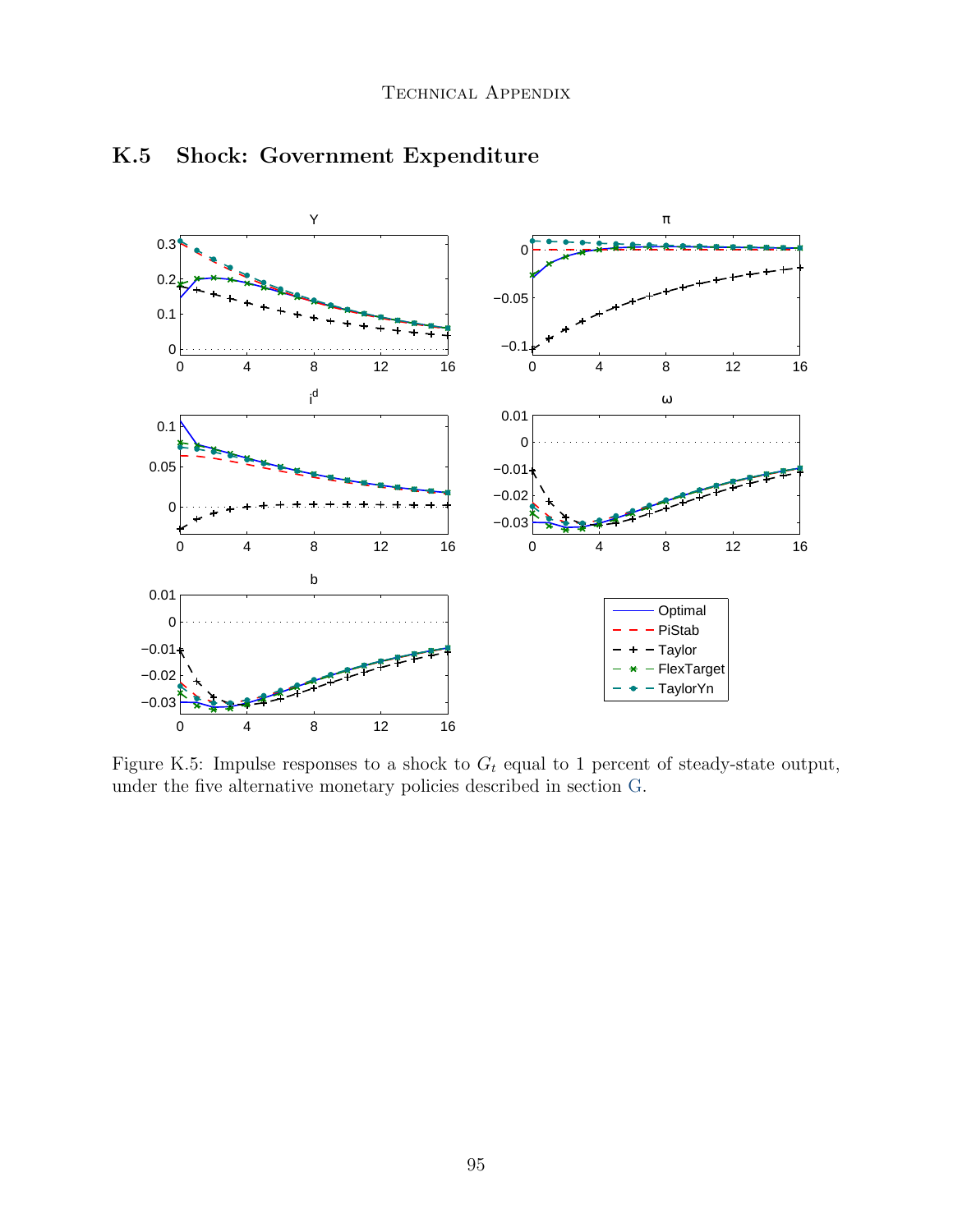

## K.5 Shock: Government Expenditure

Figure K.5: Impulse responses to a shock to  $G_t$  equal to 1 percent of steady-state output, under the five alternative monetary policies described in section [G.](#page-61-0)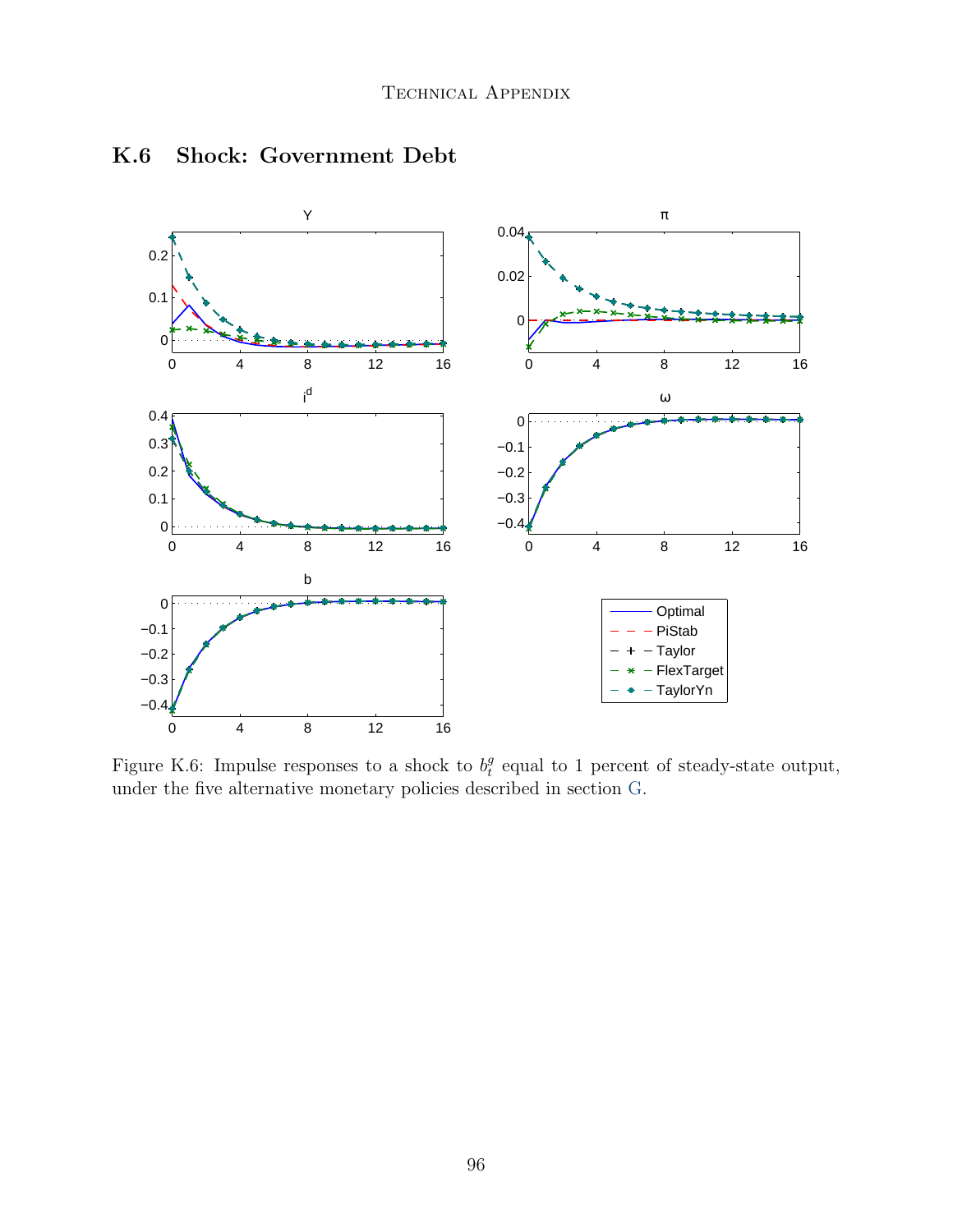

#### K.6 Shock: Government Debt

Figure K.6: Impulse responses to a shock to  $b_t^g$  $e_t^g$  equal to 1 percent of steady-state output, under the five alternative monetary policies described in section [G.](#page-61-0)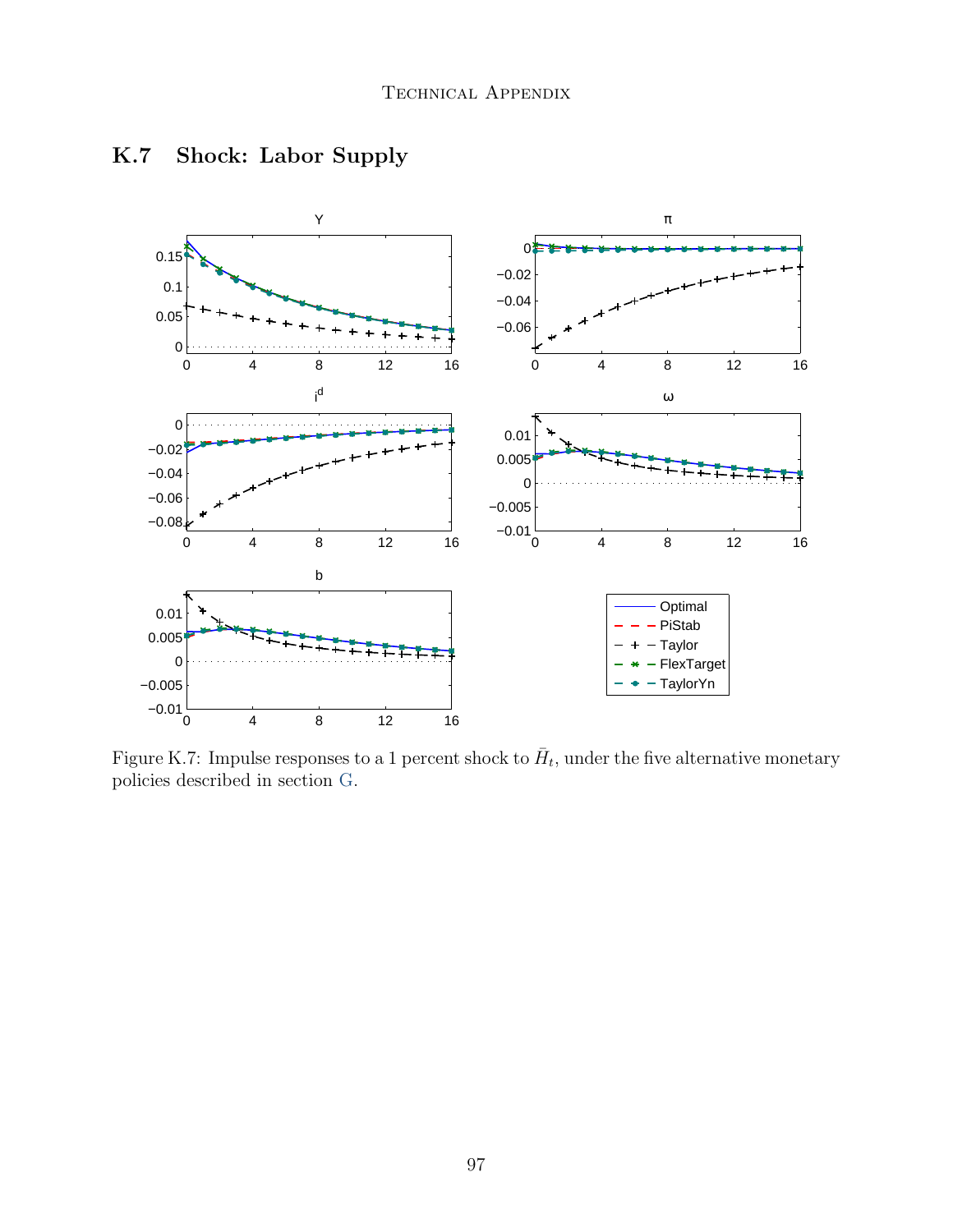

## K.7 Shock: Labor Supply

Figure K.7: Impulse responses to a 1 percent shock to  $\bar{H}_t$ , under the five alternative monetary policies described in section [G.](#page-61-0)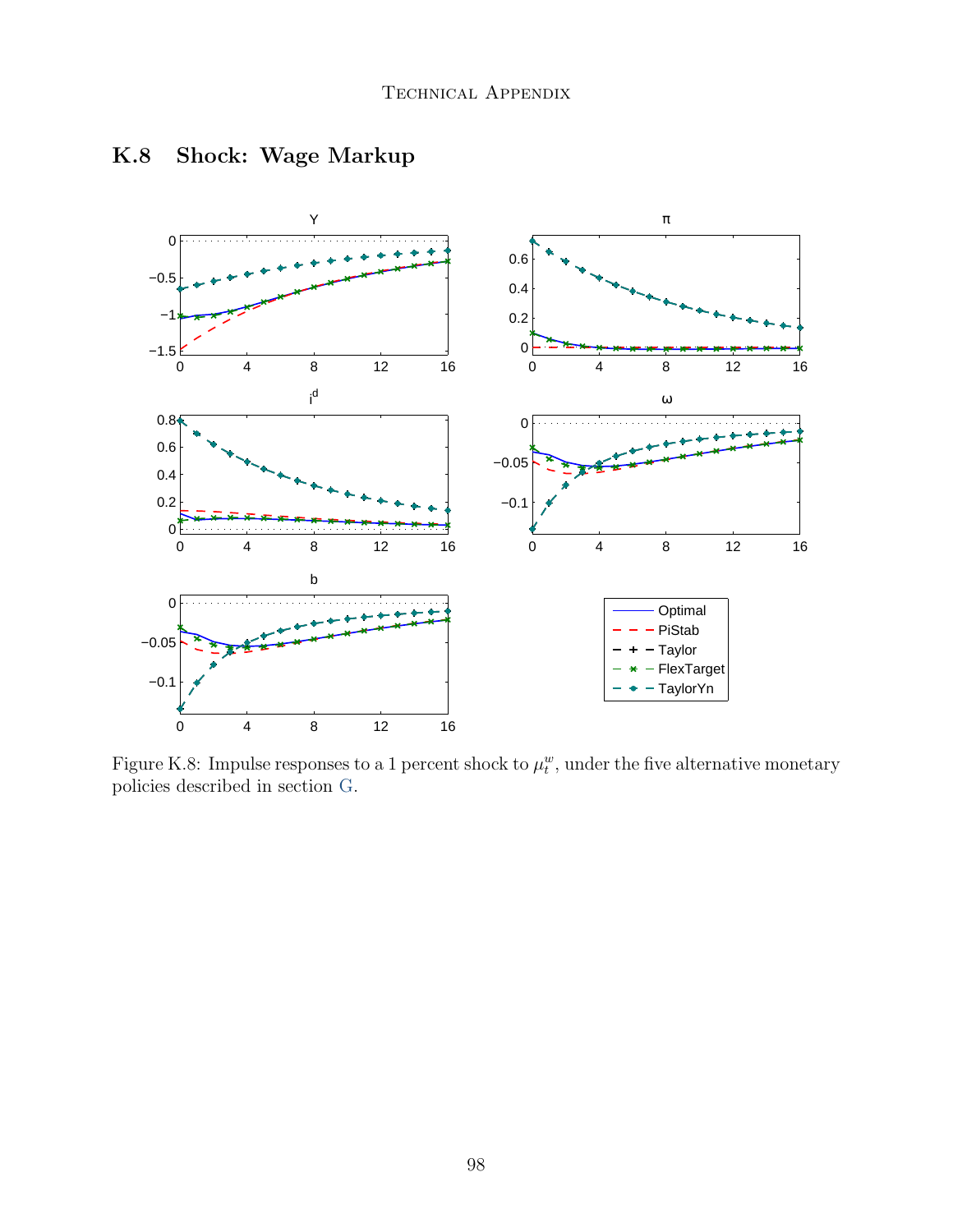

## K.8 Shock: Wage Markup

Figure K.8: Impulse responses to a 1 percent shock to  $\mu_t^w$ , under the five alternative monetary policies described in section [G.](#page-61-0)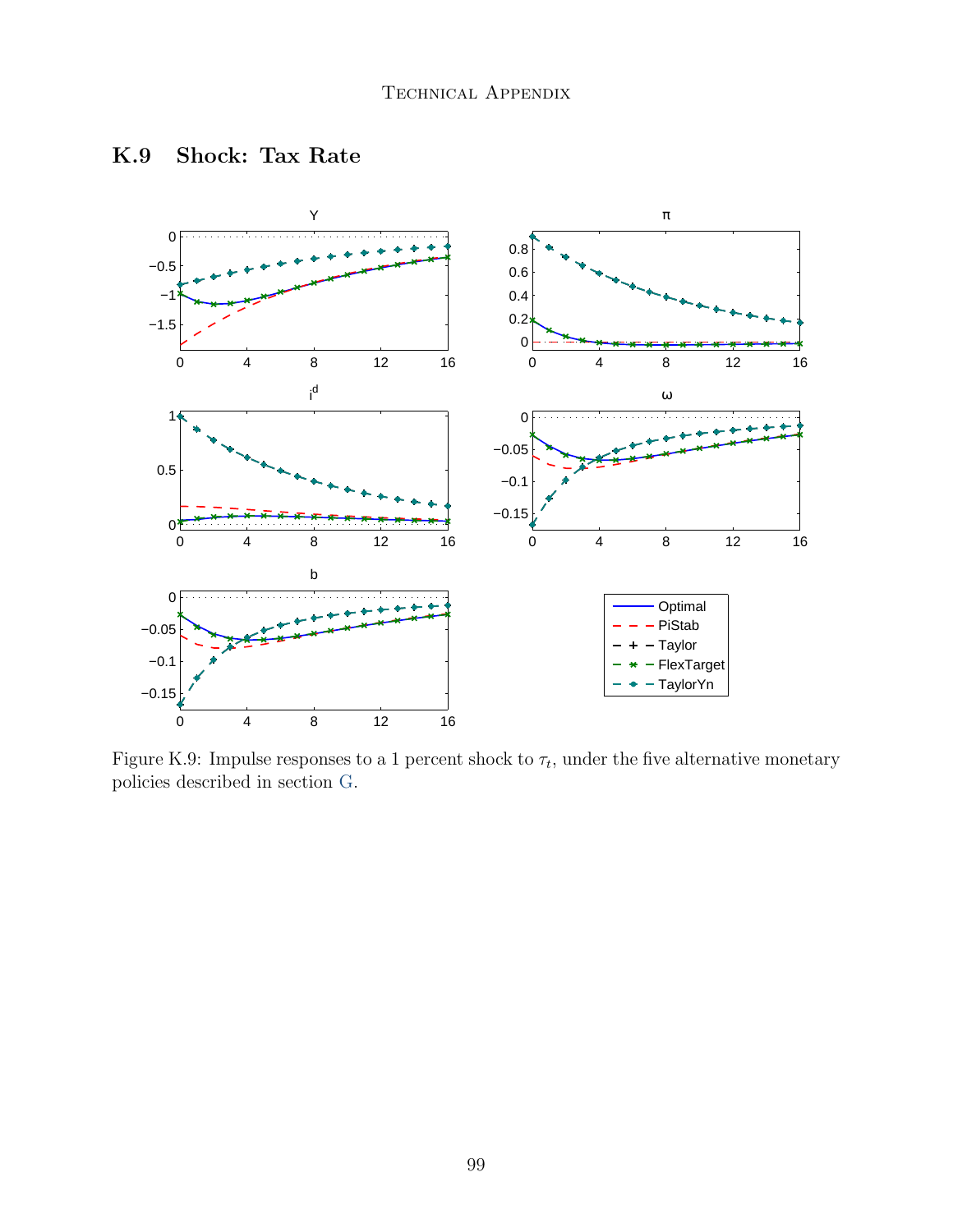

## K.9 Shock: Tax Rate

Figure K.9: Impulse responses to a 1 percent shock to  $\tau_t$ , under the five alternative monetary policies described in section [G.](#page-61-0)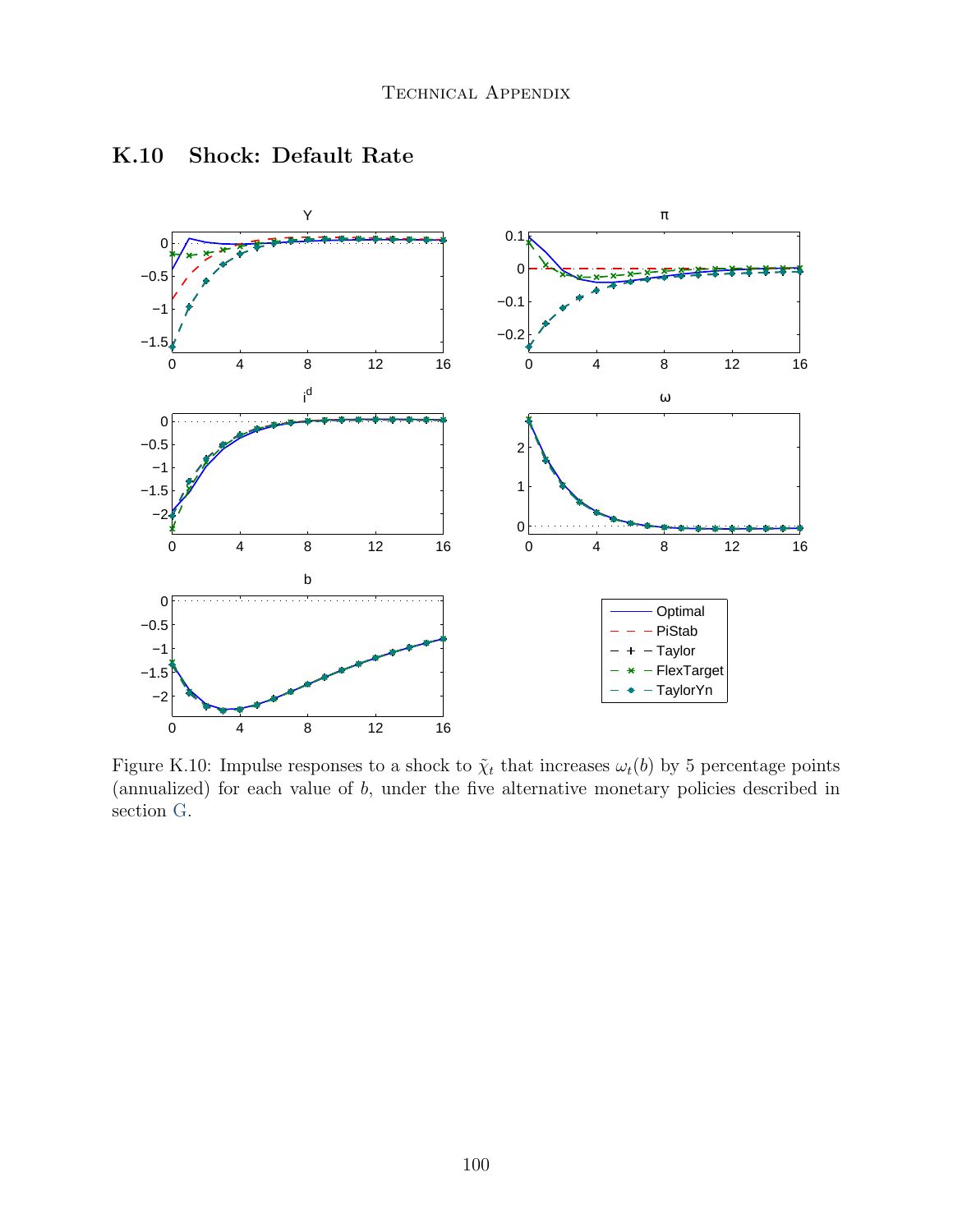

#### K.10 Shock: Default Rate

Figure K.10: Impulse responses to a shock to  $\tilde{\chi}_t$  that increases  $\omega_t(b)$  by 5 percentage points (annualized) for each value of  $b$ , under the five alternative monetary policies described in section [G.](#page-61-0)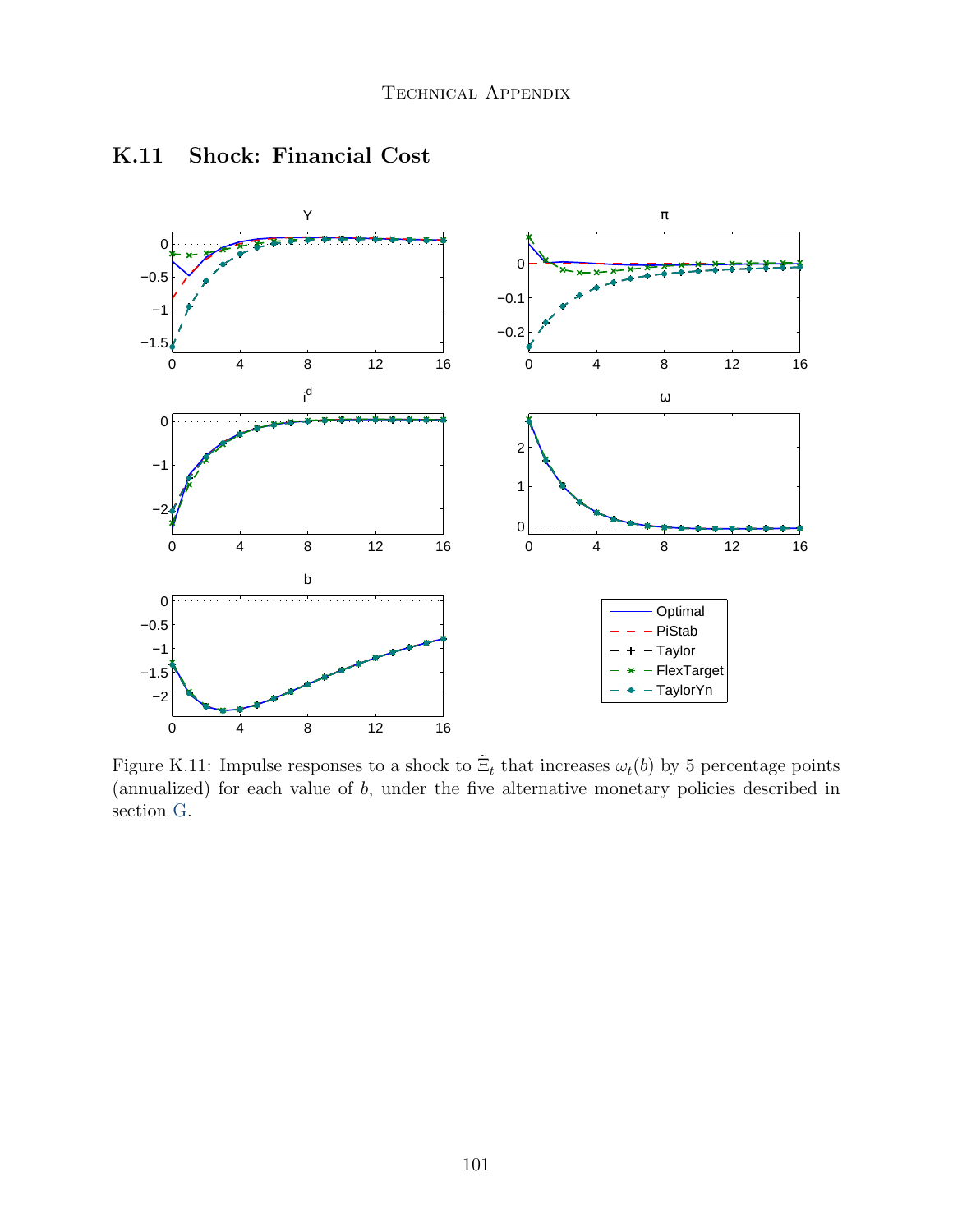

#### K.11 Shock: Financial Cost

Figure K.11: Impulse responses to a shock to  $\tilde{\Xi}_t$  that increases  $\omega_t(b)$  by 5 percentage points (annualized) for each value of  $b$ , under the five alternative monetary policies described in section [G.](#page-61-0)